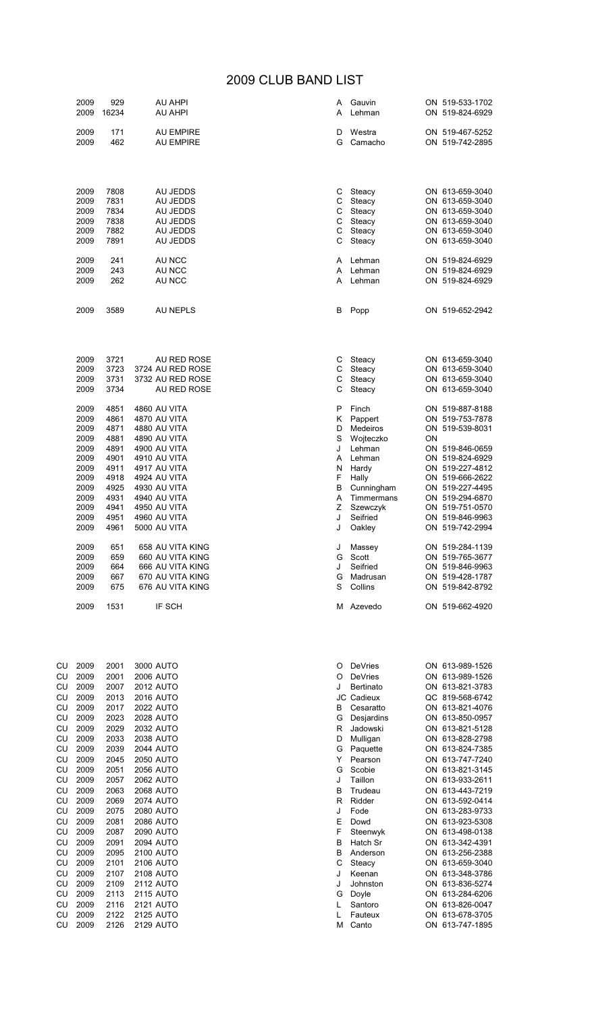## 2009 CLUB BAND LIST

|          | 2009<br>2009 | 929<br>16234 | <b>AU AHPI</b><br>AU AHPI            | A<br>A | Gauvin<br>Lehman            |    | ON 519-533-1702<br>ON 519-824-6929 |
|----------|--------------|--------------|--------------------------------------|--------|-----------------------------|----|------------------------------------|
|          | 2009<br>2009 | 171<br>462   | <b>AU EMPIRE</b><br><b>AU EMPIRE</b> | D<br>G | Westra<br>Camacho           |    | ON 519-467-5252<br>ON 519-742-2895 |
|          |              |              |                                      |        |                             |    |                                    |
|          | 2009         | 7808         | AU JEDDS                             | С      | Steacy                      |    | ON 613-659-3040                    |
|          | 2009         | 7831<br>7834 | AU JEDDS                             | С<br>C | Steacy                      |    | ON 613-659-3040                    |
|          | 2009<br>2009 | 7838         | AU JEDDS<br>AU JEDDS                 | С      | Steacy<br>Steacy            |    | ON 613-659-3040<br>ON 613-659-3040 |
|          | 2009         | 7882         | AU JEDDS                             | C      | Steacy                      |    | ON 613-659-3040                    |
|          | 2009         | 7891         | AU JEDDS                             | С      | Steacy                      |    | ON 613-659-3040                    |
|          | 2009         | 241          | AU NCC                               | A      | Lehman                      |    | ON 519-824-6929                    |
|          | 2009<br>2009 | 243<br>262   | AU NCC<br>AU NCC                     | A<br>A | Lehman<br>Lehman            |    | ON 519-824-6929<br>ON 519-824-6929 |
|          |              |              |                                      |        |                             |    |                                    |
|          | 2009         | 3589         | <b>AU NEPLS</b>                      | В      | Popp                        |    | ON 519-652-2942                    |
|          | 2009         | 3721         | AU RED ROSE                          | С      | Steacy                      |    | ON 613-659-3040                    |
|          | 2009         | 3723         | 3724 AU RED ROSE                     | C      | Steacy                      |    | ON 613-659-3040                    |
|          | 2009<br>2009 | 3731<br>3734 | 3732 AU RED ROSE<br>AU RED ROSE      | С<br>С | Steacy<br>Steacy            |    | ON 613-659-3040<br>ON 613-659-3040 |
|          | 2009         | 4851         | 4860 AU VITA                         | P      | Finch                       |    | ON 519-887-8188                    |
|          | 2009         | 4861         | 4870 AU VITA                         | Κ      | Pappert                     |    | ON 519-753-7878                    |
|          | 2009         | 4871         | 4880 AU VITA                         | D      | Medeiros                    |    | ON 519-539-8031                    |
|          | 2009<br>2009 | 4881<br>4891 | 4890 AU VITA<br>4900 AU VITA         | S<br>J | Wojteczko<br>Lehman         | ON | ON 519-846-0659                    |
|          | 2009         | 4901         | 4910 AU VITA                         | Α      | Lehman                      |    | ON 519-824-6929                    |
|          | 2009         | 4911         | 4917 AU VITA                         | N      | Hardy                       |    | ON 519-227-4812                    |
|          | 2009<br>2009 | 4918<br>4925 | 4924 AU VITA<br>4930 AU VITA         | F<br>В | Hally<br>Cunningham         |    | ON 519-666-2622<br>ON 519-227-4495 |
|          | 2009         | 4931         | 4940 AU VITA                         | Α      | Timmermans                  |    | ON 519-294-6870                    |
|          | 2009         | 4941         | 4950 AU VITA                         | Ζ      | Szewczyk                    |    | ON 519-751-0570                    |
|          | 2009<br>2009 | 4951<br>4961 | 4960 AU VITA<br><b>5000 AU VITA</b>  | J<br>J | Seifried<br>Oakley          |    | ON 519-846-9963<br>ON 519-742-2994 |
|          | 2009         | 651          | 658 AU VITA KING                     | J      | Massey                      |    | ON 519-284-1139                    |
|          | 2009         | 659          | 660 AU VITA KING                     | G      | Scott                       |    | ON 519-765-3677                    |
|          | 2009         | 664          | 666 AU VITA KING                     | J      | Seifried                    |    | ON 519-846-9963<br>ON 519-428-1787 |
|          | 2009<br>2009 | 667<br>675   | 670 AU VITA KING<br>676 AU VITA KING | G<br>S | Madrusan<br>Collins         |    | ON 519-842-8792                    |
|          | 2009         | 1531         | IF SCH                               |        | M Azevedo                   |    | ON 519-662-4920                    |
|          |              |              |                                      |        |                             |    |                                    |
| CU       | 2009         | 2001         | 3000 AUTO                            | O      | DeVries                     |    | ON 613-989-1526                    |
| CU<br>CU | 2009<br>2009 | 2001<br>2007 | <b>2006 AUTO</b><br><b>2012 AUTO</b> | O<br>J | DeVries<br><b>Bertinato</b> |    | ON 613-989-1526<br>ON 613-821-3783 |
| CU       | 2009         | 2013         | <b>2016 AUTO</b>                     |        | JC Cadieux                  |    | QC 819-568-6742                    |
| CU       | 2009         | 2017         | <b>2022 AUTO</b>                     | В      | Cesaratto                   |    | ON 613-821-4076                    |
| CU       | 2009         | 2023         | 2028 AUTO                            | G      | Desjardins                  |    | ON 613-850-0957                    |
| CU       | 2009         | 2029         | 2032 AUTO                            | R      | Jadowski                    |    | ON 613-821-5128                    |
| CU<br>CU | 2009<br>2009 | 2033<br>2039 | 2038 AUTO<br><b>2044 AUTO</b>        | D<br>G | Mulligan<br>Paquette        |    | ON 613-828-2798<br>ON 613-824-7385 |
| CU       | 2009         | 2045         | <b>2050 AUTO</b>                     | Y      | Pearson                     |    | ON 613-747-7240                    |
| CU       | 2009         | 2051         | 2056 AUTO                            | G      | Scobie                      |    | ON 613-821-3145                    |
| CU       | 2009         | 2057         | <b>2062 AUTO</b>                     | J      | Taillon                     |    | ON 613-933-2611                    |
| CU       | 2009         | 2063         | <b>2068 AUTO</b>                     | В      | Trudeau                     |    | ON 613-443-7219                    |
| CU<br>CU | 2009<br>2009 | 2069<br>2075 | <b>2074 AUTO</b><br><b>2080 AUTO</b> | R<br>J | Ridder<br>Fode              |    | ON 613-592-0414<br>ON 613-283-9733 |
| CU       | 2009         | 2081         | 2086 AUTO                            | Е      | Dowd                        |    | ON 613-923-5308                    |
| CU       | 2009         | 2087         | 2090 AUTO                            | F      | Steenwyk                    |    | ON 613-498-0138                    |
| CU       | 2009         | 2091         | 2094 AUTO                            | B      | Hatch Sr                    |    | ON 613-342-4391                    |
| CU<br>CU | 2009<br>2009 | 2095<br>2101 | <b>2100 AUTO</b><br>2106 AUTO        | В<br>С | Anderson<br>Steacy          |    | ON 613-256-2388<br>ON 613-659-3040 |
| CU       | 2009         | 2107         | 2108 AUTO                            | J      | Keenan                      |    | ON 613-348-3786                    |
| CU       | 2009         | 2109         | 2112 AUTO                            | J      | Johnston                    |    | ON 613-836-5274                    |
| CU       | 2009         | 2113         | <b>2115 AUTO</b>                     | G      | Doyle                       |    | ON 613-284-6206                    |
| CU<br>CU | 2009<br>2009 | 2116<br>2122 | <b>2121 AUTO</b><br>2125 AUTO        | L<br>L | Santoro<br>Fauteux          |    | ON 613-826-0047<br>ON 613-678-3705 |
| CU       | 2009         | 2126         | <b>2129 AUTO</b>                     | М      | Canto                       |    | ON 613-747-1895                    |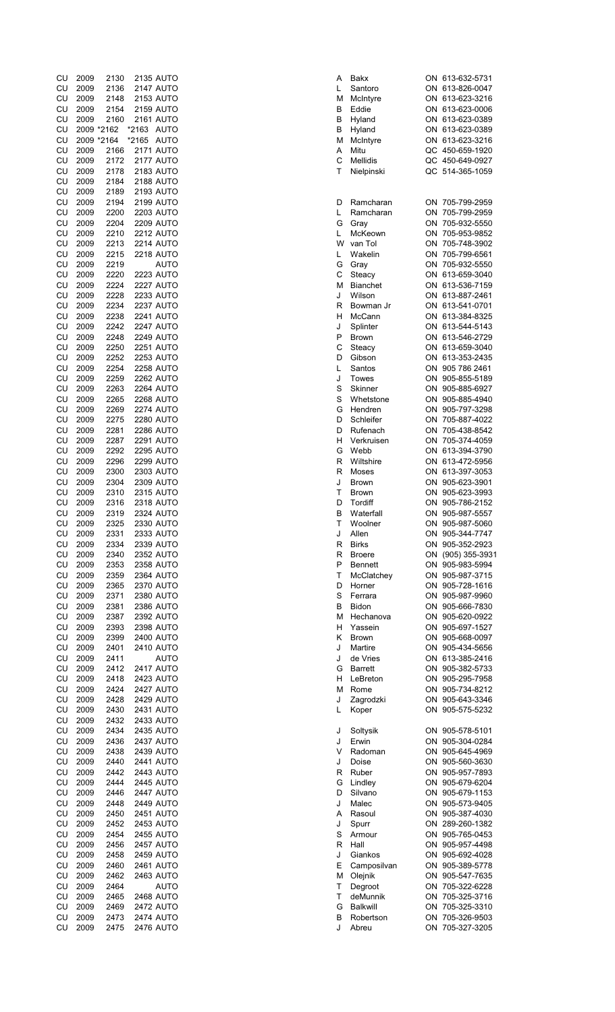| CU         | 2009         | 2130                     | 2135 AUTO                     | Α      | Bakx                    | ON 613-632-5731                    |
|------------|--------------|--------------------------|-------------------------------|--------|-------------------------|------------------------------------|
| CU         | 2009         | 2136                     | <b>2147 AUTO</b>              | L      | Santoro                 | ON 613-826-0047                    |
| CU         | 2009         | 2148                     | 2153 AUTO                     | М      | McIntyre                | ON 613-623-3216                    |
| CU         | 2009         | 2154                     | <b>2159 AUTO</b>              | В      | Eddie                   | ON 613-623-0006                    |
| CU         | 2009         | 2160                     | 2161 AUTO                     | В      | Hyland                  | ON 613-623-0389                    |
| CU         |              | 2009 *2162<br>2009 *2164 | *2163 AUTO<br>*2165 AUTO      | В<br>м | Hyland                  | ON 613-623-0389<br>ON 613-623-3216 |
| CU<br>CU   | 2009         | 2166                     | <b>2171 AUTO</b>              | Α      | McIntyre<br>Mitu        | QC 450-659-1920                    |
| CU         | 2009         | 2172                     | <b>2177 AUTO</b>              | C      | Mellidis                | QC 450-649-0927                    |
| CU         | 2009         | 2178                     | 2183 AUTO                     | Τ      | Nielpinski              | QC 514-365-1059                    |
| CU         | 2009         | 2184                     | <b>2188 AUTO</b>              |        |                         |                                    |
| CU         | 2009         | 2189                     | 2193 AUTO                     |        |                         |                                    |
| CU         | 2009         | 2194                     | 2199 AUTO                     | D      | Ramcharan               | ON 705-799-2959                    |
| CU         | 2009         | 2200                     | 2203 AUTO                     | L      | Ramcharan               | ON 705-799-2959                    |
| CU         | 2009         | 2204                     | <b>2209 AUTO</b>              | G      | Gray                    | ON 705-932-5550                    |
| CU         | 2009         | 2210                     | <b>2212 AUTO</b>              | L      | McKeown                 | ON 705-953-9852                    |
| CU         | 2009         | 2213                     | <b>2214 AUTO</b>              | W      | van Tol                 | ON 705-748-3902                    |
| CU         | 2009         | 2215                     | <b>2218 AUTO</b>              | L      | Wakelin                 | ON 705-799-6561                    |
| CU         | 2009         | 2219                     | AUTO                          | G      | Gray                    | ON 705-932-5550                    |
| CU         | 2009         | 2220                     | 2223 AUTO                     | С      | Steacy                  | ON 613-659-3040                    |
| CU         | 2009         | 2224                     | <b>2227 AUTO</b>              | М      | <b>Bianchet</b>         | ON 613-536-7159                    |
| CU         | 2009         | 2228                     | 2233 AUTO                     | J      | Wilson                  | ON 613-887-2461                    |
| CU         | 2009         | 2234                     | <b>2237 AUTO</b>              | R      | Bowman Jr               | ON 613-541-0701                    |
| CU         | 2009         | 2238                     | <b>2241 AUTO</b>              | н      | McCann                  | ON 613-384-8325                    |
| CU         | 2009         | 2242                     | <b>2247 AUTO</b>              | J      | Splinter                | ON 613-544-5143                    |
| CU         | 2009         | 2248                     | <b>2249 AUTO</b>              | P      | <b>Brown</b>            | ON 613-546-2729                    |
| CU         | 2009         | 2250                     | 2251 AUTO                     | C      | Steacy                  | ON 613-659-3040                    |
| CU         | 2009         | 2252                     | <b>2253 AUTO</b>              | D      | Gibson                  | ON 613-353-2435                    |
| CU         | 2009         | 2254                     | <b>2258 AUTO</b>              | L      | Santos                  | ON 905 786 2461                    |
| CU         | 2009         | 2259                     | 2262 AUTO                     | J      | Towes                   | ON 905-855-5189                    |
| CU         | 2009         | 2263                     | <b>2264 AUTO</b>              | S      | Skinner                 | ON 905-885-6927                    |
| CU         | 2009         | 2265                     | <b>2268 AUTO</b>              | S      | Whetstone               | ON 905-885-4940                    |
| CU         | 2009         | 2269                     | <b>2274 AUTO</b>              | G      | Hendren                 | ON 905-797-3298                    |
| CU         | 2009         | 2275                     | <b>2280 AUTO</b>              | D      | Schleifer               | ON 705-887-4022                    |
| CU         | 2009         | 2281                     | 2286 AUTO                     | D      | Rufenach                | ON 705-438-8542                    |
| CU         | 2009         | 2287                     | <b>2291 AUTO</b>              | н      | Verkruisen              | ON 705-374-4059                    |
| CU         | 2009         | 2292                     | <b>2295 AUTO</b>              | G      | Webb                    | ON 613-394-3790                    |
| CU         | 2009         | 2296                     | <b>2299 AUTO</b>              | R      | Wiltshire               | ON 613-472-5956                    |
| CU         | 2009         | 2300                     | 2303 AUTO                     | R      | Moses                   | ON 613-397-3053                    |
| CU         | 2009         | 2304                     | 2309 AUTO                     | J      | <b>Brown</b>            | ON 905-623-3901                    |
| CU         | 2009         | 2310                     | <b>2315 AUTO</b>              | Т      | <b>Brown</b>            | ON 905-623-3993                    |
| CU         | 2009         | 2316                     | 2318 AUTO                     | D      | Tordiff                 | ON 905-786-2152                    |
| CU         | 2009         | 2319                     | 2324 AUTO                     | В      | Waterfall               | ON 905-987-5557                    |
| CU.        | 2009         | 2325                     | 2330 AUTO                     | т      | Woolner                 | ON 905-987-5060                    |
| CU         | 2009         | 2331                     | 2333 AUTO                     | J      | Allen                   | ON 905-344-7747                    |
| CU         | 2009         | 2334                     | 2339 AUTO                     | R      | <b>Birks</b>            | ON 905-352-2923                    |
| CU         | 2009         | 2340                     | 2352 AUTO                     | R      | <b>Broere</b>           | ON (905) 355-3931                  |
| CU         | 2009         | 2353                     | 2358 AUTO                     | P      | <b>Bennett</b>          | ON 905-983-5994                    |
| CU         | 2009         | 2359                     | 2364 AUTO                     | т      | McClatchey              | ON 905-987-3715                    |
| CU         | 2009         | 2365                     | <b>2370 AUTO</b>              | D      | Horner                  | ON 905-728-1616                    |
| CU         | 2009         | 2371                     | 2380 AUTO                     | S      | Ferrara                 | ON 905-987-9960                    |
| CU         | 2009         | 2381                     | 2386 AUTO                     | в      | <b>Bidon</b>            | ON 905-666-7830<br>ON 905-620-0922 |
| CU         | 2009         | 2387                     | 2392 AUTO                     | м      | Hechanova               |                                    |
| CU<br>CU   | 2009<br>2009 | 2393<br>2399             | 2398 AUTO<br><b>2400 AUTO</b> | н      | Yassein                 | ON 905-697-1527<br>ON 905-668-0097 |
| CU         | 2009         | 2401                     | <b>2410 AUTO</b>              | Κ<br>J | <b>Brown</b><br>Martire | ON 905-434-5656                    |
| CU         | 2009         | 2411                     | AUTO                          | J      | de Vries                | ON 613-385-2416                    |
| CU         | 2009         | 2412                     | <b>2417 AUTO</b>              | G      | <b>Barrett</b>          | ON 905-382-5733                    |
| CU         | 2009         | 2418                     | 2423 AUTO                     | н      | LeBreton                | ON 905-295-7958                    |
| CU         | 2009         | 2424                     | <b>2427 AUTO</b>              | м      | Rome                    | ON 905-734-8212                    |
| CU         | 2009         | 2428                     | 2429 AUTO                     | J      | Zagrodzki               | ON 905-643-3346                    |
| CU         | 2009         | 2430                     | 2431 AUTO                     | L      | Koper                   | ON 905-575-5232                    |
| CU         | 2009         | 2432                     | 2433 AUTO                     |        |                         |                                    |
| CU         | 2009         | 2434                     | 2435 AUTO                     | J      | Soltysik                | ON 905-578-5101                    |
| CU         | 2009         | 2436                     | <b>2437 AUTO</b>              | J      | Erwin                   | ON 905-304-0284                    |
| CU         | 2009         | 2438                     | 2439 AUTO                     | v      | Radoman                 | ON 905-645-4969                    |
| CU         | 2009         | 2440                     | <b>2441 AUTO</b>              | J      | Doise                   | ON 905-560-3630                    |
| CU         | 2009         | 2442                     | 2443 AUTO                     | R      | Ruber                   | ON 905-957-7893                    |
| CU         | 2009         | 2444                     | <b>2445 AUTO</b>              | G      | Lindley                 | ON 905-679-6204                    |
| CU         | 2009         | 2446                     | <b>2447 AUTO</b>              | D      | Silvano                 | ON 905-679-1153                    |
| CU         | 2009         | 2448                     | <b>2449 AUTO</b>              | J      | Malec                   | ON 905-573-9405                    |
| CU         | 2009         | 2450                     | <b>2451 AUTO</b>              | Α      | Rasoul                  | ON 905-387-4030                    |
| CU         | 2009         | 2452                     | 2453 AUTO                     | J      | Spurr                   | ON 289-260-1382                    |
| CU         | 2009         | 2454                     | 2455 AUTO                     | S      | Armour                  | ON 905-765-0453                    |
| ${\sf CU}$ | 2009         | 2456                     | <b>2457 AUTO</b>              | R      | Hall                    | ON 905-957-4498                    |
| CU         | 2009         | 2458                     | <b>2459 AUTO</b>              | J      | Giankos                 | ON 905-692-4028                    |
| CU         | 2009         | 2460                     | <b>2461 AUTO</b>              | Ε      | Camposilvan             | ON 905-389-5778                    |
| CU         | 2009         | 2462                     | 2463 AUTO                     | М      | Olejnik                 | ON 905-547-7635                    |
| CU         | 2009         | 2464                     | <b>AUTO</b>                   | т      | Degroot                 | ON 705-322-6228                    |
| CU         | 2009         | 2465                     | 2468 AUTO                     | т      | deMunnik                | ON 705-325-3716                    |
| CU         | 2009         | 2469                     | <b>2472 AUTO</b>              | G      | <b>Balkwill</b>         | ON 705-325-3310                    |
| CU         | 2009         | 2473                     | <b>2474 AUTO</b>              | В      | Robertson               | ON 705-326-9503                    |
| CU         | 2009         | 2475                     | <b>2476 AUTO</b>              | J      | Abreu                   | ON 705-327-3205                    |

| Bakx<br>Santoro        | ON 613-63<br>ON 613-82     |
|------------------------|----------------------------|
| McIntyre               | ON 613-62                  |
| Eddie<br>Hyland        | ON 613-62                  |
| Hyland                 | ON 613-62<br>ON 613-62     |
| McIntyre               | ON 613-62                  |
| Mitu                   | QC 450-65                  |
| Mellidis<br>Nielpinski | QC 450-64<br>QC 514-36     |
|                        |                            |
|                        |                            |
| Ramcharan<br>Ramcharan | 705-79<br>ON.<br>ON 705-79 |
| Gray                   | ON 705-93                  |
| McKeown                | 705-95<br>ON<br>ON         |
| van Tol<br>Wakelin     | 705-74<br>ON 705-79        |
| Gray                   | ON 705-93                  |
| Steacy                 | ON 613-65                  |
| <b>Bianchet</b>        | ON 613-53                  |
| Wilson<br>Bowman Jr    | ON 613-88<br>ON 613-54     |
| McCann                 | ON 613-38                  |
| Splinter               | ON 613-54                  |
| <b>Brown</b>           | ON 613-54                  |
| Steacy<br>Gibson       | ON 613-65<br>ON 613-35     |
| Santos                 | ON 905 78                  |
| Towes                  | ON 905-85                  |
| Skinner                | 905-88<br>ON               |
| Whetstone<br>Hendren   | ON 905-88<br>ON 905-79     |
| Schleifer              | 705-88                     |
| Rufenach               | ON<br>ON<br>705-43         |
| Verkruisen             | ON 705-37                  |
| Webb<br>Wiltshire      | ON 613-39<br>ON 613-47     |
| <b>Moses</b>           | ON 613-39                  |
| <b>Brown</b>           | ON 905-62                  |
| Brown                  | ON 905-62<br>ON 905-78     |
| Tordiff<br>Waterfall   | ON 905-98                  |
| Woolner                | 905-98<br>ON               |
| Allen                  | 905-34<br>ON               |
| <b>Birks</b><br>Broere | ON<br>905-35<br>ON (905) 3 |
| <b>Bennett</b>         | ON 905-98                  |
| McClatchey             | 905-98<br>ON               |
| Horner                 | ON 905-72                  |
| Ferrara<br>Bidon       | ON 905-98<br>ON 905-66     |
| Hechanova              | ON 905-62                  |
| Yassein                | ON 905-69                  |
| <b>Brown</b>           | ON 905-66<br>ON<br>905-43  |
| Martire<br>de Vries    | ON 613-38                  |
| Barrett                | ON 905-38                  |
| LeBreton               | ON 905-29<br>ON 905-73     |
| Rome<br>Zagrodzki      | ON 905-64                  |
| Koper                  | 905-57<br>ON               |
|                        |                            |
| Soltysik               | ON 905-57                  |
| Erwin<br>Radoman       | ON 905-30<br>ON 905-64     |
| Doise                  | ON 905-56                  |
| Ruber                  | ON 905-95                  |
| Lindley<br>Silvano     | ON 905-67<br>ON 905-67     |
| Malec                  | ON 905-57                  |
| Rasoul                 | ON 905-38                  |
| Spurr                  | ON<br>289-26               |
| Armour<br>Hall         | 905-76<br>ON<br>ON 905-95  |
| Giankos                | ON 905-69                  |
| Camposilvan            | ON<br>905-38               |
| Olejnik                | ON 905-54                  |
| Degroot<br>deMunnik    | ON 705-32                  |
| <b>Balkwill</b>        | ON 705-32<br>ON 705-32     |
| Robertson              | ON 705-32                  |
| Abreu                  | ON<br>705-32               |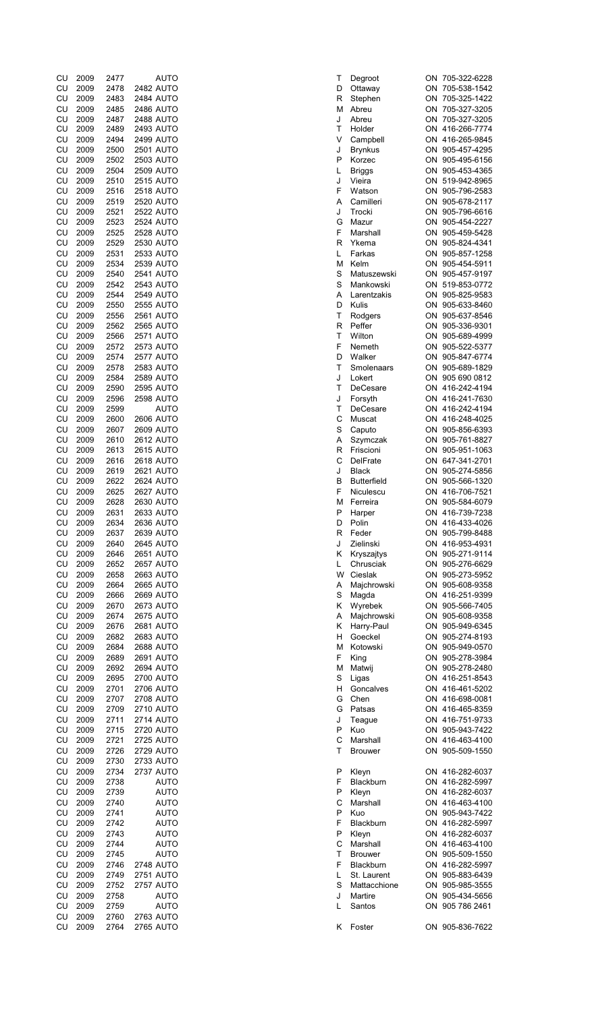| CU         | 2009 | 2477 | AUTO             | Т |   | Degroot            | ON 705-322-6228 |
|------------|------|------|------------------|---|---|--------------------|-----------------|
| CU         | 2009 | 2478 | 2482 AUTO        | D |   | Ottaway            | ON 705-538-1542 |
|            |      |      |                  |   |   |                    |                 |
| CU         | 2009 | 2483 | 2484 AUTO        | R |   | Stephen            | ON 705-325-1422 |
| CU         | 2009 | 2485 | <b>2486 AUTO</b> |   | м | Abreu              | ON 705-327-3205 |
| CU         | 2009 | 2487 | <b>2488 AUTO</b> | J |   | Abreu              | ON 705-327-3205 |
|            |      |      |                  |   |   |                    |                 |
| CU         | 2009 | 2489 | 2493 AUTO        | т |   | Holder             | ON 416-266-7774 |
| CU         | 2009 | 2494 | <b>2499 AUTO</b> | V |   | Campbell           | ON 416-265-9845 |
| CU         | 2009 | 2500 | <b>2501 AUTO</b> | J |   | <b>Brynkus</b>     | ON 905-457-4295 |
|            |      |      |                  |   |   |                    |                 |
| CU         | 2009 | 2502 | 2503 AUTO        | P |   | Korzec             | ON 905-495-6156 |
| CU         | 2009 | 2504 | <b>2509 AUTO</b> | L |   | <b>Briggs</b>      | ON 905-453-4365 |
| CU         | 2009 | 2510 | <b>2515 AUTO</b> | J |   | Vieira             | ON 519-942-8965 |
|            |      |      |                  |   |   |                    |                 |
| CU         | 2009 | 2516 | <b>2518 AUTO</b> | F |   | Watson             | ON 905-796-2583 |
| CU         | 2009 | 2519 | <b>2520 AUTO</b> | A |   | Camilleri          | ON 905-678-2117 |
|            |      |      |                  |   |   |                    |                 |
| CU         | 2009 | 2521 | <b>2522 AUTO</b> | J |   | Trocki             | ON 905-796-6616 |
| CU         | 2009 | 2523 | <b>2524 AUTO</b> | G |   | Mazur              | ON 905-454-2227 |
| CU         | 2009 | 2525 | <b>2528 AUTO</b> | F |   | Marshall           | ON 905-459-5428 |
|            |      |      |                  |   |   |                    |                 |
| CU         | 2009 | 2529 | 2530 AUTO        | R |   | Ykema              | ON 905-824-4341 |
| CU         | 2009 | 2531 | 2533 AUTO        | L |   | Farkas             | ON 905-857-1258 |
| CU         | 2009 | 2534 | 2539 AUTO        | М |   | Kelm               | ON 905-454-5911 |
|            |      |      |                  |   |   |                    |                 |
| CU         | 2009 | 2540 | <b>2541 AUTO</b> | S |   | Matuszewski        | ON 905-457-9197 |
| ${\sf CU}$ | 2009 | 2542 | 2543 AUTO        | S |   | Mankowski          | ON 519-853-0772 |
| CU         | 2009 | 2544 | <b>2549 AUTO</b> | Α |   | Larentzakis        | ON 905-825-9583 |
|            |      |      |                  |   |   |                    |                 |
| CU         | 2009 | 2550 | <b>2555 AUTO</b> | D |   | Kulis              | ON 905-633-8460 |
| CU         | 2009 | 2556 | <b>2561 AUTO</b> | T |   | Rodgers            | ON 905-637-8546 |
|            |      |      |                  |   |   |                    | ON 905-336-9301 |
| CU         | 2009 | 2562 | <b>2565 AUTO</b> | R |   | Peffer             |                 |
| CU         | 2009 | 2566 | 2571 AUTO        | т |   | Wilton             | ON 905-689-4999 |
| ${\sf CU}$ | 2009 | 2572 | <b>2573 AUTO</b> | F |   | Nemeth             | ON 905-522-5377 |
|            |      |      |                  |   |   |                    |                 |
| CU         | 2009 | 2574 | <b>2577 AUTO</b> | D |   | Walker             | ON 905-847-6774 |
| CU         | 2009 | 2578 | 2583 AUTO        | T |   | Smolenaars         | ON 905-689-1829 |
| CU         | 2009 | 2584 | <b>2589 AUTO</b> | J |   | Lokert             | ON 905 690 0812 |
|            |      |      |                  |   |   |                    |                 |
| ${\sf CU}$ | 2009 | 2590 | <b>2595 AUTO</b> | т |   | DeCesare           | ON 416-242-4194 |
| CU         | 2009 | 2596 | <b>2598 AUTO</b> | J |   | Forsyth            | ON 416-241-7630 |
|            |      |      |                  | T |   |                    |                 |
| CU         | 2009 | 2599 | <b>AUTO</b>      |   |   | DeCesare           | ON 416-242-4194 |
| CU         | 2009 | 2600 | <b>2606 AUTO</b> | С |   | Muscat             | ON 416-248-4025 |
| CU         | 2009 | 2607 | <b>2609 AUTO</b> | S |   | Caputo             | ON 905-856-6393 |
|            |      |      |                  |   |   |                    |                 |
| CU         | 2009 | 2610 | 2612 AUTO        | Α |   | Szymczak           | ON 905-761-8827 |
| CU         | 2009 | 2613 | <b>2615 AUTO</b> | R |   | Friscioni          | ON 905-951-1063 |
| CU         | 2009 | 2616 | 2618 AUTO        | C |   | <b>DelFrate</b>    | ON 647-341-2701 |
|            |      |      |                  |   |   |                    |                 |
| CU         | 2009 | 2619 | <b>2621 AUTO</b> | J |   | <b>Black</b>       | ON 905-274-5856 |
| CU         | 2009 | 2622 | <b>2624 AUTO</b> | в |   | <b>Butterfield</b> | ON 905-566-1320 |
| CU         | 2009 | 2625 | 2627 AUTO        | F |   | Niculescu          | ON 416-706-7521 |
|            |      |      |                  |   |   |                    |                 |
| CU         | 2009 | 2628 | 2630 AUTO        | M |   | Ferreira           | ON 905-584-6079 |
| CU         | 2009 | 2631 | 2633 AUTO        | P |   | Harper             | ON 416-739-7238 |
| CU         | 2009 | 2634 |                  | D |   |                    |                 |
|            |      |      | 2636 AUTO        |   |   | Polin              | ON 416-433-4026 |
| CU         | 2009 | 2637 | 2639 AUTO        | R |   | Feder              | ON 905-799-8488 |
| CU         | 2009 | 2640 | <b>2645 AUTO</b> | J |   | Zielinski          | ON 416-953-4931 |
|            |      |      |                  |   |   |                    |                 |
| CU         | 2009 | 2646 | 2651 AUTO        | Κ |   | Kryszajtys         | ON 905-271-9114 |
| CU         | 2009 | 2652 | <b>2657 AUTO</b> | L |   | Chrusciak          | ON 905-276-6629 |
| CU         | 2009 | 2658 | 2663 AUTO        |   | W | Cieslak            | ON 905-273-5952 |
|            |      |      |                  |   |   |                    |                 |
| CU         | 2009 | 2664 | <b>2665 AUTO</b> | Α |   | Majchrowski        | ON 905-608-9358 |
| CU         | 2009 | 2666 | <b>2669 AUTO</b> | S |   | Magda              | ON 416-251-9399 |
| ${\sf CU}$ | 2009 | 2670 | <b>2673 AUTO</b> | Κ |   | Wyrebek            | ON 905-566-7405 |
|            |      |      |                  |   |   |                    |                 |
| CU         | 2009 | 2674 | <b>2675 AUTO</b> | Α |   | Majchrowski        | ON 905-608-9358 |
| CU         | 2009 | 2676 | <b>2681 AUTO</b> | Κ |   | Harry-Paul         | ON 905-949-6345 |
| CU         | 2009 | 2682 | 2683 AUTO        | H |   | Goeckel            | ON 905-274-8193 |
|            |      |      |                  |   |   |                    |                 |
| CU         | 2009 | 2684 | <b>2688 AUTO</b> | М |   | Kotowski           | ON 905-949-0570 |
| CU         | 2009 | 2689 | <b>2691 AUTO</b> | F |   | King               | ON 905-278-3984 |
|            |      |      |                  |   |   |                    |                 |
| CU         | 2009 | 2692 | 2694 AUTO        | M |   | Matwij             | ON 905-278-2480 |
| CU         | 2009 | 2695 | <b>2700 AUTO</b> | S |   | Ligas              | ON 416-251-8543 |
| CU         | 2009 | 2701 | <b>2706 AUTO</b> | н |   | Goncalves          | ON 416-461-5202 |
| CU         | 2009 |      |                  |   |   |                    |                 |
|            |      | 2707 | <b>2708 AUTO</b> | G |   | Chen               | ON 416-698-0081 |
| ${\sf CU}$ | 2009 | 2709 | <b>2710 AUTO</b> | G |   | Patsas             | ON 416-465-8359 |
| ${\sf CU}$ | 2009 | 2711 | <b>2714 AUTO</b> | J |   | Teague             | ON 416-751-9733 |
|            |      |      |                  |   |   |                    |                 |
| CU         | 2009 | 2715 | <b>2720 AUTO</b> | P |   | Kuo                | ON 905-943-7422 |
| CU         | 2009 | 2721 | <b>2725 AUTO</b> | C |   | Marshall           | ON 416-463-4100 |
| CU         | 2009 | 2726 | <b>2729 AUTO</b> | т |   | <b>Brouwer</b>     | ON 905-509-1550 |
|            |      |      |                  |   |   |                    |                 |
| CU         | 2009 | 2730 | 2733 AUTO        |   |   |                    |                 |
| CU         | 2009 | 2734 | <b>2737 AUTO</b> | P |   | Kleyn              | ON 416-282-6037 |
| CU         | 2009 | 2738 | <b>AUTO</b>      | F |   | Blackburn          | ON 416-282-5997 |
|            |      |      |                  |   |   |                    |                 |
| CU         | 2009 | 2739 | <b>AUTO</b>      | P |   | Kleyn              | ON 416-282-6037 |
| CU         | 2009 | 2740 | AUTO             | C |   | Marshall           | ON 416-463-4100 |
| CU         | 2009 | 2741 | <b>AUTO</b>      | P |   | Kuo                | ON 905-943-7422 |
|            |      |      |                  |   |   |                    |                 |
| CU         | 2009 | 2742 | AUTO             | F |   | Blackburn          | ON 416-282-5997 |
| CU         | 2009 | 2743 | <b>AUTO</b>      | P |   | Kleyn              | ON 416-282-6037 |
|            |      |      |                  |   |   |                    |                 |
| CU         | 2009 | 2744 | <b>AUTO</b>      | C |   | Marshall           | ON 416-463-4100 |
| CU         | 2009 | 2745 | <b>AUTO</b>      | т |   | <b>Brouwer</b>     | ON 905-509-1550 |
| ${\sf CU}$ | 2009 | 2746 | <b>2748 AUTO</b> | F |   | Blackburn          | ON 416-282-5997 |
|            |      |      |                  |   |   |                    |                 |
| ${\sf CU}$ | 2009 | 2749 | 2751 AUTO        | L |   | St. Laurent        | ON 905-883-6439 |
| CU         | 2009 | 2752 | <b>2757 AUTO</b> | S |   | Mattacchione       | ON 905-985-3555 |
| CU         | 2009 | 2758 | <b>AUTO</b>      | J |   | Martire            | ON 905-434-5656 |
|            |      |      |                  |   |   |                    |                 |
| ${\sf CU}$ | 2009 | 2759 | <b>AUTO</b>      | L |   | Santos             | ON 905 786 2461 |
|            | 2009 | 2760 | 2763 AUTO        |   |   |                    |                 |
| CU         |      |      |                  |   |   |                    |                 |
| CU         | 2009 | 2764 | <b>2765 AUTO</b> | ĸ |   | Foster             | ON 905-836-7622 |

| Т      | Degroot                    | ON       | 705-322-6228                 |
|--------|----------------------------|----------|------------------------------|
| D      | Ottaway                    | ON       | 705-538-1542                 |
| R      | Stephen                    | ON       | 705-325-1422                 |
| М      | Abreu                      | ON       | 705-327-3205                 |
| J      | Abreu                      | ON       | 705-327-3205                 |
| Т      | Holder                     | ON       | 416-266-7774                 |
| V      | Campbell                   | ON       | 416-265-9845                 |
| J      | <b>Brynkus</b>             | ON       | 905-457-4295                 |
| P<br>L | Korzec                     | ON       | 905-495-6156                 |
| J      | <b>Briggs</b><br>Vieira    | ON<br>ON | 905-453-4365<br>519-942-8965 |
| F      | Watson                     | ON       | 905-796-2583                 |
| A      | Camilleri                  | ON       | 905-678-2117                 |
| J      | Trocki                     | ON       | 905-796-6616                 |
| G      | Mazur                      | ON       | 905-454-2227                 |
| F      | Marshall                   | ON       | 905-459-5428                 |
| R      | Ykema                      | ON       | 905-824-4341                 |
| L      | Farkas                     | ON       | 905-857-1258                 |
| м      | Kelm                       | ON       | 905-454-5911                 |
| S      | Matuszewski                | ON       | 905-457-9197                 |
| S      | Mankowski                  | ON       | 519-853-0772                 |
| A      | Larentzakis                | ON       | 905-825-9583                 |
| D      | Kulis                      | ON       | 905-633-8460                 |
| T      | Rodgers                    | ON       | 905-637-8546                 |
| R      | Peffer                     | ON       | 905-336-9301                 |
| T      | Wilton                     | ON       | 905-689-4999                 |
| F      | Nemeth                     | ON       | 905-522-5377                 |
| D      | Walker                     | ON       | 905-847-6774                 |
| Т      | Smolenaars                 | ON       | 905-689-1829                 |
| J      | Lokert                     | ON       | 905 690 0812                 |
| Т      | DeCesare                   | ON       | 416-242-4194                 |
| J      | Forsyth                    | ON       | 416-241-7630                 |
| T      | DeCesare                   | ON       | 416-242-4194                 |
| C      | Muscat                     | ON       | 416-248-4025                 |
| S      | Caputo                     | ON       | 905-856-6393                 |
| A      | Szymczak                   | ON       | 905-761-8827                 |
| R      | Friscioni                  | ON       | 905-951-1063                 |
| Ċ      | DelFrate                   | ON       | 647-341-2701                 |
| J      | <b>Black</b>               | ON       | 905-274-5856                 |
| B<br>F | <b>Butterfield</b>         | ON       | 905-566-1320                 |
| M      | Niculescu<br>Ferreira      | ON<br>ON | 416-706-7521<br>905-584-6079 |
| P      | Harper                     | ON       | 416-739-7238                 |
| D      | Polin                      | ON       | 416-433-4026                 |
| R      | Feder                      | ON       | 905-799-8488                 |
| J      | Zielinski                  | ON       | 416-953-4931                 |
| Κ      | Kryszajtys                 | ON       | 905-271-9114                 |
| L      | Chrusciak                  | ON       | 905-276-6629                 |
| W      | Cieslak                    | ON       | 905-273-5952                 |
| A      | Majchrowski                | ON       | 905-608-9358                 |
| S      | Magda                      | ON       | 416-251-9399                 |
| Κ      | Wyrebek                    | ON       | 905-566-7405                 |
| A      | Majchrowski                | ON       | 905-608-9358                 |
| Κ      | Harry-Paul                 | ON       | 905-949-6345                 |
| Η      | Goeckel                    | ON       | 905-274-8193                 |
| м      | Kotowski                   | ON       | 905-949-0570                 |
| F      | King                       | ON       | 905-278-3984                 |
| м      | Matwij                     | ON       | 905-278-2480                 |
| S      | Ligas                      | ON       | 416-251-8543                 |
| Η      | Goncalves                  | ON       | 416-461-5202                 |
| G      | Chen                       |          | ON 416-698-0081              |
| G      | Patsas                     |          | ON 416-465-8359              |
| J<br>P | Teague                     |          | ON 416-751-9733              |
|        | Kuo                        |          | ON 905-943-7422              |
| C<br>T | Marshall<br><b>Brouwer</b> | ON<br>ON | 416-463-4100<br>905-509-1550 |
|        |                            |          |                              |
| Ρ      | Kleyn                      | ON       | 416-282-6037                 |
| F      | Blackburn                  | ON       | 416-282-5997                 |
| P      | Kleyn                      |          | ON 416-282-6037              |
| C      | Marshall                   |          | ON 416-463-4100              |
| P      | Kuo                        | ON       | 905-943-7422                 |
| F      | Blackburn                  | ON       | 416-282-5997                 |
| P      | Kleyn                      | ON       | 416-282-6037                 |
| С      | Marshall                   | ON       | 416-463-4100                 |
| T      | Brouwer                    | ON       | 905-509-1550                 |
| F      | Blackburn                  | ON       | 416-282-5997                 |
| Г      | St. Laurent                | ON       | 905-883-6439                 |
| S      | Mattacchione               | ON       | 905-985-3555                 |
| J      | Martire                    | ON       | 905-434-5656                 |
| L      | Santos                     | ON       | 905 786 2461                 |
|        |                            |          |                              |

| ON       | 705-327-3205                 |
|----------|------------------------------|
| ОN       | 705-327-3205                 |
| ОN       | 416-266-7774                 |
| ON       | 416-265-9845                 |
| ОN       | 905-457-4295                 |
| эN<br>ι  | 905-495-6156                 |
| ОN       | 905-453-4365                 |
| ON       | 519-942-8965                 |
| ОN       | 905-796-2583                 |
| ОN       | 905-678-2117                 |
| ОN       | 905-796-6616                 |
| ON       | 905-454-2227                 |
| ON       | 905-459-5428                 |
| ОN       | 905-824-4341                 |
| ОN       | 905-857-1258                 |
| ОN       | 905-454-5911                 |
| C<br>эN  | 905-457-9197                 |
| ОN       | 519-853-0772                 |
| ON       | 905-825-9583                 |
| ОN       | 905-633-8460<br>905-637-8546 |
| ON       | 905-336-9301                 |
| ON<br>ON | 905-689-4999                 |
| ЭN<br>C  | 905-522-5377                 |
| ОN       | 905-847-6774                 |
| ON       | 905-689-1829                 |
| ОN       | 905 690 0812                 |
| OΝ       | 416-242-4194                 |
| ОN       | 416-241-7630                 |
| ON       | 416-242-4194                 |
| C<br>ЭN  | 416-248-4025                 |
| ОN       | 905-856-6393                 |
| ОN       | 905-761-8827                 |
| ΟN       | 905-951-1063                 |
| ON       | 647-341-2701                 |
| ОN       | 905-274-5856                 |
| ON       | 905-566-1320                 |
| ON       | 416-706-7521                 |
| ОN       | 905-584-6079                 |
| ОN       | 416-739-7238                 |
| ON       | 416-433-4026                 |
| C<br>ЭN  | 905-799-8488                 |
| ON       | 416-953-4931                 |
| ОN       | 905-271-9114                 |
| ОN       | 905-276-6629                 |
| ОN       | 905-273-5952                 |
| ОN       | 905-608-9358                 |
| ОN       | 416-251-9399                 |
| ОN       | 905-566-7405                 |
| ОN       | 905-608-9358                 |
| ΟN       | 905-949-6345                 |
| ОN       |                              |
|          | 905-274-8193                 |
| ОN       | 905-949-0570                 |
| ΟN       | 905-278-3984                 |
| ΟN       | 905-278-2480                 |
| ОN       | 416-251-8543                 |
| ОN       | 416-461-5202                 |
| ОN       | 416-698-0081                 |
| ОN       | 416-465-8359                 |
| ОN       | 416-751-9733                 |
| ОN       | 905-943-7422                 |
| ОN       | 416-463-4100                 |
| ON       | 905-509-1550                 |
|          |                              |
| ON       | 416-282-6037                 |
| ОN       | 416-282-5997                 |
| C<br>λN  | 416-282-6037                 |
| ОN       | 416-463-4100                 |
| ΟN       | 905-943-7422                 |
| ОN       | 416-282-5997                 |
| ΟN       | 416-282-6037                 |
| ΟN       | 416-463-4100                 |
| ΟN       | 905-509-1550                 |
| DΝ<br>C  | 416-282-5997                 |
| ОN       | 905-883-6439                 |
| ОN       | 905-985-3555                 |
| ОN       | 905-434-5656                 |
| ΟN       | 905 786 2461                 |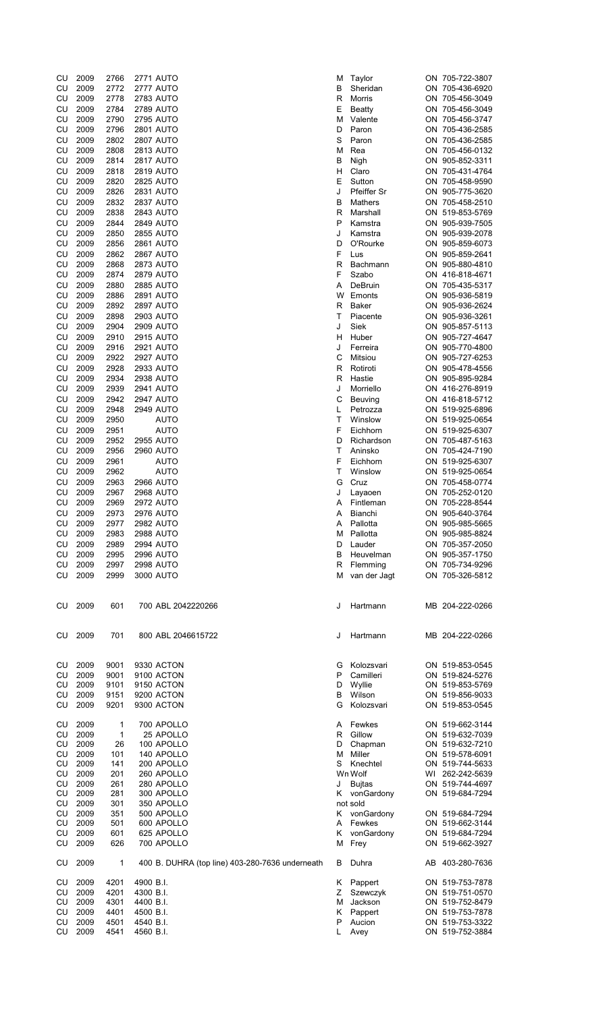| CU         | 2009         | 2766       | <b>2771 AUTO</b>                                | M  | Taylor              | ON 705-722-3807                    |
|------------|--------------|------------|-------------------------------------------------|----|---------------------|------------------------------------|
| CU         | 2009         | 2772       | 2777 AUTO                                       | В  | Sheridan            | ON 705-436-6920                    |
| ${\sf CU}$ | 2009         | 2778       | 2783 AUTO                                       | R  | Morris              | ON 705-456-3049                    |
| CU         | 2009         | 2784       | <b>2789 AUTO</b>                                | Ε  | <b>Beatty</b>       | ON 705-456-3049                    |
| CU         | 2009         | 2790       | <b>2795 AUTO</b>                                | М  | Valente             | ON 705-456-3747                    |
| CU         | 2009         | 2796       | <b>2801 AUTO</b>                                | D  | Paron               | ON 705-436-2585                    |
| CU         | 2009         | 2802       | 2807 AUTO                                       | S  | Paron               | ON 705-436-2585                    |
| CU         | 2009         | 2808       | 2813 AUTO                                       | М  | Rea                 | ON 705-456-0132                    |
| CU         | 2009         | 2814       | 2817 AUTO                                       | В  | Nigh                | ON 905-852-3311                    |
| CU         | 2009         | 2818       | <b>2819 AUTO</b>                                | н  | Claro               | ON 705-431-4764                    |
| CU         | 2009         | 2820       | 2825 AUTO                                       | Ε  | Sutton              | ON 705-458-9590                    |
| ${\sf CU}$ | 2009         | 2826       | 2831 AUTO                                       | J  | Pfeiffer Sr         | ON 905-775-3620                    |
| CU         | 2009         | 2832       | <b>2837 AUTO</b>                                | B  | Mathers             | ON 705-458-2510                    |
| CU         | 2009         | 2838       | 2843 AUTO                                       | R  | Marshall            | ON 519-853-5769                    |
| CU         | 2009         | 2844       | <b>2849 AUTO</b>                                | P  | Kamstra             | ON 905-939-7505                    |
| CU         | 2009         | 2850       | <b>2855 AUTO</b>                                | J  | Kamstra             | ON 905-939-2078                    |
|            |              |            |                                                 |    |                     |                                    |
| CU         | 2009         | 2856       | <b>2861 AUTO</b>                                | D  | O'Rourke            | ON 905-859-6073                    |
| CU         | 2009         | 2862       | <b>2867 AUTO</b>                                | F  | Lus                 | ON 905-859-2641                    |
| CU         | 2009         | 2868       | 2873 AUTO                                       | R  | Bachmann            | ON 905-880-4810                    |
| CU         | 2009         | 2874       | <b>2879 AUTO</b>                                | F  | Szabo               | ON 416-818-4671                    |
| CU         | 2009         | 2880       | 2885 AUTO                                       | Α  | DeBruin             | ON 705-435-5317                    |
| CU         | 2009         | 2886       | <b>2891 AUTO</b>                                | w  | Emonts              | ON 905-936-5819                    |
| CU         | 2009         | 2892       | <b>2897 AUTO</b>                                | R  | Baker               | ON 905-936-2624                    |
| CU         | 2009         | 2898       | 2903 AUTO                                       | т  | Piacente            | ON 905-936-3261                    |
| CU         | 2009         | 2904       | 2909 AUTO                                       | J  | Siek                | ON 905-857-5113                    |
| CU         | 2009         | 2910       | <b>2915 AUTO</b>                                | н  | Huber               | ON 905-727-4647                    |
| CU         | 2009         | 2916       | 2921 AUTO                                       | J  | Ferreira            | ON 905-770-4800                    |
| CU         | 2009         | 2922       | <b>2927 AUTO</b>                                | С  | Mitsiou             | ON 905-727-6253                    |
| CU         | 2009         | 2928       | 2933 AUTO                                       | R  | Rotiroti            | ON 905-478-4556                    |
| CU         | 2009         | 2934       | 2938 AUTO                                       | R  | Hastie              | ON 905-895-9284                    |
| CU         | 2009         | 2939       | <b>2941 AUTO</b>                                | J  | Morriello           | ON 416-276-8919                    |
| CU         | 2009         | 2942       | <b>2947 AUTO</b>                                | C  | Beuving             | ON 416-818-5712                    |
| CU         | 2009         | 2948       | <b>2949 AUTO</b>                                | L  | Petrozza            | ON 519-925-6896                    |
| CU         | 2009         | 2950       | AUTO                                            | т  | Winslow             | ON 519-925-0654                    |
| CU         | 2009         | 2951       | <b>AUTO</b>                                     | F  | Eichhorn            | ON 519-925-6307                    |
| CU         | 2009         | 2952       | 2955 AUTO                                       | D  | Richardson          | ON 705-487-5163                    |
| CU         | 2009         | 2956       | 2960 AUTO                                       | т  | Aninsko             | ON 705-424-7190                    |
| CU         | 2009         | 2961       | <b>AUTO</b>                                     | F  | Eichhorn            | ON 519-925-6307                    |
| CU         | 2009         | 2962       | <b>AUTO</b>                                     | т  | Winslow             | ON 519-925-0654                    |
|            |              |            |                                                 |    |                     |                                    |
| CU         | 2009         | 2963       | <b>2966 AUTO</b>                                | G  | Cruz                | ON 705-458-0774                    |
| CU         | 2009         | 2967       | 2968 AUTO                                       | J  | Layaoen             | ON 705-252-0120                    |
| CU         | 2009         | 2969       | <b>2972 AUTO</b>                                | Α  | Fintleman           | ON 705-228-8544                    |
| CU         | 2009         | 2973       | 2976 AUTO                                       | A  | <b>Bianchi</b>      | ON 905-640-3764                    |
| CU         | 2009         | 2977       | 2982 AUTO                                       | Α  | Pallotta            | ON 905-985-5665                    |
| CU         | 2009         | 2983       | 2988 AUTO                                       | м  | Pallotta            | ON 905-985-8824                    |
| CU         | 2009         | 2989       | 2994 AUTO                                       | D  | Lauder              | ON 705-357-2050                    |
| CU         | 2009         | 2995       | 2996 AUTO                                       | в  | Heuvelman           | ON 905-357-1750                    |
| CU         | 2009         | 2997       | 2998 AUTO                                       | R  | Flemming            | ON 705-734-9296                    |
| CU         | 2009         | 2999       | 3000 AUTO                                       | м  | van der Jagt        | ON 705-326-5812                    |
|            |              |            |                                                 |    |                     |                                    |
| CU.        | 2009         | 601        | 700 ABL 2042220266                              | J  | Hartmann            | MB 204-222-0266                    |
|            |              |            |                                                 |    |                     |                                    |
| CU         | 2009         | 701        | 800 ABL 2046615722                              | J  | Hartmann            | MB 204-222-0266                    |
|            |              |            |                                                 |    |                     |                                    |
| CU         | 2009         | 9001       | 9330 ACTON                                      | G  | Kolozsvari          | ON 519-853-0545                    |
| CU         | 2009         | 9001       | 9100 ACTON                                      | P  | Camilleri           | ON 519-824-5276                    |
|            | CU 2009      | 9101       | 9150 ACTON                                      | D  | Wyllie              | ON 519-853-5769                    |
|            | CU 2009      | 9151       | 9200 ACTON                                      | B  | Wilson              | ON 519-856-9033                    |
| CU         | 2009         | 9201       | 9300 ACTON                                      | G  | Kolozsvari          | ON 519-853-0545                    |
|            |              |            |                                                 |    |                     |                                    |
| CU         | 2009         | 1          | 700 APOLLO                                      |    | A Fewkes            | ON 519-662-3144                    |
| CU         | 2009<br>2009 | 1          | 25 APOLLO                                       | R  | Gillow              | ON 519-632-7039                    |
| CU<br>CU   | 2009         | 26         | 100 APOLLO<br>140 APOLLO                        | D  | Chapman<br>M Miller | ON 519-632-7210<br>ON 519-578-6091 |
|            | CU 2009      | 101<br>141 | 200 APOLLO                                      | S  | Knechtel            | ON 519-744-5633                    |
|            | 2009         |            |                                                 |    | Wn Wolf             |                                    |
| CU<br>CU   | 2009         | 201<br>261 | 260 APOLLO<br>280 APOLLO                        | J  | <b>Bujtas</b>       | WI 262-242-5639<br>ON 519-744-4697 |
| CU         | 2009         | 281        | 300 APOLLO                                      |    | K vonGardony        | ON 519-684-7294                    |
| CU         | 2009         | 301        | 350 APOLLO                                      |    | not sold            |                                    |
| CU         | 2009         | 351        | 500 APOLLO                                      | K  | vonGardony          | ON 519-684-7294                    |
| CU         | 2009         | 501        | 600 APOLLO                                      | A  | Fewkes              | ON 519-662-3144                    |
| CU         | 2009         | 601        | 625 APOLLO                                      | K  | vonGardony          | ON 519-684-7294                    |
| CU         | 2009         | 626        | 700 APOLLO                                      | м  | Frey                | ON 519-662-3927                    |
|            |              |            |                                                 |    |                     |                                    |
| CU         | 2009         | 1          | 400 B. DUHRA (top line) 403-280-7636 underneath | В  | Duhra               | AB 403-280-7636                    |
| CU         | 2009         | 4201       | 4900 B.I.                                       | K. | Pappert             | ON 519-753-7878                    |
| CU         | 2009         | 4201       | 4300 B.I.                                       | Ζ  | Szewczyk            | ON 519-751-0570                    |
| CU         | 2009         | 4301       | 4400 B.I.                                       | М  | Jackson             | ON 519-752-8479                    |
| CU         | 2009         | 4401       | 4500 B.I.                                       | K. | Pappert             | ON 519-753-7878                    |
| CU         | 2009         | 4501       | 4540 B.I.                                       | P  | Aucion              | ON 519-753-3322                    |
| CU         | 2009         | 4541       | 4560 B.I.                                       | L  | Avey                | ON 519-752-3884                    |
|            |              |            |                                                 |    |                     |                                    |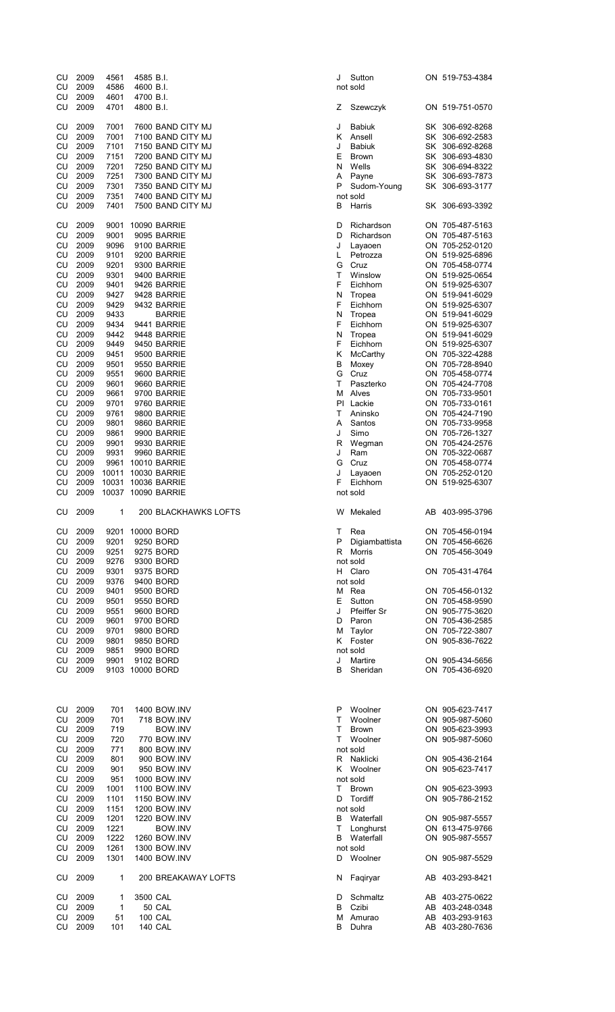| CU<br>CU                | 2009<br>2009 | 4561<br>4586 | 4585 B.I.<br>4600 B.I.                 | Sutton<br>J<br>not sold      | ON 519-753-4384                    |
|-------------------------|--------------|--------------|----------------------------------------|------------------------------|------------------------------------|
| CU<br>CU                | 2009<br>2009 | 4601<br>4701 | 4700 B.I.<br>4800 B.I.                 | Ζ<br>Szewczyk                | ON 519-751-0570                    |
| CU                      | 2009         | 7001         | 7600 BAND CITY MJ                      | J<br><b>Babiuk</b>           | SK 306-692-8268                    |
| CU                      | 2009         | 7001         | 7100 BAND CITY MJ                      | Ansell<br>ĸ                  | SK 306-692-2583                    |
| CU                      | 2009         | 7101         | 7150 BAND CITY MJ                      | J<br><b>Babiuk</b>           | SK 306-692-8268                    |
| CU                      | 2009         | 7151         | 7200 BAND CITY MJ                      | Ε<br><b>Brown</b>            | SK 306-693-4830                    |
| CU                      | 2009         | 7201         | 7250 BAND CITY MJ                      | N<br>Wells                   | SK 306-694-8322                    |
| ${\sf CU}$              | 2009         | 7251         | 7300 BAND CITY MJ                      | Α<br>Payne                   | SK 306-693-7873                    |
| CU                      | 2009         | 7301         | 7350 BAND CITY MJ                      | P<br>Sudom-Young             | SK 306-693-3177                    |
| CU<br>CU                | 2009<br>2009 | 7351<br>7401 | 7400 BAND CITY MJ<br>7500 BAND CITY MJ | not sold<br>в<br>Harris      | SK 306-693-3392                    |
| CU                      | 2009         | 9001         | 10090 BARRIE                           | D<br>Richardson              | ON 705-487-5163                    |
| CU                      | 2009         | 9001         | 9095 BARRIE                            | D<br>Richardson              | ON 705-487-5163                    |
| CU                      | 2009         | 9096         | 9100 BARRIE                            | J<br>Layaoen                 | ON 705-252-0120                    |
| CU                      | 2009         | 9101         | 9200 BARRIE                            | L<br>Petrozza                | ON 519-925-6896                    |
| CU                      | 2009         | 9201         | 9300 BARRIE                            | G<br>Cruz                    | ON 705-458-0774                    |
| CU                      | 2009         | 9301         | 9400 BARRIE                            | т<br>Winslow                 | ON 519-925-0654                    |
| CU                      | 2009         | 9401         | 9426 BARRIE                            | F<br>Eichhorn                | ON 519-925-6307                    |
| CU                      | 2009         | 9427         | 9428 BARRIE                            | N<br>Tropea                  | ON 519-941-6029                    |
| CU                      | 2009         | 9429         | 9432 BARRIE                            | F<br>Eichhorn                | ON 519-925-6307                    |
| CU                      | 2009         | 9433         | <b>BARRIE</b>                          | N<br>Tropea                  | ON 519-941-6029                    |
| CU                      | 2009         | 9434<br>9442 | 9441 BARRIE<br>9448 BARRIE             | F<br>Eichhorn                | ON 519-925-6307<br>ON 519-941-6029 |
| CU<br>CU                | 2009<br>2009 | 9449         | 9450 BARRIE                            | N<br>Tropea<br>F<br>Eichhorn | ON 519-925-6307                    |
| CU                      |              | 9451         |                                        | McCarthy                     | ON 705-322-4288                    |
|                         | 2009         |              | 9500 BARRIE<br>9550 BARRIE             | Κ                            |                                    |
| CU<br>CU                | 2009<br>2009 | 9501<br>9551 | 9600 BARRIE                            | в<br>Moxey<br>G<br>Cruz      | ON 705-728-8940<br>ON 705-458-0774 |
| CU                      | 2009         | 9601         | 9660 BARRIE                            | т<br>Paszterko               | ON 705-424-7708                    |
| CU                      | 2009         | 9661         | 9700 BARRIE                            | м<br>Alves                   | ON 705-733-9501                    |
| CU                      | 2009         | 9701         | 9760 BARRIE                            | PI Lackie                    | ON 705-733-0161                    |
| <b>CU</b>               | 2009         | 9761         | 9800 BARRIE                            | т<br>Aninsko                 | ON 705-424-7190                    |
| ${\sf CU}$              | 2009         | 9801         | 9860 BARRIE                            | Santos<br>A                  | ON 705-733-9958                    |
| CU                      | 2009         | 9861         | 9900 BARRIE                            | J<br>Simo                    | ON 705-726-1327                    |
| CU                      | 2009         | 9901         | 9930 BARRIE                            | R<br>Wegman                  | ON 705-424-2576                    |
| CU                      | 2009         | 9931         | 9960 BARRIE                            | J<br>Ram                     | ON 705-322-0687                    |
| CU                      | 2009         | 9961         | <b>10010 BARRIE</b>                    | G<br>Cruz                    | ON 705-458-0774                    |
| CU                      | 2009         | 10011        | <b>10030 BARRIE</b>                    | J<br>Layaoen                 | ON 705-252-0120                    |
| ${\sf CU}$              | 2009         | 10031        | <b>10036 BARRIE</b>                    | F<br>Eichhorn                | ON 519-925-6307                    |
| CU                      | 2009         |              | 10037 10090 BARRIE                     | not sold                     |                                    |
| CU                      | 2009         | 1            | <b>200 BLACKHAWKS LOFTS</b>            | Mekaled<br>W                 | AB 403-995-3796                    |
|                         |              |              |                                        |                              |                                    |
| CU                      | 2009         | 9201         | 10000 BORD                             | т<br>Rea                     | ON 705-456-0194                    |
| CU                      | 2009         | 9201         | 9250 BORD                              | P<br>Digiambattista          | ON 705-456-6626                    |
| CU                      | 2009         | 9251         | 9275 BORD                              | R Morris                     | ON 705-456-3049                    |
| CU                      | 2009         | 9276         | 9300 BORD                              | not sold                     |                                    |
| <b>CU</b>               | 2009         | 9301         | 9375 BORD                              | H Claro                      | ON 705-431-4764                    |
| CU                      | 2009         | 9376         | 9400 BORD                              | not sold                     |                                    |
| CU                      | 2009         | 9401         | 9500 BORD                              | M Rea                        | ON 705-456-0132                    |
| <b>CU</b>               | 2009         | 9501         | 9550 BORD                              | Е<br>Sutton                  | ON 705-458-9590                    |
| CU                      | 2009         | 9551         | 9600 BORD                              | J<br><b>Pfeiffer Sr</b>      | ON 905-775-3620                    |
| CU                      | 2009         | 9601         | 9700 BORD                              | D Paron                      | ON 705-436-2585                    |
| CU                      | 2009         | 9701         | 9800 BORD                              | M Taylor                     | ON 705-722-3807                    |
| CU                      | 2009         | 9801         | 9850 BORD                              | K Foster                     | ON 905-836-7622                    |
| CU                      | 2009         | 9851         | 9900 BORD                              | not sold                     |                                    |
| CU                      | 2009         | 9901         | 9102 BORD                              | J<br>Martire                 | ON 905-434-5656                    |
| CU                      | 2009         |              | 9103 10000 BORD                        | В<br>Sheridan                | ON 705-436-6920                    |
|                         |              |              |                                        |                              |                                    |
| CU                      | 2009         | 701          | 1400 BOW.INV                           | Woolner<br>P                 | ON 905-623-7417                    |
| CU                      | 2009         | 701          | 718 BOW.INV                            | T.<br>Woolner                | ON 905-987-5060                    |
| CU                      | 2009         | 719          | BOW.INV                                | T.<br><b>Brown</b>           | ON 905-623-3993                    |
| CU                      | 2009         | 720          | 770 BOW.INV                            | T.<br>Woolner                | ON 905-987-5060                    |
| CU                      | 2009         | 771          | 800 BOW.INV                            | not sold                     |                                    |
| CU                      | 2009         | 801          | 900 BOW.INV                            | R<br>Naklicki                | ON 905-436-2164                    |
| CU                      | 2009         | 901          | 950 BOW.INV                            | K Woolner                    | ON 905-623-7417                    |
| CU                      | 2009         | 951          | 1000 BOW.INV                           | not sold                     |                                    |
| CU                      | 2009         | 1001         | <b>1100 BOW.INV</b>                    | Τ<br><b>Brown</b>            | ON 905-623-3993                    |
| CU                      | 2009         | 1101         | <b>1150 BOW.INV</b>                    | D<br>Tordiff                 | ON 905-786-2152                    |
| CU<br>CU                | 2009<br>2009 | 1151<br>1201 | <b>1200 BOW.INV</b><br>1220 BOW.INV    | not sold<br>Waterfall<br>B   | ON 905-987-5557                    |
| CU                      | 2009         | 1221         | BOW.INV                                | т<br>Longhurst               | ON 613-475-9766                    |
|                         | 2009         | 1222         | 1260 BOW.INV                           | B<br>Waterfall               |                                    |
| ${\sf CU}$<br><b>CU</b> | 2009         | 1261         | 1300 BOW.INV                           | not sold                     | ON 905-987-5557                    |
| CU                      | 2009         | 1301         | 1400 BOW.INV                           | Woolner<br>D                 | ON 905-987-5529                    |
| CU                      | 2009         | 1            | 200 BREAKAWAY LOFTS                    | Faqiryar<br>N                | AB 403-293-8421                    |
| CU                      | 2009         | 1            | 3500 CAL                               | Schmaltz<br>D                | AB 403-275-0622                    |
| CU                      | 2009         | $\mathbf{1}$ | <b>50 CAL</b>                          | Czibi<br>В                   | AB 403-248-0348                    |
| CU<br>CU                | 2009<br>2009 | 51<br>101    | <b>100 CAL</b><br><b>140 CAL</b>       | м<br>Amurao<br>B<br>Duhra    | AB 403-293-9163<br>AB 403-280-7636 |

| Sutton<br>ot sold   |                                                                                                                                                                                                                                                                                                              | ON 519-753-4384                                                                                                                              |
|---------------------|--------------------------------------------------------------------------------------------------------------------------------------------------------------------------------------------------------------------------------------------------------------------------------------------------------------|----------------------------------------------------------------------------------------------------------------------------------------------|
| Szewczyk            | ON                                                                                                                                                                                                                                                                                                           | 519-751-0570                                                                                                                                 |
|                     |                                                                                                                                                                                                                                                                                                              | 306-692-8268                                                                                                                                 |
|                     |                                                                                                                                                                                                                                                                                                              | 306-692-2583                                                                                                                                 |
|                     |                                                                                                                                                                                                                                                                                                              | 306-692-8268                                                                                                                                 |
|                     |                                                                                                                                                                                                                                                                                                              | 306-693-4830                                                                                                                                 |
|                     |                                                                                                                                                                                                                                                                                                              | 306-694-8322                                                                                                                                 |
|                     |                                                                                                                                                                                                                                                                                                              | 306-693-7873                                                                                                                                 |
|                     |                                                                                                                                                                                                                                                                                                              |                                                                                                                                              |
|                     |                                                                                                                                                                                                                                                                                                              | 306-693-3177                                                                                                                                 |
|                     |                                                                                                                                                                                                                                                                                                              |                                                                                                                                              |
|                     |                                                                                                                                                                                                                                                                                                              | 306-693-3392                                                                                                                                 |
|                     |                                                                                                                                                                                                                                                                                                              | 705-487-5163                                                                                                                                 |
|                     |                                                                                                                                                                                                                                                                                                              | 705-487-5163                                                                                                                                 |
| Layaoen             |                                                                                                                                                                                                                                                                                                              | 705-252-0120                                                                                                                                 |
| Petrozza            | ON                                                                                                                                                                                                                                                                                                           | 519-925-6896                                                                                                                                 |
| Cruz                |                                                                                                                                                                                                                                                                                                              | ON 705-458-0774                                                                                                                              |
| Winslow             | ON                                                                                                                                                                                                                                                                                                           | 519-925-0654                                                                                                                                 |
| Eichhorn            | ON                                                                                                                                                                                                                                                                                                           | 519-925-6307                                                                                                                                 |
|                     | ON                                                                                                                                                                                                                                                                                                           | 519-941-6029                                                                                                                                 |
|                     |                                                                                                                                                                                                                                                                                                              | 519-925-6307                                                                                                                                 |
|                     |                                                                                                                                                                                                                                                                                                              | 519-941-6029                                                                                                                                 |
|                     |                                                                                                                                                                                                                                                                                                              | ON 519-925-6307                                                                                                                              |
|                     |                                                                                                                                                                                                                                                                                                              | 519-941-6029                                                                                                                                 |
|                     |                                                                                                                                                                                                                                                                                                              |                                                                                                                                              |
|                     |                                                                                                                                                                                                                                                                                                              | 519-925-6307                                                                                                                                 |
|                     |                                                                                                                                                                                                                                                                                                              | 705-322-4288                                                                                                                                 |
|                     |                                                                                                                                                                                                                                                                                                              | 705-728-8940                                                                                                                                 |
| Cruz                | ON                                                                                                                                                                                                                                                                                                           | 705-458-0774                                                                                                                                 |
| Paszterko           | ON.                                                                                                                                                                                                                                                                                                          | 705-424-7708                                                                                                                                 |
| Alves               | ON                                                                                                                                                                                                                                                                                                           | 705-733-9501                                                                                                                                 |
|                     |                                                                                                                                                                                                                                                                                                              | 705-733-0161                                                                                                                                 |
|                     |                                                                                                                                                                                                                                                                                                              | 705-424-7190                                                                                                                                 |
|                     |                                                                                                                                                                                                                                                                                                              | 705-733-9958                                                                                                                                 |
|                     |                                                                                                                                                                                                                                                                                                              | 705-726-1327                                                                                                                                 |
|                     |                                                                                                                                                                                                                                                                                                              |                                                                                                                                              |
|                     |                                                                                                                                                                                                                                                                                                              | 705-424-2576                                                                                                                                 |
|                     |                                                                                                                                                                                                                                                                                                              | 705-322-0687                                                                                                                                 |
|                     |                                                                                                                                                                                                                                                                                                              | ON 705-458-0774                                                                                                                              |
|                     |                                                                                                                                                                                                                                                                                                              | ON 705-252-0120                                                                                                                              |
| Eichhorn            |                                                                                                                                                                                                                                                                                                              | 519-925-6307                                                                                                                                 |
| ot sold             |                                                                                                                                                                                                                                                                                                              |                                                                                                                                              |
|                     |                                                                                                                                                                                                                                                                                                              |                                                                                                                                              |
| Mekaled             |                                                                                                                                                                                                                                                                                                              | AB 403-995-3796                                                                                                                              |
|                     |                                                                                                                                                                                                                                                                                                              |                                                                                                                                              |
| Rea                 |                                                                                                                                                                                                                                                                                                              | ON 705-456-0194                                                                                                                              |
| Digiambattista      |                                                                                                                                                                                                                                                                                                              | ON 705-456-6626                                                                                                                              |
| Morris              |                                                                                                                                                                                                                                                                                                              | ON 705-456-3049                                                                                                                              |
| <sub>ot sold</sub>  |                                                                                                                                                                                                                                                                                                              |                                                                                                                                              |
| Claro               |                                                                                                                                                                                                                                                                                                              | ON 705-431-4764                                                                                                                              |
| t sold              |                                                                                                                                                                                                                                                                                                              |                                                                                                                                              |
| Rea                 |                                                                                                                                                                                                                                                                                                              | ON 705-456-0132                                                                                                                              |
| Sutton              | ON                                                                                                                                                                                                                                                                                                           | 705-458-9590                                                                                                                                 |
| Pfeiffer Sr         | ON                                                                                                                                                                                                                                                                                                           | 905-775-3620                                                                                                                                 |
| Paron               |                                                                                                                                                                                                                                                                                                              | ON 705-436-2585                                                                                                                              |
| Taylor              |                                                                                                                                                                                                                                                                                                              | ON 705-722-3807                                                                                                                              |
| Foster              | ON                                                                                                                                                                                                                                                                                                           | 905-836-7622                                                                                                                                 |
| <sub>ot sold</sub>  |                                                                                                                                                                                                                                                                                                              |                                                                                                                                              |
|                     |                                                                                                                                                                                                                                                                                                              |                                                                                                                                              |
| Martire<br>Sheridan |                                                                                                                                                                                                                                                                                                              | ON 905-434-5656                                                                                                                              |
|                     |                                                                                                                                                                                                                                                                                                              | ON 705-436-6920                                                                                                                              |
|                     |                                                                                                                                                                                                                                                                                                              |                                                                                                                                              |
| Woolner             |                                                                                                                                                                                                                                                                                                              | ON 905-623-7417                                                                                                                              |
| Woolner             | ON                                                                                                                                                                                                                                                                                                           | 905-987-5060                                                                                                                                 |
| <b>Brown</b>        |                                                                                                                                                                                                                                                                                                              | ON 905-623-3993                                                                                                                              |
| Woolner             | ON                                                                                                                                                                                                                                                                                                           | 905-987-5060                                                                                                                                 |
| t sold              |                                                                                                                                                                                                                                                                                                              |                                                                                                                                              |
|                     |                                                                                                                                                                                                                                                                                                              |                                                                                                                                              |
| Naklicki            |                                                                                                                                                                                                                                                                                                              | ON 905-436-2164                                                                                                                              |
| Woolner             | ON                                                                                                                                                                                                                                                                                                           | 905-623-7417                                                                                                                                 |
| t sold              |                                                                                                                                                                                                                                                                                                              |                                                                                                                                              |
| <b>Brown</b>        |                                                                                                                                                                                                                                                                                                              | ON 905-623-3993                                                                                                                              |
| Tordiff             | ON                                                                                                                                                                                                                                                                                                           | 905-786-2152                                                                                                                                 |
| <sub>ot sold</sub>  |                                                                                                                                                                                                                                                                                                              |                                                                                                                                              |
| Waterfall           |                                                                                                                                                                                                                                                                                                              | ON 905-987-5557                                                                                                                              |
|                     |                                                                                                                                                                                                                                                                                                              | ON 613-475-9766                                                                                                                              |
| Longhurst           |                                                                                                                                                                                                                                                                                                              |                                                                                                                                              |
| Waterfall           |                                                                                                                                                                                                                                                                                                              | ON 905-987-5557                                                                                                                              |
| <sub>ot sold</sub>  |                                                                                                                                                                                                                                                                                                              |                                                                                                                                              |
| Woolner             |                                                                                                                                                                                                                                                                                                              | ON 905-987-5529                                                                                                                              |
| Faqiryar            |                                                                                                                                                                                                                                                                                                              | AB 403-293-8421                                                                                                                              |
|                     |                                                                                                                                                                                                                                                                                                              |                                                                                                                                              |
| Schmaltz            |                                                                                                                                                                                                                                                                                                              | AB 403-275-0622                                                                                                                              |
| Czibi               |                                                                                                                                                                                                                                                                                                              | AB 403-248-0348                                                                                                                              |
| Amurao<br>Duhra     |                                                                                                                                                                                                                                                                                                              | AB 403-293-9163<br>AB 403-280-7636                                                                                                           |
|                     | <b>Babiuk</b><br>Ansell<br><b>Babiuk</b><br><b>Brown</b><br>Wells<br>Payne<br>Sudom-Young<br>ot sold<br>Harris<br>Richardson<br>Richardson<br>Tropea<br>Eichhorn<br>Tropea<br>Eichhorn<br>Tropea<br>Eichhorn<br>McCarthy<br>Moxey<br>Lackie<br>Aninsko<br>Santos<br>Simo<br>Wegman<br>Ram<br>Cruz<br>Layaoen | SK<br>SK<br>SK<br>SK<br>SK<br>SK<br>SK<br>SK<br>ON<br>ON<br>ON<br>ON<br>ON<br>ON<br>ON<br>ON<br>ON<br>ON<br>ON<br>ON<br>ON<br>ON<br>ON<br>ON |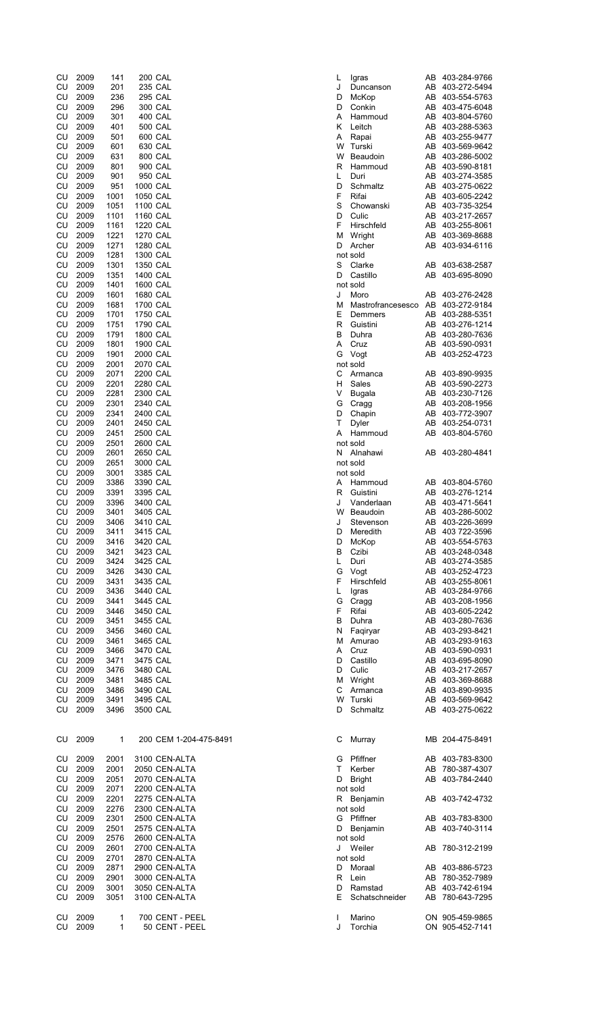| CU | 2009 | 141          | <b>200 CAL</b> |                        | L | Igras        |
|----|------|--------------|----------------|------------------------|---|--------------|
| CU | 2009 | 201          | 235 CAL        |                        | J | Duno         |
| CU | 2009 | 236          | <b>295 CAL</b> |                        | D | McK          |
| CU |      |              | 300 CAL        |                        |   |              |
|    | 2009 | 296          |                |                        | D | Conl         |
| CU | 2009 | 301          | 400 CAL        |                        | Α | Ham          |
| CU | 2009 | 401          | 500 CAL        |                        | Κ | Leitc        |
| CU | 2009 | 501          | 600 CAL        |                        | Α | Rapa         |
| CU | 2009 | 601          | 630 CAL        |                        | W | Turs         |
| CU | 2009 | 631          | 800 CAL        |                        | W | Beat         |
| CU | 2009 | 801          | 900 CAL        |                        | R | Ham          |
| CU | 2009 | 901          | 950 CAL        |                        | L | Duri         |
| CU | 2009 | 951          | 1000 CAL       |                        | D | Schr         |
| CU | 2009 | 1001         | 1050 CAL       |                        | F | Rifai        |
| CU | 2009 | 1051         | 1100 CAL       |                        | S | Cho          |
| CU | 2009 | 1101         | 1160 CAL       |                        | D | Culic        |
| CU | 2009 | 1161         | 1220 CAL       |                        | F | Hirso        |
| CU | 2009 | 1221         | 1270 CAL       |                        | М | Wrig         |
| CU | 2009 | 1271         | 1280 CAL       |                        | D | Arch         |
| CU | 2009 | 1281         | 1300 CAL       |                        |   | not sold     |
| CU | 2009 | 1301         | 1350 CAL       |                        | S | Clarl        |
| CU | 2009 | 1351         | 1400 CAL       |                        | D | Cast         |
| CU | 2009 | 1401         | 1600 CAL       |                        |   | not sold     |
| CU | 2009 | 1601         | 1680 CAL       |                        | J | Morc         |
| CU | 2009 | 1681         | 1700 CAL       |                        | M | Mast         |
|    |      |              |                |                        |   |              |
| CU | 2009 | 1701         | 1750 CAL       |                        | E | Dem          |
| CU | 2009 | 1751         | 1790 CAL       |                        | R | Guis         |
| СU | 2009 | 1791         | 1800 CAL       |                        | В | Duhr         |
| CU | 2009 | 1801         | 1900 CAL       |                        | Α | Cruz         |
| CU | 2009 | 1901         | 2000 CAL       |                        | G | Vogt         |
| CU | 2009 | 2001         | 2070 CAL       |                        |   | not sold     |
| CU | 2009 | 2071         | 2200 CAL       |                        | С | Arma         |
| CU | 2009 | 2201         | 2280 CAL       |                        | н | Sale         |
| CU | 2009 | 2281         | 2300 CAL       |                        | V | Buga         |
| CU | 2009 | 2301         | 2340 CAL       |                        | G | Crag         |
| CU | 2009 | 2341         | 2400 CAL       |                        | D | Chap         |
| CU | 2009 | 2401         | 2450 CAL       |                        | Т | Dyle         |
| CU | 2009 | 2451         | 2500 CAL       |                        | Α | Ham          |
| CU | 2009 | 2501         | 2600 CAL       |                        |   | not sold     |
| CU | 2009 | 2601         | 2650 CAL       |                        | N | Alna         |
| CU | 2009 | 2651         | 3000 CAL       |                        |   | not sold     |
|    |      |              |                |                        |   |              |
| CU | 2009 | 3001         | 3385 CAL       |                        |   | not sold     |
| CU | 2009 | 3386         | 3390 CAL       |                        | Α | Ham          |
| CU | 2009 | 3391         | 3395 CAL       |                        | R | Guis         |
| CU | 2009 | 3396         | 3400 CAL       |                        | J | Vand         |
| CU | 2009 | 3401         | 3405 CAL       |                        | W | Beat         |
| CU | 2009 | 3406         | 3410 CAL       |                        | J | Stev         |
| CU | 2009 | 3411         | 3415 CAL       |                        | D | Mere         |
| CU | 2009 | 3416         | 3420 CAL       |                        | D | <b>McK</b>   |
| CU | 2009 | 3421         | 3423 CAL       |                        | B | Czib         |
| CU | 2009 | 3424         | 3425 CAL       |                        | Г | Duri         |
| CU | 2009 | 3426         | 3430 CAL       |                        | G | Vogt         |
| CU | 2009 | 3431         | 3435 CAL       |                        | F | Hirso        |
| CU | 2009 | 3436         | 3440 CAL       |                        | Г | Igras        |
| CU | 2009 | 3441         | 3445 CAL       |                        | G | Crag         |
| CU | 2009 | 3446         | 3450 CAL       |                        | F | Rifai        |
| CU | 2009 | 3451         | 3455 CAL       |                        | B | Duhr         |
| CU | 2009 | 3456         | 3460 CAL       |                        | N | Faqi         |
| CU | 2009 | 3461         | 3465 CAL       |                        | М | Amu          |
| CU | 2009 | 3466         | 3470 CAL       |                        | Α |              |
| CU | 2009 | 3471         | 3475 CAL       |                        | D | Cruz         |
| CU |      | 3476         | 3480 CAL       |                        |   | Cast         |
|    | 2009 |              |                |                        | D | Culic        |
| CU | 2009 | 3481         | 3485 CAL       |                        | М | Wrig         |
| CU | 2009 | 3486         | 3490 CAL       |                        | С | Arma         |
| CU | 2009 | 3491         | 3495 CAL       |                        | W | Turs         |
| CU | 2009 | 3496         | 3500 CAL       |                        | D | Schr         |
|    |      |              |                |                        |   |              |
|    |      |              |                |                        |   |              |
| CU | 2009 | $\mathbf{1}$ |                | 200 CEM 1-204-475-8491 | С | Murr         |
|    |      |              |                |                        |   |              |
| CU | 2009 | 2001         |                | 3100 CEN-ALTA          | G | Pfiffr       |
| CU | 2009 | 2001         |                | 2050 CEN-ALTA          | Τ | Kerb         |
| CU | 2009 | 2051         |                | 2070 CEN-ALTA          | D | <b>Brigh</b> |
| CU | 2009 | 2071         |                | 2200 CEN-ALTA          |   | not sold     |
| CU | 2009 | 2201         |                | 2275 CEN-ALTA          | R | Benj         |
| CU | 2009 | 2276         |                | 2300 CEN-ALTA          |   | not sold     |
| CU | 2009 | 2301         |                | 2500 CEN-ALTA          | G | Pfiffr       |
| CU | 2009 | 2501         |                | 2575 CEN-ALTA          | D | Benj         |
|    |      |              |                |                        |   |              |
| CU | 2009 | 2576         |                | 2600 CEN-ALTA          |   | not sold     |
| CU | 2009 | 2601         |                | 2700 CEN-ALTA          | J | Weil         |
| CU | 2009 | 2701         |                | 2870 CEN-ALTA          |   | not sold     |
| CU | 2009 | 2871         |                | 2900 CEN-ALTA          | D | Mora         |
| CU | 2009 | 2901         |                | 3000 CEN-ALTA          | R | Lein         |
| CU | 2009 | 3001         |                | 3050 CEN-ALTA          | D | Ram          |
| CU | 2009 | 3051         |                | 3100 CEN-ALTA          | Е | Scha         |
|    |      |              |                |                        |   |              |
| CU | 2009 | 1            |                | 700 CENT - PEEL        | L | Mari         |
| CU | 2009 | $\mathbf{1}$ |                | 50 CENT - PEEL         | J | Torc         |

| CU | 2009 | 141  | <b>200 CAL</b>         | L            | Igras                             |    | AB 403-284-9766 |
|----|------|------|------------------------|--------------|-----------------------------------|----|-----------------|
| CU | 2009 | 201  | 235 CAL                | J            | Duncanson                         |    | AB 403-272-5494 |
| CU | 2009 | 236  | <b>295 CAL</b>         | D            | McKop                             |    | AB 403-554-5763 |
| CU | 2009 | 296  | 300 CAL                | D            | Conkin                            |    | AB 403-475-6048 |
| CU | 2009 | 301  | 400 CAL                | Α            | Hammoud                           |    | AB 403-804-5760 |
| CU | 2009 | 401  | 500 CAL                | Κ            | Leitch                            |    | AB 403-288-5363 |
| CU | 2009 | 501  | 600 CAL                | Α            | Rapai                             |    | AB 403-255-9477 |
| CU | 2009 | 601  | 630 CAL                | W            | Turski                            |    | AB 403-569-9642 |
| CU | 2009 | 631  | 800 CAL                | W            | Beaudoin                          |    | AB 403-286-5002 |
| CU | 2009 | 801  | 900 CAL                | R            | Hammoud                           |    | AB 403-590-8181 |
| CU | 2009 | 901  | 950 CAL                | L            | Duri                              |    | AB 403-274-3585 |
| CU | 2009 | 951  | 1000 CAL               | D            | Schmaltz                          |    | AB 403-275-0622 |
| CU | 2009 | 1001 | 1050 CAL               | F            | Rifai                             |    | AB 403-605-2242 |
| CU | 2009 | 1051 | 1100 CAL               | S            | Chowanski                         |    | AB 403-735-3254 |
| CU | 2009 | 1101 | 1160 CAL               | D            | Culic                             |    | AB 403-217-2657 |
| CU | 2009 | 1161 | 1220 CAL               | F            | Hirschfeld                        |    | AB 403-255-8061 |
| CU | 2009 | 1221 | 1270 CAL               | М            | Wright                            |    | AB 403-369-8688 |
| CU | 2009 | 1271 | 1280 CAL               | D            | Archer                            |    | AB 403-934-6116 |
| CU | 2009 | 1281 | 1300 CAL               |              | not sold                          |    |                 |
| CU | 2009 | 1301 | 1350 CAL               | S            | Clarke                            |    | AB 403-638-2587 |
| CU | 2009 | 1351 | 1400 CAL               | D            | Castillo                          | AB | 403-695-8090    |
| CU | 2009 | 1401 | 1600 CAL               |              | not sold                          |    |                 |
| CU | 2009 | 1601 | 1680 CAL               | J            | Moro                              |    | AB 403-276-2428 |
| CU | 2009 | 1681 | 1700 CAL               | М            | Mastrofrancesesco AB 403-272-9184 |    |                 |
| CU | 2009 | 1701 | 1750 CAL               | Ε            | Demmers                           |    | AB 403-288-5351 |
| CU | 2009 | 1751 | 1790 CAL               | R            | Guistini                          |    | AB 403-276-1214 |
| CU | 2009 | 1791 | 1800 CAL               | В            | Duhra                             |    | AB 403-280-7636 |
| CU | 2009 | 1801 | 1900 CAL               | Α            | Cruz                              |    | AB 403-590-0931 |
| CU | 2009 | 1901 | 2000 CAL               | G            | Vogt                              |    | AB 403-252-4723 |
| CU | 2009 | 2001 | 2070 CAL               |              | not sold                          |    |                 |
| CU | 2009 | 2071 | 2200 CAL               | С            | Armanca                           |    | AB 403-890-9935 |
| CU | 2009 | 2201 | 2280 CAL               | н            | Sales                             |    | AB 403-590-2273 |
| CU | 2009 | 2281 | 2300 CAL               | V            | Bugala                            |    | AB 403-230-7126 |
| CU | 2009 | 2301 | 2340 CAL               | G            | Cragg                             |    | AB 403-208-1956 |
| CU | 2009 | 2341 | 2400 CAL               | D            | Chapin                            |    | AB 403-772-3907 |
| CU | 2009 | 2401 | 2450 CAL               | т            | <b>Dyler</b>                      |    | AB 403-254-0731 |
| CU | 2009 | 2451 | 2500 CAL               | A            | Hammoud                           |    | AB 403-804-5760 |
| CU | 2009 | 2501 | 2600 CAL               |              | not sold                          |    |                 |
| CU | 2009 | 2601 | 2650 CAL               | N            | Alnahawi                          |    | AB 403-280-4841 |
| CU | 2009 | 2651 | 3000 CAL               |              | not sold                          |    |                 |
| CU | 2009 | 3001 | 3385 CAL               |              | not sold                          |    |                 |
| CU | 2009 | 3386 | 3390 CAL               | Α            | Hammoud                           |    | AB 403-804-5760 |
| CU | 2009 | 3391 | 3395 CAL               | R            | Guistini                          |    | AB 403-276-1214 |
| CU | 2009 | 3396 | 3400 CAL               | J            | Vanderlaan                        |    | AB 403-471-5641 |
| CU | 2009 | 3401 | 3405 CAL               | W            | Beaudoin                          |    | AB 403-286-5002 |
| CU | 2009 | 3406 | 3410 CAL               | J            | Stevenson                         |    | AB 403-226-3699 |
| CU | 2009 | 3411 | 3415 CAL               | D            | Meredith                          |    | AB 403 722-3596 |
| CU | 2009 | 3416 | 3420 CAL               | D            | McKop                             |    | AB 403-554-5763 |
| CU | 2009 | 3421 | 3423 CAL               | в            | Czibi                             |    | AB 403-248-0348 |
| CU | 2009 | 3424 | 3425 CAL               | L            | Duri                              |    | AB 403-274-3585 |
| CU | 2009 | 3426 | 3430 CAL               | G            | Vogt                              |    | AB 403-252-4723 |
| CU | 2009 | 3431 | 3435 CAL               | F            | Hirschfeld                        |    | AB 403-255-8061 |
| CU | 2009 | 3436 | 3440 CAL               | L            | Igras                             |    | AB 403-284-9766 |
| CU | 2009 | 3441 | 3445 CAL               | G            | Cragg                             |    | AB 403-208-1956 |
| CU | 2009 | 3446 | 3450 CAL               | F            | Rifai                             |    | AB 403-605-2242 |
| CU | 2009 | 3451 | 3455 CAL               | В            | Duhra                             |    | AB 403-280-7636 |
| CU | 2009 | 3456 | 3460 CAL               | N            | Faqiryar                          |    | AB 403-293-8421 |
| CU | 2009 | 3461 | 3465 CAL               | М            | Amurao                            |    | AB 403-293-9163 |
| CU | 2009 | 3466 | 3470 CAL               | A            | Cruz                              |    | AB 403-590-0931 |
| CU | 2009 | 3471 | 3475 CAL               | D            | Castillo                          |    | AB 403-695-8090 |
| CU | 2009 | 3476 | 3480 CAL               | D            | Culic                             |    | AB 403-217-2657 |
| CU | 2009 | 3481 | 3485 CAL               |              | M Wright                          |    | AB 403-369-8688 |
| CU | 2009 | 3486 | 3490 CAL               | С            | Armanca                           |    | AB 403-890-9935 |
| CU | 2009 | 3491 | 3495 CAL               | W            | Turski                            |    | AB 403-569-9642 |
| CU | 2009 | 3496 | 3500 CAL               | D            | Schmaltz                          |    | AB 403-275-0622 |
| CU | 2009 | 1    | 200 CEM 1-204-475-8491 | С            | Murray                            |    | MB 204-475-8491 |
| CU | 2009 | 2001 | 3100 CEN-ALTA          | G            | Pfiffner                          |    | AB 403-783-8300 |
| CU | 2009 | 2001 | 2050 CEN-ALTA          | Τ            | Kerber                            |    | AB 780-387-4307 |
| CU | 2009 | 2051 | 2070 CEN-ALTA          | D            | <b>Bright</b>                     |    | AB 403-784-2440 |
| CU | 2009 | 2071 | 2200 CEN-ALTA          |              | not sold                          |    |                 |
| CU | 2009 | 2201 | 2275 CEN-ALTA          | R            | Benjamin                          |    | AB 403-742-4732 |
| CU | 2009 | 2276 | 2300 CEN-ALTA          |              | not sold                          |    |                 |
| CU | 2009 | 2301 | 2500 CEN-ALTA          | G            | Pfiffner                          |    | AB 403-783-8300 |
| CU | 2009 | 2501 | 2575 CEN-ALTA          | D            | Benjamin                          |    | AB 403-740-3114 |
| CU | 2009 | 2576 | 2600 CEN-ALTA          |              | not sold                          |    |                 |
| CU | 2009 | 2601 | 2700 CEN-ALTA          | J            | Weiler                            |    | AB 780-312-2199 |
| CU | 2009 | 2701 | 2870 CEN-ALTA          |              | not sold                          |    |                 |
| CU | 2009 | 2871 | 2900 CEN-ALTA          | D            | Moraal                            |    | AB 403-886-5723 |
| CU | 2009 | 2901 | 3000 CEN-ALTA          | R            | Lein                              |    | AB 780-352-7989 |
| CU | 2009 | 3001 | 3050 CEN-ALTA          | D            | Ramstad                           |    | AB 403-742-6194 |
| CU | 2009 | 3051 | 3100 CEN-ALTA          | E.           | Schatschneider                    |    | AB 780-643-7295 |
| CU | 2009 | 1    | 700 CENT - PEEL        | $\mathbf{I}$ | Marino                            |    | ON 905-459-9865 |
| CU | 2009 | 1    | 50 CENT - PEEL         | J            | Torchia                           |    | ON 905-452-7141 |
|    |      |      |                        |              |                                   |    |                 |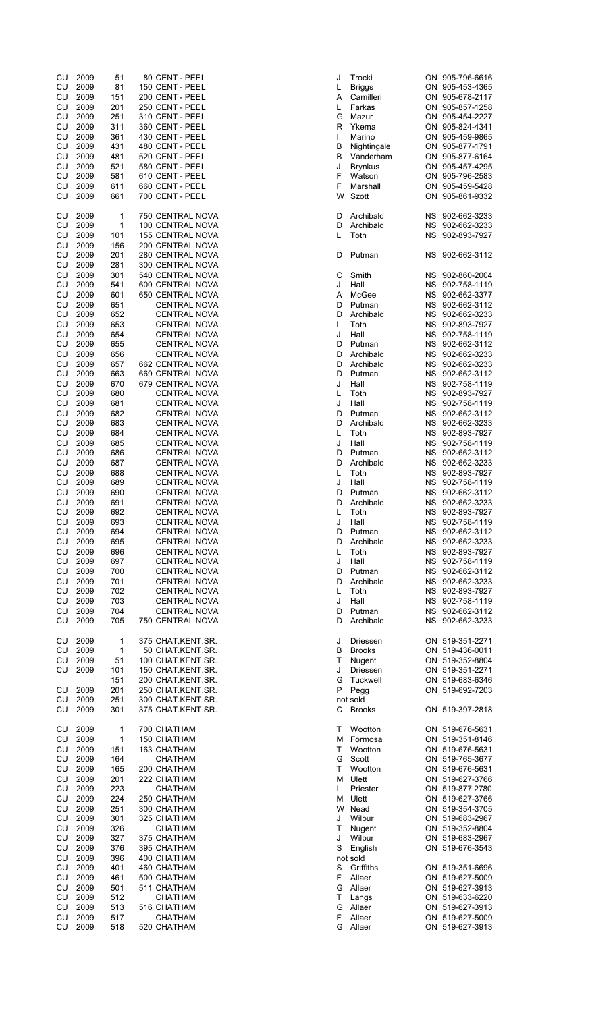| CU         | 2009 | 51  | 80 CENT - PEEL          | J  | Trocki          | ON 905-796-6616 |
|------------|------|-----|-------------------------|----|-----------------|-----------------|
| CU         | 2009 | 81  | 150 CENT - PEEL         | L  | <b>Briggs</b>   | ON 905-453-4365 |
| CU         | 2009 | 151 | 200 CENT - PEEL         | Α  | Camilleri       | ON 905-678-2117 |
| CU         | 2009 | 201 | 250 CENT - PEEL         | L  | Farkas          | ON 905-857-1258 |
| CU         | 2009 | 251 | 310 CENT - PEEL         | G  | Mazur           | ON 905-454-2227 |
| CU         | 2009 | 311 | 360 CENT - PEEL         | R  | Ykema           | ON 905-824-4341 |
| CU         | 2009 | 361 | 430 CENT - PEEL         | T  | Marino          | ON 905-459-9865 |
| CU         | 2009 | 431 | 480 CENT - PEEL         | В  | Nightingale     | ON 905-877-1791 |
| CU         | 2009 | 481 | 520 CENT - PEEL         | В  | Vanderham       | ON 905-877-6164 |
| CU         | 2009 | 521 | 580 CENT - PEEL         | J  | <b>Brynkus</b>  | ON 905-457-4295 |
| CU         | 2009 | 581 | 610 CENT - PEEL         | F  | Watson          | ON 905-796-2583 |
| CU         | 2009 | 611 | 660 CENT - PEEL         | F  | Marshall        | ON 905-459-5428 |
| CU         | 2009 | 661 | 700 CENT - PEEL         | W  | <b>Szott</b>    | ON 905-861-9332 |
|            |      |     |                         |    |                 |                 |
| CU         | 2009 | 1   | 750 CENTRAL NOVA        | D  | Archibald       | NS 902-662-3233 |
| CU         | 2009 | 1   | 100 CENTRAL NOVA        | D  | Archibald       | NS 902-662-3233 |
| CU         | 2009 | 101 | <b>155 CENTRAL NOVA</b> | L  | Toth            | NS 902-893-7927 |
| CU         | 2009 | 156 | 200 CENTRAL NOVA        |    |                 |                 |
| CU         | 2009 | 201 | 280 CENTRAL NOVA        | D  | Putman          | NS 902-662-3112 |
| CU         | 2009 | 281 | 300 CENTRAL NOVA        |    |                 |                 |
| CU         | 2009 | 301 | 540 CENTRAL NOVA        | С  | Smith           | NS 902-860-2004 |
| CU         | 2009 | 541 | 600 CENTRAL NOVA        | J  | Hall            | NS 902-758-1119 |
| CU         | 2009 | 601 | 650 CENTRAL NOVA        | Α  | McGee           | NS 902-662-3377 |
| CU         | 2009 | 651 | <b>CENTRAL NOVA</b>     | D  | Putman          | NS 902-662-3112 |
| CU         | 2009 | 652 | <b>CENTRAL NOVA</b>     | D  | Archibald       | NS 902-662-3233 |
| CU         | 2009 | 653 | <b>CENTRAL NOVA</b>     | L  | Toth            | NS 902-893-7927 |
| CU         | 2009 | 654 | <b>CENTRAL NOVA</b>     | J  | Hall            | NS 902-758-1119 |
| CU         | 2009 | 655 | <b>CENTRAL NOVA</b>     | D  | Putman          | NS 902-662-3112 |
| ${\sf CU}$ | 2009 | 656 | <b>CENTRAL NOVA</b>     | D  | Archibald       | NS 902-662-3233 |
|            |      |     |                         |    |                 |                 |
| CU         | 2009 | 657 | 662 CENTRAL NOVA        | D  | Archibald       | NS 902-662-3233 |
| CU         | 2009 | 663 | 669 CENTRAL NOVA        | D  | Putman          | NS 902-662-3112 |
| CU         | 2009 | 670 | 679 CENTRAL NOVA        | J  | Hall            | NS 902-758-1119 |
| CU         | 2009 | 680 | <b>CENTRAL NOVA</b>     | L  | Toth            | NS 902-893-7927 |
| CU         | 2009 | 681 | <b>CENTRAL NOVA</b>     | J  | Hall            | NS 902-758-1119 |
| CU         | 2009 | 682 | <b>CENTRAL NOVA</b>     | D  | Putman          | NS 902-662-3112 |
| CU         | 2009 | 683 | <b>CENTRAL NOVA</b>     | D  | Archibald       | NS 902-662-3233 |
| CU         | 2009 | 684 | <b>CENTRAL NOVA</b>     | L  | Toth            | NS 902-893-7927 |
| CU         | 2009 | 685 | <b>CENTRAL NOVA</b>     | J  | Hall            | NS 902-758-1119 |
| CU         | 2009 | 686 | <b>CENTRAL NOVA</b>     | D  | Putman          | NS 902-662-3112 |
| CU         | 2009 | 687 | <b>CENTRAL NOVA</b>     | D  | Archibald       | NS 902-662-3233 |
| CU         | 2009 | 688 | <b>CENTRAL NOVA</b>     | L  | Toth            | NS 902-893-7927 |
| CU         | 2009 | 689 | <b>CENTRAL NOVA</b>     | J  | Hall            | NS 902-758-1119 |
| CU         | 2009 | 690 | <b>CENTRAL NOVA</b>     | D  | Putman          | NS 902-662-3112 |
| CU         | 2009 | 691 | <b>CENTRAL NOVA</b>     | D  | Archibald       | NS 902-662-3233 |
| CU         | 2009 | 692 | <b>CENTRAL NOVA</b>     | L  | Toth            | NS 902-893-7927 |
| CU         | 2009 | 693 | <b>CENTRAL NOVA</b>     | J  | Hall            | NS 902-758-1119 |
| CU         | 2009 | 694 | CENTRAL NOVA            | D  | Putman          | NS 902-662-3112 |
| CU         | 2009 | 695 | <b>CENTRAL NOVA</b>     | D  | Archibald       | NS 902-662-3233 |
| CU         | 2009 | 696 | <b>CENTRAL NOVA</b>     | L  | Toth            | NS 902-893-7927 |
|            | 2009 |     |                         | J  | Hall            |                 |
| CU         | 2009 | 697 | <b>CENTRAL NOVA</b>     |    |                 | NS 902-758-1119 |
| CU         |      | 700 | <b>CENTRAL NOVA</b>     | D  | Putman          | NS 902-662-3112 |
| CU         | 2009 | 701 | <b>CENTRAL NOVA</b>     | D  | Archibald       | NS 902-662-3233 |
| CU         | 2009 | 702 | <b>CENTRAL NOVA</b>     | L  | Toth            | NS 902-893-7927 |
| CU         | 2009 | 703 | <b>CENTRAL NOVA</b>     | J  | Hall            | NS 902-758-1119 |
| CU         | 2009 | 704 | <b>CENTRAL NOVA</b>     | D  | Putman          | NS 902-662-3112 |
| CU         | 2009 | 705 | 750 CENTRAL NOVA        | D  | Archibald       | NS 902-662-3233 |
|            |      |     |                         |    |                 |                 |
| CU         | 2009 | 1   | 375 CHAT.KENT.SR.       | J  | <b>Driessen</b> | ON 519-351-2271 |
| CU         | 2009 | 1   | 50 CHAT.KENT.SR.        | В  | <b>Brooks</b>   | ON 519-436-0011 |
| CU         | 2009 | 51  | 100 CHAT.KENT.SR.       | т  | Nugent          | ON 519-352-8804 |
| CU         | 2009 | 101 | 150 CHAT.KENT.SR.       | J  | Driessen        | ON 519-351-2271 |
|            |      | 151 | 200 CHAT.KENT.SR.       | G  | Tuckwell        | ON 519-683-6346 |
| CU         | 2009 | 201 | 250 CHAT.KENT.SR.       | P  | Pegg            | ON 519-692-7203 |
| CU         | 2009 | 251 | 300 CHAT.KENT.SR.       |    | not sold        |                 |
| CU         | 2009 | 301 | 375 CHAT.KENT.SR.       | С  | <b>Brooks</b>   | ON 519-397-2818 |
|            |      |     |                         |    |                 |                 |
| ${\sf CU}$ | 2009 | 1   | 700 CHATHAM             | Τ  | Wootton         | ON 519-676-5631 |
| CU         | 2009 | 1   | 150 CHATHAM             | м  | Formosa         | ON 519-351-8146 |
| CU         | 2009 | 151 | 163 CHATHAM             | Τ  | Wootton         | ON 519-676-5631 |
| CU         | 2009 | 164 | <b>CHATHAM</b>          | G  | Scott           | ON 519-765-3677 |
| CU         | 2009 | 165 | 200 CHATHAM             | т  | Wootton         | ON 519-676-5631 |
| CU         | 2009 | 201 | 222 CHATHAM             | м  | Ulett           | ON 519-627-3766 |
| CU         | 2009 | 223 | <b>CHATHAM</b>          | L  | Priester        | ON 519-877.2780 |
| CU         | 2009 | 224 | 250 CHATHAM             | м  | Ulett           | ON 519-627-3766 |
| CU         | 2009 | 251 | 300 CHATHAM             |    | W Nead          | ON 519-354-3705 |
|            | 2009 |     |                         |    | Wilbur          |                 |
| CU         |      | 301 | 325 CHATHAM             | J  |                 | ON 519-683-2967 |
| CU         | 2009 | 326 | <b>CHATHAM</b>          | т  | Nugent          | ON 519-352-8804 |
| CU         | 2009 | 327 | 375 CHATHAM             | J  | Wilbur          | ON 519-683-2967 |
| CU         | 2009 | 376 | 395 CHATHAM             | S  | English         | ON 519-676-3543 |
| CU         | 2009 | 396 | 400 CHATHAM             |    | not sold        |                 |
| CU         | 2009 | 401 | 460 CHATHAM             | S  | Griffiths       | ON 519-351-6696 |
| CU         | 2009 | 461 | 500 CHATHAM             | F  | Allaer          | ON 519-627-5009 |
| CU         | 2009 | 501 | 511 CHATHAM             | G  | Allaer          | ON 519-627-3913 |
| CU         | 2009 | 512 | <b>CHATHAM</b>          | T. | Langs           | ON 519-633-6220 |
| CU         | 2009 | 513 | 516 CHATHAM             | G  | Allaer          | ON 519-627-3913 |
| CU         | 2009 | 517 | <b>CHATHAM</b>          | F  | Allaer          | ON 519-627-5009 |
| CU         | 2009 | 518 | 520 CHATHAM             | G  | Allaer          | ON 519-627-3913 |
|            |      |     |                         |    |                 |                 |

| 51  | 80 CENT - PEEL          | J            | Trocki         | ON 905-796-6616 |
|-----|-------------------------|--------------|----------------|-----------------|
| 81  | 150 CENT - PEEL         | L            | <b>Briggs</b>  | ON 905-453-4365 |
| 151 | 200 CENT - PEEL         | A            | Camilleri      | ON 905-678-2117 |
| 201 | 250 CENT - PEEL         | L.           | Farkas         | ON 905-857-1258 |
| 251 | 310 CENT - PEEL         | G            | Mazur          | ON 905-454-2227 |
| 311 | 360 CENT - PEEL         | R            | Ykema          | ON 905-824-4341 |
| 361 | 430 CENT - PEEL         | L            | Marino         | ON 905-459-9865 |
| 431 | 480 CENT - PEEL         | в            | Nightingale    | ON 905-877-1791 |
|     |                         |              |                |                 |
| 481 | 520 CENT - PEEL         | B            | Vanderham      | ON 905-877-6164 |
| 521 | 580 CENT - PEEL         | J            | <b>Brynkus</b> | ON 905-457-4295 |
| 581 | 610 CENT - PEEL         | F            | Watson         | ON 905-796-2583 |
| 611 | 660 CENT - PEEL         | F            | Marshall       | ON 905-459-5428 |
| 661 | 700 CENT - PEEL         | W            | Szott          | ON 905-861-9332 |
|     |                         |              |                |                 |
| 1   | 750 CENTRAL NOVA        | D            | Archibald      | NS 902-662-3233 |
| 1   | 100 CENTRAL NOVA        | D            | Archibald      | NS 902-662-3233 |
| 101 | <b>155 CENTRAL NOVA</b> | L            | Toth           | NS 902-893-7927 |
| 156 | 200 CENTRAL NOVA        |              |                |                 |
| 201 | 280 CENTRAL NOVA        | D            | Putman         | NS 902-662-3112 |
| 281 | 300 CENTRAL NOVA        |              |                |                 |
| 301 | 540 CENTRAL NOVA        | С            | Smith          | NS 902-860-2004 |
| 541 | 600 CENTRAL NOVA        | J            | Hall           | NS 902-758-1119 |
| 601 | 650 CENTRAL NOVA        | A            | McGee          | NS 902-662-3377 |
| 651 | <b>CENTRAL NOVA</b>     | D            | Putman         | NS 902-662-3112 |
| 652 | <b>CENTRAL NOVA</b>     | D            | Archibald      | NS 902-662-3233 |
| 653 | <b>CENTRAL NOVA</b>     | L.           | Toth           | NS 902-893-7927 |
|     | CENTRAL NOVA            | J            | Hall           | NS 902-758-1119 |
| 654 |                         | D            |                |                 |
| 655 | <b>CENTRAL NOVA</b>     |              | Putman         | NS 902-662-3112 |
| 656 | <b>CENTRAL NOVA</b>     | D            | Archibald      | NS 902-662-3233 |
| 657 | 662 CENTRAL NOVA        | D            | Archibald      | NS 902-662-3233 |
| 663 | 669 CENTRAL NOVA        | D            | Putman         | NS 902-662-3112 |
| 670 | 679 CENTRAL NOVA        | J            | Hall           | NS 902-758-1119 |
| 680 | <b>CENTRAL NOVA</b>     | L            | Toth           | NS 902-893-7927 |
| 681 | <b>CENTRAL NOVA</b>     | J            | Hall           | NS 902-758-1119 |
| 682 | <b>CENTRAL NOVA</b>     | D            | Putman         | NS 902-662-3112 |
| 683 | <b>CENTRAL NOVA</b>     | D            | Archibald      | NS 902-662-3233 |
| 684 | <b>CENTRAL NOVA</b>     | L            | Toth           | NS 902-893-7927 |
| 685 | CENTRAL NOVA            | J            | Hall           | NS 902-758-1119 |
| 686 | <b>CENTRAL NOVA</b>     | D            | Putman         | NS 902-662-3112 |
| 687 | <b>CENTRAL NOVA</b>     | D            | Archibald      | NS 902-662-3233 |
| 688 | <b>CENTRAL NOVA</b>     | L.           | Toth           | NS 902-893-7927 |
| 689 | <b>CENTRAL NOVA</b>     | J            | Hall           | NS 902-758-1119 |
| 690 | <b>CENTRAL NOVA</b>     | D            | Putman         | NS 902-662-3112 |
| 691 | <b>CENTRAL NOVA</b>     | D            | Archibald      | NS 902-662-3233 |
|     |                         |              | Toth           |                 |
| 692 | <b>CENTRAL NOVA</b>     | L            |                | NS 902-893-7927 |
| 693 | <b>CENTRAL NOVA</b>     | J            | Hall           | NS 902-758-1119 |
| 694 | <b>CENTRAL NOVA</b>     | D            | Putman         | NS 902-662-3112 |
| 695 | <b>CENTRAL NOVA</b>     | D            | Archibald      | NS 902-662-3233 |
| 696 | <b>CENTRAL NOVA</b>     | L            | Toth           | NS 902-893-7927 |
| 697 | <b>CENTRAL NOVA</b>     | J            | Hall           | NS 902-758-1119 |
| 700 | <b>CENTRAL NOVA</b>     | D            | Putman         | NS 902-662-3112 |
| 701 | <b>CENTRAL NOVA</b>     | D            | Archibald      | NS 902-662-3233 |
| 702 | <b>CENTRAL NOVA</b>     | L.           | Toth           | NS 902-893-7927 |
| 703 | <b>CENTRAL NOVA</b>     | J            | Hall           | NS 902-758-1119 |
| 704 | <b>CENTRAL NOVA</b>     | D            | Putman         | NS 902-662-3112 |
| 705 | 750 CENTRAL NOVA        | D            | Archibald      | NS 902-662-3233 |
|     |                         |              |                |                 |
| 1   | 375 CHAT.KENT.SR.       | J            | Driessen       | ON 519-351-2271 |
| 1   | 50 CHAT KENT SR.        | B            | <b>Brooks</b>  | ON 519-436-0011 |
| 51  | 100 CHAT.KENT.SR.       | T.           | Nugent         | ON 519-352-8804 |
| 101 | 150 CHAT.KENT.SR.       | J            | Driessen       | ON 519-351-2271 |
| 151 | 200 CHAT.KENT.SR.       | G            | Tuckwell       | ON 519-683-6346 |
| 201 | 250 CHAT.KENT.SR.       | P            | Pegg           | ON 519-692-7203 |
| 251 | 300 CHAT.KENT.SR.       |              | not sold       |                 |
| 301 | 375 CHAT.KENT.SR.       | C            | <b>Brooks</b>  | ON 519-397-2818 |
|     |                         |              |                |                 |
| 1   | 700 CHATHAM             | T.           | Wootton        | ON 519-676-5631 |
|     |                         |              |                |                 |
| 1   | 150 CHATHAM             |              | M Formosa      | ON 519-351-8146 |
| 151 | 163 CHATHAM             | T.           | Wootton        | ON 519-676-5631 |
| 164 | <b>CHATHAM</b>          | G            | Scott          | ON 519-765-3677 |
| 165 | 200 CHATHAM             | T.           | Wootton        | ON 519-676-5631 |
| 201 | 222 CHATHAM             |              | M Ulett        | ON 519-627-3766 |
| 223 | <b>CHATHAM</b>          | $\mathsf{L}$ | Priester       | ON 519-877.2780 |
| 224 | 250 CHATHAM             |              | M Ulett        | ON 519-627-3766 |
| 251 | 300 CHATHAM             |              | W Nead         | ON 519-354-3705 |
| 301 | 325 CHATHAM             | J            | Wilbur         | ON 519-683-2967 |
| 326 | <b>CHATHAM</b>          | Т            | Nugent         | ON 519-352-8804 |
| 327 | 375 CHATHAM             | J            | Wilbur         | ON 519-683-2967 |
| 376 | 395 CHATHAM             | S            | English        | ON 519-676-3543 |
| 396 | 400 CHATHAM             |              | not sold       |                 |
| 401 | 460 CHATHAM             | S            | Griffiths      | ON 519-351-6696 |
| 461 | 500 CHATHAM             | F.           | Allaer         | ON 519-627-5009 |
|     |                         |              | Allaer         | ON 519-627-3913 |
| 501 | 511 CHATHAM             | G            |                |                 |
| 512 | <b>CHATHAM</b>          | T.           | Langs          | ON 519-633-6220 |
| 513 | 516 CHATHAM             |              | G Allaer       | ON 519-627-3913 |
| 517 | <b>CHATHAM</b>          | F            | Allaer         | ON 519-627-5009 |
| 518 | 520 CHATHAM             | G            | Allaer         | ON 519-627-3913 |
|     |                         |              |                |                 |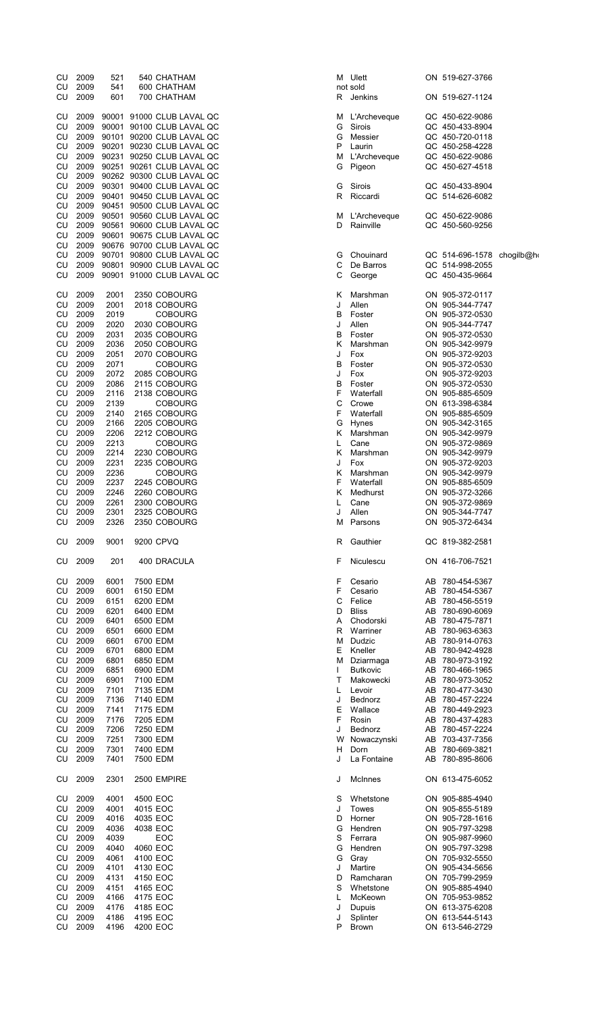| CU<br>CU<br>CU  | 2009<br>2009<br>2009 | 521<br>541<br>601 |                      | 540 CHATHAM<br>600 CHATHAM<br>700 CHATHAM  | м<br>R | Ulet<br>not sold<br>Jenl |
|-----------------|----------------------|-------------------|----------------------|--------------------------------------------|--------|--------------------------|
| CU              | 2009                 | 90001             |                      | 91000 CLUB LAVAL QC                        | М      | L'Ar                     |
| CU              | 2009                 | 90001             |                      | 90100 CLUB LAVAL QC                        | G      | Siro                     |
| CU              | 2009                 | 90101             |                      | 90200 CLUB LAVAL QC<br>90230 CLUB LAVAL QC | G<br>P | Mes                      |
| CU<br><b>CU</b> | 2009<br>2009         | 90201<br>90231    |                      | 90250 CLUB LAVAL QC                        | М      | Lauı<br>L'Ar             |
| CU              | 2009                 | 90251             |                      | 90261 CLUB LAVAL QC                        | G      | Pige                     |
| CU              | 2009                 | 90262             |                      | 90300 CLUB LAVAL QC                        |        |                          |
| CU              | 2009                 | 90301             |                      | 90400 CLUB LAVAL QC                        | G      | Siro                     |
| CU              | 2009                 | 90401             |                      | 90450 CLUB LAVAL QC                        | R      | Rico                     |
| CU              | 2009                 | 90451             |                      | 90500 CLUB LAVAL QC                        |        |                          |
| CU              | 2009                 | 90501             |                      | 90560 CLUB LAVAL QC                        | М      | L'Ar                     |
| CU              | 2009                 | 90561             |                      | 90600 CLUB LAVAL QC                        | D      | Rair                     |
| CU              | 2009                 | 90601             |                      | 90675 CLUB LAVAL QC                        |        |                          |
| CU<br>CU        | 2009<br>2009         | 90676<br>90701    |                      | 90700 CLUB LAVAL QC<br>90800 CLUB LAVAL QC | G      | Cho                      |
| CU              | 2009                 | 90801             |                      | 90900 CLUB LAVAL QC                        | C      | De I                     |
| CU              | 2009                 | 90901             |                      | 91000 CLUB LAVAL QC                        | С      | Geo                      |
|                 |                      |                   |                      |                                            |        |                          |
| CU              | 2009                 | 2001              |                      | 2350 COBOURG                               | Κ      | Mar                      |
| CU              | 2009                 | 2001              |                      | 2018 COBOURG                               | J      | Alle                     |
| CU              | 2009                 | 2019              |                      | <b>COBOURG</b>                             | В      | Fost                     |
| CU              | 2009                 | 2020              |                      | 2030 COBOURG                               | J      | Alle                     |
| CU<br>CU        | 2009<br>2009         | 2031<br>2036      |                      | 2035 COBOURG                               | В<br>Κ | Fost<br>Mar              |
| CU              | 2009                 | 2051              |                      | 2050 COBOURG<br>2070 COBOURG               | J      |                          |
| CU              | 2009                 | 2071              |                      | <b>COBOURG</b>                             | в      | Fox<br>Fos               |
| CU              | 2009                 | 2072              |                      | 2085 COBOURG                               | J      | Fox                      |
| CU              | 2009                 | 2086              |                      | 2115 COBOURG                               | В      | Fos                      |
| CU              | 2009                 | 2116              |                      | 2138 COBOURG                               | F      | Wat                      |
| CU              | 2009                 | 2139              |                      | <b>COBOURG</b>                             | С      | Cro                      |
| CU              | 2009                 | 2140              |                      | 2165 COBOURG                               | F      | Wat                      |
| CU              | 2009                 | 2166              |                      | 2205 COBOURG                               | G      | Hyn                      |
| CU              | 2009                 | 2206              |                      | 2212 COBOURG                               | Κ      | Mar                      |
| CU              | 2009                 | 2213              |                      | <b>COBOURG</b>                             | L      | Can                      |
| CU              | 2009                 | 2214              |                      | 2230 COBOURG                               | Κ      | Mar                      |
| CU              | 2009                 | 2231              |                      | 2235 COBOURG                               | J      | Fox                      |
| CU              | 2009                 | 2236              |                      | <b>COBOURG</b>                             | Κ      | Mar                      |
| CU              | 2009                 | 2237              |                      | 2245 COBOURG                               | F      | Wat                      |
| CU<br>CU        | 2009<br>2009         | 2246<br>2261      |                      | 2260 COBOURG<br>2300 COBOURG               | κ<br>L | Mec<br>Can               |
| CU              | 2009                 | 2301              |                      | 2325 COBOURG                               | J      | Alle                     |
| CU              | 2009                 | 2326              |                      | 2350 COBOURG                               | М      | Pars                     |
| CU              | 2009                 | 9001              |                      | 9200 CPVQ                                  | R      | Gau                      |
| CU              | 2009                 | 201               |                      | 400 DRACULA                                | F      | Nicu                     |
|                 |                      |                   |                      |                                            |        |                          |
| CU              | 2009                 | 6001              | 7500 EDM             |                                            | F      | Ces                      |
| CU              | 2009                 | 6001              | 6150 EDM             |                                            | F      | Ces                      |
| CU              | 2009                 | 6151              | 6200 EDM             |                                            | С      | Felio                    |
| CU<br>CU        | 2009<br>2009         | 6201<br>6401      | 6400 EDM<br>6500 EDM |                                            | D<br>Α | Blis:<br>Cho             |
| CU              | 2009                 | 6501              | 6600 EDM             |                                            | R      | War                      |
| CU              | 2009                 | 6601              | 6700 EDM             |                                            | М      | Dud                      |
| CU              | 2009                 | 6701              | 6800 EDM             |                                            | Е      | Kne                      |
| CU              | 2009                 | 6801              | 6850 EDM             |                                            | М      | Dzia                     |
| CU              | 2009                 | 6851              | 6900 EDM             |                                            | L      | Butŀ                     |
| CU              | 2009                 | 6901              | 7100 EDM             |                                            | т      | Mak                      |
| CU              | 2009                 | 7101              | 7135 EDM             |                                            | L      | Lev                      |
| CU              | 2009                 | 7136              | 7140 EDM             |                                            | J      | Bed                      |
| CU              | 2009                 | 7141              | 7175 EDM             |                                            | Ε      | Wal                      |
| CU              | 2009                 | 7176              | 7205 EDM             |                                            | F      | Ros                      |
| CU              | 2009                 | 7206              | 7250 EDM             |                                            | J      | Bed                      |
| CU<br>CU        | 2009<br>2009         | 7251<br>7301      | 7300 EDM<br>7400 EDM |                                            | W<br>н | Now                      |
| CU              | 2009                 | 7401              | 7500 EDM             |                                            | J      | Dori<br>La F             |
| CU              | 2009                 | 2301              |                      | 2500 EMPIRE                                | J      | Mcli                     |
| CU              | 2009                 | 4001              | 4500 EOC             |                                            | S      | Whe                      |
| CU              | 2009                 | 4001              | 4015 EOC             |                                            | J      | Tow                      |
| CU              | 2009                 | 4016              | 4035 EOC             |                                            | D      | Hor                      |
| CU              | 2009                 | 4036              | 4038 EOC             |                                            | G      | Hen                      |
| CU              | 2009                 | 4039              |                      | EOC                                        | S      | Ferr                     |
| CU              | 2009                 | 4040              | 4060 EOC             |                                            | G      | Hen                      |
| CU              | 2009                 | 4061              | 4100 EOC             |                                            | G      | Gray                     |
| CU              | 2009                 | 4101              | 4130 EOC             |                                            | J      | Mar                      |
| CU              | 2009                 | 4131              | 4150 EOC             |                                            | D      | Ran                      |
| CU              | 2009                 | 4151              | 4165 EOC             |                                            | S      | Whe                      |
| CU<br>CU        | 2009                 | 4166<br>4176      | 4175 EOC             |                                            | L<br>J | Mck                      |
| CU              | 2009<br>2009         | 4186              | 4185 EOC<br>4195 EOC |                                            | J      | Dup<br>Spli              |
| CU              | 2009                 | 4196              | 4200 EOC             |                                            | P      | <b>Broy</b>              |
|                 |                      |                   |                      |                                            |        |                          |

| CU       | 2009         | 521          | 540 CHATHAM                                            | м      | Ulett              |          | ON 519-627-3766                               |  |
|----------|--------------|--------------|--------------------------------------------------------|--------|--------------------|----------|-----------------------------------------------|--|
| CU       | 2009         | 541          | 600 CHATHAM                                            |        | not sold           |          |                                               |  |
| CU       | 2009         | 601          | 700 CHATHAM                                            | R      | Jenkins            |          | ON 519-627-1124                               |  |
| CU       | 2009         |              | 90001 91000 CLUB LAVAL QC                              | м      | L'Archeveque       |          | QC 450-622-9086                               |  |
| CU       | 2009         |              | 90001 90100 CLUB LAVAL QC                              | G      | Sirois             |          | QC 450-433-8904                               |  |
| CU       | 2009         |              | 90101 90200 CLUB LAVAL QC                              | G      | Messier            |          | QC 450-720-0118                               |  |
| CU       | 2009         |              | 90201 90230 CLUB LAVAL QC                              | Ρ      | Laurin             |          | QC 450-258-4228                               |  |
| CU       | 2009         |              | 90231 90250 CLUB LAVAL QC                              | M      | L'Archeveque       |          | QC 450-622-9086                               |  |
| CU       | 2009         |              | 90251 90261 CLUB LAVAL QC                              | G      | Pigeon             |          | QC 450-627-4518                               |  |
| CU       | 2009         |              | 90262 90300 CLUB LAVAL QC                              |        |                    |          |                                               |  |
| CU       | 2009         |              | 90301 90400 CLUB LAVAL QC                              | G      | Sirois             |          | QC 450-433-8904                               |  |
| CU       | 2009         |              | 90401 90450 CLUB LAVAL QC                              | R      | Riccardi           |          | QC 514-626-6082                               |  |
| CU       | 2009         |              | 90451 90500 CLUB LAVAL QC                              |        |                    |          |                                               |  |
| CU       | 2009         |              | 90501 90560 CLUB LAVAL QC                              | M      | L'Archeveque       |          | QC 450-622-9086                               |  |
| CU       | 2009         |              | 90561 90600 CLUB LAVAL QC                              | D      | Rainville          |          | QC 450-560-9256                               |  |
| CU       | 2009         |              | 90601 90675 CLUB LAVAL QC                              |        |                    |          |                                               |  |
| CU       | 2009<br>2009 |              | 90676 90700 CLUB LAVAL QC<br>90701 90800 CLUB LAVAL QC |        | Chouinard          |          |                                               |  |
| CU<br>CU | 2009         |              | 90801 90900 CLUB LAVAL QC                              | G<br>С | De Barros          |          | QC 514-696-1578 chogilb@ho<br>QC 514-998-2055 |  |
| CU       | 2009         |              | 90901 91000 CLUB LAVAL QC                              | С      | George             |          | QC 450-435-9664                               |  |
|          |              |              |                                                        |        |                    |          |                                               |  |
| CU       | 2009         | 2001         | 2350 COBOURG                                           | Κ      | Marshman           |          | ON 905-372-0117                               |  |
| CU       | 2009         | 2001         | 2018 COBOURG                                           | J      | Allen              |          | ON 905-344-7747                               |  |
| CU       | 2009         | 2019         | <b>COBOURG</b>                                         | В      | Foster             |          | ON 905-372-0530                               |  |
| CU       | 2009         | 2020         | 2030 COBOURG                                           | J      | Allen              |          | ON 905-344-7747                               |  |
| CU       | 2009         | 2031         | 2035 COBOURG                                           | В      | Foster             |          | ON 905-372-0530                               |  |
| CU       | 2009         | 2036         | 2050 COBOURG                                           | Κ      | Marshman           |          | ON 905-342-9979                               |  |
| CU       | 2009         | 2051         | 2070 COBOURG                                           | J      | Fox                |          | ON 905-372-9203                               |  |
| CU       | 2009         | 2071         | <b>COBOURG</b>                                         | В      | Foster             |          | ON 905-372-0530                               |  |
| CU       | 2009         | 2072         | 2085 COBOURG                                           | J      | Fox                |          | ON 905-372-9203                               |  |
| CU       | 2009         | 2086         | 2115 COBOURG                                           | В      | Foster             |          | ON 905-372-0530                               |  |
| CU       | 2009         | 2116         | 2138 COBOURG                                           | F      | Waterfall          |          | ON 905-885-6509                               |  |
| CU       | 2009<br>2009 | 2139<br>2140 | <b>COBOURG</b>                                         | С<br>F | Crowe<br>Waterfall |          | ON 613-398-6384                               |  |
| CU<br>CU | 2009         | 2166         | 2165 COBOURG<br>2205 COBOURG                           | G      | <b>Hynes</b>       |          | ON 905-885-6509<br>ON 905-342-3165            |  |
| CU       | 2009         | 2206         | 2212 COBOURG                                           | Κ      | Marshman           |          | ON 905-342-9979                               |  |
| CU       | 2009         | 2213         | <b>COBOURG</b>                                         | L      | Cane               |          | ON 905-372-9869                               |  |
| CU       | 2009         | 2214         | 2230 COBOURG                                           | κ      | Marshman           |          | ON 905-342-9979                               |  |
| CU       | 2009         | 2231         | 2235 COBOURG                                           | J      | Fox                |          | ON 905-372-9203                               |  |
| CU       | 2009         | 2236         | <b>COBOURG</b>                                         | κ      | Marshman           |          | ON 905-342-9979                               |  |
| CU       | 2009         | 2237         | 2245 COBOURG                                           | F      | Waterfall          |          | ON 905-885-6509                               |  |
| CU       | 2009         | 2246         | 2260 COBOURG                                           | Κ      | Medhurst           |          | ON 905-372-3266                               |  |
| CU       | 2009         | 2261         | 2300 COBOURG                                           | L      | Cane               |          | ON 905-372-9869                               |  |
| CU       | 2009         | 2301         | 2325 COBOURG                                           | J      | Allen              |          | ON 905-344-7747                               |  |
| CU       | 2009         | 2326         | 2350 COBOURG                                           | М      | Parsons            |          | ON 905-372-6434                               |  |
|          |              |              |                                                        |        |                    |          |                                               |  |
| CU       | 2009         | 9001         | 9200 CPVQ                                              | R      | Gauthier           |          | QC 819-382-2581                               |  |
| CU       | 2009         | 201          | 400 DRACULA                                            | F      | Niculescu          |          | ON 416-706-7521                               |  |
|          |              |              |                                                        |        |                    |          |                                               |  |
| CU       | 2009         | 6001         | 7500 EDM                                               | F      | Cesario            |          | AB 780-454-5367                               |  |
| CU       | 2009         | 6001         | 6150 EDM                                               | F      | Cesario            | AB       | 780-454-5367                                  |  |
| CU       | 2009         | 6151         | 6200 EDM                                               | С      | Felice             | AB       | 780-456-5519                                  |  |
| CU       | 2009         | 6201         | 6400 EDM                                               | D      | <b>Bliss</b>       | AB       | 780-690-6069                                  |  |
| CU       | 2009         | 6401         | 6500 EDM<br>6600 EDM                                   | A      | Chodorski          | AB       | 780-475-7871                                  |  |
| CU<br>CU | 2009<br>2009 | 6501<br>6601 | 6700 EDM                                               | R<br>M | Warriner<br>Dudzic | AB<br>AB | 780-963-6363<br>780-914-0763                  |  |
| CU       | 2009         | 6701         | 6800 EDM                                               | Ε      | Kneller            | AB       | 780-942-4928                                  |  |
| CU       | 2009         | 6801         | 6850 EDM                                               | M      | Dziarmaga          | AB       | 780-973-3192                                  |  |
| CU       | 2009         | 6851         | 6900 EDM                                               | I.     | Butkovic           | AB       | 780-466-1965                                  |  |
| CU       | 2009         | 6901         | 7100 EDM                                               | Т      | Makowecki          | AB       | 780-973-3052                                  |  |
| CU       | 2009         | 7101         | 7135 EDM                                               | L      | Levoir             | AB       | 780-477-3430                                  |  |
| CU       | 2009         | 7136         | 7140 EDM                                               | J      | Bednorz            | AB       | 780-457-2224                                  |  |
| CU       | 2009         | 7141         | 7175 EDM                                               | Ε      | Wallace            | AB       | 780-449-2923                                  |  |
| CU       | 2009         | 7176         | 7205 EDM                                               | F      | Rosin              | AB       | 780-437-4283                                  |  |
| CU       | 2009         | 7206         | 7250 EDM                                               | J      | Bednorz            | AB       | 780-457-2224                                  |  |
| CU       | 2009         | 7251         | 7300 EDM                                               | W      | Nowaczynski        | AB       | 703-437-7356                                  |  |
| CU       | 2009         | 7301         | 7400 EDM                                               | Н      | Dorn               | AB       | 780-669-3821                                  |  |
| CU       | 2009         | 7401         | 7500 EDM                                               | J      | La Fontaine        | AB       | 780-895-8606                                  |  |
| CU       | 2009         | 2301         | 2500 EMPIRE                                            | J      | McInnes            |          | ON 613-475-6052                               |  |
|          |              |              |                                                        |        |                    |          |                                               |  |
| CU       | 2009         | 4001         | 4500 EOC                                               | S      | Whetstone          |          | ON 905-885-4940                               |  |
| CU       | 2009         | 4001         | 4015 EOC                                               | J      | Towes              |          | ON 905-855-5189                               |  |
| CU<br>CU | 2009<br>2009 | 4016<br>4036 | 4035 EOC<br>4038 EOC                                   | D<br>G | Horner<br>Hendren  |          | ON 905-728-1616<br>ON 905-797-3298            |  |
| CU       | 2009         | 4039         | EOC                                                    | S      | Ferrara            |          | ON 905-987-9960                               |  |
| CU       | 2009         | 4040         | 4060 EOC                                               | G      | Hendren            |          | ON 905-797-3298                               |  |
| CU       | 2009         | 4061         | 4100 EOC                                               | G      | Gray               |          | ON 705-932-5550                               |  |
| CU       | 2009         | 4101         | 4130 EOC                                               | J      | Martire            |          | ON 905-434-5656                               |  |
| CU       | 2009         | 4131         | 4150 EOC                                               | D      | Ramcharan          |          | ON 705-799-2959                               |  |
| CU       | 2009         | 4151         | 4165 EOC                                               | S      | Whetstone          |          | ON 905-885-4940                               |  |
| CU       | 2009         | 4166         | 4175 EOC                                               | L      | McKeown            |          | ON 705-953-9852                               |  |
| CU       | 2009         | 4176         | 4185 EOC                                               | J      | Dupuis             |          | ON 613-375-6208                               |  |
| CU       | 2009         | 4186         | 4195 EOC                                               | J      | Splinter           |          | ON 613-544-5143                               |  |
| CU       | 2009         | 4196         | 4200 EOC                                               | Ρ      | Brown              |          | ON 613-546-2729                               |  |
|          |              |              |                                                        |        |                    |          |                                               |  |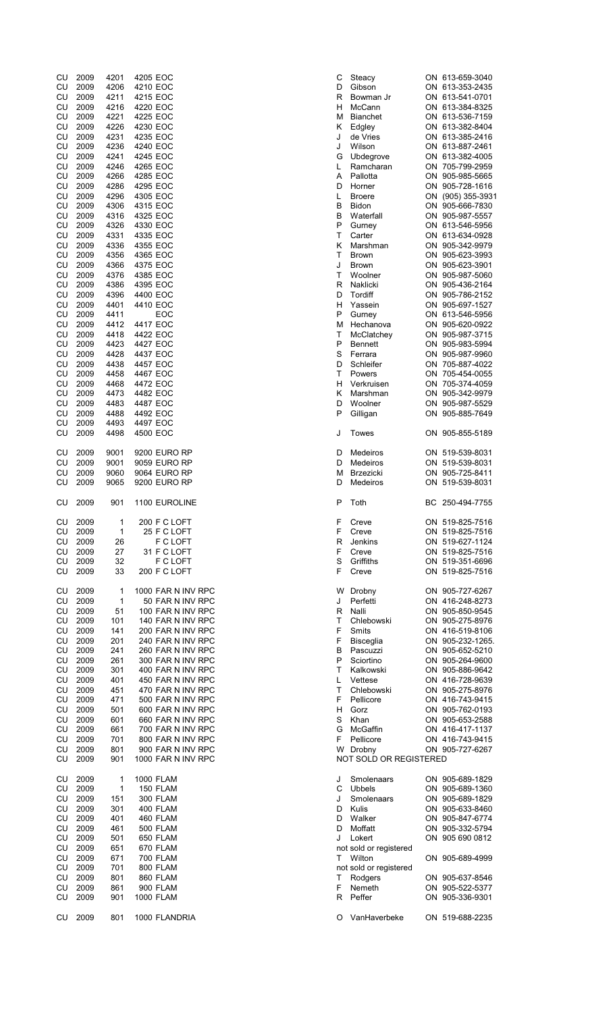| CU         | 2009         | 4201         | 4205 EOC             | С      | Steacy                    | ON 6 <sup>-</sup>  |  |
|------------|--------------|--------------|----------------------|--------|---------------------------|--------------------|--|
| CU         | 2009         | 4206         | 4210 EOC             | D      | Gibson                    | ON $67$            |  |
| CU<br>CU   | 2009<br>2009 | 4211<br>4216 | 4215 EOC<br>4220 EOC | R      | Bowman Jr                 | ON $6o$<br>ON $67$ |  |
| CU         | 2009         | 4221         | 4225 EOC             | н<br>М | McCann<br><b>Bianchet</b> | ON $6o$            |  |
| CU         | 2009         | 4226         | 4230 EOC             | Κ      | Edgley                    | ON $67$            |  |
| CU         | 2009         | 4231         | 4235 EOC             | J      | de Vries                  | ON $6o$            |  |
| CU         | 2009         | 4236         | 4240 EOC             | J      | Wilson                    | ON $6o$            |  |
| CU         | 2009         | 4241         | 4245 EOC             | G      | Ubdegrove                 | ON $6o$            |  |
| CU         | 2009         | 4246         | 4265 EOC             | L      | Ramcharan                 | ON 70              |  |
| CU         | 2009         | 4266         | 4285 EOC             | A      | Pallotta                  | ON 90              |  |
| CU         | 2009         | 4286         | 4295 EOC             | D      | Horner                    | ON 90              |  |
| CU         | 2009         | 4296         | 4305 EOC             | L      | <b>Broere</b>             | ON (9              |  |
| CU         | 2009         | 4306         | 4315 EOC             | В      | <b>Bidon</b>              | ON 90              |  |
| CU         | 2009         | 4316         | 4325 EOC             | в      | Waterfall                 | ON 90              |  |
| CU         | 2009         | 4326         | 4330 EOC             | P      | Gurney                    | ON $6o$            |  |
| CU         | 2009         | 4331         | 4335 EOC             | т      | Carter                    | ON $6o$            |  |
| CU         | 2009         | 4336         | 4355 EOC             | κ      | Marshman                  | ON 90              |  |
| CU         | 2009         | 4356         | 4365 EOC             | T      | <b>Brown</b>              | ON 90              |  |
| CU         | 2009         | 4366         | 4375 EOC             | J      | <b>Brown</b>              | ON 90              |  |
| CU         | 2009         | 4376         | 4385 EOC             | т      | Woolner                   | ON 90              |  |
| CU         | 2009         | 4386         | 4395 EOC             | R      | Naklicki                  | ON 90              |  |
| CU         | 2009         | 4396         | 4400 EOC             | D      | Tordiff                   | ON 90              |  |
| CU         | 2009         | 4401         | 4410 EOC             | н      | Yassein                   | ON 90              |  |
| CU         | 2009         | 4411         | EOC                  | P      | Gurney                    | ON $67$            |  |
| CU         | 2009         | 4412         | 4417 EOC             | м      | Hechanova                 | ON 90              |  |
| CU         | 2009         | 4418         | 4422 EOC             | т      | McClatchey                | ON 90              |  |
| CU         | 2009         | 4423         | 4427 EOC             | P      | <b>Bennett</b>            | ON 90              |  |
| CU         | 2009         | 4428         | 4437 EOC             | S      | Ferrara                   | ON 90              |  |
| CU         | 2009         | 4438         | 4457 EOC             | D      | Schleifer                 | ON 70              |  |
| CU         | 2009         | 4458         | 4467 EOC             | т      | Powers                    | ON 70              |  |
| CU         | 2009         | 4468         | 4472 EOC             | н      | Verkruisen                | ON 70              |  |
| CU         | 2009         | 4473         | 4482 EOC             | Κ      | Marshman                  | ON 90              |  |
| CU         | 2009         | 4483         | 4487 EOC             | D      | Woolner                   | ON 90              |  |
| CU         | 2009         | 4488         | 4492 EOC             | P      | Gilligan                  | ON 90              |  |
| CU<br>CU   | 2009<br>2009 | 4493<br>4498 | 4497 EOC<br>4500 EOC | J      | Towes                     | ON 90              |  |
|            |              |              |                      |        |                           |                    |  |
| CU         | 2009         | 9001         | 9200 EURO RP         | D      | Medeiros                  | ON $5^{\circ}$     |  |
| CU         | 2009         | 9001         | 9059 EURO RP         | D      | Medeiros                  | ON $5^{\circ}$     |  |
| CU         | 2009         | 9060         | 9064 EURO RP         | M      | <b>Brzezicki</b>          | ON 90              |  |
| CU         | 2009         | 9065         | 9200 EURO RP         | D      | Medeiros                  | ON $5^{\circ}$     |  |
| CU         | 2009         | 901          | 1100 EUROLINE        | P      | Toth                      | BC 25              |  |
| CU         | 2009         | 1            | 200 F C LOFT         | F      | Creve                     | ON $5^{\circ}$     |  |
| CU         | 2009         | 1            | 25 F C LOFT          | F      | Creve                     | ON $5^{\circ}$     |  |
| CU         | 2009         | 26           | F C LOFT             | R      | Jenkins                   | ON $5^{\circ}$     |  |
| CU         | 2009         | 27           | 31 F C LOFT          | F      | Creve                     | ON $5^{\circ}$     |  |
| ${\sf CU}$ | 2009         | 32           | F C LOFT             | S      | Griffiths                 | ON $5^{\circ}$     |  |
| CU         | 2009         | 33           | 200 F C LOFT         | F      | Creve                     | ON $5^{\circ}$     |  |
| CU         | 2009         | 1            | 1000 FAR N INV RPC   | W      | Drobny                    | ON 90              |  |
| CU         | 2009         | 1            | 50 FAR N INV RPC     | J      | Perfetti                  | ON $4^{\circ}$     |  |
| CU         | 2009         | 51           | 100 FAR N INV RPC    | R      | Nalli                     | ON 90              |  |
| CU         | 2009         | 101          | 140 FAR N INV RPC    | т      | Chlebowski                | ON 90              |  |
| CU         | 2009         | 141          | 200 FAR N INV RPC    | F      | Smits                     | ON $4^{\circ}$     |  |
| CU         | 2009         | 201          | 240 FAR N INV RPC    | F      | <b>Bisceglia</b>          | ON 90              |  |
| CU         | 2009         | 241          | 260 FAR N INV RPC    | В      | Pascuzzi                  | ON 90              |  |
| CU         | 2009         | 261          | 300 FAR N INV RPC    | P      | Sciortino                 | ON 90              |  |
| CU         | 2009         | 301          | 400 FAR N INV RPC    | т      | Kalkowski                 | ON 90              |  |
| CU         | 2009         | 401          | 450 FAR N INV RPC    | L      | Vettese                   | ON $4^{\circ}$     |  |
| CU         | 2009         | 451          | 470 FAR N INV RPC    | т      | Chlebowski                | ON 90              |  |
| CU         | 2009         | 471          | 500 FAR N INV RPC    | F      | Pellicore                 | ON $4^{\circ}$     |  |
| CU         | 2009         | 501          | 600 FAR N INV RPC    | н      | Gorz                      | ON 90              |  |
| CU         | 2009         | 601          | 660 FAR N INV RPC    | S      | Khan                      | ON 90              |  |
| CU         | 2009         | 661          | 700 FAR N INV RPC    | G      | McGaffin                  | ON $4^{\circ}$     |  |
| CU         | 2009         | 701          | 800 FAR N INV RPC    | F      | Pellicore                 | ON $4^{\circ}$     |  |
| CU         | 2009         | 801          | 900 FAR N INV RPC    | W      | Drobny                    | ON 90              |  |
| CU         | 2009         | 901          | 1000 FAR N INV RPC   |        | NOT SOLD OR REGISTERED    |                    |  |
| CU         | 2009         | 1            | 1000 FLAM            | J      | Smolenaars                | ON 90              |  |
| CU         | 2009         | 1            | 150 FLAM             | С      | Ubbels                    | ON 90              |  |
| CU         | 2009         | 151          | <b>300 FLAM</b>      | J      | Smolenaars                | ON 90              |  |
| CU         | 2009         | 301          | 400 FLAM             | D      | Kulis                     | ON 90              |  |
| CU         | 2009         | 401          | 460 FLAM             | D      | Walker                    | ON 90              |  |
| CU         | 2009         | 461          | 500 FLAM             | D      | Moffatt                   | ON 90              |  |
| CU         | 2009         | 501          | 650 FLAM             | J      | Lokert                    | ON 90              |  |
| CU         | 2009         | 651          | 670 FLAM             |        | not sold or registered    |                    |  |
| CU         | 2009         | 671          | <b>700 FLAM</b>      | т      | Wilton                    | ON 90              |  |
| CU         | 2009         | 701          | 800 FLAM             |        | not sold or registered    |                    |  |
| CU         | 2009         | 801          | 860 FLAM             | т      | Rodgers                   | ON 90              |  |
| CU         | 2009         | 861          | 900 FLAM             | F      | Nemeth                    | ON 90              |  |
| CU         | 2009         | 901          | <b>1000 FLAM</b>     | R      | Peffer                    | ON 90              |  |
| CU         | 2009         | 801          | 1000 FLANDRIA        | O      | VanHaverbeke              | ON $5^{\circ}$     |  |
|            |              |              |                      |        |                           |                    |  |

| CU |      |      |                    |   |                        |                   |
|----|------|------|--------------------|---|------------------------|-------------------|
|    |      |      |                    |   |                        |                   |
|    | 2009 | 4201 | 4205 EOC           | С | Steacy                 | ON 613-659-3040   |
| CU | 2009 | 4206 | 4210 EOC           | D | Gibson                 | ON 613-353-2435   |
| CU | 2009 | 4211 | 4215 EOC           | R | Bowman Jr              | ON 613-541-0701   |
| CU | 2009 | 4216 | 4220 EOC           | н | McCann                 | ON 613-384-8325   |
| CU | 2009 | 4221 | 4225 EOC           | м | <b>Bianchet</b>        | ON 613-536-7159   |
|    | 2009 | 4226 | 4230 EOC           |   |                        | ON 613-382-8404   |
| CU |      |      |                    | Κ | Edgley                 |                   |
| CU | 2009 | 4231 | 4235 EOC           | J | de Vries               | ON 613-385-2416   |
| CU | 2009 | 4236 | 4240 EOC           | J | Wilson                 | ON 613-887-2461   |
| CU | 2009 | 4241 | 4245 EOC           | G | Ubdegrove              | ON 613-382-4005   |
|    |      |      |                    |   |                        |                   |
| CU | 2009 | 4246 | 4265 EOC           | L | Ramcharan              | ON 705-799-2959   |
| CU | 2009 | 4266 | 4285 EOC           | A | Pallotta               | ON 905-985-5665   |
| CU | 2009 | 4286 | 4295 EOC           | D | Horner                 | ON 905-728-1616   |
| CU | 2009 | 4296 | 4305 EOC           | L | <b>Broere</b>          | ON (905) 355-3931 |
| CU | 2009 | 4306 | 4315 EOC           | B | Bidon                  | ON 905-666-7830   |
|    |      |      |                    |   |                        |                   |
| CU | 2009 | 4316 | 4325 EOC           | В | Waterfall              | ON 905-987-5557   |
| CU | 2009 | 4326 | 4330 EOC           | P | Gurney                 | ON 613-546-5956   |
| CU | 2009 | 4331 | 4335 EOC           | T | Carter                 | ON 613-634-0928   |
| CU | 2009 | 4336 | 4355 EOC           | Κ | Marshman               | ON 905-342-9979   |
|    |      |      |                    |   |                        |                   |
| CU | 2009 | 4356 | 4365 EOC           | Т | <b>Brown</b>           | ON 905-623-3993   |
| CU | 2009 | 4366 | 4375 EOC           | J | <b>Brown</b>           | ON 905-623-3901   |
| CU | 2009 | 4376 | 4385 EOC           | Т | Woolner                | ON 905-987-5060   |
| CU | 2009 | 4386 | 4395 EOC           | R | Naklicki               | ON 905-436-2164   |
|    |      |      |                    |   |                        |                   |
| CU | 2009 | 4396 | 4400 EOC           | D | Tordiff                | ON 905-786-2152   |
| CU | 2009 | 4401 | 4410 EOC           | н | Yassein                | ON 905-697-1527   |
| CU | 2009 | 4411 | EOC                | P | Gurney                 | ON 613-546-5956   |
| CU | 2009 | 4412 | 4417 EOC           | м | Hechanova              | ON 905-620-0922   |
|    |      |      |                    |   |                        |                   |
| CU | 2009 | 4418 | 4422 EOC           | Т | McClatchey             | ON 905-987-3715   |
| CU | 2009 | 4423 | 4427 EOC           | P | <b>Bennett</b>         | ON 905-983-5994   |
| CU | 2009 | 4428 | 4437 EOC           | S | Ferrara                | ON 905-987-9960   |
| CU | 2009 | 4438 | 4457 EOC           | D | Schleifer              | ON 705-887-4022   |
|    |      |      |                    |   |                        |                   |
| CU | 2009 | 4458 | 4467 EOC           | Τ | Powers                 | ON 705-454-0055   |
| CU | 2009 | 4468 | 4472 EOC           | н | Verkruisen             | ON 705-374-4059   |
| CU | 2009 | 4473 | 4482 EOC           | Κ | Marshman               | ON 905-342-9979   |
| CU | 2009 | 4483 | 4487 EOC           | D | Woolner                | ON 905-987-5529   |
|    |      |      |                    |   |                        |                   |
| CU | 2009 | 4488 | 4492 EOC           | Ρ | Gilligan               | ON 905-885-7649   |
| CU | 2009 | 4493 | 4497 EOC           |   |                        |                   |
| CU | 2009 | 4498 | 4500 EOC           | J | Towes                  | ON 905-855-5189   |
|    |      |      |                    |   |                        |                   |
| CU | 2009 | 9001 | 9200 EURO RP       | D | Medeiros               | ON 519-539-8031   |
|    |      |      |                    |   |                        |                   |
| CU | 2009 | 9001 | 9059 EURO RP       | D | Medeiros               | ON 519-539-8031   |
| CU | 2009 | 9060 | 9064 EURO RP       | м | <b>Brzezicki</b>       | ON 905-725-8411   |
| CU | 2009 | 9065 | 9200 EURO RP       | D | Medeiros               | ON 519-539-8031   |
|    |      |      |                    |   |                        |                   |
|    |      | 901  | 1100 EUROLINE      | P | Toth                   | BC 250-494-7755   |
|    |      |      |                    |   |                        |                   |
| CU | 2009 |      |                    |   |                        |                   |
|    |      |      |                    |   |                        |                   |
| CU |      | 1    |                    | F | Creve                  |                   |
|    | 2009 |      | 200 F C LOFT       |   |                        | ON 519-825-7516   |
| CU | 2009 | 1    | 25 F C LOFT        | F | Creve                  | ON 519-825-7516   |
| CU | 2009 | 26   | F C LOFT           | R | Jenkins                | ON 519-627-1124   |
| CU | 2009 | 27   | 31 F C LOFT        | F | Creve                  | ON 519-825-7516   |
| CU | 2009 | 32   | F C LOFT           | S | Griffiths              | ON 519-351-6696   |
|    |      |      |                    | F |                        |                   |
| CU | 2009 | 33   | 200 F C LOFT       |   | Creve                  | ON 519-825-7516   |
|    |      |      |                    |   |                        |                   |
| CU | 2009 | 1    | 1000 FAR N INV RPC | W | Drobny                 | ON 905-727-6267   |
| CU | 2009 | 1    | 50 FAR N INV RPC   | J | Perfetti               | ON 416-248-8273   |
| CU | 2009 | 51   | 100 FAR N INV RPC  | R | Nalli                  | ON 905-850-9545   |
|    |      |      |                    |   |                        |                   |
| CU | 2009 | 101  | 140 FAR N INV RPC  | Τ | Chlebowski             | ON 905-275-8976   |
| CU | 2009 | 141  | 200 FAR N INV RPC  | F | Smits                  | ON 416-519-8106   |
| CU | 2009 | 201  | 240 FAR N INV RPC  | F | <b>Bisceglia</b>       | ON 905-232-1265.  |
| CU | 2009 | 241  | 260 FAR N INV RPC  | в | Pascuzzi               | ON 905-652-5210   |
| CU | 2009 | 261  | 300 FAR N INV RPC  | P | Sciortino              |                   |
|    |      |      |                    |   |                        | ON 905-264-9600   |
| CU | 2009 | 301  | 400 FAR N INV RPC  | Τ | Kalkowski              | ON 905-886-9642   |
| CU | 2009 | 401  | 450 FAR N INV RPC  | L | Vettese                | ON 416-728-9639   |
| CU | 2009 | 451  | 470 FAR N INV RPC  | Т | Chlebowski             | ON 905-275-8976   |
| CU | 2009 | 471  | 500 FAR N INV RPC  | F | Pellicore              | ON 416-743-9415   |
|    |      |      |                    |   |                        |                   |
| CU | 2009 | 501  | 600 FAR N INV RPC  | н | Gorz                   | ON 905-762-0193   |
| CU | 2009 | 601  | 660 FAR N INV RPC  | S | Khan                   | ON 905-653-2588   |
| CU | 2009 | 661  | 700 FAR N INV RPC  | G | McGaffin               | ON 416-417-1137   |
| CU | 2009 | 701  | 800 FAR N INV RPC  | F | Pellicore              | ON 416-743-9415   |
|    |      |      |                    |   |                        |                   |
| CU | 2009 | 801  | 900 FAR N INV RPC  | W | Drobny                 | ON 905-727-6267   |
| CU | 2009 | 901  | 1000 FAR N INV RPC |   | NOT SOLD OR REGISTERED |                   |
|    |      |      |                    |   |                        |                   |
| CU | 2009 | 1    | <b>1000 FLAM</b>   | J | Smolenaars             | ON 905-689-1829   |
| CU | 2009 | 1    | 150 FLAM           | C | Ubbels                 | ON 905-689-1360   |
|    |      |      |                    |   |                        |                   |
| CU | 2009 | 151  | <b>300 FLAM</b>    | J | Smolenaars             | ON 905-689-1829   |
| CU | 2009 | 301  | 400 FLAM           | D | Kulis                  | ON 905-633-8460   |
| CU | 2009 | 401  | 460 FLAM           | D | Walker                 | ON 905-847-6774   |
| CU | 2009 | 461  | <b>500 FLAM</b>    | D | Moffatt                | ON 905-332-5794   |
|    |      |      |                    |   |                        |                   |
| CU | 2009 | 501  | 650 FLAM           | J | Lokert                 | ON 905 690 0812   |
| CU | 2009 | 651  | 670 FLAM           |   | not sold or registered |                   |
| CU | 2009 | 671  | <b>700 FLAM</b>    | т | Wilton                 | ON 905-689-4999   |
| CU | 2009 | 701  | 800 FLAM           |   | not sold or registered |                   |
|    |      |      |                    |   |                        |                   |
| CU | 2009 | 801  | 860 FLAM           | Т | Rodgers                | ON 905-637-8546   |
| CU | 2009 | 861  | 900 FLAM           | F | Nemeth                 | ON 905-522-5377   |
| CU | 2009 | 901  | <b>1000 FLAM</b>   | R | Peffer                 | ON 905-336-9301   |
| CU | 2009 | 801  | 1000 FLANDRIA      | O | VanHaverbeke           | ON 519-688-2235   |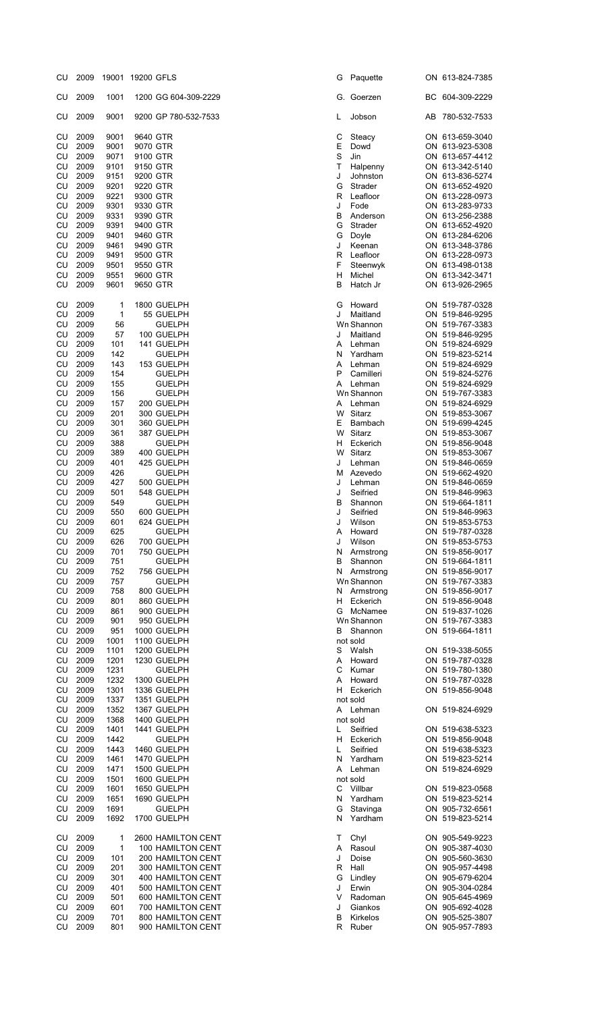| cυ         | SOOR         | <b>JANOJ</b> | 19200 GFLS |                            | ◡  | Paquette             | UN 613-824-7385                    |
|------------|--------------|--------------|------------|----------------------------|----|----------------------|------------------------------------|
| CU         | 2009         | 1001         |            | 1200 GG 604-309-2229       |    | G. Goerzen           | BC 604-309-2229                    |
| CU         | 2009         | 9001         |            | 9200 GP 780-532-7533       | L  | Jobson               | AB 780-532-7533                    |
| CU         | 2009         | 9001         | 9640 GTR   |                            | С  | Steacy               | ON 613-659-3040                    |
| CU         | 2009         | 9001         | 9070 GTR   |                            | Е  | Dowd                 | ON 613-923-5308                    |
| CU         | 2009         | 9071         |            | 9100 GTR                   | S  | Jin                  | ON 613-657-4412                    |
| CU         | 2009         | 9101         |            | 9150 GTR                   | т  | Halpenny             | ON 613-342-5140                    |
| CU         | 2009         | 9151         |            | 9200 GTR                   | J  | Johnston             | ON 613-836-5274                    |
| CU         | 2009         | 9201         |            | 9220 GTR                   | G  | Strader              | ON 613-652-4920                    |
|            |              |              |            |                            |    |                      |                                    |
| CU         | 2009<br>2009 | 9221         |            | 9300 GTR<br>9330 GTR       | R  | Leafloor             | ON 613-228-0973<br>ON 613-283-9733 |
| CU         |              | 9301         |            |                            | J  | Fode                 |                                    |
| CU         | 2009         | 9331         |            | 9390 GTR                   | В  | Anderson             | ON 613-256-2388                    |
| CU         | 2009         | 9391         |            | 9400 GTR                   | G  | Strader              | ON 613-652-4920                    |
| CU         | 2009         | 9401         |            | 9460 GTR                   | G  | Doyle                | ON 613-284-6206                    |
| CU         | 2009         | 9461         |            | 9490 GTR                   | J  | Keenan               | ON 613-348-3786                    |
| CU         | 2009         | 9491         |            | 9500 GTR                   | R  | Leafloor             | ON 613-228-0973                    |
| CU         | 2009         | 9501         |            | 9550 GTR                   | F  | Steenwyk             | ON 613-498-0138                    |
| CU         | 2009         | 9551         |            | 9600 GTR                   | H  | Michel               | ON 613-342-3471                    |
| CU         | 2009         | 9601         |            | 9650 GTR                   | В  | Hatch Jr             | ON 613-926-2965                    |
| CU         | 2009         | 1            |            | 1800 GUELPH                | G  | Howard               | ON 519-787-0328                    |
| CU         | 2009         | $\mathbf{1}$ |            | 55 GUELPH                  | J  | Maitland             | ON 519-846-9295                    |
| CU         | 2009         | 56           |            | <b>GUELPH</b>              |    | Wn Shannon           | ON 519-767-3383                    |
| CU         | 2009         | 57           |            | 100 GUELPH                 | J  | Maitland             | ON 519-846-9295                    |
| CU         | 2009         | 101          |            | 141 GUELPH                 | A  | Lehman               | ON 519-824-6929                    |
| CU         | 2009         | 142          |            | <b>GUELPH</b>              | N  | Yardham              | ON 519-823-5214                    |
| CU         | 2009         | 143          |            | 153 GUELPH                 | Α  | Lehman               | ON 519-824-6929                    |
| CU         | 2009         | 154          |            | <b>GUELPH</b>              | P  | Camilleri            | ON 519-824-5276                    |
| CU         | 2009         | 155          |            | <b>GUELPH</b>              | A  | Lehman               | ON 519-824-6929                    |
| CU         | 2009         | 156          |            | <b>GUELPH</b>              |    | Wn Shannon           | ON 519-767-3383                    |
| CU         | 2009         | 157          |            | 200 GUELPH                 | A  | Lehman               | ON 519-824-6929                    |
| CU         | 2009         | 201          |            | 300 GUELPH                 |    | W Sitarz             | ON 519-853-3067                    |
| CU         | 2009         | 301          |            | 360 GUELPH                 | E. | Bambach              | ON 519-699-4245                    |
| CU         | 2009         | 361          |            | 387 GUELPH                 | W  | Sitarz               | ON 519-853-3067                    |
| CU         | 2009         | 388          |            | <b>GUELPH</b>              | H. | Eckerich             | ON 519-856-9048                    |
| CU         | 2009         | 389          |            | 400 GUELPH                 |    | W Sitarz             | ON 519-853-3067                    |
| CU         | 2009         | 401          |            | 425 GUELPH                 | J  | Lehman               | ON 519-846-0659                    |
|            |              |              |            |                            |    |                      |                                    |
| CU         | 2009         | 426          |            | <b>GUELPH</b>              | м  | Azevedo              | ON 519-662-4920                    |
| CU         | 2009         | 427          |            | 500 GUELPH                 | J  | Lehman               | ON 519-846-0659                    |
| ${\sf CU}$ | 2009         | 501          |            | 548 GUELPH                 | J  | Seifried             | ON 519-846-9963                    |
| CU         | 2009         | 549          |            | <b>GUELPH</b>              | В  | Shannon              | ON 519-664-1811                    |
| CU         | 2009         | 550          |            | 600 GUELPH                 | J  | Seifried             | ON 519-846-9963                    |
| CU         | 2009         | 601          |            | 624 GUELPH                 | J  | Wilson               | ON 519-853-5753                    |
| CU         | 2009         | 625          |            | <b>GUELPH</b>              | A  | Howard               | ON 519-787-0328                    |
| CU         | 2009         | 626          |            | 700 GUELPH                 | J  | Wilson               | ON 519-853-5753                    |
| CU         | 2009         | 701          |            | 750 GUELPH                 | N  | Armstrong            | ON 519-856-9017                    |
| CU         | 2009         | 751          |            | <b>GUELPH</b>              | В  | Shannon              | ON 519-664-1811                    |
| CU         | 2009         | 752          |            | 756 GUELPH                 | N  | Armstrong            | ON 519-856-9017                    |
| CU         | 2009         | 757          |            | <b>GUELPH</b>              |    | Wn Shannon           | ON 519-767-3383                    |
| CU         | 2009         | 758          |            | 800 GUELPH                 | N  | Armstrong            | ON 519-856-9017                    |
| CU         | 2009         | 801          |            | 860 GUELPH                 | H. | Eckerich             | ON 519-856-9048                    |
| CU         | 2009         | 861          |            | 900 GUELPH                 |    | G McNamee            | ON 519-837-1026                    |
| CU         | 2009         | 901          |            | 950 GUELPH                 |    | Wn Shannon           | ON 519-767-3383                    |
| CU         | 2009         | 951          |            | 1000 GUELPH                | В  | Shannon              | ON 519-664-1811                    |
| CU         | 2009         | 1001         |            | 1100 GUELPH                |    | not sold             |                                    |
| CU         | 2009         | 1101         |            | 1200 GUELPH                | S  | Walsh                | ON 519-338-5055                    |
| CU         | 2009         | 1201         |            | 1230 GUELPH                | A  | Howard               | ON 519-787-0328                    |
| CU         | 2009         | 1231         |            | <b>GUELPH</b>              | С  | Kumar                | ON 519-780-1380                    |
|            |              |              |            |                            |    |                      |                                    |
| CU<br>CU   | 2009<br>2009 | 1232<br>1301 |            | 1300 GUELPH<br>1336 GUELPH | A  | Howard<br>H Eckerich | ON 519-787-0328<br>ON 519-856-9048 |
|            |              |              |            |                            |    |                      |                                    |
| CU         | 2009         | 1337         |            | 1351 GUELPH                |    | not sold             |                                    |
| CU         | 2009         | 1352         |            | 1367 GUELPH                | A  | Lehman               | ON 519-824-6929                    |
| CU         | 2009         | 1368         |            | 1400 GUELPH                |    | not sold             |                                    |
| CU         | 2009         | 1401         |            | 1441 GUELPH                | L  | Seifried             | ON 519-638-5323                    |
| CU         | 2009         | 1442         |            | <b>GUELPH</b>              | H  | Eckerich             | ON 519-856-9048                    |
| CU         | 2009         | 1443         |            | 1460 GUELPH                | L  | Seifried             | ON 519-638-5323                    |
| CU         | 2009         | 1461         |            | 1470 GUELPH                | N  | Yardham              | ON 519-823-5214                    |
| CU         | 2009         | 1471         |            | 1500 GUELPH                | A  | Lehman               | ON 519-824-6929                    |
| CU         | 2009         | 1501         |            | 1600 GUELPH                |    | not sold             |                                    |
| CU         | 2009         | 1601         |            | 1650 GUELPH                | С  | Villbar              | ON 519-823-0568                    |
| CU         | 2009         | 1651         |            | 1690 GUELPH                | N  | Yardham              | ON 519-823-5214                    |
| CU         | 2009         | 1691         |            | <b>GUELPH</b>              | G  | Stavinga             | ON 905-732-6561                    |
| CU         | 2009         | 1692         |            | 1700 GUELPH                | N  | Yardham              | ON 519-823-5214                    |
| CU         | 2009         | 1            |            | 2600 HAMILTON CENT         | т  | Chyl                 | ON 905-549-9223                    |
| CU         | 2009         | 1            |            | 100 HAMILTON CENT          | A  | Rasoul               | ON 905-387-4030                    |
| CU         | 2009         | 101          |            | 200 HAMILTON CENT          | J  | Doise                | ON 905-560-3630                    |
| CU         | 2009         | 201          |            | 300 HAMILTON CENT          | R  | Hall                 | ON 905-957-4498                    |
| CU         | 2009         | 301          |            | 400 HAMILTON CENT          | G  | Lindley              | ON 905-679-6204                    |
|            |              |              |            |                            |    |                      |                                    |
| CU         | 2009         | 401          |            | 500 HAMILTON CENT          | J  | Erwin                | ON 905-304-0284                    |
| CU         | 2009         | 501          |            | 600 HAMILTON CENT          | V  | Radoman              | ON 905-645-4969                    |
| CU         | 2009         | 601          |            | 700 HAMILTON CENT          | J  | Giankos              | ON 905-692-4028                    |
| CU         | 2009         | 701          |            | 800 HAMILTON CENT          | в  | Kirkelos             | ON 905-525-3807                    |
| <b>CU</b>  | 2009         | 801          |            | 900 HAMILTON CENT          | R  | Ruber                | ON 905-957-7893                    |

| 2009<br>1001<br>1200 GG 604-309-2229<br>CU<br>Goerzen<br>G.<br>9001<br>2009<br>9200 GP 780-532-7533<br>Jobson<br>CU<br>L<br>2009<br>9640 GTR<br>С<br>CU<br>9001<br>Steacy<br>E<br>2009<br>9001<br>9070 GTR<br>Dowd<br>CU<br>2009<br>S<br>9071<br>9100 GTR<br>Jin<br>CU<br>CU<br>2009<br>9101<br>9150 GTR<br>Τ<br>Halpenny<br>2009<br>9151<br>9200 GTR<br>J<br>Johnston<br>CU<br>CU<br>2009<br>9201<br>9220 GTR<br>G<br>Strader<br>2009<br>9221<br>CU<br>9300 GTR<br>R<br>Leafloor<br>CU<br>2009<br>9301<br>9330 GTR<br>J<br>Fode<br>CU<br>2009<br>9331<br>9390 GTR<br>В<br>Anderson<br>2009<br>9391<br>9400 GTR<br>G<br>Strader<br>CU<br>2009<br>CU<br>9401<br>9460 GTR<br>G<br>Doyle<br>2009<br>9461<br>9490 GTR<br>J<br>Keenan<br>CU<br>CU<br>2009<br>9491<br>9500 GTR<br>R<br>Leafloor<br>CU<br>2009<br>9501<br>9550 GTR<br>F<br>Steenwyk<br>CU<br>2009<br>9551<br>9600 GTR<br>н<br>Michel<br>2009<br>9601<br>9650 GTR<br>в<br>Hatch Jr<br>CU<br>CU<br>2009<br>1<br>1800 GUELPH<br>G<br>Howard<br>1<br>J<br>Maitland<br>2009<br>55 GUELPH<br>CU<br>CU<br>2009<br>56<br><b>GUELPH</b><br>Wn Shannon<br>2009<br>57<br>100 GUELPH<br>Maitland<br>CU<br>J<br>2009<br>CU<br>101<br>141 GUELPH<br>Α<br>Lehman<br>CU<br>2009<br>142<br><b>GUELPH</b><br>Yardham<br>N<br>2009<br>143<br>153 GUELPH<br>A<br>Lehman<br>CU<br>2009<br>P<br>CU<br>154<br><b>GUELPH</b><br>Camilleri<br>CU<br>2009<br>155<br><b>GUELPH</b><br>A<br>Lehman<br>156<br>Wn Shannon<br>CU<br>2009<br><b>GUELPH</b><br>CU<br>2009<br>157<br>200 GUELPH<br>Lehman<br>A<br>Sitarz<br>CU<br>2009<br>201<br>300 GUELPH<br>W<br>2009<br>301<br>360 GUELPH<br>Ε<br>Bambach<br>CU<br>2009<br>W<br>Sitarz<br>CU<br>361<br>387 GUELPH<br>CU<br>2009<br>388<br><b>GUELPH</b><br>н<br>Eckerich<br>2009<br>389<br>400 GUELPH<br>W<br>Sitarz<br>CU<br>2009<br>401<br>425 GUELPH<br>J<br>Lehman<br>CU<br>426<br>2009<br><b>GUELPH</b><br>Azevedo<br>CU<br>М<br>2009<br>427<br>500 GUELPH<br>CU<br>J<br>Lehman<br>2009<br>501<br>548 GUELPH<br>J<br>Seifried<br>CU<br>2009<br>549<br><b>GUELPH</b><br>B<br>Shannon<br>CU<br>550<br>CU<br>2009<br>600 GUELPH<br>J<br>Seifried<br>CU<br>2009<br>601<br>624 GUELPH<br>J<br>Wilson<br>2009<br>625<br>CU<br><b>GUELPH</b><br>A<br>Howard<br>2009<br>700 GUELPH<br>Wilson<br>CU<br>626<br>J<br>CU<br>2009<br>701<br>750 GUELPH<br>Armstrong<br>N<br>CU<br>2009<br>751<br><b>GUELPH</b><br>В<br>Shannon<br>2009<br>752<br>CU<br>756 GUELPH<br>Armstrong<br>N<br>2009<br>757<br>CU<br><b>GUELPH</b><br>Wn Shannon<br>2009<br>800 GUELPH<br>CU<br>758<br>Armstrong<br>N<br>2009<br>CU<br>801<br>860 GUELPH<br>н<br>Eckerich<br>2009<br>861<br>900 GUELPH<br>McNamee<br>СU<br>G<br>2009<br>901<br>950 GUELPH<br>СU<br>Wn Shannon<br>CU<br>2009<br>951<br>1000 GUELPH<br>Shannon<br>в<br>2009<br>1100 GUELPH<br>CU<br>1001<br>not sold<br>1200 GUELPH<br>СU<br>2009<br>1101<br>S<br>Walsh<br>CU<br>2009<br>1201<br>1230 GUELPH<br>Α<br>Howard<br>1231<br>CU<br>2009<br><b>GUELPH</b><br>С<br>Kumar<br>2009<br>1232<br>1300 GUELPH<br>CU<br>Α<br>Howard<br>2009<br>1301<br>1336 GUELPH<br>CU<br>н<br>Eckerich<br>СU<br>2009<br>1337<br>1351 GUELPH<br>not sold<br>CU<br>2009<br>1352<br>1367 GUELPH<br>A Lehman<br>2009<br>1368<br>1400 GUELPH<br>not sold<br>СU<br>2009<br>1401<br>1441 GUELPH<br>CU<br>Seifried<br>L<br>CU<br>2009<br>1442<br><b>GUELPH</b><br>н<br>Eckerich<br>CU<br>2009<br>1443<br>1460 GUELPH<br>L<br>Seifried<br>2009<br>1470 GUELPH<br>CU<br>1461<br>N<br>Yardham<br>CU<br>2009<br>1471<br>1500 GUELPH<br>Lehman<br>Α<br>СU<br>2009<br>1501<br>1600 GUELPH<br>not sold<br>СU<br>2009<br>1601<br>1650 GUELPH<br>С<br>Villbar<br>2009<br>1651<br>1690 GUELPH<br>CU<br>N<br>Yardham<br>СU<br>2009<br>1691<br><b>GUELPH</b><br>G<br>Stavinga<br>CU<br>2009<br>1692<br>1700 GUELPH<br>N<br>Yardham<br>СU<br>2009<br>1<br>2600 HAMILTON CENT<br>т<br>Chyl<br>2009<br>1<br>CU<br>100 HAMILTON CENT<br>Α<br>Rasoul<br>J<br>CU<br>2009<br>101<br>200 HAMILTON CENT<br>Doise<br>2009<br>CU<br>201<br>300 HAMILTON CENT<br>R<br>Hall<br>2009<br>301<br>400 HAMILTON CENT<br>G<br>Lindley<br>CU<br>2009<br>401<br>500 HAMILTON CENT<br>J<br>Erwin<br>СU<br>2009<br>Radoman<br>СU<br>501<br>600 HAMILTON CENT<br>V<br>CU<br>2009<br>601<br>700 HAMILTON CENT<br>J<br>Giankos<br>2009<br>701<br>800 HAMILTON CENT<br>В<br>Kirkelos<br>CU<br>CU<br>2009<br>801<br>900 HAMILTON CENT<br>R<br>Ruber | CU | 2009 | 19001 | 19200 GFLS | G | Paquette | ON 613-824-7385                    |
|-------------------------------------------------------------------------------------------------------------------------------------------------------------------------------------------------------------------------------------------------------------------------------------------------------------------------------------------------------------------------------------------------------------------------------------------------------------------------------------------------------------------------------------------------------------------------------------------------------------------------------------------------------------------------------------------------------------------------------------------------------------------------------------------------------------------------------------------------------------------------------------------------------------------------------------------------------------------------------------------------------------------------------------------------------------------------------------------------------------------------------------------------------------------------------------------------------------------------------------------------------------------------------------------------------------------------------------------------------------------------------------------------------------------------------------------------------------------------------------------------------------------------------------------------------------------------------------------------------------------------------------------------------------------------------------------------------------------------------------------------------------------------------------------------------------------------------------------------------------------------------------------------------------------------------------------------------------------------------------------------------------------------------------------------------------------------------------------------------------------------------------------------------------------------------------------------------------------------------------------------------------------------------------------------------------------------------------------------------------------------------------------------------------------------------------------------------------------------------------------------------------------------------------------------------------------------------------------------------------------------------------------------------------------------------------------------------------------------------------------------------------------------------------------------------------------------------------------------------------------------------------------------------------------------------------------------------------------------------------------------------------------------------------------------------------------------------------------------------------------------------------------------------------------------------------------------------------------------------------------------------------------------------------------------------------------------------------------------------------------------------------------------------------------------------------------------------------------------------------------------------------------------------------------------------------------------------------------------------------------------------------------------------------------------------------------------------------------------------------------------------------------------------------------------------------------------------------------------------------------------------------------------------------------------------------------------------------------------------------------------------------------------------------------------------------------------------------------------------------------------------------------------------------------------------------------------------------------------------------------------------------------------------------------------------------------------------------------------------------------------------------------------|----|------|-------|------------|---|----------|------------------------------------|
|                                                                                                                                                                                                                                                                                                                                                                                                                                                                                                                                                                                                                                                                                                                                                                                                                                                                                                                                                                                                                                                                                                                                                                                                                                                                                                                                                                                                                                                                                                                                                                                                                                                                                                                                                                                                                                                                                                                                                                                                                                                                                                                                                                                                                                                                                                                                                                                                                                                                                                                                                                                                                                                                                                                                                                                                                                                                                                                                                                                                                                                                                                                                                                                                                                                                                                                                                                                                                                                                                                                                                                                                                                                                                                                                                                                                                                                                                                                                                                                                                                                                                                                                                                                                                                                                                                                                                                                                 |    |      |       |            |   |          | BC 604-309-2229                    |
|                                                                                                                                                                                                                                                                                                                                                                                                                                                                                                                                                                                                                                                                                                                                                                                                                                                                                                                                                                                                                                                                                                                                                                                                                                                                                                                                                                                                                                                                                                                                                                                                                                                                                                                                                                                                                                                                                                                                                                                                                                                                                                                                                                                                                                                                                                                                                                                                                                                                                                                                                                                                                                                                                                                                                                                                                                                                                                                                                                                                                                                                                                                                                                                                                                                                                                                                                                                                                                                                                                                                                                                                                                                                                                                                                                                                                                                                                                                                                                                                                                                                                                                                                                                                                                                                                                                                                                                                 |    |      |       |            |   |          | AB 780-532-7533                    |
|                                                                                                                                                                                                                                                                                                                                                                                                                                                                                                                                                                                                                                                                                                                                                                                                                                                                                                                                                                                                                                                                                                                                                                                                                                                                                                                                                                                                                                                                                                                                                                                                                                                                                                                                                                                                                                                                                                                                                                                                                                                                                                                                                                                                                                                                                                                                                                                                                                                                                                                                                                                                                                                                                                                                                                                                                                                                                                                                                                                                                                                                                                                                                                                                                                                                                                                                                                                                                                                                                                                                                                                                                                                                                                                                                                                                                                                                                                                                                                                                                                                                                                                                                                                                                                                                                                                                                                                                 |    |      |       |            |   |          | ON 613-659-3040<br>ON 613-923-5308 |
|                                                                                                                                                                                                                                                                                                                                                                                                                                                                                                                                                                                                                                                                                                                                                                                                                                                                                                                                                                                                                                                                                                                                                                                                                                                                                                                                                                                                                                                                                                                                                                                                                                                                                                                                                                                                                                                                                                                                                                                                                                                                                                                                                                                                                                                                                                                                                                                                                                                                                                                                                                                                                                                                                                                                                                                                                                                                                                                                                                                                                                                                                                                                                                                                                                                                                                                                                                                                                                                                                                                                                                                                                                                                                                                                                                                                                                                                                                                                                                                                                                                                                                                                                                                                                                                                                                                                                                                                 |    |      |       |            |   |          |                                    |
|                                                                                                                                                                                                                                                                                                                                                                                                                                                                                                                                                                                                                                                                                                                                                                                                                                                                                                                                                                                                                                                                                                                                                                                                                                                                                                                                                                                                                                                                                                                                                                                                                                                                                                                                                                                                                                                                                                                                                                                                                                                                                                                                                                                                                                                                                                                                                                                                                                                                                                                                                                                                                                                                                                                                                                                                                                                                                                                                                                                                                                                                                                                                                                                                                                                                                                                                                                                                                                                                                                                                                                                                                                                                                                                                                                                                                                                                                                                                                                                                                                                                                                                                                                                                                                                                                                                                                                                                 |    |      |       |            |   |          | ON 613-657-4412                    |
|                                                                                                                                                                                                                                                                                                                                                                                                                                                                                                                                                                                                                                                                                                                                                                                                                                                                                                                                                                                                                                                                                                                                                                                                                                                                                                                                                                                                                                                                                                                                                                                                                                                                                                                                                                                                                                                                                                                                                                                                                                                                                                                                                                                                                                                                                                                                                                                                                                                                                                                                                                                                                                                                                                                                                                                                                                                                                                                                                                                                                                                                                                                                                                                                                                                                                                                                                                                                                                                                                                                                                                                                                                                                                                                                                                                                                                                                                                                                                                                                                                                                                                                                                                                                                                                                                                                                                                                                 |    |      |       |            |   |          | ON 613-342-5140                    |
|                                                                                                                                                                                                                                                                                                                                                                                                                                                                                                                                                                                                                                                                                                                                                                                                                                                                                                                                                                                                                                                                                                                                                                                                                                                                                                                                                                                                                                                                                                                                                                                                                                                                                                                                                                                                                                                                                                                                                                                                                                                                                                                                                                                                                                                                                                                                                                                                                                                                                                                                                                                                                                                                                                                                                                                                                                                                                                                                                                                                                                                                                                                                                                                                                                                                                                                                                                                                                                                                                                                                                                                                                                                                                                                                                                                                                                                                                                                                                                                                                                                                                                                                                                                                                                                                                                                                                                                                 |    |      |       |            |   |          | ON 613-836-5274                    |
|                                                                                                                                                                                                                                                                                                                                                                                                                                                                                                                                                                                                                                                                                                                                                                                                                                                                                                                                                                                                                                                                                                                                                                                                                                                                                                                                                                                                                                                                                                                                                                                                                                                                                                                                                                                                                                                                                                                                                                                                                                                                                                                                                                                                                                                                                                                                                                                                                                                                                                                                                                                                                                                                                                                                                                                                                                                                                                                                                                                                                                                                                                                                                                                                                                                                                                                                                                                                                                                                                                                                                                                                                                                                                                                                                                                                                                                                                                                                                                                                                                                                                                                                                                                                                                                                                                                                                                                                 |    |      |       |            |   |          | ON 613-652-4920                    |
|                                                                                                                                                                                                                                                                                                                                                                                                                                                                                                                                                                                                                                                                                                                                                                                                                                                                                                                                                                                                                                                                                                                                                                                                                                                                                                                                                                                                                                                                                                                                                                                                                                                                                                                                                                                                                                                                                                                                                                                                                                                                                                                                                                                                                                                                                                                                                                                                                                                                                                                                                                                                                                                                                                                                                                                                                                                                                                                                                                                                                                                                                                                                                                                                                                                                                                                                                                                                                                                                                                                                                                                                                                                                                                                                                                                                                                                                                                                                                                                                                                                                                                                                                                                                                                                                                                                                                                                                 |    |      |       |            |   |          | ON 613-228-0973                    |
|                                                                                                                                                                                                                                                                                                                                                                                                                                                                                                                                                                                                                                                                                                                                                                                                                                                                                                                                                                                                                                                                                                                                                                                                                                                                                                                                                                                                                                                                                                                                                                                                                                                                                                                                                                                                                                                                                                                                                                                                                                                                                                                                                                                                                                                                                                                                                                                                                                                                                                                                                                                                                                                                                                                                                                                                                                                                                                                                                                                                                                                                                                                                                                                                                                                                                                                                                                                                                                                                                                                                                                                                                                                                                                                                                                                                                                                                                                                                                                                                                                                                                                                                                                                                                                                                                                                                                                                                 |    |      |       |            |   |          | ON 613-283-9733                    |
|                                                                                                                                                                                                                                                                                                                                                                                                                                                                                                                                                                                                                                                                                                                                                                                                                                                                                                                                                                                                                                                                                                                                                                                                                                                                                                                                                                                                                                                                                                                                                                                                                                                                                                                                                                                                                                                                                                                                                                                                                                                                                                                                                                                                                                                                                                                                                                                                                                                                                                                                                                                                                                                                                                                                                                                                                                                                                                                                                                                                                                                                                                                                                                                                                                                                                                                                                                                                                                                                                                                                                                                                                                                                                                                                                                                                                                                                                                                                                                                                                                                                                                                                                                                                                                                                                                                                                                                                 |    |      |       |            |   |          | ON 613-256-2388                    |
|                                                                                                                                                                                                                                                                                                                                                                                                                                                                                                                                                                                                                                                                                                                                                                                                                                                                                                                                                                                                                                                                                                                                                                                                                                                                                                                                                                                                                                                                                                                                                                                                                                                                                                                                                                                                                                                                                                                                                                                                                                                                                                                                                                                                                                                                                                                                                                                                                                                                                                                                                                                                                                                                                                                                                                                                                                                                                                                                                                                                                                                                                                                                                                                                                                                                                                                                                                                                                                                                                                                                                                                                                                                                                                                                                                                                                                                                                                                                                                                                                                                                                                                                                                                                                                                                                                                                                                                                 |    |      |       |            |   |          | ON 613-652-4920                    |
|                                                                                                                                                                                                                                                                                                                                                                                                                                                                                                                                                                                                                                                                                                                                                                                                                                                                                                                                                                                                                                                                                                                                                                                                                                                                                                                                                                                                                                                                                                                                                                                                                                                                                                                                                                                                                                                                                                                                                                                                                                                                                                                                                                                                                                                                                                                                                                                                                                                                                                                                                                                                                                                                                                                                                                                                                                                                                                                                                                                                                                                                                                                                                                                                                                                                                                                                                                                                                                                                                                                                                                                                                                                                                                                                                                                                                                                                                                                                                                                                                                                                                                                                                                                                                                                                                                                                                                                                 |    |      |       |            |   |          |                                    |
|                                                                                                                                                                                                                                                                                                                                                                                                                                                                                                                                                                                                                                                                                                                                                                                                                                                                                                                                                                                                                                                                                                                                                                                                                                                                                                                                                                                                                                                                                                                                                                                                                                                                                                                                                                                                                                                                                                                                                                                                                                                                                                                                                                                                                                                                                                                                                                                                                                                                                                                                                                                                                                                                                                                                                                                                                                                                                                                                                                                                                                                                                                                                                                                                                                                                                                                                                                                                                                                                                                                                                                                                                                                                                                                                                                                                                                                                                                                                                                                                                                                                                                                                                                                                                                                                                                                                                                                                 |    |      |       |            |   |          | ON 613-284-6206                    |
|                                                                                                                                                                                                                                                                                                                                                                                                                                                                                                                                                                                                                                                                                                                                                                                                                                                                                                                                                                                                                                                                                                                                                                                                                                                                                                                                                                                                                                                                                                                                                                                                                                                                                                                                                                                                                                                                                                                                                                                                                                                                                                                                                                                                                                                                                                                                                                                                                                                                                                                                                                                                                                                                                                                                                                                                                                                                                                                                                                                                                                                                                                                                                                                                                                                                                                                                                                                                                                                                                                                                                                                                                                                                                                                                                                                                                                                                                                                                                                                                                                                                                                                                                                                                                                                                                                                                                                                                 |    |      |       |            |   |          | ON 613-348-3786                    |
|                                                                                                                                                                                                                                                                                                                                                                                                                                                                                                                                                                                                                                                                                                                                                                                                                                                                                                                                                                                                                                                                                                                                                                                                                                                                                                                                                                                                                                                                                                                                                                                                                                                                                                                                                                                                                                                                                                                                                                                                                                                                                                                                                                                                                                                                                                                                                                                                                                                                                                                                                                                                                                                                                                                                                                                                                                                                                                                                                                                                                                                                                                                                                                                                                                                                                                                                                                                                                                                                                                                                                                                                                                                                                                                                                                                                                                                                                                                                                                                                                                                                                                                                                                                                                                                                                                                                                                                                 |    |      |       |            |   |          | ON 613-228-0973                    |
|                                                                                                                                                                                                                                                                                                                                                                                                                                                                                                                                                                                                                                                                                                                                                                                                                                                                                                                                                                                                                                                                                                                                                                                                                                                                                                                                                                                                                                                                                                                                                                                                                                                                                                                                                                                                                                                                                                                                                                                                                                                                                                                                                                                                                                                                                                                                                                                                                                                                                                                                                                                                                                                                                                                                                                                                                                                                                                                                                                                                                                                                                                                                                                                                                                                                                                                                                                                                                                                                                                                                                                                                                                                                                                                                                                                                                                                                                                                                                                                                                                                                                                                                                                                                                                                                                                                                                                                                 |    |      |       |            |   |          | ON 613-498-0138                    |
|                                                                                                                                                                                                                                                                                                                                                                                                                                                                                                                                                                                                                                                                                                                                                                                                                                                                                                                                                                                                                                                                                                                                                                                                                                                                                                                                                                                                                                                                                                                                                                                                                                                                                                                                                                                                                                                                                                                                                                                                                                                                                                                                                                                                                                                                                                                                                                                                                                                                                                                                                                                                                                                                                                                                                                                                                                                                                                                                                                                                                                                                                                                                                                                                                                                                                                                                                                                                                                                                                                                                                                                                                                                                                                                                                                                                                                                                                                                                                                                                                                                                                                                                                                                                                                                                                                                                                                                                 |    |      |       |            |   |          | ON 613-342-3471                    |
|                                                                                                                                                                                                                                                                                                                                                                                                                                                                                                                                                                                                                                                                                                                                                                                                                                                                                                                                                                                                                                                                                                                                                                                                                                                                                                                                                                                                                                                                                                                                                                                                                                                                                                                                                                                                                                                                                                                                                                                                                                                                                                                                                                                                                                                                                                                                                                                                                                                                                                                                                                                                                                                                                                                                                                                                                                                                                                                                                                                                                                                                                                                                                                                                                                                                                                                                                                                                                                                                                                                                                                                                                                                                                                                                                                                                                                                                                                                                                                                                                                                                                                                                                                                                                                                                                                                                                                                                 |    |      |       |            |   |          | ON 613-926-2965                    |
|                                                                                                                                                                                                                                                                                                                                                                                                                                                                                                                                                                                                                                                                                                                                                                                                                                                                                                                                                                                                                                                                                                                                                                                                                                                                                                                                                                                                                                                                                                                                                                                                                                                                                                                                                                                                                                                                                                                                                                                                                                                                                                                                                                                                                                                                                                                                                                                                                                                                                                                                                                                                                                                                                                                                                                                                                                                                                                                                                                                                                                                                                                                                                                                                                                                                                                                                                                                                                                                                                                                                                                                                                                                                                                                                                                                                                                                                                                                                                                                                                                                                                                                                                                                                                                                                                                                                                                                                 |    |      |       |            |   |          | ON 519-787-0328                    |
|                                                                                                                                                                                                                                                                                                                                                                                                                                                                                                                                                                                                                                                                                                                                                                                                                                                                                                                                                                                                                                                                                                                                                                                                                                                                                                                                                                                                                                                                                                                                                                                                                                                                                                                                                                                                                                                                                                                                                                                                                                                                                                                                                                                                                                                                                                                                                                                                                                                                                                                                                                                                                                                                                                                                                                                                                                                                                                                                                                                                                                                                                                                                                                                                                                                                                                                                                                                                                                                                                                                                                                                                                                                                                                                                                                                                                                                                                                                                                                                                                                                                                                                                                                                                                                                                                                                                                                                                 |    |      |       |            |   |          | ON 519-846-9295                    |
|                                                                                                                                                                                                                                                                                                                                                                                                                                                                                                                                                                                                                                                                                                                                                                                                                                                                                                                                                                                                                                                                                                                                                                                                                                                                                                                                                                                                                                                                                                                                                                                                                                                                                                                                                                                                                                                                                                                                                                                                                                                                                                                                                                                                                                                                                                                                                                                                                                                                                                                                                                                                                                                                                                                                                                                                                                                                                                                                                                                                                                                                                                                                                                                                                                                                                                                                                                                                                                                                                                                                                                                                                                                                                                                                                                                                                                                                                                                                                                                                                                                                                                                                                                                                                                                                                                                                                                                                 |    |      |       |            |   |          | ON 519-767-3383                    |
|                                                                                                                                                                                                                                                                                                                                                                                                                                                                                                                                                                                                                                                                                                                                                                                                                                                                                                                                                                                                                                                                                                                                                                                                                                                                                                                                                                                                                                                                                                                                                                                                                                                                                                                                                                                                                                                                                                                                                                                                                                                                                                                                                                                                                                                                                                                                                                                                                                                                                                                                                                                                                                                                                                                                                                                                                                                                                                                                                                                                                                                                                                                                                                                                                                                                                                                                                                                                                                                                                                                                                                                                                                                                                                                                                                                                                                                                                                                                                                                                                                                                                                                                                                                                                                                                                                                                                                                                 |    |      |       |            |   |          | ON 519-846-9295                    |
|                                                                                                                                                                                                                                                                                                                                                                                                                                                                                                                                                                                                                                                                                                                                                                                                                                                                                                                                                                                                                                                                                                                                                                                                                                                                                                                                                                                                                                                                                                                                                                                                                                                                                                                                                                                                                                                                                                                                                                                                                                                                                                                                                                                                                                                                                                                                                                                                                                                                                                                                                                                                                                                                                                                                                                                                                                                                                                                                                                                                                                                                                                                                                                                                                                                                                                                                                                                                                                                                                                                                                                                                                                                                                                                                                                                                                                                                                                                                                                                                                                                                                                                                                                                                                                                                                                                                                                                                 |    |      |       |            |   |          | ON 519-824-6929                    |
|                                                                                                                                                                                                                                                                                                                                                                                                                                                                                                                                                                                                                                                                                                                                                                                                                                                                                                                                                                                                                                                                                                                                                                                                                                                                                                                                                                                                                                                                                                                                                                                                                                                                                                                                                                                                                                                                                                                                                                                                                                                                                                                                                                                                                                                                                                                                                                                                                                                                                                                                                                                                                                                                                                                                                                                                                                                                                                                                                                                                                                                                                                                                                                                                                                                                                                                                                                                                                                                                                                                                                                                                                                                                                                                                                                                                                                                                                                                                                                                                                                                                                                                                                                                                                                                                                                                                                                                                 |    |      |       |            |   |          | ON 519-823-5214                    |
|                                                                                                                                                                                                                                                                                                                                                                                                                                                                                                                                                                                                                                                                                                                                                                                                                                                                                                                                                                                                                                                                                                                                                                                                                                                                                                                                                                                                                                                                                                                                                                                                                                                                                                                                                                                                                                                                                                                                                                                                                                                                                                                                                                                                                                                                                                                                                                                                                                                                                                                                                                                                                                                                                                                                                                                                                                                                                                                                                                                                                                                                                                                                                                                                                                                                                                                                                                                                                                                                                                                                                                                                                                                                                                                                                                                                                                                                                                                                                                                                                                                                                                                                                                                                                                                                                                                                                                                                 |    |      |       |            |   |          | ON 519-824-6929                    |
|                                                                                                                                                                                                                                                                                                                                                                                                                                                                                                                                                                                                                                                                                                                                                                                                                                                                                                                                                                                                                                                                                                                                                                                                                                                                                                                                                                                                                                                                                                                                                                                                                                                                                                                                                                                                                                                                                                                                                                                                                                                                                                                                                                                                                                                                                                                                                                                                                                                                                                                                                                                                                                                                                                                                                                                                                                                                                                                                                                                                                                                                                                                                                                                                                                                                                                                                                                                                                                                                                                                                                                                                                                                                                                                                                                                                                                                                                                                                                                                                                                                                                                                                                                                                                                                                                                                                                                                                 |    |      |       |            |   |          | ON 519-824-5276                    |
|                                                                                                                                                                                                                                                                                                                                                                                                                                                                                                                                                                                                                                                                                                                                                                                                                                                                                                                                                                                                                                                                                                                                                                                                                                                                                                                                                                                                                                                                                                                                                                                                                                                                                                                                                                                                                                                                                                                                                                                                                                                                                                                                                                                                                                                                                                                                                                                                                                                                                                                                                                                                                                                                                                                                                                                                                                                                                                                                                                                                                                                                                                                                                                                                                                                                                                                                                                                                                                                                                                                                                                                                                                                                                                                                                                                                                                                                                                                                                                                                                                                                                                                                                                                                                                                                                                                                                                                                 |    |      |       |            |   |          |                                    |
|                                                                                                                                                                                                                                                                                                                                                                                                                                                                                                                                                                                                                                                                                                                                                                                                                                                                                                                                                                                                                                                                                                                                                                                                                                                                                                                                                                                                                                                                                                                                                                                                                                                                                                                                                                                                                                                                                                                                                                                                                                                                                                                                                                                                                                                                                                                                                                                                                                                                                                                                                                                                                                                                                                                                                                                                                                                                                                                                                                                                                                                                                                                                                                                                                                                                                                                                                                                                                                                                                                                                                                                                                                                                                                                                                                                                                                                                                                                                                                                                                                                                                                                                                                                                                                                                                                                                                                                                 |    |      |       |            |   |          | ON 519-824-6929                    |
|                                                                                                                                                                                                                                                                                                                                                                                                                                                                                                                                                                                                                                                                                                                                                                                                                                                                                                                                                                                                                                                                                                                                                                                                                                                                                                                                                                                                                                                                                                                                                                                                                                                                                                                                                                                                                                                                                                                                                                                                                                                                                                                                                                                                                                                                                                                                                                                                                                                                                                                                                                                                                                                                                                                                                                                                                                                                                                                                                                                                                                                                                                                                                                                                                                                                                                                                                                                                                                                                                                                                                                                                                                                                                                                                                                                                                                                                                                                                                                                                                                                                                                                                                                                                                                                                                                                                                                                                 |    |      |       |            |   |          | ON 519-767-3383                    |
|                                                                                                                                                                                                                                                                                                                                                                                                                                                                                                                                                                                                                                                                                                                                                                                                                                                                                                                                                                                                                                                                                                                                                                                                                                                                                                                                                                                                                                                                                                                                                                                                                                                                                                                                                                                                                                                                                                                                                                                                                                                                                                                                                                                                                                                                                                                                                                                                                                                                                                                                                                                                                                                                                                                                                                                                                                                                                                                                                                                                                                                                                                                                                                                                                                                                                                                                                                                                                                                                                                                                                                                                                                                                                                                                                                                                                                                                                                                                                                                                                                                                                                                                                                                                                                                                                                                                                                                                 |    |      |       |            |   |          | ON 519-824-6929                    |
|                                                                                                                                                                                                                                                                                                                                                                                                                                                                                                                                                                                                                                                                                                                                                                                                                                                                                                                                                                                                                                                                                                                                                                                                                                                                                                                                                                                                                                                                                                                                                                                                                                                                                                                                                                                                                                                                                                                                                                                                                                                                                                                                                                                                                                                                                                                                                                                                                                                                                                                                                                                                                                                                                                                                                                                                                                                                                                                                                                                                                                                                                                                                                                                                                                                                                                                                                                                                                                                                                                                                                                                                                                                                                                                                                                                                                                                                                                                                                                                                                                                                                                                                                                                                                                                                                                                                                                                                 |    |      |       |            |   |          | ON 519-853-3067                    |
|                                                                                                                                                                                                                                                                                                                                                                                                                                                                                                                                                                                                                                                                                                                                                                                                                                                                                                                                                                                                                                                                                                                                                                                                                                                                                                                                                                                                                                                                                                                                                                                                                                                                                                                                                                                                                                                                                                                                                                                                                                                                                                                                                                                                                                                                                                                                                                                                                                                                                                                                                                                                                                                                                                                                                                                                                                                                                                                                                                                                                                                                                                                                                                                                                                                                                                                                                                                                                                                                                                                                                                                                                                                                                                                                                                                                                                                                                                                                                                                                                                                                                                                                                                                                                                                                                                                                                                                                 |    |      |       |            |   |          | ON 519-699-4245                    |
|                                                                                                                                                                                                                                                                                                                                                                                                                                                                                                                                                                                                                                                                                                                                                                                                                                                                                                                                                                                                                                                                                                                                                                                                                                                                                                                                                                                                                                                                                                                                                                                                                                                                                                                                                                                                                                                                                                                                                                                                                                                                                                                                                                                                                                                                                                                                                                                                                                                                                                                                                                                                                                                                                                                                                                                                                                                                                                                                                                                                                                                                                                                                                                                                                                                                                                                                                                                                                                                                                                                                                                                                                                                                                                                                                                                                                                                                                                                                                                                                                                                                                                                                                                                                                                                                                                                                                                                                 |    |      |       |            |   |          | ON 519-853-3067                    |
|                                                                                                                                                                                                                                                                                                                                                                                                                                                                                                                                                                                                                                                                                                                                                                                                                                                                                                                                                                                                                                                                                                                                                                                                                                                                                                                                                                                                                                                                                                                                                                                                                                                                                                                                                                                                                                                                                                                                                                                                                                                                                                                                                                                                                                                                                                                                                                                                                                                                                                                                                                                                                                                                                                                                                                                                                                                                                                                                                                                                                                                                                                                                                                                                                                                                                                                                                                                                                                                                                                                                                                                                                                                                                                                                                                                                                                                                                                                                                                                                                                                                                                                                                                                                                                                                                                                                                                                                 |    |      |       |            |   |          | ON 519-856-9048                    |
|                                                                                                                                                                                                                                                                                                                                                                                                                                                                                                                                                                                                                                                                                                                                                                                                                                                                                                                                                                                                                                                                                                                                                                                                                                                                                                                                                                                                                                                                                                                                                                                                                                                                                                                                                                                                                                                                                                                                                                                                                                                                                                                                                                                                                                                                                                                                                                                                                                                                                                                                                                                                                                                                                                                                                                                                                                                                                                                                                                                                                                                                                                                                                                                                                                                                                                                                                                                                                                                                                                                                                                                                                                                                                                                                                                                                                                                                                                                                                                                                                                                                                                                                                                                                                                                                                                                                                                                                 |    |      |       |            |   |          | ON 519-853-3067                    |
|                                                                                                                                                                                                                                                                                                                                                                                                                                                                                                                                                                                                                                                                                                                                                                                                                                                                                                                                                                                                                                                                                                                                                                                                                                                                                                                                                                                                                                                                                                                                                                                                                                                                                                                                                                                                                                                                                                                                                                                                                                                                                                                                                                                                                                                                                                                                                                                                                                                                                                                                                                                                                                                                                                                                                                                                                                                                                                                                                                                                                                                                                                                                                                                                                                                                                                                                                                                                                                                                                                                                                                                                                                                                                                                                                                                                                                                                                                                                                                                                                                                                                                                                                                                                                                                                                                                                                                                                 |    |      |       |            |   |          | ON 519-846-0659                    |
|                                                                                                                                                                                                                                                                                                                                                                                                                                                                                                                                                                                                                                                                                                                                                                                                                                                                                                                                                                                                                                                                                                                                                                                                                                                                                                                                                                                                                                                                                                                                                                                                                                                                                                                                                                                                                                                                                                                                                                                                                                                                                                                                                                                                                                                                                                                                                                                                                                                                                                                                                                                                                                                                                                                                                                                                                                                                                                                                                                                                                                                                                                                                                                                                                                                                                                                                                                                                                                                                                                                                                                                                                                                                                                                                                                                                                                                                                                                                                                                                                                                                                                                                                                                                                                                                                                                                                                                                 |    |      |       |            |   |          | ON 519-662-4920                    |
|                                                                                                                                                                                                                                                                                                                                                                                                                                                                                                                                                                                                                                                                                                                                                                                                                                                                                                                                                                                                                                                                                                                                                                                                                                                                                                                                                                                                                                                                                                                                                                                                                                                                                                                                                                                                                                                                                                                                                                                                                                                                                                                                                                                                                                                                                                                                                                                                                                                                                                                                                                                                                                                                                                                                                                                                                                                                                                                                                                                                                                                                                                                                                                                                                                                                                                                                                                                                                                                                                                                                                                                                                                                                                                                                                                                                                                                                                                                                                                                                                                                                                                                                                                                                                                                                                                                                                                                                 |    |      |       |            |   |          | ON 519-846-0659                    |
|                                                                                                                                                                                                                                                                                                                                                                                                                                                                                                                                                                                                                                                                                                                                                                                                                                                                                                                                                                                                                                                                                                                                                                                                                                                                                                                                                                                                                                                                                                                                                                                                                                                                                                                                                                                                                                                                                                                                                                                                                                                                                                                                                                                                                                                                                                                                                                                                                                                                                                                                                                                                                                                                                                                                                                                                                                                                                                                                                                                                                                                                                                                                                                                                                                                                                                                                                                                                                                                                                                                                                                                                                                                                                                                                                                                                                                                                                                                                                                                                                                                                                                                                                                                                                                                                                                                                                                                                 |    |      |       |            |   |          | ON 519-846-9963                    |
|                                                                                                                                                                                                                                                                                                                                                                                                                                                                                                                                                                                                                                                                                                                                                                                                                                                                                                                                                                                                                                                                                                                                                                                                                                                                                                                                                                                                                                                                                                                                                                                                                                                                                                                                                                                                                                                                                                                                                                                                                                                                                                                                                                                                                                                                                                                                                                                                                                                                                                                                                                                                                                                                                                                                                                                                                                                                                                                                                                                                                                                                                                                                                                                                                                                                                                                                                                                                                                                                                                                                                                                                                                                                                                                                                                                                                                                                                                                                                                                                                                                                                                                                                                                                                                                                                                                                                                                                 |    |      |       |            |   |          | ON 519-664-1811                    |
|                                                                                                                                                                                                                                                                                                                                                                                                                                                                                                                                                                                                                                                                                                                                                                                                                                                                                                                                                                                                                                                                                                                                                                                                                                                                                                                                                                                                                                                                                                                                                                                                                                                                                                                                                                                                                                                                                                                                                                                                                                                                                                                                                                                                                                                                                                                                                                                                                                                                                                                                                                                                                                                                                                                                                                                                                                                                                                                                                                                                                                                                                                                                                                                                                                                                                                                                                                                                                                                                                                                                                                                                                                                                                                                                                                                                                                                                                                                                                                                                                                                                                                                                                                                                                                                                                                                                                                                                 |    |      |       |            |   |          |                                    |
|                                                                                                                                                                                                                                                                                                                                                                                                                                                                                                                                                                                                                                                                                                                                                                                                                                                                                                                                                                                                                                                                                                                                                                                                                                                                                                                                                                                                                                                                                                                                                                                                                                                                                                                                                                                                                                                                                                                                                                                                                                                                                                                                                                                                                                                                                                                                                                                                                                                                                                                                                                                                                                                                                                                                                                                                                                                                                                                                                                                                                                                                                                                                                                                                                                                                                                                                                                                                                                                                                                                                                                                                                                                                                                                                                                                                                                                                                                                                                                                                                                                                                                                                                                                                                                                                                                                                                                                                 |    |      |       |            |   |          | ON 519-846-9963                    |
|                                                                                                                                                                                                                                                                                                                                                                                                                                                                                                                                                                                                                                                                                                                                                                                                                                                                                                                                                                                                                                                                                                                                                                                                                                                                                                                                                                                                                                                                                                                                                                                                                                                                                                                                                                                                                                                                                                                                                                                                                                                                                                                                                                                                                                                                                                                                                                                                                                                                                                                                                                                                                                                                                                                                                                                                                                                                                                                                                                                                                                                                                                                                                                                                                                                                                                                                                                                                                                                                                                                                                                                                                                                                                                                                                                                                                                                                                                                                                                                                                                                                                                                                                                                                                                                                                                                                                                                                 |    |      |       |            |   |          | ON 519-853-5753                    |
|                                                                                                                                                                                                                                                                                                                                                                                                                                                                                                                                                                                                                                                                                                                                                                                                                                                                                                                                                                                                                                                                                                                                                                                                                                                                                                                                                                                                                                                                                                                                                                                                                                                                                                                                                                                                                                                                                                                                                                                                                                                                                                                                                                                                                                                                                                                                                                                                                                                                                                                                                                                                                                                                                                                                                                                                                                                                                                                                                                                                                                                                                                                                                                                                                                                                                                                                                                                                                                                                                                                                                                                                                                                                                                                                                                                                                                                                                                                                                                                                                                                                                                                                                                                                                                                                                                                                                                                                 |    |      |       |            |   |          | ON 519-787-0328                    |
|                                                                                                                                                                                                                                                                                                                                                                                                                                                                                                                                                                                                                                                                                                                                                                                                                                                                                                                                                                                                                                                                                                                                                                                                                                                                                                                                                                                                                                                                                                                                                                                                                                                                                                                                                                                                                                                                                                                                                                                                                                                                                                                                                                                                                                                                                                                                                                                                                                                                                                                                                                                                                                                                                                                                                                                                                                                                                                                                                                                                                                                                                                                                                                                                                                                                                                                                                                                                                                                                                                                                                                                                                                                                                                                                                                                                                                                                                                                                                                                                                                                                                                                                                                                                                                                                                                                                                                                                 |    |      |       |            |   |          | ON 519-853-5753                    |
|                                                                                                                                                                                                                                                                                                                                                                                                                                                                                                                                                                                                                                                                                                                                                                                                                                                                                                                                                                                                                                                                                                                                                                                                                                                                                                                                                                                                                                                                                                                                                                                                                                                                                                                                                                                                                                                                                                                                                                                                                                                                                                                                                                                                                                                                                                                                                                                                                                                                                                                                                                                                                                                                                                                                                                                                                                                                                                                                                                                                                                                                                                                                                                                                                                                                                                                                                                                                                                                                                                                                                                                                                                                                                                                                                                                                                                                                                                                                                                                                                                                                                                                                                                                                                                                                                                                                                                                                 |    |      |       |            |   |          | ON 519-856-9017                    |
|                                                                                                                                                                                                                                                                                                                                                                                                                                                                                                                                                                                                                                                                                                                                                                                                                                                                                                                                                                                                                                                                                                                                                                                                                                                                                                                                                                                                                                                                                                                                                                                                                                                                                                                                                                                                                                                                                                                                                                                                                                                                                                                                                                                                                                                                                                                                                                                                                                                                                                                                                                                                                                                                                                                                                                                                                                                                                                                                                                                                                                                                                                                                                                                                                                                                                                                                                                                                                                                                                                                                                                                                                                                                                                                                                                                                                                                                                                                                                                                                                                                                                                                                                                                                                                                                                                                                                                                                 |    |      |       |            |   |          | ON 519-664-1811                    |
|                                                                                                                                                                                                                                                                                                                                                                                                                                                                                                                                                                                                                                                                                                                                                                                                                                                                                                                                                                                                                                                                                                                                                                                                                                                                                                                                                                                                                                                                                                                                                                                                                                                                                                                                                                                                                                                                                                                                                                                                                                                                                                                                                                                                                                                                                                                                                                                                                                                                                                                                                                                                                                                                                                                                                                                                                                                                                                                                                                                                                                                                                                                                                                                                                                                                                                                                                                                                                                                                                                                                                                                                                                                                                                                                                                                                                                                                                                                                                                                                                                                                                                                                                                                                                                                                                                                                                                                                 |    |      |       |            |   |          | ON 519-856-9017                    |
|                                                                                                                                                                                                                                                                                                                                                                                                                                                                                                                                                                                                                                                                                                                                                                                                                                                                                                                                                                                                                                                                                                                                                                                                                                                                                                                                                                                                                                                                                                                                                                                                                                                                                                                                                                                                                                                                                                                                                                                                                                                                                                                                                                                                                                                                                                                                                                                                                                                                                                                                                                                                                                                                                                                                                                                                                                                                                                                                                                                                                                                                                                                                                                                                                                                                                                                                                                                                                                                                                                                                                                                                                                                                                                                                                                                                                                                                                                                                                                                                                                                                                                                                                                                                                                                                                                                                                                                                 |    |      |       |            |   |          | ON 519-767-3383                    |
|                                                                                                                                                                                                                                                                                                                                                                                                                                                                                                                                                                                                                                                                                                                                                                                                                                                                                                                                                                                                                                                                                                                                                                                                                                                                                                                                                                                                                                                                                                                                                                                                                                                                                                                                                                                                                                                                                                                                                                                                                                                                                                                                                                                                                                                                                                                                                                                                                                                                                                                                                                                                                                                                                                                                                                                                                                                                                                                                                                                                                                                                                                                                                                                                                                                                                                                                                                                                                                                                                                                                                                                                                                                                                                                                                                                                                                                                                                                                                                                                                                                                                                                                                                                                                                                                                                                                                                                                 |    |      |       |            |   |          | ON 519-856-9017                    |
|                                                                                                                                                                                                                                                                                                                                                                                                                                                                                                                                                                                                                                                                                                                                                                                                                                                                                                                                                                                                                                                                                                                                                                                                                                                                                                                                                                                                                                                                                                                                                                                                                                                                                                                                                                                                                                                                                                                                                                                                                                                                                                                                                                                                                                                                                                                                                                                                                                                                                                                                                                                                                                                                                                                                                                                                                                                                                                                                                                                                                                                                                                                                                                                                                                                                                                                                                                                                                                                                                                                                                                                                                                                                                                                                                                                                                                                                                                                                                                                                                                                                                                                                                                                                                                                                                                                                                                                                 |    |      |       |            |   |          | ON 519-856-9048                    |
|                                                                                                                                                                                                                                                                                                                                                                                                                                                                                                                                                                                                                                                                                                                                                                                                                                                                                                                                                                                                                                                                                                                                                                                                                                                                                                                                                                                                                                                                                                                                                                                                                                                                                                                                                                                                                                                                                                                                                                                                                                                                                                                                                                                                                                                                                                                                                                                                                                                                                                                                                                                                                                                                                                                                                                                                                                                                                                                                                                                                                                                                                                                                                                                                                                                                                                                                                                                                                                                                                                                                                                                                                                                                                                                                                                                                                                                                                                                                                                                                                                                                                                                                                                                                                                                                                                                                                                                                 |    |      |       |            |   |          | ON 519-837-1026                    |
|                                                                                                                                                                                                                                                                                                                                                                                                                                                                                                                                                                                                                                                                                                                                                                                                                                                                                                                                                                                                                                                                                                                                                                                                                                                                                                                                                                                                                                                                                                                                                                                                                                                                                                                                                                                                                                                                                                                                                                                                                                                                                                                                                                                                                                                                                                                                                                                                                                                                                                                                                                                                                                                                                                                                                                                                                                                                                                                                                                                                                                                                                                                                                                                                                                                                                                                                                                                                                                                                                                                                                                                                                                                                                                                                                                                                                                                                                                                                                                                                                                                                                                                                                                                                                                                                                                                                                                                                 |    |      |       |            |   |          | ON 519-767-3383                    |
|                                                                                                                                                                                                                                                                                                                                                                                                                                                                                                                                                                                                                                                                                                                                                                                                                                                                                                                                                                                                                                                                                                                                                                                                                                                                                                                                                                                                                                                                                                                                                                                                                                                                                                                                                                                                                                                                                                                                                                                                                                                                                                                                                                                                                                                                                                                                                                                                                                                                                                                                                                                                                                                                                                                                                                                                                                                                                                                                                                                                                                                                                                                                                                                                                                                                                                                                                                                                                                                                                                                                                                                                                                                                                                                                                                                                                                                                                                                                                                                                                                                                                                                                                                                                                                                                                                                                                                                                 |    |      |       |            |   |          | ON 519-664-1811                    |
|                                                                                                                                                                                                                                                                                                                                                                                                                                                                                                                                                                                                                                                                                                                                                                                                                                                                                                                                                                                                                                                                                                                                                                                                                                                                                                                                                                                                                                                                                                                                                                                                                                                                                                                                                                                                                                                                                                                                                                                                                                                                                                                                                                                                                                                                                                                                                                                                                                                                                                                                                                                                                                                                                                                                                                                                                                                                                                                                                                                                                                                                                                                                                                                                                                                                                                                                                                                                                                                                                                                                                                                                                                                                                                                                                                                                                                                                                                                                                                                                                                                                                                                                                                                                                                                                                                                                                                                                 |    |      |       |            |   |          |                                    |
|                                                                                                                                                                                                                                                                                                                                                                                                                                                                                                                                                                                                                                                                                                                                                                                                                                                                                                                                                                                                                                                                                                                                                                                                                                                                                                                                                                                                                                                                                                                                                                                                                                                                                                                                                                                                                                                                                                                                                                                                                                                                                                                                                                                                                                                                                                                                                                                                                                                                                                                                                                                                                                                                                                                                                                                                                                                                                                                                                                                                                                                                                                                                                                                                                                                                                                                                                                                                                                                                                                                                                                                                                                                                                                                                                                                                                                                                                                                                                                                                                                                                                                                                                                                                                                                                                                                                                                                                 |    |      |       |            |   |          | ON 519-338-5055                    |
|                                                                                                                                                                                                                                                                                                                                                                                                                                                                                                                                                                                                                                                                                                                                                                                                                                                                                                                                                                                                                                                                                                                                                                                                                                                                                                                                                                                                                                                                                                                                                                                                                                                                                                                                                                                                                                                                                                                                                                                                                                                                                                                                                                                                                                                                                                                                                                                                                                                                                                                                                                                                                                                                                                                                                                                                                                                                                                                                                                                                                                                                                                                                                                                                                                                                                                                                                                                                                                                                                                                                                                                                                                                                                                                                                                                                                                                                                                                                                                                                                                                                                                                                                                                                                                                                                                                                                                                                 |    |      |       |            |   |          | ON 519-787-0328                    |
|                                                                                                                                                                                                                                                                                                                                                                                                                                                                                                                                                                                                                                                                                                                                                                                                                                                                                                                                                                                                                                                                                                                                                                                                                                                                                                                                                                                                                                                                                                                                                                                                                                                                                                                                                                                                                                                                                                                                                                                                                                                                                                                                                                                                                                                                                                                                                                                                                                                                                                                                                                                                                                                                                                                                                                                                                                                                                                                                                                                                                                                                                                                                                                                                                                                                                                                                                                                                                                                                                                                                                                                                                                                                                                                                                                                                                                                                                                                                                                                                                                                                                                                                                                                                                                                                                                                                                                                                 |    |      |       |            |   |          | ON 519-780-1380                    |
|                                                                                                                                                                                                                                                                                                                                                                                                                                                                                                                                                                                                                                                                                                                                                                                                                                                                                                                                                                                                                                                                                                                                                                                                                                                                                                                                                                                                                                                                                                                                                                                                                                                                                                                                                                                                                                                                                                                                                                                                                                                                                                                                                                                                                                                                                                                                                                                                                                                                                                                                                                                                                                                                                                                                                                                                                                                                                                                                                                                                                                                                                                                                                                                                                                                                                                                                                                                                                                                                                                                                                                                                                                                                                                                                                                                                                                                                                                                                                                                                                                                                                                                                                                                                                                                                                                                                                                                                 |    |      |       |            |   |          | ON 519-787-0328                    |
|                                                                                                                                                                                                                                                                                                                                                                                                                                                                                                                                                                                                                                                                                                                                                                                                                                                                                                                                                                                                                                                                                                                                                                                                                                                                                                                                                                                                                                                                                                                                                                                                                                                                                                                                                                                                                                                                                                                                                                                                                                                                                                                                                                                                                                                                                                                                                                                                                                                                                                                                                                                                                                                                                                                                                                                                                                                                                                                                                                                                                                                                                                                                                                                                                                                                                                                                                                                                                                                                                                                                                                                                                                                                                                                                                                                                                                                                                                                                                                                                                                                                                                                                                                                                                                                                                                                                                                                                 |    |      |       |            |   |          |                                    |
|                                                                                                                                                                                                                                                                                                                                                                                                                                                                                                                                                                                                                                                                                                                                                                                                                                                                                                                                                                                                                                                                                                                                                                                                                                                                                                                                                                                                                                                                                                                                                                                                                                                                                                                                                                                                                                                                                                                                                                                                                                                                                                                                                                                                                                                                                                                                                                                                                                                                                                                                                                                                                                                                                                                                                                                                                                                                                                                                                                                                                                                                                                                                                                                                                                                                                                                                                                                                                                                                                                                                                                                                                                                                                                                                                                                                                                                                                                                                                                                                                                                                                                                                                                                                                                                                                                                                                                                                 |    |      |       |            |   |          | ON 519-856-9048                    |
|                                                                                                                                                                                                                                                                                                                                                                                                                                                                                                                                                                                                                                                                                                                                                                                                                                                                                                                                                                                                                                                                                                                                                                                                                                                                                                                                                                                                                                                                                                                                                                                                                                                                                                                                                                                                                                                                                                                                                                                                                                                                                                                                                                                                                                                                                                                                                                                                                                                                                                                                                                                                                                                                                                                                                                                                                                                                                                                                                                                                                                                                                                                                                                                                                                                                                                                                                                                                                                                                                                                                                                                                                                                                                                                                                                                                                                                                                                                                                                                                                                                                                                                                                                                                                                                                                                                                                                                                 |    |      |       |            |   |          |                                    |
|                                                                                                                                                                                                                                                                                                                                                                                                                                                                                                                                                                                                                                                                                                                                                                                                                                                                                                                                                                                                                                                                                                                                                                                                                                                                                                                                                                                                                                                                                                                                                                                                                                                                                                                                                                                                                                                                                                                                                                                                                                                                                                                                                                                                                                                                                                                                                                                                                                                                                                                                                                                                                                                                                                                                                                                                                                                                                                                                                                                                                                                                                                                                                                                                                                                                                                                                                                                                                                                                                                                                                                                                                                                                                                                                                                                                                                                                                                                                                                                                                                                                                                                                                                                                                                                                                                                                                                                                 |    |      |       |            |   |          | ON 519-824-6929                    |
|                                                                                                                                                                                                                                                                                                                                                                                                                                                                                                                                                                                                                                                                                                                                                                                                                                                                                                                                                                                                                                                                                                                                                                                                                                                                                                                                                                                                                                                                                                                                                                                                                                                                                                                                                                                                                                                                                                                                                                                                                                                                                                                                                                                                                                                                                                                                                                                                                                                                                                                                                                                                                                                                                                                                                                                                                                                                                                                                                                                                                                                                                                                                                                                                                                                                                                                                                                                                                                                                                                                                                                                                                                                                                                                                                                                                                                                                                                                                                                                                                                                                                                                                                                                                                                                                                                                                                                                                 |    |      |       |            |   |          |                                    |
|                                                                                                                                                                                                                                                                                                                                                                                                                                                                                                                                                                                                                                                                                                                                                                                                                                                                                                                                                                                                                                                                                                                                                                                                                                                                                                                                                                                                                                                                                                                                                                                                                                                                                                                                                                                                                                                                                                                                                                                                                                                                                                                                                                                                                                                                                                                                                                                                                                                                                                                                                                                                                                                                                                                                                                                                                                                                                                                                                                                                                                                                                                                                                                                                                                                                                                                                                                                                                                                                                                                                                                                                                                                                                                                                                                                                                                                                                                                                                                                                                                                                                                                                                                                                                                                                                                                                                                                                 |    |      |       |            |   |          | ON 519-638-5323                    |
|                                                                                                                                                                                                                                                                                                                                                                                                                                                                                                                                                                                                                                                                                                                                                                                                                                                                                                                                                                                                                                                                                                                                                                                                                                                                                                                                                                                                                                                                                                                                                                                                                                                                                                                                                                                                                                                                                                                                                                                                                                                                                                                                                                                                                                                                                                                                                                                                                                                                                                                                                                                                                                                                                                                                                                                                                                                                                                                                                                                                                                                                                                                                                                                                                                                                                                                                                                                                                                                                                                                                                                                                                                                                                                                                                                                                                                                                                                                                                                                                                                                                                                                                                                                                                                                                                                                                                                                                 |    |      |       |            |   |          | ON 519-856-9048                    |
|                                                                                                                                                                                                                                                                                                                                                                                                                                                                                                                                                                                                                                                                                                                                                                                                                                                                                                                                                                                                                                                                                                                                                                                                                                                                                                                                                                                                                                                                                                                                                                                                                                                                                                                                                                                                                                                                                                                                                                                                                                                                                                                                                                                                                                                                                                                                                                                                                                                                                                                                                                                                                                                                                                                                                                                                                                                                                                                                                                                                                                                                                                                                                                                                                                                                                                                                                                                                                                                                                                                                                                                                                                                                                                                                                                                                                                                                                                                                                                                                                                                                                                                                                                                                                                                                                                                                                                                                 |    |      |       |            |   |          | ON 519-638-5323                    |
|                                                                                                                                                                                                                                                                                                                                                                                                                                                                                                                                                                                                                                                                                                                                                                                                                                                                                                                                                                                                                                                                                                                                                                                                                                                                                                                                                                                                                                                                                                                                                                                                                                                                                                                                                                                                                                                                                                                                                                                                                                                                                                                                                                                                                                                                                                                                                                                                                                                                                                                                                                                                                                                                                                                                                                                                                                                                                                                                                                                                                                                                                                                                                                                                                                                                                                                                                                                                                                                                                                                                                                                                                                                                                                                                                                                                                                                                                                                                                                                                                                                                                                                                                                                                                                                                                                                                                                                                 |    |      |       |            |   |          | ON 519-823-5214                    |
|                                                                                                                                                                                                                                                                                                                                                                                                                                                                                                                                                                                                                                                                                                                                                                                                                                                                                                                                                                                                                                                                                                                                                                                                                                                                                                                                                                                                                                                                                                                                                                                                                                                                                                                                                                                                                                                                                                                                                                                                                                                                                                                                                                                                                                                                                                                                                                                                                                                                                                                                                                                                                                                                                                                                                                                                                                                                                                                                                                                                                                                                                                                                                                                                                                                                                                                                                                                                                                                                                                                                                                                                                                                                                                                                                                                                                                                                                                                                                                                                                                                                                                                                                                                                                                                                                                                                                                                                 |    |      |       |            |   |          | ON 519-824-6929                    |
|                                                                                                                                                                                                                                                                                                                                                                                                                                                                                                                                                                                                                                                                                                                                                                                                                                                                                                                                                                                                                                                                                                                                                                                                                                                                                                                                                                                                                                                                                                                                                                                                                                                                                                                                                                                                                                                                                                                                                                                                                                                                                                                                                                                                                                                                                                                                                                                                                                                                                                                                                                                                                                                                                                                                                                                                                                                                                                                                                                                                                                                                                                                                                                                                                                                                                                                                                                                                                                                                                                                                                                                                                                                                                                                                                                                                                                                                                                                                                                                                                                                                                                                                                                                                                                                                                                                                                                                                 |    |      |       |            |   |          |                                    |
|                                                                                                                                                                                                                                                                                                                                                                                                                                                                                                                                                                                                                                                                                                                                                                                                                                                                                                                                                                                                                                                                                                                                                                                                                                                                                                                                                                                                                                                                                                                                                                                                                                                                                                                                                                                                                                                                                                                                                                                                                                                                                                                                                                                                                                                                                                                                                                                                                                                                                                                                                                                                                                                                                                                                                                                                                                                                                                                                                                                                                                                                                                                                                                                                                                                                                                                                                                                                                                                                                                                                                                                                                                                                                                                                                                                                                                                                                                                                                                                                                                                                                                                                                                                                                                                                                                                                                                                                 |    |      |       |            |   |          | ON 519-823-0568                    |
|                                                                                                                                                                                                                                                                                                                                                                                                                                                                                                                                                                                                                                                                                                                                                                                                                                                                                                                                                                                                                                                                                                                                                                                                                                                                                                                                                                                                                                                                                                                                                                                                                                                                                                                                                                                                                                                                                                                                                                                                                                                                                                                                                                                                                                                                                                                                                                                                                                                                                                                                                                                                                                                                                                                                                                                                                                                                                                                                                                                                                                                                                                                                                                                                                                                                                                                                                                                                                                                                                                                                                                                                                                                                                                                                                                                                                                                                                                                                                                                                                                                                                                                                                                                                                                                                                                                                                                                                 |    |      |       |            |   |          | ON 519-823-5214                    |
|                                                                                                                                                                                                                                                                                                                                                                                                                                                                                                                                                                                                                                                                                                                                                                                                                                                                                                                                                                                                                                                                                                                                                                                                                                                                                                                                                                                                                                                                                                                                                                                                                                                                                                                                                                                                                                                                                                                                                                                                                                                                                                                                                                                                                                                                                                                                                                                                                                                                                                                                                                                                                                                                                                                                                                                                                                                                                                                                                                                                                                                                                                                                                                                                                                                                                                                                                                                                                                                                                                                                                                                                                                                                                                                                                                                                                                                                                                                                                                                                                                                                                                                                                                                                                                                                                                                                                                                                 |    |      |       |            |   |          | ON 905-732-6561                    |
|                                                                                                                                                                                                                                                                                                                                                                                                                                                                                                                                                                                                                                                                                                                                                                                                                                                                                                                                                                                                                                                                                                                                                                                                                                                                                                                                                                                                                                                                                                                                                                                                                                                                                                                                                                                                                                                                                                                                                                                                                                                                                                                                                                                                                                                                                                                                                                                                                                                                                                                                                                                                                                                                                                                                                                                                                                                                                                                                                                                                                                                                                                                                                                                                                                                                                                                                                                                                                                                                                                                                                                                                                                                                                                                                                                                                                                                                                                                                                                                                                                                                                                                                                                                                                                                                                                                                                                                                 |    |      |       |            |   |          |                                    |
|                                                                                                                                                                                                                                                                                                                                                                                                                                                                                                                                                                                                                                                                                                                                                                                                                                                                                                                                                                                                                                                                                                                                                                                                                                                                                                                                                                                                                                                                                                                                                                                                                                                                                                                                                                                                                                                                                                                                                                                                                                                                                                                                                                                                                                                                                                                                                                                                                                                                                                                                                                                                                                                                                                                                                                                                                                                                                                                                                                                                                                                                                                                                                                                                                                                                                                                                                                                                                                                                                                                                                                                                                                                                                                                                                                                                                                                                                                                                                                                                                                                                                                                                                                                                                                                                                                                                                                                                 |    |      |       |            |   |          | ON 519-823-5214                    |
|                                                                                                                                                                                                                                                                                                                                                                                                                                                                                                                                                                                                                                                                                                                                                                                                                                                                                                                                                                                                                                                                                                                                                                                                                                                                                                                                                                                                                                                                                                                                                                                                                                                                                                                                                                                                                                                                                                                                                                                                                                                                                                                                                                                                                                                                                                                                                                                                                                                                                                                                                                                                                                                                                                                                                                                                                                                                                                                                                                                                                                                                                                                                                                                                                                                                                                                                                                                                                                                                                                                                                                                                                                                                                                                                                                                                                                                                                                                                                                                                                                                                                                                                                                                                                                                                                                                                                                                                 |    |      |       |            |   |          | ON 905-549-9223                    |
|                                                                                                                                                                                                                                                                                                                                                                                                                                                                                                                                                                                                                                                                                                                                                                                                                                                                                                                                                                                                                                                                                                                                                                                                                                                                                                                                                                                                                                                                                                                                                                                                                                                                                                                                                                                                                                                                                                                                                                                                                                                                                                                                                                                                                                                                                                                                                                                                                                                                                                                                                                                                                                                                                                                                                                                                                                                                                                                                                                                                                                                                                                                                                                                                                                                                                                                                                                                                                                                                                                                                                                                                                                                                                                                                                                                                                                                                                                                                                                                                                                                                                                                                                                                                                                                                                                                                                                                                 |    |      |       |            |   |          | ON 905-387-4030                    |
|                                                                                                                                                                                                                                                                                                                                                                                                                                                                                                                                                                                                                                                                                                                                                                                                                                                                                                                                                                                                                                                                                                                                                                                                                                                                                                                                                                                                                                                                                                                                                                                                                                                                                                                                                                                                                                                                                                                                                                                                                                                                                                                                                                                                                                                                                                                                                                                                                                                                                                                                                                                                                                                                                                                                                                                                                                                                                                                                                                                                                                                                                                                                                                                                                                                                                                                                                                                                                                                                                                                                                                                                                                                                                                                                                                                                                                                                                                                                                                                                                                                                                                                                                                                                                                                                                                                                                                                                 |    |      |       |            |   |          | ON 905-560-3630                    |
|                                                                                                                                                                                                                                                                                                                                                                                                                                                                                                                                                                                                                                                                                                                                                                                                                                                                                                                                                                                                                                                                                                                                                                                                                                                                                                                                                                                                                                                                                                                                                                                                                                                                                                                                                                                                                                                                                                                                                                                                                                                                                                                                                                                                                                                                                                                                                                                                                                                                                                                                                                                                                                                                                                                                                                                                                                                                                                                                                                                                                                                                                                                                                                                                                                                                                                                                                                                                                                                                                                                                                                                                                                                                                                                                                                                                                                                                                                                                                                                                                                                                                                                                                                                                                                                                                                                                                                                                 |    |      |       |            |   |          | ON 905-957-4498                    |
|                                                                                                                                                                                                                                                                                                                                                                                                                                                                                                                                                                                                                                                                                                                                                                                                                                                                                                                                                                                                                                                                                                                                                                                                                                                                                                                                                                                                                                                                                                                                                                                                                                                                                                                                                                                                                                                                                                                                                                                                                                                                                                                                                                                                                                                                                                                                                                                                                                                                                                                                                                                                                                                                                                                                                                                                                                                                                                                                                                                                                                                                                                                                                                                                                                                                                                                                                                                                                                                                                                                                                                                                                                                                                                                                                                                                                                                                                                                                                                                                                                                                                                                                                                                                                                                                                                                                                                                                 |    |      |       |            |   |          | ON 905-679-6204                    |
|                                                                                                                                                                                                                                                                                                                                                                                                                                                                                                                                                                                                                                                                                                                                                                                                                                                                                                                                                                                                                                                                                                                                                                                                                                                                                                                                                                                                                                                                                                                                                                                                                                                                                                                                                                                                                                                                                                                                                                                                                                                                                                                                                                                                                                                                                                                                                                                                                                                                                                                                                                                                                                                                                                                                                                                                                                                                                                                                                                                                                                                                                                                                                                                                                                                                                                                                                                                                                                                                                                                                                                                                                                                                                                                                                                                                                                                                                                                                                                                                                                                                                                                                                                                                                                                                                                                                                                                                 |    |      |       |            |   |          | ON 905-304-0284                    |
|                                                                                                                                                                                                                                                                                                                                                                                                                                                                                                                                                                                                                                                                                                                                                                                                                                                                                                                                                                                                                                                                                                                                                                                                                                                                                                                                                                                                                                                                                                                                                                                                                                                                                                                                                                                                                                                                                                                                                                                                                                                                                                                                                                                                                                                                                                                                                                                                                                                                                                                                                                                                                                                                                                                                                                                                                                                                                                                                                                                                                                                                                                                                                                                                                                                                                                                                                                                                                                                                                                                                                                                                                                                                                                                                                                                                                                                                                                                                                                                                                                                                                                                                                                                                                                                                                                                                                                                                 |    |      |       |            |   |          | ON 905-645-4969                    |
|                                                                                                                                                                                                                                                                                                                                                                                                                                                                                                                                                                                                                                                                                                                                                                                                                                                                                                                                                                                                                                                                                                                                                                                                                                                                                                                                                                                                                                                                                                                                                                                                                                                                                                                                                                                                                                                                                                                                                                                                                                                                                                                                                                                                                                                                                                                                                                                                                                                                                                                                                                                                                                                                                                                                                                                                                                                                                                                                                                                                                                                                                                                                                                                                                                                                                                                                                                                                                                                                                                                                                                                                                                                                                                                                                                                                                                                                                                                                                                                                                                                                                                                                                                                                                                                                                                                                                                                                 |    |      |       |            |   |          | ON 905-692-4028                    |
|                                                                                                                                                                                                                                                                                                                                                                                                                                                                                                                                                                                                                                                                                                                                                                                                                                                                                                                                                                                                                                                                                                                                                                                                                                                                                                                                                                                                                                                                                                                                                                                                                                                                                                                                                                                                                                                                                                                                                                                                                                                                                                                                                                                                                                                                                                                                                                                                                                                                                                                                                                                                                                                                                                                                                                                                                                                                                                                                                                                                                                                                                                                                                                                                                                                                                                                                                                                                                                                                                                                                                                                                                                                                                                                                                                                                                                                                                                                                                                                                                                                                                                                                                                                                                                                                                                                                                                                                 |    |      |       |            |   |          | ON 905-525-3807                    |
|                                                                                                                                                                                                                                                                                                                                                                                                                                                                                                                                                                                                                                                                                                                                                                                                                                                                                                                                                                                                                                                                                                                                                                                                                                                                                                                                                                                                                                                                                                                                                                                                                                                                                                                                                                                                                                                                                                                                                                                                                                                                                                                                                                                                                                                                                                                                                                                                                                                                                                                                                                                                                                                                                                                                                                                                                                                                                                                                                                                                                                                                                                                                                                                                                                                                                                                                                                                                                                                                                                                                                                                                                                                                                                                                                                                                                                                                                                                                                                                                                                                                                                                                                                                                                                                                                                                                                                                                 |    |      |       |            |   |          | ON 905-957-7893                    |
|                                                                                                                                                                                                                                                                                                                                                                                                                                                                                                                                                                                                                                                                                                                                                                                                                                                                                                                                                                                                                                                                                                                                                                                                                                                                                                                                                                                                                                                                                                                                                                                                                                                                                                                                                                                                                                                                                                                                                                                                                                                                                                                                                                                                                                                                                                                                                                                                                                                                                                                                                                                                                                                                                                                                                                                                                                                                                                                                                                                                                                                                                                                                                                                                                                                                                                                                                                                                                                                                                                                                                                                                                                                                                                                                                                                                                                                                                                                                                                                                                                                                                                                                                                                                                                                                                                                                                                                                 |    |      |       |            |   |          |                                    |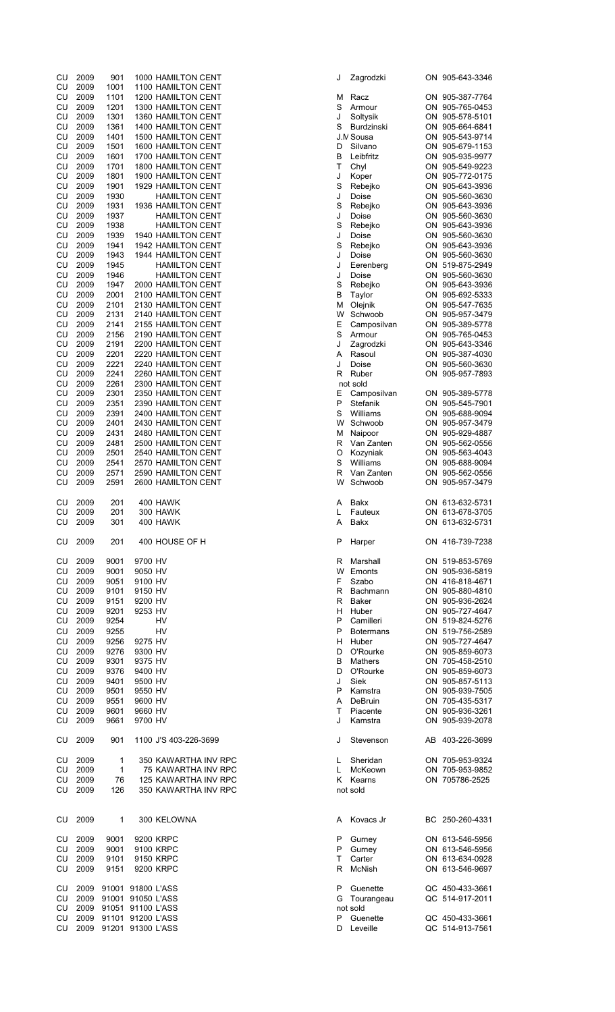| CU         | 2009         | 901                    |                   | 1000 HAMILTON CENT                       | J       | Zagrodzki               | ON 905-643-3346                    |
|------------|--------------|------------------------|-------------------|------------------------------------------|---------|-------------------------|------------------------------------|
| CU         | 2009         | 1001                   |                   | 1100 HAMILTON CENT                       |         |                         |                                    |
| CU         | 2009         | 1101                   |                   | 1200 HAMILTON CENT                       | М       | Racz                    | ON 905-387-7764                    |
| CU         | 2009         | 1201                   |                   | 1300 HAMILTON CENT                       | S       | Armour                  | ON 905-765-0453                    |
| CU         | 2009         | 1301                   |                   | 1360 HAMILTON CENT                       | J       | Soltysik                | ON 905-578-5101                    |
| CU         | 2009         | 1361                   |                   | 1400 HAMILTON CENT                       | S       | Burdzinski<br>J.M Sousa | ON 905-664-6841<br>ON 905-543-9714 |
| CU<br>CU   | 2009<br>2009 | 1401                   |                   | 1500 HAMILTON CENT<br>1600 HAMILTON CENT | D       | Silvano                 | ON 905-679-1153                    |
| CU         | 2009         | 1501<br>1601           |                   | 1700 HAMILTON CENT                       | B       | Leibfritz               | ON 905-935-9977                    |
| CU         | 2009         | 1701                   |                   | 1800 HAMILTON CENT                       | т       | Chyl                    | ON 905-549-9223                    |
| CU         | 2009         | 1801                   |                   | 1900 HAMILTON CENT                       | J       | Koper                   | ON 905-772-0175                    |
| CU         | 2009         | 1901                   |                   | 1929 HAMILTON CENT                       | S       | Rebejko                 | ON 905-643-3936                    |
| CU         | 2009         | 1930                   |                   | <b>HAMILTON CENT</b>                     | J       | Doise                   | ON 905-560-3630                    |
| CU         | 2009         | 1931                   |                   | 1936 HAMILTON CENT                       | S       | Rebejko                 | ON 905-643-3936                    |
| CU         | 2009         | 1937                   |                   | <b>HAMILTON CENT</b>                     | J       | Doise                   | ON 905-560-3630                    |
| CU         | 2009         | 1938                   |                   | <b>HAMILTON CENT</b>                     | S       | Rebejko                 | ON 905-643-3936                    |
| CU         | 2009         | 1939                   |                   | 1940 HAMILTON CENT                       | J       | Doise                   | ON 905-560-3630                    |
| CU         | 2009         | 1941                   |                   | 1942 HAMILTON CENT                       | S       | Rebejko                 | ON 905-643-3936                    |
| CU         | 2009         | 1943                   |                   | 1944 HAMILTON CENT                       | J       | Doise                   | ON 905-560-3630                    |
| ${\sf CU}$ | 2009         | 1945                   |                   | <b>HAMILTON CENT</b>                     | J       | Eerenberg               | ON 519-875-2949                    |
| CU         | 2009         | 1946                   |                   | <b>HAMILTON CENT</b>                     | J       | Doise                   | ON 905-560-3630                    |
| CU         | 2009         | 1947                   |                   | 2000 HAMILTON CENT                       | S       | Rebejko                 | ON 905-643-3936                    |
| CU         | 2009         | 2001                   |                   | 2100 HAMILTON CENT                       | в       | Taylor                  | ON 905-692-5333                    |
| CU         | 2009         | 2101                   |                   | 2130 HAMILTON CENT                       | м       | Olejnik                 | ON 905-547-7635                    |
| CU         | 2009         | 2131                   |                   | 2140 HAMILTON CENT                       | W       | Schwoob                 | ON 905-957-3479                    |
| CU         | 2009         | 2141                   |                   | 2155 HAMILTON CENT                       | Ε       | Camposilvan             | ON 905-389-5778                    |
| CU         | 2009         | 2156                   |                   | 2190 HAMILTON CENT                       | S       | Armour                  | ON 905-765-0453                    |
| CU         | 2009         | 2191                   |                   | 2200 HAMILTON CENT                       | J       | Zagrodzki               | ON 905-643-3346                    |
| CU         | 2009         | 2201                   |                   | 2220 HAMILTON CENT                       | Α       | Rasoul                  | ON 905-387-4030                    |
| CU         | 2009         | 2221                   |                   | 2240 HAMILTON CENT                       | J       | Doise                   | ON 905-560-3630                    |
| CU         | 2009         | 2241                   |                   | 2260 HAMILTON CENT                       | R       | Ruber                   | ON 905-957-7893                    |
| CU         | 2009         | 2261                   |                   | 2300 HAMILTON CENT                       |         | not sold                |                                    |
| CU         | 2009         | 2301                   |                   | 2350 HAMILTON CENT                       | Е       | Camposilvan             | ON 905-389-5778                    |
| ${\sf CU}$ | 2009         | 2351                   |                   | 2390 HAMILTON CENT                       | P       | Stefanik                | ON 905-545-7901                    |
| CU         | 2009         | 2391                   |                   | 2400 HAMILTON CENT                       | S       | Williams                | ON 905-688-9094                    |
| CU         | 2009         | 2401                   |                   | 2430 HAMILTON CENT                       | W       | Schwoob                 | ON 905-957-3479                    |
| CU         | 2009         | 2431                   |                   | 2480 HAMILTON CENT                       | М       | Naipoor                 | ON 905-929-4887                    |
| CU         | 2009         | 2481                   |                   | 2500 HAMILTON CENT                       | R       | Van Zanten              | ON 905-562-0556                    |
| ${\sf CU}$ | 2009         | 2501                   |                   | 2540 HAMILTON CENT                       | O       | Kozyniak                | ON 905-563-4043                    |
| CU         | 2009         | 2541                   |                   | 2570 HAMILTON CENT                       | S       | Williams                | ON 905-688-9094                    |
| CU         | 2009         | 2571                   |                   | 2590 HAMILTON CENT                       | R       | Van Zanten              | ON 905-562-0556                    |
| CU         | 2009         | 2591                   |                   | 2600 HAMILTON CENT                       | W       | Schwoob                 | ON 905-957-3479                    |
|            |              |                        |                   |                                          |         |                         |                                    |
| CU         | 2009         | 201                    |                   | 400 HAWK                                 | A       | Bakx                    | ON 613-632-5731                    |
| CU         | 2009         | 201                    |                   | <b>300 HAWK</b>                          | L       | Fauteux                 | ON 613-678-3705                    |
| CU.        | 2009         | 301                    |                   | 400 HAWK                                 | A       | <b>Bakx</b>             | ON 613-632-5731                    |
| CU.        | 2009         | 201                    |                   | 400 HOUSE OF H                           | P       | Harper                  | ON 416-739-7238                    |
|            |              |                        |                   |                                          |         |                         |                                    |
| CU         | 2009         | 9001                   | 9700 HV           |                                          | R       | Marshall                | ON 519-853-5769                    |
| CU         | 2009         | 9001                   | 9050 HV           |                                          |         | W Emonts                | ON 905-936-5819                    |
| CU         | 2009         | 9051                   | 9100 HV           |                                          | F.      | Szabo                   | ON 416-818-4671                    |
| CU         | 2009         | 9101                   | 9150 HV           |                                          | R       | Bachmann                | ON 905-880-4810                    |
| CU         | 2009         | 9151                   | 9200 HV           |                                          | R       | Baker                   | ON 905-936-2624                    |
| CU         | 2009         | 9201                   | 9253 HV           |                                          | H.      | Huber                   | ON 905-727-4647                    |
| CU         | 2009         | 9254                   |                   | HV                                       | P       | Camilleri               | ON 519-824-5276                    |
| <b>CU</b>  | 2009         | 9255                   |                   | <b>HV</b>                                | P       | <b>Botermans</b>        | ON 519-756-2589                    |
| CU         | 2009         | 9256                   | 9275 HV           |                                          | H       | Huber                   | ON 905-727-4647                    |
| <b>CU</b>  | 2009         | 9276                   | 9300 HV           |                                          | D       | O'Rourke                | ON 905-859-6073                    |
| <b>CU</b>  | 2009         | 9301                   | 9375 HV           |                                          | В       | Mathers                 | ON 705-458-2510                    |
| CU         | 2009         | 9376                   | 9400 HV           |                                          | D       | O'Rourke                | ON 905-859-6073                    |
| CU         | 2009         | 9401                   | 9500 HV           |                                          | J       | Siek                    | ON 905-857-5113                    |
| CU         | 2009         | 9501                   | 9550 HV           |                                          | P       | Kamstra                 | ON 905-939-7505                    |
| CU         | 2009         | 9551                   | 9600 HV           |                                          | A       | DeBruin                 | ON 705-435-5317                    |
| CU         | 2009         | 9601                   | 9660 HV           |                                          | T       | Piacente                | ON 905-936-3261                    |
| CU         | 2009         | 9661                   | 9700 HV           |                                          | J       | Kamstra                 | ON 905-939-2078                    |
| CU         | 2009         | 901                    |                   | 1100 J'S 403-226-3699                    | J       |                         | AB 403-226-3699                    |
|            |              |                        |                   |                                          |         | Stevenson               |                                    |
| CU         | 2009         | 1                      |                   | 350 KAWARTHA INV RPC                     | L.      | Sheridan                | ON 705-953-9324                    |
| CU         | 2009         | $\mathbf{1}$           |                   | 75 KAWARTHA INV RPC                      | L.      | McKeown                 | ON 705-953-9852                    |
| CU         | 2009         | 76                     |                   | 125 KAWARTHA INV RPC                     | K.      | Kearns                  | ON 705786-2525                     |
| CU         | 2009         | 126                    |                   | 350 KAWARTHA INV RPC                     |         | not sold                |                                    |
|            |              |                        |                   |                                          |         |                         |                                    |
|            |              |                        |                   |                                          |         |                         |                                    |
| CU         | 2009         | 1                      |                   | 300 KELOWNA                              | A       | Kovacs Jr               | BC 250-260-4331                    |
|            |              |                        |                   | 9200 KRPC                                |         |                         |                                    |
| CU         | 2009         | 9001<br>9001           |                   |                                          | P       | Gurney                  | ON 613-546-5956                    |
| CU         | 2009<br>2009 |                        |                   | 9100 KRPC                                | P.      | Gurney                  | ON 613-546-5956                    |
| CU<br>CU   | 2009         | 9101<br>9151           |                   | 9150 KRPC<br>9200 KRPC                   | T.<br>R | Carter<br>McNish        | ON 613-634-0928<br>ON 613-546-9697 |
|            |              |                        |                   |                                          |         |                         |                                    |
| CU         | 2009         |                        | 91001 91800 L'ASS |                                          | P       | Guenette                | QC 450-433-3661                    |
| ${\sf CU}$ | 2009         |                        | 91001 91050 L'ASS |                                          | G       | Tourangeau              | QC 514-917-2011                    |
| CU         | 2009         |                        | 91051 91100 L'ASS |                                          |         | not sold                |                                    |
| CU         | 2009         |                        | 91101 91200 L'ASS |                                          | P       | Guenette                | QC 450-433-3661                    |
| CU         |              | 2009 91201 91300 L'ASS |                   |                                          | D       | Leveille                | QC 514-913-7561                    |
|            |              |                        |                   |                                          |         |                         |                                    |

| Zagrodzki        |    | ON 905-643-334 |
|------------------|----|----------------|
| Racz             |    | ON 905-387-776 |
| Armour           | ON | 905-765-045    |
| Soltysik         | ON | 905-578-510    |
| Burdzinski       |    | ON 905-664-684 |
| V Sousa          |    | ON 905-543-971 |
| Silvano          | ON | 905-679-115    |
| Leibfritz        | ON | 905-935-997    |
| Chyl             | ON | 905-549-922    |
| Koper            | ON | 905-772-017    |
| Rebejko          | ON | 905-643-393    |
| Doise            | ON | 905-560-363    |
| Rebejko          | ON | 905-643-393    |
| Doise            | ON | 905-560-363    |
| Rebejko          | ON | 905-643-393    |
| Doise            | ON | 905-560-363    |
|                  |    |                |
| Rebejko          | ON | 905-643-393    |
| Doise            | ON | 905-560-363    |
| Eerenberg        | ON | 519-875-294    |
| Doise            | ON | 905-560-363    |
| Rebejko          | ON | 905-643-393    |
| Taylor           | ON | 905-692-533    |
| Olejnik          |    | ON 905-547-763 |
| Schwoob          |    | ON 905-957-347 |
| Camposilvan      | ON | 905-389-577    |
| Armour           | ON | 905-765-045    |
| Zagrodzki        |    | ON 905-643-334 |
| Rasoul           |    | ON 905-387-403 |
| Doise            | ON | 905-560-363    |
| Ruber            | ON | 905-957-789    |
| pt sold          |    |                |
| Camposilvan      | ON | 905-389-577    |
| Stefanik         | ON | 905-545-790    |
|                  |    |                |
| Williams         |    | ON 905-688-909 |
| Schwoob          | ON | 905-957-347    |
| Naipoor          | ON | 905-929-488    |
| Van Zanten       | ON | 905-562-055    |
| Kozyniak         |    | ON 905-563-404 |
| Williams         |    | ON 905-688-909 |
| Van Zanten       |    | ON 905-562-055 |
| Schwoob          | ON | 905-957-347    |
|                  |    |                |
| <b>Bakx</b>      |    | ON 613-632-573 |
| Fauteux          |    | ON 613-678-370 |
| Bakx             |    | ON 613-632-573 |
|                  |    | ON 416-739-723 |
| Harper           |    |                |
| Marshall         |    | ON 519-853-576 |
| Emonts           |    | ON 905-936-581 |
| Szabo            |    | ON 416-818-467 |
| Bachmann         |    | ON 905-880-48  |
| Baker            |    | ON 905-936-262 |
|                  |    |                |
| Huber            |    | ON 905-727-464 |
| Camilleri        |    | ON 519-824-527 |
| <b>Botermans</b> |    | ON 519-756-258 |
| Huber            |    | ON 905-727-464 |
| O'Rourke         |    | ON 905-859-607 |
| Mathers          | ON | 705-458-25     |
| O'Rourke         |    | ON 905-859-607 |
| Siek             |    | ON 905-857-511 |
| Kamstra          |    | ON 905-939-750 |
| DeBruin          |    | ON 705-435-531 |
| Piacente         |    | ON 905-936-326 |
| Kamstra          |    | ON 905-939-207 |
|                  |    |                |
| Stevenson        |    | AB 403-226-369 |
|                  |    |                |
| Sheridan         |    | ON 705-953-932 |
| McKeown          |    | ON 705-953-985 |
| Kearns           |    | ON 705786-252  |
| t sold           |    |                |
|                  |    |                |
|                  |    |                |
| Kovacs Jr        |    | BC 250-260-433 |
|                  |    |                |
| Gurney           |    | ON 613-546-595 |
| Gurney           |    | ON 613-546-595 |
| Carter           |    | ON 613-634-092 |
| McNish           |    | ON 613-546-969 |
|                  |    |                |
| Guenette         |    | QC 450-433-366 |
| Tourangeau       |    | QC 514-917-201 |
| t sold           |    |                |
| Guenette         |    | QC 450-433-366 |
| Leveille         |    | QC 514-913-756 |
|                  |    |                |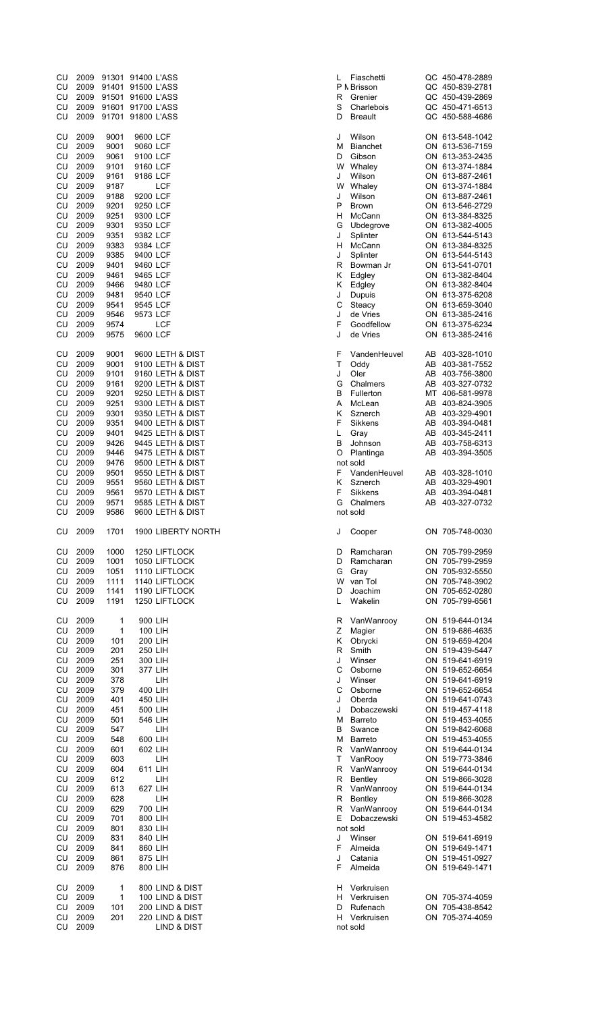| CU<br>CU        | 2009<br>2009 | 91301<br>91401    | 91400 L'ASS<br>91500 L'ASS           | L      | Fiaschetti<br>P N Brisson |
|-----------------|--------------|-------------------|--------------------------------------|--------|---------------------------|
| CU              | 2009         | 91501             | 91600 L'ASS                          | R      | Grenier                   |
| CU              | 2009         | 91601             | 91700 L'ASS                          | S      | Charlebois                |
| CU              | 2009         | 91701             | 91800 L'ASS                          | D      | <b>Breault</b>            |
|                 |              |                   |                                      |        |                           |
| CU<br>CU        | 2009<br>2009 | 9001<br>9001      | 9600 LCF<br>9060 LCF                 | J<br>М | Wilson<br><b>Bianchet</b> |
| <b>CU</b>       | 2009         | 9061              | 9100 LCF                             | D      | Gibson                    |
| CU              | 2009         | 9101              | 9160 LCF                             | w      | Whaley                    |
| CU              | 2009         | 9161              | 9186 LCF                             | J      | Wilson                    |
| CU              | 2009         | 9187              | <b>LCF</b>                           | W      | Whaley                    |
| CU              | 2009         | 9188              | 9200 LCF                             | J      | Wilson                    |
| CU              | 2009         | 9201              | 9250 LCF                             | P      | <b>Brown</b>              |
| CU              | 2009         | 9251              | 9300 LCF                             | н      | McCann                    |
| CU              | 2009         | 9301              | 9350 LCF                             | G      | Ubdegrove                 |
| CU              | 2009         | 9351              | 9382 LCF                             | J      | Splinter                  |
| CU              | 2009         | 9383              | 9384 LCF                             | н      | McCann                    |
| CU              | 2009         | 9385              | 9400 LCF                             | J      | Splinter                  |
| CU              | 2009         | 9401              | 9460 LCF                             | R      | Bowman J                  |
| CU              | 2009         | 9461              | 9465 LCF                             | Κ      | Edgley                    |
| CU              | 2009         | 9466              | 9480 LCF                             | Κ      | Edgley                    |
| <b>CU</b><br>CU | 2009<br>2009 | 9481              | 9540 LCF                             | J<br>C | <b>Dupuis</b><br>Steacy   |
| CU              | 2009         | 9541<br>9546      | 9545 LCF<br>9573 LCF                 | J      | de Vries                  |
| CU              | 2009         | 9574              | LCF                                  | F      | Goodfellow                |
| <b>CU</b>       | 2009         | 9575              | 9600 LCF                             | J      | de Vries                  |
|                 |              |                   |                                      |        |                           |
| CU              | 2009         | 9001              | 9600 LETH & DIST                     | F      | VandenHe                  |
| CU              | 2009         | 9001              | 9100 LETH & DIST                     | Τ      | Oddy                      |
| <b>CU</b>       | 2009         | 9101              | 9160 LETH & DIST                     | J      | Oler                      |
| CU              | 2009         | 9161              | 9200 LETH & DIST                     | G      | Chalmers                  |
| CU              | 2009         | 9201              | 9250 LETH & DIST                     | В      | Fullerton                 |
| <b>CU</b><br>CU | 2009<br>2009 | 9251<br>9301      | 9300 LETH & DIST<br>9350 LETH & DIST | Α<br>Κ | McLean<br>Sznerch         |
| CU              | 2009         | 9351              | 9400 LETH & DIST                     | F      | Sikkens                   |
| CU              | 2009         | 9401              | 9425 LETH & DIST                     | L      | Gray                      |
| CU              | 2009         | 9426              | 9445 LETH & DIST                     | в      | Johnson                   |
| CU              | 2009         | 9446              | 9475 LETH & DIST                     | O      | Plantinga                 |
| CU              | 2009         | 9476              | 9500 LETH & DIST                     |        | not sold                  |
| CU              | 2009         | 9501              | 9550 LETH & DIST                     | F      | VandenHe                  |
| CU              | 2009         | 9551              | 9560 LETH & DIST                     | Κ      | Sznerch                   |
|                 |              | 9561              |                                      | F      | <b>Sikkens</b>            |
|                 | 2009         |                   | 9570 LETH & DIST                     |        |                           |
| CU<br>CU        | 2009         | 9571              | 9585 LETH & DIST                     | G      | Chalmers                  |
| CU              | 2009         | 9586              | 9600 LETH & DIST                     |        | not sold                  |
| CU              | 2009         | 1701              | 1900 LIBERTY NORTH                   | J      | Cooper                    |
|                 |              |                   |                                      |        |                           |
| CU              | 2009         | 1000              | 1250 LIFTLOCK                        | D      | Ramchara                  |
| CU              | 2009         | 1001              | 1050 LIFTLOCK                        | D      | Ramcharai                 |
| CU              | 2009         | 1051              | 1110 LIFTLOCK                        | G      | Gray                      |
| CU              | 2009         | 1111              | 1140 LIFTLOCK                        | W      | van Tol                   |
| CU<br>CU        | 2009<br>2009 | 1141<br>1191      | 1190 LIFTLOCK<br>1250 LIFTLOCK       | D<br>L | Joachim<br>Wakelin        |
|                 |              |                   |                                      |        |                           |
| CU              | 2009         | $\mathbf{1}$      | 900 LIH                              | R      | VanWanro                  |
| CU              | 2009         | 1                 | 100 LIH                              | Ζ      | Magier                    |
| CU              | 2009         | 101               | 200 LIH                              | Κ      | Obrycki                   |
| CU              | 2009         | 201               | 250 LIH                              | R      | Smith                     |
| CU              | 2009         | 251               | 300 LIH                              | J      | Winser                    |
| CU              | 2009         | 301               | 377 LIH                              | С      | Osborne                   |
| CU              | 2009         | 378               | LIH                                  | J<br>С | Winser                    |
| CU              | 2009<br>2009 | 379<br>401        | 400 LIH<br>450 LIH                   | J      | Osborne<br>Oberda         |
| CU<br>CU        | 2009         | 451               | 500 LIH                              | J      | Dobaczew:                 |
| CU              | 2009         | 501               | 546 LIH                              | М      | Barreto                   |
| CU              | 2009         | 547               | LIH                                  | В      | Swance                    |
| CU              | 2009         | 548               | 600 LIH                              | M      | Barreto                   |
| CU              | 2009         | 601               | 602 LIH                              | R      | VanWanro                  |
| CU              | 2009         | 603               | LIH                                  | T      | VanRooy                   |
| CU              | 2009         | 604               | 611 LIH                              | R      | VanWanro                  |
| CU              | 2009         | 612               | LIH                                  | R      | Bentley                   |
| CU              | 2009         | 613               | 627 LIH                              | R      | VanWanro                  |
| CU              | 2009         | 628               | LIH                                  | R      | Bentley                   |
| CU              | 2009         | 629               | 700 LIH                              | R      | VanWanro                  |
| CU              | 2009         | 701               | 800 LIH                              | E      | Dobaczew:                 |
| CU              | 2009         | 801               | 830 LIH                              |        | not sold                  |
| CU              | 2009         | 831               | 840 LIH                              | J      | Winser                    |
| CU              | 2009         | 841               | 860 LIH                              | F<br>J | Almeida                   |
| CU<br>CU        | 2009<br>2009 | 861<br>876        | 875 LIH<br>800 LIH                   | F      | Catania<br>Almeida        |
|                 |              |                   |                                      |        |                           |
| CU              | 2009         | $\mathbf{1}$<br>1 | 800 LIND & DIST                      | н      | Verkruisen                |
| CU<br>CU        | 2009<br>2009 | 101               | 100 LIND & DIST<br>200 LIND & DIST   | н<br>D | Verkruisen<br>Rufenach    |
| CU              | 2009         | 201               | 220 LIND & DIST                      | н      | Verkruisen                |

| CU                         | 2009 |              | 91301 91400 L'ASS |                        | L | Fiaschetti      |    | QC 450-478-2889 |
|----------------------------|------|--------------|-------------------|------------------------|---|-----------------|----|-----------------|
| CU                         | 2009 |              | 91401 91500 L'ASS |                        |   | P N Brisson     |    | QC 450-839-2781 |
| CU                         | 2009 |              | 91501 91600 L'ASS |                        | R | Grenier         |    | QC 450-439-2869 |
| CU                         | 2009 |              | 91601 91700 L'ASS |                        | S | Charlebois      |    | QC 450-471-6513 |
| CU                         | 2009 |              | 91701 91800 L'ASS |                        | D | <b>Breault</b>  |    | QC 450-588-4686 |
|                            |      |              |                   |                        |   |                 |    |                 |
| CU                         | 2009 | 9001         | 9600 LCF          |                        | J | Wilson          |    | ON 613-548-1042 |
| CU                         | 2009 | 9001         | 9060 LCF          |                        | М | <b>Bianchet</b> |    | ON 613-536-7159 |
| CU                         | 2009 | 9061         | 9100 LCF          |                        | D | Gibson          |    | ON 613-353-2435 |
| CU                         | 2009 | 9101         | 9160 LCF          |                        | W | Whaley          |    | ON 613-374-1884 |
| CU                         | 2009 | 9161         | 9186 LCF          |                        | J | Wilson          |    | ON 613-887-2461 |
|                            |      |              |                   |                        | W |                 |    |                 |
| CU                         | 2009 | 9187         |                   | <b>LCF</b>             |   | Whaley          |    | ON 613-374-1884 |
| CU                         | 2009 | 9188         | 9200 LCF          |                        | J | Wilson          |    | ON 613-887-2461 |
| CU                         | 2009 | 9201         | 9250 LCF          |                        | P | <b>Brown</b>    |    | ON 613-546-2729 |
| CU                         | 2009 | 9251         | 9300 LCF          |                        | н | McCann          |    | ON 613-384-8325 |
| CU                         | 2009 | 9301         | 9350 LCF          |                        | G | Ubdegrove       |    | ON 613-382-4005 |
| CU                         | 2009 | 9351         | 9382 LCF          |                        | J | Splinter        |    | ON 613-544-5143 |
| CU                         | 2009 | 9383         | 9384 LCF          |                        | н | McCann          |    | ON 613-384-8325 |
| CU                         | 2009 | 9385         | 9400 LCF          |                        | J | Splinter        |    | ON 613-544-5143 |
| CU                         | 2009 | 9401         | 9460 LCF          |                        | R | Bowman Jr       |    | ON 613-541-0701 |
| CU                         | 2009 | 9461         | 9465 LCF          |                        | Κ | Edgley          |    | ON 613-382-8404 |
| CU                         | 2009 | 9466         | 9480 LCF          |                        | κ | Edgley          |    | ON 613-382-8404 |
| CU                         | 2009 | 9481         | 9540 LCF          |                        | J | Dupuis          |    | ON 613-375-6208 |
| CU                         | 2009 | 9541         | 9545 LCF          |                        | С | Steacy          |    | ON 613-659-3040 |
| CU                         | 2009 | 9546         | 9573 LCF          |                        | J | de Vries        |    | ON 613-385-2416 |
| CU                         | 2009 | 9574         |                   | <b>LCF</b>             | F | Goodfellow      |    | ON 613-375-6234 |
| CU                         | 2009 | 9575         |                   |                        | J | de Vries        |    | ON 613-385-2416 |
|                            |      |              | 9600 LCF          |                        |   |                 |    |                 |
|                            |      |              |                   |                        |   |                 |    |                 |
| CU                         | 2009 | 9001         |                   | 9600 LETH & DIST       | F | VandenHeuvel    | AB | 403-328-1010    |
| CU                         | 2009 | 9001         |                   | 9100 LETH & DIST       | Т | Oddy            | AB | 403-381-7552    |
| CU                         | 2009 | 9101         |                   | 9160 LETH & DIST       | J | Oler            |    | AB 403-756-3800 |
| CU                         | 2009 | 9161         |                   | 9200 LETH & DIST       | G | Chalmers        |    | AB 403-327-0732 |
| CU                         | 2009 | 9201         |                   | 9250 LETH & DIST       | B | Fullerton       |    | MT 406-581-9978 |
| CU                         | 2009 | 9251         |                   | 9300 LETH & DIST       | Α | McLean          |    | AB 403-824-3905 |
| CU                         | 2009 | 9301         |                   | 9350 LETH & DIST       | κ | Sznerch         |    | AB 403-329-4901 |
| CU                         | 2009 | 9351         |                   | 9400 LETH & DIST       | F | Sikkens         | AВ | 403-394-0481    |
| CU                         | 2009 | 9401         |                   | 9425 LETH & DIST       | Г | Gray            |    | AB 403-345-2411 |
|                            |      |              |                   |                        |   |                 |    |                 |
| CU                         | 2009 | 9426         |                   | 9445 LETH & DIST       | В | Johnson         | AB | 403-758-6313    |
| CU                         | 2009 | 9446         |                   | 9475 LETH & DIST       | O | Plantinga       |    | AB 403-394-3505 |
| CU                         | 2009 | 9476         |                   | 9500 LETH & DIST       |   | not sold        |    |                 |
| CU                         | 2009 | 9501         |                   | 9550 LETH & DIST       | F | VandenHeuvel    | AB | 403-328-1010    |
| CU                         | 2009 | 9551         |                   | 9560 LETH & DIST       | κ | Sznerch         |    | AB 403-329-4901 |
|                            | 2009 | 9561         |                   |                        |   |                 |    |                 |
| CU                         |      |              |                   | 9570 LETH & DIST       | F | Sikkens         |    | AB 403-394-0481 |
| CU                         | 2009 |              |                   | 9585 LETH & DIST       | G | Chalmers        |    | AB 403-327-0732 |
| CU                         | 2009 | 9571<br>9586 |                   | 9600 LETH & DIST       |   | not sold        |    |                 |
|                            |      |              |                   |                        |   |                 |    |                 |
| CU                         | 2009 | 1701         |                   | 1900 LIBERTY NORTH     | J |                 |    | ON 705-748-0030 |
|                            |      |              |                   |                        |   | Cooper          |    |                 |
|                            |      |              |                   |                        |   |                 |    |                 |
| CU                         | 2009 | 1000         |                   | 1250 LIFTLOCK          | D | Ramcharan       |    | ON 705-799-2959 |
| CU                         | 2009 | 1001         |                   | 1050 LIFTLOCK          | D | Ramcharan       |    | ON 705-799-2959 |
| CU                         | 2009 | 1051         |                   | 1110 LIFTLOCK          | G | Gray            |    | ON 705-932-5550 |
| CU                         | 2009 | 1111         |                   | 1140 LIFTLOCK          | W | van Tol         |    | ON 705-748-3902 |
| CU                         | 2009 | 1141         |                   | 1190 LIFTLOCK          | D | Joachim         |    | ON 705-652-0280 |
| CU                         | 2009 | 1191         |                   | 1250 LIFTLOCK          | L | Wakelin         |    | ON 705-799-6561 |
|                            |      |              |                   |                        |   |                 |    |                 |
| CU                         | 2009 | 1            | 900 LIH           |                        | R | VanWanrooy      |    | ON 519-644-0134 |
| CU                         | 2009 | 1            | 100 LIH           |                        | Ζ | Magier          |    | ON 519-686-4635 |
| CU                         | 2009 | 101          | 200 LIH           |                        | κ | Obrycki         |    | ON 519-659-4204 |
| CU                         | 2009 | 201          | 250 LIH           |                        | R | Smith           |    | ON 519-439-5447 |
| CU                         | 2009 | 251          | 300 LIH           |                        | J | Winser          |    | ON 519-641-6919 |
| CU                         | 2009 | 301          | 377 LIH           |                        | C | Osborne         |    | ON 519-652-6654 |
| CU                         | 2009 | 378          |                   | LІН                    | J | Winser          |    | ON 519-641-6919 |
| CU                         | 2009 | 379          | 400 LIH           |                        | С | Osborne         |    | ON 519-652-6654 |
|                            |      |              |                   |                        | J | Oberda          |    |                 |
| CU                         | 2009 | 401          | 450 LIH           |                        |   |                 |    | ON 519-641-0743 |
| CU                         | 2009 | 451          | 500 LIH           |                        | J | Dobaczewski     |    | ON 519-457-4118 |
| CU                         | 2009 | 501          | 546 LIH           |                        | М | <b>Barreto</b>  |    | ON 519-453-4055 |
| CU                         | 2009 | 547          |                   | LIH                    | B | Swance          |    | ON 519-842-6068 |
| CU                         | 2009 | 548          | 600 LIH           |                        | М | <b>Barreto</b>  |    | ON 519-453-4055 |
| CU                         | 2009 | 601          | 602 LIH           |                        | R | VanWanrooy      |    | ON 519-644-0134 |
| CU                         | 2009 | 603          |                   | LIH                    | Τ | VanRooy         |    | ON 519-773-3846 |
| CU                         | 2009 | 604          | 611 LIH           |                        | R | VanWanrooy      |    | ON 519-644-0134 |
| CU                         | 2009 | 612          |                   | LIH                    | R | Bentley         |    | ON 519-866-3028 |
| CU                         | 2009 | 613          | 627 LIH           |                        | R | VanWanrooy      |    | ON 519-644-0134 |
| CU                         | 2009 | 628          |                   | LIH                    | R | Bentley         |    | ON 519-866-3028 |
| CU                         | 2009 | 629          | 700 LIH           |                        | R | VanWanrooy      |    | ON 519-644-0134 |
|                            | 2009 | 701          |                   |                        | Е | Dobaczewski     |    |                 |
| CU                         |      |              | 800 LIH           |                        |   |                 |    | ON 519-453-4582 |
|                            | 2009 | 801          | 830 LIH           |                        |   | not sold        |    |                 |
|                            | 2009 | 831          | 840 LIH           |                        | J | Winser          |    | ON 519-641-6919 |
|                            | 2009 | 841          | 860 LIH           |                        | F | Almeida         |    | ON 519-649-1471 |
|                            | 2009 | 861          | 875 LIH           |                        | J | Catania         |    | ON 519-451-0927 |
| CU<br>CU<br>CU<br>CU<br>CU | 2009 | 876          | 800 LIH           |                        | F | Almeida         |    | ON 519-649-1471 |
|                            |      |              |                   |                        |   |                 |    |                 |
| CU                         | 2009 | 1            |                   | 800 LIND & DIST        | н | Verkruisen      |    |                 |
| CU                         | 2009 | 1            |                   | 100 LIND & DIST        | н | Verkruisen      |    | ON 705-374-4059 |
| CU                         | 2009 | 101          |                   | 200 LIND & DIST        | D | Rufenach        |    | ON 705-438-8542 |
| CU                         | 2009 | 201          |                   | 220 LIND & DIST        | н | Verkruisen      |    | ON 705-374-4059 |
| CU                         | 2009 |              |                   | <b>LIND &amp; DIST</b> |   | not sold        |    |                 |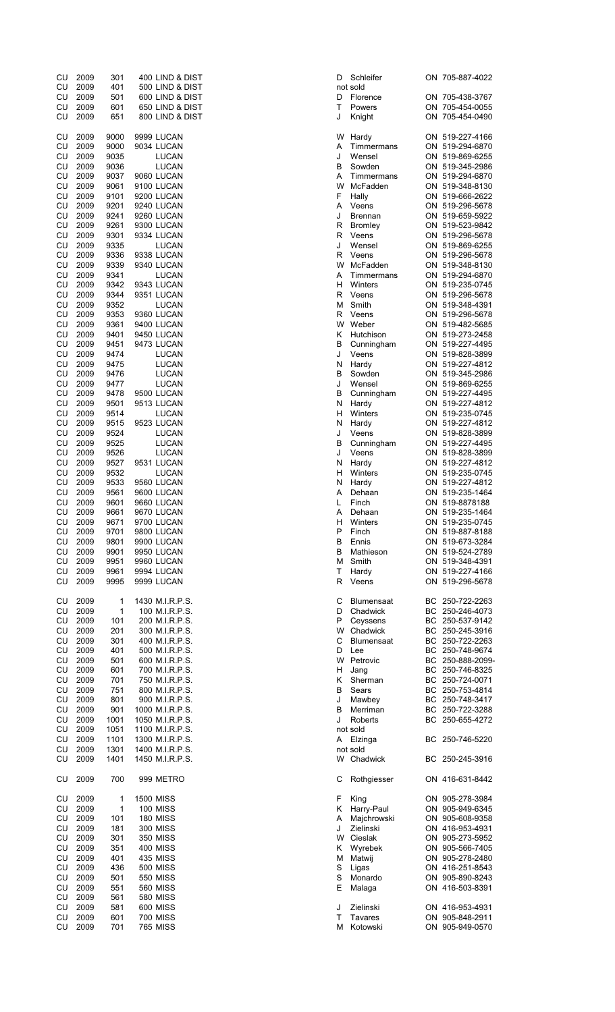| CU         | 2009         | 301          | 400 LIND & DIST                    | D      | Schleifer             | ON 705-887-4022                    |
|------------|--------------|--------------|------------------------------------|--------|-----------------------|------------------------------------|
| CU         | 2009         | 401          | 500 LIND & DIST                    |        | not sold              |                                    |
| CU<br>CU   | 2009<br>2009 | 501<br>601   | 600 LIND & DIST<br>650 LIND & DIST | D<br>т | Florence<br>Powers    | ON 705-438-3767<br>ON 705-454-0055 |
| CU         | 2009         | 651          | 800 LIND & DIST                    | J      | Knight                | ON 705-454-0490                    |
|            |              |              |                                    |        |                       |                                    |
| CU         | 2009         | 9000         | 9999 LUCAN                         | W      | Hardy                 | ON 519-227-4166                    |
| CU         | 2009         | 9000         | 9034 LUCAN                         | Α      | Timmermans            | ON 519-294-6870                    |
| CU         | 2009         | 9035         | LUCAN                              | J      | Wensel                | ON 519-869-6255                    |
| CU         | 2009         | 9036         | LUCAN                              | В      | Sowden                | ON 519-345-2986                    |
| CU         | 2009         | 9037         | 9060 LUCAN                         | Α      | Timmermans            | ON 519-294-6870                    |
| CU         | 2009         | 9061         | 9100 LUCAN                         | W      | McFadden              | ON 519-348-8130                    |
| CU         | 2009         | 9101         | 9200 LUCAN                         | F      | Hally                 | ON 519-666-2622                    |
| CU         | 2009         | 9201         | 9240 LUCAN                         | Α      | Veens                 | ON 519-296-5678                    |
| CU         | 2009         | 9241         | 9260 LUCAN                         | J      | <b>Brennan</b>        | ON 519-659-5922                    |
| CU         | 2009         | 9261         | 9300 LUCAN                         | R      | <b>Bromley</b>        | ON 519-523-9842                    |
| CU         | 2009         | 9301         | 9334 LUCAN                         | R      | Veens                 | ON 519-296-5678                    |
| CU         | 2009         | 9335         | LUCAN                              | J      | Wensel                | ON 519-869-6255                    |
| CU         | 2009         | 9336         | 9338 LUCAN                         | R      | Veens                 | ON 519-296-5678                    |
| CU         | 2009         | 9339         | 9340 LUCAN                         | W      | McFadden              | ON 519-348-8130                    |
| CU         | 2009         | 9341         | LUCAN                              | Α<br>н | Timmermans<br>Winters | ON 519-294-6870<br>ON 519-235-0745 |
| CU<br>CU   | 2009<br>2009 | 9342<br>9344 | 9343 LUCAN<br>9351 LUCAN           | R      | Veens                 | ON 519-296-5678                    |
| CU         | 2009         | 9352         | LUCAN                              | М      | Smith                 | ON 519-348-4391                    |
| ${\sf CU}$ | 2009         | 9353         | 9360 LUCAN                         | R      | Veens                 | ON 519-296-5678                    |
| CU         | 2009         | 9361         | 9400 LUCAN                         | W      | Weber                 | ON 519-482-5685                    |
| CU         | 2009         | 9401         | 9450 LUCAN                         | Κ      | Hutchison             | ON 519-273-2458                    |
| CU         | 2009         | 9451         | 9473 LUCAN                         | в      | Cunningham            | ON 519-227-4495                    |
| CU         | 2009         | 9474         | <b>LUCAN</b>                       | J      | Veens                 | ON 519-828-3899                    |
| CU         | 2009         | 9475         | LUCAN                              | N      | Hardy                 | ON 519-227-4812                    |
| CU         | 2009         | 9476         | LUCAN                              | в      | Sowden                | ON 519-345-2986                    |
| CU         | 2009         | 9477         | LUCAN                              | J      | Wensel                | ON 519-869-6255                    |
| CU         | 2009         | 9478         | 9500 LUCAN                         | В      | Cunningham            | ON 519-227-4495                    |
| CU         | 2009         | 9501         | 9513 LUCAN                         | N      | Hardy                 | ON 519-227-4812                    |
| CU         | 2009         | 9514         | LUCAN                              | н      | Winters               | ON 519-235-0745                    |
| CU         | 2009         | 9515         | 9523 LUCAN                         | N      | Hardy                 | ON 519-227-4812                    |
| CU         | 2009         | 9524         | LUCAN                              | J      | Veens                 | ON 519-828-3899                    |
| CU         | 2009         | 9525         | LUCAN                              | В      | Cunningham            | ON 519-227-4495                    |
| CU         | 2009         | 9526         | LUCAN                              | J      | Veens                 | ON 519-828-3899                    |
| CU         | 2009         | 9527         | 9531 LUCAN                         | N      | Hardy                 | ON 519-227-4812                    |
| CU         | 2009         | 9532         | LUCAN                              | н      | Winters               | ON 519-235-0745                    |
| CU         | 2009         | 9533         | 9560 LUCAN                         | N      | Hardy                 | ON 519-227-4812                    |
| CU         | 2009         | 9561         | 9600 LUCAN                         | Α      | Dehaan                | ON 519-235-1464                    |
| CU         | 2009         | 9601         | 9660 LUCAN                         | L      | Finch                 | ON 519-8878188                     |
| CU         | 2009         | 9661         | 9670 LUCAN                         | Α      | Dehaan                | ON 519-235-1464                    |
| CU.        | 2009         | 9671         | 9700 LUCAN                         | н      | Winters               | ON 519-235-0745                    |
| CU         | 2009         | 9701         | 9800 LUCAN                         | P      | Finch                 | ON 519-887-8188                    |
| CU         | 2009         | 9801         | 9900 LUCAN                         | в      | Ennis                 | ON 519-673-3284                    |
| CU         | 2009         | 9901         | 9950 LUCAN                         | в      | Mathieson             | ON 519-524-2789                    |
| CU         | 2009         | 9951         | 9960 LUCAN                         | м      | Smith                 | ON 519-348-4391                    |
| CU         | 2009         | 9961         | 9994 LUCAN                         | т      | Hardy                 | ON 519-227-4166                    |
| CU         | 2009         | 9995         | 9999 LUCAN                         | R      | Veens                 | ON 519-296-5678                    |
|            |              |              |                                    |        |                       |                                    |
| CU         | 2009         | 1            | 1430 M.I.R.P.S.                    | С      | <b>Blumensaat</b>     | BC 250-722-2263                    |
| CU         | 2009         | 1            | 100 M.I.R.P.S.                     | D      | Chadwick              | BC 250-246-4073                    |
| CU         | 2009         | 101          | 200 M.I.R.P.S.                     | P<br>W | Ceyssens              | BC 250-537-9142                    |
| CU         | 2009         | 201          | 300 M.I.R.P.S.                     |        | Chadwick              | BC 250-245-3916                    |
| CU<br>CU   | 2009<br>2009 | 301<br>401   | 400 M.I.R.P.S.<br>500 M.I.R.P.S.   | С<br>D | <b>Blumensaat</b>     | BC 250-722-2263<br>BC 250-748-9674 |
| CU         | 2009         | 501          | 600 M.I.R.P.S.                     | W      | Lee<br>Petrovic       | BC 250-888-2099-                   |
| CU         | 2009         | 601          | 700 M.I.R.P.S.                     | н      | Jang                  | BC 250-746-8325                    |
| CU         | 2009         | 701          |                                    | Κ      | Sherman               | BC 250-724-0071                    |
| CU         | 2009         | 751          | 750 M.I.R.P.S.<br>800 M.I.R.P.S.   | в      | Sears                 | BC 250-753-4814                    |
| CU         | 2009         | 801          | 900 M.I.R.P.S.                     | J      | Mawbey                | BC 250-748-3417                    |
| CU         | 2009         | 901          | 1000 M.I.R.P.S.                    | В      | Merriman              | BC 250-722-3288                    |
| CU         | 2009         | 1001         | 1050 M.I.R.P.S.                    | J      | Roberts               | BC 250-655-4272                    |
| CU         | 2009         | 1051         | 1100 M.I.R.P.S.                    |        | not sold              |                                    |
| CU         | 2009         | 1101         | 1300 M.I.R.P.S.                    |        | A Elzinga             | BC 250-746-5220                    |
| CU         | 2009         | 1301         | 1400 M.I.R.P.S.                    |        | not sold              |                                    |
| CU         | 2009         | 1401         | 1450 M.I.R.P.S.                    |        | W Chadwick            | BC 250-245-3916                    |
|            |              |              |                                    |        |                       |                                    |
| CU         | 2009         | 700          | 999 METRO                          | С      | Rothgiesser           | ON 416-631-8442                    |
|            |              |              |                                    |        |                       |                                    |
| CU         | 2009         | 1            | <b>1500 MISS</b>                   | F      | King                  | ON 905-278-3984                    |
| CU         | 2009         | 1            | <b>100 MISS</b>                    | Κ      | Harry-Paul            | ON 905-949-6345                    |
| CU         | 2009         | 101          | <b>180 MISS</b>                    | Α      | Majchrowski           | ON 905-608-9358                    |
| CU         | 2009         | 181          | 300 MISS                           | J      | Zielinski             | ON 416-953-4931                    |
| CU         | 2009         | 301          | 350 MISS                           | W      | Cieslak               | ON 905-273-5952                    |
| CU         | 2009         | 351          | <b>400 MISS</b>                    | Κ      | Wyrebek               | ON 905-566-7405                    |
| CU         | 2009         | 401          | 435 MISS                           | М      | Matwij                | ON 905-278-2480                    |
| CU         | 2009         | 436          | <b>500 MISS</b>                    | S      | Ligas                 | ON 416-251-8543                    |
| CU         | 2009         | 501          | <b>550 MISS</b>                    | S      | Monardo               | ON 905-890-8243                    |
| CU         | 2009         | 551          | 560 MISS                           | Ε      | Malaga                | ON 416-503-8391                    |
| CU         | 2009         | 561          | 580 MISS                           |        |                       |                                    |
| CU         | 2009         | 581          | <b>600 MISS</b>                    | J      | Zielinski             | ON 416-953-4931                    |
| CU         | 2009         | 601          | <b>700 MISS</b>                    | т      | Tavares               | ON 905-848-2911                    |
| CU         | 2009         | 701          | <b>765 MISS</b>                    |        | M Kotowski            | ON 905-949-0570                    |

| Schleifer                     |    | ON 705-887               |
|-------------------------------|----|--------------------------|
| t sold<br>Florence            |    | ON 705-438               |
| Powers                        |    | ON 705-454               |
| Knight                        | ON | 705-454                  |
| Hardy                         |    | ON 519-227               |
| Timmermans                    |    | ON 519-294               |
| Wensel                        |    | ON 519-869               |
| Sowden                        |    | ON 519-34<br>ON 519-294  |
| Timmermans<br>McFadden        |    | ON 519-348               |
| Hally                         |    | ON 519-666               |
| Veens                         |    | ON 519-296               |
| <b>Brennan</b>                |    | ON 519-659<br>ON 519-523 |
| <b>Bromley</b><br>Veens       |    | ON 519-296               |
| Wensel                        |    |                          |
| Veens                         |    | ON 519-869<br>ON 519-296 |
| McFadden                      |    | ON 519-348               |
| Timmermans<br>Winters         |    | ON 519-294<br>ON 519-23  |
| Veens                         |    | ON 519-296               |
| Smith                         |    | ON 519-348               |
| Veens                         |    | ON 519-296               |
| Weber                         |    | ON 519-482               |
| Hutchison<br>Cunningham       |    | ON 519-273<br>ON 519-227 |
| Veens                         |    |                          |
| Hardy                         |    | ON 519-828<br>ON 519-227 |
| Sowden                        |    | ON 519-34                |
| Wensel<br>Cunningham          |    | ON 519-869<br>ON 519-227 |
| Hardy                         |    | ON 519-227               |
| Winters                       |    | ON 519-23                |
| Hardy                         |    | ON 519-227               |
| Veens<br>Cunningham           |    | ON 519-828<br>ON 519-227 |
| Veens                         |    | ON 519-828               |
| Hardy                         |    | ON 519-227               |
| Winters                       |    | ON 519-23                |
| Hardy                         |    | ON 519-227               |
| Dehaan<br>Finch               |    | ON 519-235<br>ON 519-887 |
| Dehaan                        |    | ON 519-23                |
| Winters                       | ON | 519-23                   |
| Finch                         |    | ON 519-887               |
| Ennis<br>Mathieson            |    | ON 519-67<br>ON 519-524  |
| Smith                         |    | ON 519-348               |
| Hardy                         |    | ON 519-227               |
| Veens                         |    | ON 519-296               |
| Blumensaat                    |    |                          |
| Chadwick                      |    | BC 250-722<br>BC 250-246 |
| Ceyssens                      |    | BC 250-537               |
| Chadwick<br><b>Blumensaat</b> |    | BC 250-245<br>BC 250-722 |
| Lee                           |    | BC 250-748               |
| Petrovic                      |    | BC 250-888<br>BC 250-746 |
| Jang                          |    |                          |
| Sherman<br>Sears              | BC | BC 250-724<br>250-75     |
| Mawbey                        |    | BC 250-748               |
| Merriman                      |    | BC 250-722               |
| Roberts                       |    | BC 250-65                |
| t sold<br>Elzinga             |    | BC 250-746               |
| t sold                        |    |                          |
| Chadwick                      |    | BC 250-24                |
| Rothgiesser                   |    | ON 416-63                |
|                               |    |                          |
| King                          |    | ON 905-278<br>ON 905-949 |
| Harry-Paul<br>Majchrowski     |    | ON 905-608               |
| Zielinski                     |    | ON 416-953               |
| Cieslak                       |    | ON 905-27                |
| Wyrebek                       |    | ON 905-566               |
| Matwij<br>Ligas               |    | ON 905-278<br>ON 416-25  |
| Monardo                       |    | ON 905-890               |
| Malaga                        |    | ON 416-50                |
| Zielinski                     |    | ON 416-953               |
| Tavares                       |    | ON 905-848               |
| Kotowski                      |    | ON 905-949               |
|                               |    |                          |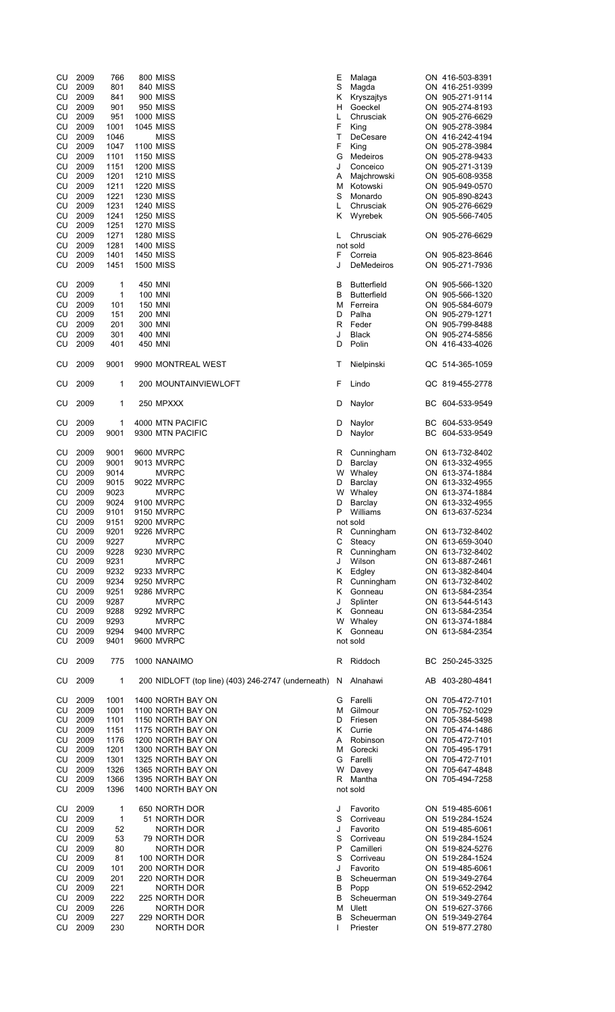| CU<br>CU<br>CU<br>CU<br>CU<br>CU<br>CU<br>CU<br>CU<br>CU<br>CU<br>CU<br>CU | 2009<br>2009<br>2009<br>2009<br>2009<br>2009<br>2009<br>2009<br>2009<br>2009<br>2009<br>2009<br>2009 | 766<br>801<br>841<br>901<br>951<br>1001<br>1046<br>1047<br>1101<br>1151<br>1201<br>1211<br>1221 | <b>800 MISS</b><br>840 MISS<br>900 MISS<br><b>950 MISS</b><br><b>1000 MISS</b><br>1045 MISS<br><b>MISS</b><br><b>1100 MISS</b><br><b>1150 MISS</b><br><b>1200 MISS</b><br><b>1210 MISS</b><br><b>1220 MISS</b><br><b>1230 MISS</b>                                   | Е<br>S<br>Κ<br>н<br>L<br>F<br>T<br>F<br>G<br>J<br>Α<br>М<br>S | Malaga<br>Magda<br>Kryszajtys<br>Goeckel<br>Chrusciak<br>King<br>DeCesare<br>King<br>Medeiros<br>Conceico<br>Majchrowski<br>Kotowski<br>Monardo             |    | ON 416-503-8391<br>ON 416-251-9399<br>ON 905-271-9114<br>ON 905-274-8193<br>ON 905-276-6629<br>ON 905-278-3984<br>ON 416-242-4194<br>ON 905-278-3984<br>ON 905-278-9433<br>ON 905-271-3139<br>ON 905-608-9358<br>ON 905-949-0570<br>ON 905-890-8243 |
|----------------------------------------------------------------------------|------------------------------------------------------------------------------------------------------|-------------------------------------------------------------------------------------------------|----------------------------------------------------------------------------------------------------------------------------------------------------------------------------------------------------------------------------------------------------------------------|---------------------------------------------------------------|-------------------------------------------------------------------------------------------------------------------------------------------------------------|----|-----------------------------------------------------------------------------------------------------------------------------------------------------------------------------------------------------------------------------------------------------|
| CU<br>CU<br>CU<br>CU<br>CU<br>CU<br>CU                                     | 2009<br>2009<br>2009<br>2009<br>2009<br>2009<br>2009                                                 | 1231<br>1241<br>1251<br>1271<br>1281<br>1401<br>1451                                            | <b>1240 MISS</b><br><b>1250 MISS</b><br><b>1270 MISS</b><br><b>1280 MISS</b><br><b>1400 MISS</b><br><b>1450 MISS</b><br>1500 MISS                                                                                                                                    | L<br>Κ<br>L<br>F<br>J                                         | Chrusciak<br>Wyrebek<br>Chrusciak<br>not sold<br>Correia<br>DeMedeiros                                                                                      |    | ON 905-276-6629<br>ON 905-566-7405<br>ON 905-276-6629<br>ON 905-823-8646<br>ON 905-271-7936                                                                                                                                                         |
| CU<br>CU<br>CU<br>CU<br>CU<br>CU<br>CU                                     | 2009<br>2009<br>2009<br>2009<br>2009<br>2009<br>2009                                                 | 1<br>1<br>101<br>151<br>201<br>301<br>401                                                       | 450 MNI<br>100 MNI<br><b>150 MNI</b><br><b>200 MNI</b><br>300 MNI<br>400 MNI<br>450 MNI                                                                                                                                                                              | В<br>в<br>м<br>D<br>R<br>J<br>D                               | <b>Butterfield</b><br><b>Butterfield</b><br>Ferreira<br>Palha<br>Feder<br><b>Black</b><br>Polin                                                             |    | ON 905-566-1320<br>ON 905-566-1320<br>ON 905-584-6079<br>ON 905-279-1271<br>ON 905-799-8488<br>ON 905-274-5856<br>ON 416-433-4026                                                                                                                   |
| CU                                                                         | 2009                                                                                                 | 9001                                                                                            | 9900 MONTREAL WEST                                                                                                                                                                                                                                                   | Т                                                             | Nielpinski                                                                                                                                                  |    | QC 514-365-1059                                                                                                                                                                                                                                     |
| CU                                                                         | 2009                                                                                                 | 1                                                                                               | 200 MOUNTAINVIEWLOFT                                                                                                                                                                                                                                                 | F                                                             | Lindo                                                                                                                                                       |    | QC 819-455-2778                                                                                                                                                                                                                                     |
| CU                                                                         | 2009                                                                                                 | 1                                                                                               | 250 MPXXX                                                                                                                                                                                                                                                            | D                                                             | Naylor                                                                                                                                                      |    | BC 604-533-9549                                                                                                                                                                                                                                     |
| CU<br>CU                                                                   | 2009<br>2009                                                                                         | 1<br>9001                                                                                       | 4000 MTN PACIFIC<br>9300 MTN PACIFIC                                                                                                                                                                                                                                 | D<br>D                                                        | Naylor<br>Naylor                                                                                                                                            | ВC | BC 604-533-9549<br>604-533-9549                                                                                                                                                                                                                     |
| CU<br>CU<br>CU<br>CU<br>CU<br>CU<br>CU<br>CU<br>CU<br>CU<br>CU             | 2009<br>2009<br>2009<br>2009<br>2009<br>2009<br>2009<br>2009<br>2009<br>2009<br>2009                 | 9001<br>9001<br>9014<br>9015<br>9023<br>9024<br>9101<br>9151<br>9201<br>9227<br>9228            | 9600 MVRPC<br>9013 MVRPC<br><b>MVRPC</b><br>9022 MVRPC<br><b>MVRPC</b><br>9100 MVRPC<br>9150 MVRPC<br>9200 MVRPC<br>9226 MVRPC<br><b>MVRPC</b><br>9230 MVRPC                                                                                                         | R<br>D<br>w<br>D<br>W<br>D<br>P<br>C<br>R                     | Cunningham<br>Barclay<br>Whaley<br>Barclay<br>Whaley<br>Barclay<br>Williams<br>not sold<br>R Cunningham<br>Steacy<br>Cunningham                             |    | ON 613-732-8402<br>ON 613-332-4955<br>ON 613-374-1884<br>ON 613-332-4955<br>ON 613-374-1884<br>ON 613-332-4955<br>ON 613-637-5234<br>ON 613-732-8402<br>ON 613-659-3040<br>ON 613-732-8402                                                          |
| CU<br>CU<br>CU<br>CU<br>CU<br>CU<br>CU<br>CU<br>CU                         | 2009<br>2009<br>2009<br>2009<br>2009<br>2009<br>2009<br>2009<br>2009                                 | 9231<br>9232<br>9234<br>9251<br>9287<br>9288<br>9293<br>9294<br>9401                            | <b>MVRPC</b><br>9233 MVRPC<br>9250 MVRPC<br>9286 MVRPC<br><b>MVRPC</b><br>9292 MVRPC<br><b>MVRPC</b><br>9400 MVRPC<br>9600 MVRPC                                                                                                                                     | J<br>Κ<br>R<br>Κ<br>J<br>K<br>w<br>K.                         | Wilson<br>Edgley<br>Cunningham<br>Gonneau<br>Splinter<br>Gonneau<br>Whaley<br>Gonneau<br>not sold                                                           |    | ON 613-887-2461<br>ON 613-382-8404<br>ON 613-732-8402<br>ON 613-584-2354<br>ON 613-544-5143<br>ON 613-584-2354<br>ON 613-374-1884<br>ON 613-584-2354                                                                                                |
| CU                                                                         | 2009                                                                                                 | 775                                                                                             | 1000 NANAIMO                                                                                                                                                                                                                                                         | R                                                             | Riddoch                                                                                                                                                     |    | BC 250-245-3325                                                                                                                                                                                                                                     |
| CU<br>CU<br>CU<br>CU<br>CU<br>CU<br>CU<br>CU<br>CU<br>CU<br>CU             | 2009<br>2009<br>2009<br>2009<br>2009<br>2009<br>2009<br>2009<br>2009<br>2009<br>2009                 | 1<br>1001<br>1001<br>1101<br>1151<br>1176<br>1201<br>1301<br>1326<br>1366<br>1396               | 200 NIDLOFT (top line) (403) 246-2747 (underneath)<br>1400 NORTH BAY ON<br>1100 NORTH BAY ON<br>1150 NORTH BAY ON<br>1175 NORTH BAY ON<br>1200 NORTH BAY ON<br>1300 NORTH BAY ON<br>1325 NORTH BAY ON<br>1365 NORTH BAY ON<br>1395 NORTH BAY ON<br>1400 NORTH BAY ON | N<br>G<br>М<br>D<br>Κ<br>A<br>М<br>G<br>W<br>R                | Alnahawi<br>Farelli<br>Gilmour<br>Friesen<br>Currie<br>Robinson<br>Gorecki<br>Farelli<br>Davey<br>Mantha<br>not sold                                        |    | AB 403-280-4841<br>ON 705-472-7101<br>ON 705-752-1029<br>ON 705-384-5498<br>ON 705-474-1486<br>ON 705-472-7101<br>ON 705-495-1791<br>ON 705-472-7101<br>ON 705-647-4848<br>ON 705-494-7258                                                          |
| CU<br>CU<br>CU<br>CU<br>CU<br>CU<br>CU<br>CU<br>CU<br>CU<br>CU<br>CU<br>CU | 2009<br>2009<br>2009<br>2009<br>2009<br>2009<br>2009<br>2009<br>2009<br>2009<br>2009<br>2009<br>2009 | 1<br>$\mathbf{1}$<br>52<br>53<br>80<br>81<br>101<br>201<br>221<br>222<br>226<br>227<br>230      | 650 NORTH DOR<br>51 NORTH DOR<br>NORTH DOR<br>79 NORTH DOR<br><b>NORTH DOR</b><br>100 NORTH DOR<br>200 NORTH DOR<br>220 NORTH DOR<br><b>NORTH DOR</b><br>225 NORTH DOR<br>NORTH DOR<br>229 NORTH DOR<br><b>NORTH DOR</b>                                             | J<br>S<br>J<br>S<br>P<br>S<br>J<br>В<br>B<br>В<br>M<br>в<br>L | Favorito<br>Corriveau<br>Favorito<br>Corriveau<br>Camilleri<br>Corriveau<br>Favorito<br>Scheuerman<br>Popp<br>Scheuerman<br>Ulett<br>Scheuerman<br>Priester |    | ON 519-485-6061<br>ON 519-284-1524<br>ON 519-485-6061<br>ON 519-284-1524<br>ON 519-824-5276<br>ON 519-284-1524<br>ON 519-485-6061<br>ON 519-349-2764<br>ON 519-652-2942<br>ON 519-349-2764<br>ON 519-627-3766<br>ON 519-349-2764<br>ON 519-877.2780 |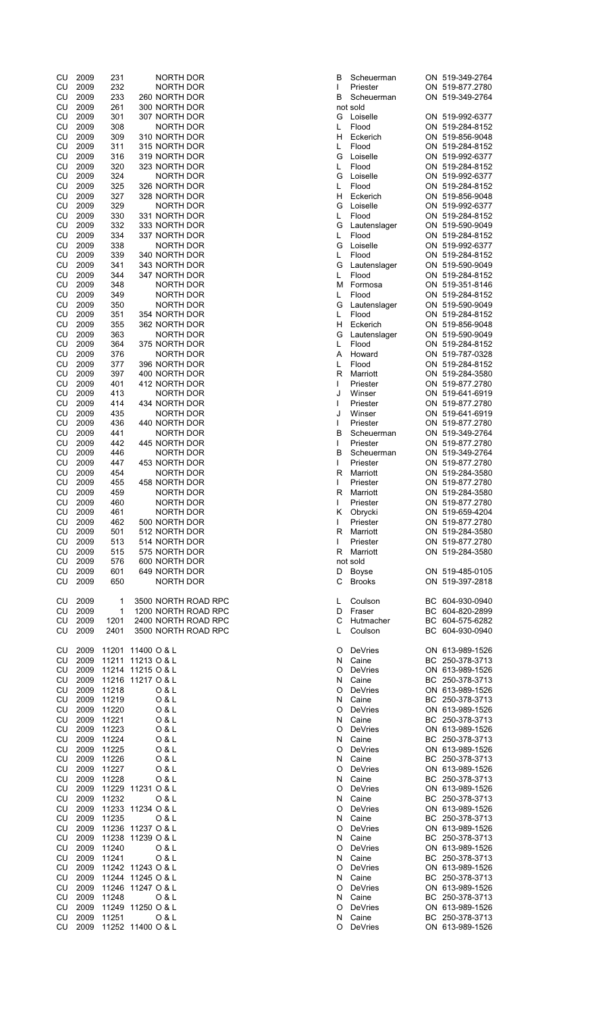| CU<br>CU<br>CU |         |              |                                    |              |              |                                    |
|----------------|---------|--------------|------------------------------------|--------------|--------------|------------------------------------|
|                | 2009    | 231          | NORTH DOR                          | В            | Scheuerman   | ON 519-349-2764                    |
|                | 2009    | 232          | NORTH DOR                          | T            | Priester     | ON 519-877.2780                    |
|                | 2009    | 233          | 260 NORTH DOR                      | B            | Scheuerman   | ON 519-349-2764                    |
| CU             | 2009    | 261          | 300 NORTH DOR                      |              | not sold     |                                    |
| CU             | 2009    | 301          | 307 NORTH DOR                      |              | G Loiselle   | ON 519-992-6377                    |
| CU             | 2009    | 308          | NORTH DOR                          | L            | Flood        | ON 519-284-8152                    |
|                |         |              |                                    |              |              |                                    |
| CU             | 2009    | 309          | 310 NORTH DOR                      | H            | Eckerich     | ON 519-856-9048                    |
| CU             | 2009    | 311          | 315 NORTH DOR                      | L            | Flood        | ON 519-284-8152                    |
| ${\sf CU}$     | 2009    | 316          | 319 NORTH DOR                      | G            | Loiselle     | ON 519-992-6377                    |
| CU             | 2009    | 320          | 323 NORTH DOR                      | L            | Flood        | ON 519-284-8152                    |
| CU             | 2009    | 324          | NORTH DOR                          | G            | Loiselle     | ON 519-992-6377                    |
|                |         |              | 326 NORTH DOR                      |              | Flood        |                                    |
| CU             | 2009    | 325          |                                    | L            |              | ON 519-284-8152                    |
| CU             | 2009    | 327          | 328 NORTH DOR                      | H            | Eckerich     | ON 519-856-9048                    |
| CU             | 2009    | 329          | NORTH DOR                          | G            | Loiselle     | ON 519-992-6377                    |
| CU             | 2009    | 330          | 331 NORTH DOR                      | L            | Flood        | ON 519-284-8152                    |
| CU             | 2009    | 332          | 333 NORTH DOR                      | G            | Lautenslager | ON 519-590-9049                    |
|                |         |              | 337 NORTH DOR                      |              |              |                                    |
| CU             | 2009    | 334          |                                    | L            | Flood        | ON 519-284-8152                    |
| CU             | 2009    | 338          | NORTH DOR                          | G            | Loiselle     | ON 519-992-6377                    |
| CU             | 2009    | 339          | 340 NORTH DOR                      | L            | Flood        | ON 519-284-8152                    |
| CU             | 2009    | 341          | 343 NORTH DOR                      | G            | Lautenslager | ON 519-590-9049                    |
| CU             | 2009    | 344          | 347 NORTH DOR                      | L            | Flood        | ON 519-284-8152                    |
| CU             | 2009    |              | NORTH DOR                          | м            | Formosa      | ON 519-351-8146                    |
|                |         | 348          |                                    |              |              |                                    |
| CU             | 2009    | 349          | NORTH DOR                          | L            | Flood        | ON 519-284-8152                    |
| CU             | 2009    | 350          | NORTH DOR                          | G            | Lautenslager | ON 519-590-9049                    |
| CU             | 2009    | 351          | 354 NORTH DOR                      | L            | Flood        | ON 519-284-8152                    |
| CU             | 2009    | 355          | 362 NORTH DOR                      | H            | Eckerich     | ON 519-856-9048                    |
| CU             | 2009    | 363          | NORTH DOR                          | G            | Lautenslager | ON 519-590-9049                    |
|                |         |              |                                    |              |              |                                    |
| CU             | 2009    | 364          | 375 NORTH DOR                      | L            | Flood        | ON 519-284-8152                    |
| CU             | 2009    | 376          | NORTH DOR                          | A            | Howard       | ON 519-787-0328                    |
| CU             | 2009    | 377          | 396 NORTH DOR                      | L            | Flood        | ON 519-284-8152                    |
| CU             | 2009    | 397          | 400 NORTH DOR                      | R            | Marriott     | ON 519-284-3580                    |
| CU             | 2009    | 401          |                                    |              |              | ON 519-877.2780                    |
|                |         |              | 412 NORTH DOR                      | L            | Priester     |                                    |
| CU             | 2009    | 413          | NORTH DOR                          | J            | Winser       | ON 519-641-6919                    |
| CU             | 2009    | 414          | 434 NORTH DOR                      | T            | Priester     | ON 519-877.2780                    |
| CU             | 2009    | 435          | NORTH DOR                          | J            | Winser       | ON 519-641-6919                    |
| CU             | 2009    | 436          | 440 NORTH DOR                      | T            | Priester     | ON 519-877.2780                    |
| CU             | 2009    | 441          |                                    | B            |              | ON 519-349-2764                    |
|                |         |              | NORTH DOR                          |              | Scheuerman   |                                    |
| CU             | 2009    | 442          | 445 NORTH DOR                      | T            | Priester     | ON 519-877.2780                    |
| CU             | 2009    | 446          | NORTH DOR                          | B            | Scheuerman   | ON 519-349-2764                    |
| CU             | 2009    | 447          | 453 NORTH DOR                      | T            | Priester     | ON 519-877.2780                    |
| CU             | 2009    | 454          | <b>NORTH DOR</b>                   | R            | Marriott     | ON 519-284-3580                    |
| CU             | 2009    | 455          | 458 NORTH DOR                      | L            | Priester     | ON 519-877.2780                    |
|                |         |              |                                    |              |              | ON 519-284-3580                    |
| CU             | 2009    | 459          | NORTH DOR                          | R            | Marriott     |                                    |
|                | 2009    | 460          | NORTH DOR                          | T            | Priester     | ON 519-877.2780                    |
| CU             |         |              |                                    |              |              |                                    |
| CU             | 2009    | 461          | NORTH DOR                          | Κ            | Obrycki      | ON 519-659-4204                    |
|                |         |              |                                    | $\mathbf{L}$ |              |                                    |
| CU             | 2009    | 462          | 500 NORTH DOR                      |              | Priester     | ON 519-877.2780                    |
|                | CU 2009 | 501          | 512 NORTH DOR                      |              | R Marriott   | ON 519-284-3580                    |
|                | CU 2009 | 513          | 514 NORTH DOR                      | L            | Priester     | ON 519-877.2780                    |
|                | CU 2009 | 515          | 575 NORTH DOR                      |              | R Marriott   | ON 519-284-3580                    |
|                | CU 2009 | 576          | 600 NORTH DOR                      |              | not sold     |                                    |
|                | CU 2009 | 601          | 649 NORTH DOR                      |              | D Boyse      |                                    |
|                |         | 650          | NORTH DOR                          |              | C Brooks     | ON 519-485-0105                    |
|                | CU 2009 |              |                                    |              |              | ON 519-397-2818                    |
|                |         |              |                                    |              |              |                                    |
|                | CU 2009 | $\mathbf{1}$ | 3500 NORTH ROAD RPC                |              | L Coulson    | BC 604-930-0940                    |
|                | CU 2009 | $\mathbf{1}$ | 1200 NORTH ROAD RPC                |              | D Fraser     | BC 604-820-2899                    |
|                | CU 2009 | 1201         | 2400 NORTH ROAD RPC                |              | C Hutmacher  |                                    |
|                | CU 2009 | 2401         | 3500 NORTH ROAD RPC                |              | L Coulson    | BC 604-930-0940                    |
|                |         |              |                                    |              |              |                                    |
|                |         |              |                                    |              |              |                                    |
| ${\sf CU}$     |         |              | 2009 11201 11400 O & L             |              | O DeVries    | ON 613-989-1526                    |
| CU             | 2009    |              | 11211 11213 O & L                  |              | N Caine      | BC 250-378-3713                    |
|                | CU 2009 |              | 11214 11215 O & L                  |              | O DeVries    | ON 613-989-1526                    |
|                | CU 2009 |              | 11216 11217 O & L                  |              | N Caine      | BC 250-378-3713                    |
|                | CU 2009 | 11218        | 0 & L                              |              | O DeVries    | ON 613-989-1526                    |
|                | CU 2009 | 11219        | 0 & L                              |              | N Caine      | BC 250-378-3713                    |
|                |         |              |                                    |              | O DeVries    |                                    |
|                | CU 2009 | 11220        | 0 & L                              |              |              | ON 613-989-1526                    |
|                | CU 2009 | 11221        | 0 & L                              |              | N Caine      | BC 250-378-3713                    |
|                | CU 2009 | 11223        | O & L                              |              | O DeVries    | ON 613-989-1526                    |
|                | CU 2009 | 11224        | O & L                              |              | N Caine      | BC 250-378-3713                    |
| CU             | 2009    | 11225        | 0 & L                              |              | O DeVries    | ON 613-989-1526                    |
|                |         |              |                                    |              |              |                                    |
|                | CU 2009 | 11226        | 0 & L                              |              | N Caine      | BC 250-378-3713                    |
|                | CU 2009 | 11227        | 0 & L                              |              | O DeVries    | ON 613-989-1526                    |
|                | CU 2009 | 11228        | 0 & L                              |              | N Caine      | BC 250-378-3713                    |
|                | CU 2009 |              | 11229 11231 O & L                  |              | O DeVries    | ON 613-989-1526                    |
|                | CU 2009 | 11232        | 0 & L                              |              | N Caine      | BC 250-378-3713                    |
|                | CU 2009 |              | 11233 11234 O & L                  |              | O DeVries    | ON 613-989-1526                    |
|                |         | 11235        |                                    |              | N Caine      |                                    |
|                | CU 2009 |              | 0 & L                              |              |              | BC 250-378-3713                    |
|                | CU 2009 |              | 11236 11237 O & L                  |              | O DeVries    | ON 613-989-1526                    |
|                | CU 2009 |              | 11238 11239 O & L                  |              | N Caine      | BC 250-378-3713                    |
| CU             | 2009    | 11240        | 0 & L                              |              | O DeVries    | ON 613-989-1526                    |
|                | CU 2009 | 11241        | 0 & L                              |              | N Caine      | BC 250-378-3713                    |
|                | CU 2009 |              | 11242 11243 O & L                  |              | O DeVries    | ON 613-989-1526                    |
|                |         |              |                                    |              | N Caine      |                                    |
|                | CU 2009 |              | 11244 11245 O & L                  |              |              | BC 250-378-3713                    |
| CU             | 2009    |              | 11246 11247 O & L                  |              | O DeVries    | ON 613-989-1526                    |
|                | CU 2009 | 11248        | 0 & L                              |              | N Caine      | BC 250-378-3713                    |
|                | CU 2009 |              | 11249 11250 O & L                  |              | O DeVries    | BC 604-575-6282<br>ON 613-989-1526 |
|                | CU 2009 | 11251        | 0 & L<br>CU 2009 11252 11400 O & L |              | N Caine      | BC 250-378-3713<br>ON 613-989-1526 |

| Scheuerman               |          | ON 519-3                         |
|--------------------------|----------|----------------------------------|
| Priester                 |          | ON 519-8                         |
| Scheuerman<br>sold       |          | ON 519-3                         |
| Loiselle                 |          | ON 519-9                         |
| Flood                    |          | ON 519-2<br>ON 519-8             |
| Eckerich                 |          |                                  |
| Flood                    |          | ON 519-2                         |
| Loiselle<br>Flood        |          | ON 519-9<br>ON 519-2             |
| Loiselle                 |          | ON 519-9                         |
| Flood                    |          | ON 519-2                         |
| Eckerich                 |          | ON 519-8                         |
| Loiselle                 |          | ON 519-9                         |
| Flood<br>Lautenslager    |          | ON 519-2<br>ON 519-5             |
| Flood                    |          |                                  |
| Loiselle                 |          | ON 519-2<br>ON 519-9             |
| Flood                    |          | ON 519-2                         |
| Lautenslager<br>Flood    |          | ON 519-5<br>ON 519-2             |
| Formosa                  |          | ON 519-3                         |
| Flood                    |          | ON 519-2                         |
| Lautenslager             |          | $ON 519-5$                       |
| Flood                    |          | ON 519-2                         |
| Eckerich<br>Lautenslager |          | ON 519-8<br>ON 519-5             |
| Flood                    |          |                                  |
| Howard                   |          | ON 519-2<br>ON 519-7             |
| Flood                    |          | ON 519-2                         |
| Marriott                 |          | ON 519-2<br>ON 519-8             |
| Priester<br>Winser       |          | ON 519-6                         |
| Priester                 | ON.      | 519-8                            |
| Winser                   |          | ON 519-6                         |
| Priester                 |          | ON 519-8                         |
| Scheuerman               |          | ON 519-3<br>ON 519-8             |
| Priester<br>Scheuerman   |          | ON 519-3                         |
| Priester                 |          | ON 519-8                         |
| Marriott                 |          | ON 519-2                         |
| Priester                 |          | ON 519-8<br>ON 519-2             |
| Marriott                 |          | ON 519-8                         |
| Priester                 |          |                                  |
|                          |          |                                  |
| Obrycki                  | ON       | 519-6                            |
| Priester<br>Marriott     | ON       | 519-8<br>ON 519-2                |
| Priester                 |          | ON 519-8                         |
| Marriott                 | ON       | 519-2                            |
| sold                     |          |                                  |
| Boyse<br><b>Brooks</b>   | ON       | ON 519-4<br>519-3                |
|                          |          |                                  |
| Coulson                  | ВC       | 604-9                            |
| Fraser                   | BC       | 604-8                            |
| Hutmacher                | ВC       | 604-5                            |
| Coulson                  | ВC       | 604-9                            |
| <b>DeVries</b>           | ON       | 613-9                            |
| Caine                    | ВC       | 250-3                            |
| <b>DeVries</b>           |          | ON 613-9                         |
| Caine                    | BC       | 250-3                            |
| <b>DeVries</b><br>Caine  | ВC       | ON 613-9<br>250-3                |
| DeVries                  | ON       | 613-9                            |
| Caine                    | BC       | 250-3                            |
| <b>DeVries</b>           | ON       | 613-9                            |
| Caine<br>DeVries         | BC       | 250-3<br>ON 613-9                |
| Caine                    |          | 250-3                            |
| <b>DeVries</b>           | ВC       | ON 613-9                         |
| Caine                    | BC       | 250-3                            |
| <b>DeVries</b>           | ON       | 613-9                            |
| Caine<br><b>DeVries</b>  | ВC       | 250-3<br>ON 613-9                |
| Caine                    | BC       | 250-3                            |
| <b>DeVries</b>           |          | ON 613-9                         |
| Caine                    | ВC       | 250-3                            |
| <b>DeVries</b>           | ON       | 613-9                            |
| Caine<br><b>DeVries</b>  | BC<br>ON | 250-3<br>613-9                   |
| Caine                    | ВC       | 250-3                            |
| <b>DeVries</b>           |          | ON 613-9                         |
| Caine                    |          |                                  |
| <b>DeVries</b><br>Caine  |          | BC 250-3<br>ON 613-9<br>BC 250-3 |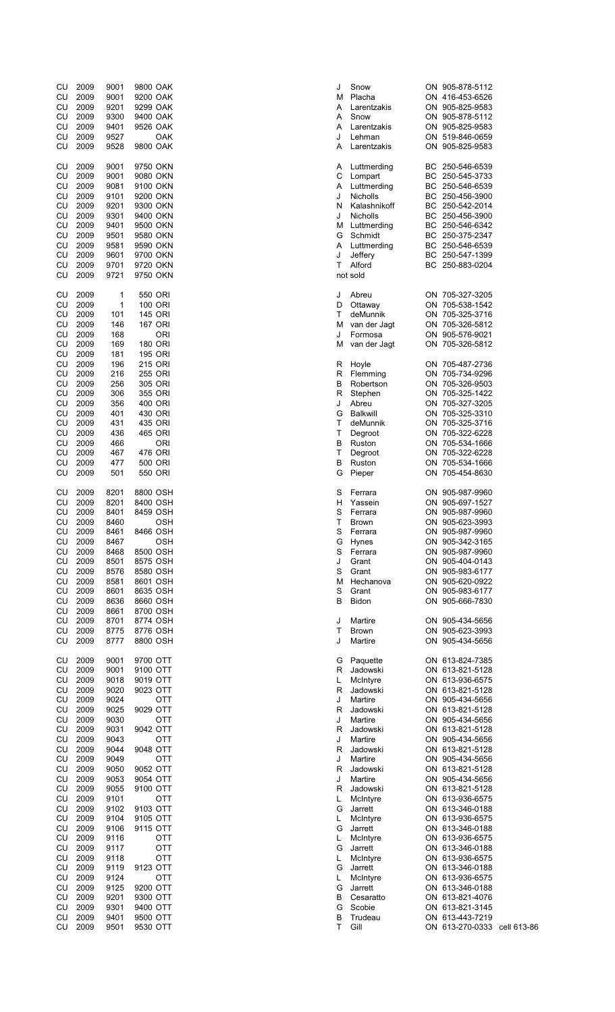| CU                                                                                     | 2009                                                                                                                 | 9001                                                                                                                 | 9800 OAK                                                                                                                                                               | J                                                                  | Sno                                                                                                                        |
|----------------------------------------------------------------------------------------|----------------------------------------------------------------------------------------------------------------------|----------------------------------------------------------------------------------------------------------------------|------------------------------------------------------------------------------------------------------------------------------------------------------------------------|--------------------------------------------------------------------|----------------------------------------------------------------------------------------------------------------------------|
| CU                                                                                     | 2009                                                                                                                 | 9001                                                                                                                 | 9200 OAK                                                                                                                                                               | М                                                                  | Plac                                                                                                                       |
| CU                                                                                     | 2009                                                                                                                 | 9201                                                                                                                 | 9299 OAK                                                                                                                                                               | Α                                                                  | Lar∈                                                                                                                       |
| CU                                                                                     | 2009                                                                                                                 | 9300                                                                                                                 | 9400 OAK                                                                                                                                                               | Α                                                                  | Sno                                                                                                                        |
| CU                                                                                     | 2009                                                                                                                 | 9401                                                                                                                 | 9526 OAK                                                                                                                                                               | Α                                                                  | Lare                                                                                                                       |
| CU                                                                                     | 2009                                                                                                                 | 9527                                                                                                                 | OAK                                                                                                                                                                    | J                                                                  | Lehi                                                                                                                       |
| CU                                                                                     | 2009                                                                                                                 | 9528                                                                                                                 | 9800 OAK                                                                                                                                                               | Α                                                                  | Lare                                                                                                                       |
| CU<br>CU<br>CU<br>CU<br>CU<br>CU<br>CU<br>CU<br>CU<br>CU<br>CU<br>CU                   | 2009<br>2009<br>2009<br>2009<br>2009<br>2009<br>2009<br>2009<br>2009<br>2009<br>2009<br>2009                         | 9001<br>9001<br>9081<br>9101<br>9201<br>9301<br>9401<br>9501<br>9581<br>9601<br>9701<br>9721                         | 9750 OKN<br>9080 OKN<br>9100 OKN<br>9200 OKN<br>9300 OKN<br>9400 OKN<br>9500 OKN<br>9580 OKN<br>9590 OKN<br>9700 OKN<br>9720 OKN<br>9750 OKN                           | Α<br>C<br>Α<br>J<br>Ν<br>J<br>M<br>G<br>Α<br>J<br>т                | Lutt<br>Lom<br>Lutt<br>Nich<br>Kala<br>Nich<br>Lutt<br>Sch<br>Lutti<br><b>Jeff</b><br>Alfo<br>not sold                     |
| CU<br>CU<br>CU<br>CU<br>CU<br>CU<br>CU                                                 | 2009<br>2009<br>2009<br>2009<br>2009<br>2009<br>2009                                                                 | 1<br>1<br>101<br>146<br>168<br>169<br>181                                                                            | 550 ORI<br>100 ORI<br>145 ORI<br>167 ORI<br><b>ORI</b><br>180 ORI<br>195 ORI                                                                                           | J<br>D<br>т<br>М<br>J<br>М                                         | Abre<br>Otta<br>deM<br>van<br>Forr<br>van                                                                                  |
| CU                                                                                     | 2009                                                                                                                 | 196                                                                                                                  | 215 ORI                                                                                                                                                                | R                                                                  | Hoy                                                                                                                        |
| CU                                                                                     | 2009                                                                                                                 | 216                                                                                                                  | 255 ORI                                                                                                                                                                | R                                                                  | Fler                                                                                                                       |
| CU                                                                                     | 2009                                                                                                                 | 256                                                                                                                  | 305 ORI                                                                                                                                                                | В                                                                  | Rob                                                                                                                        |
| CU                                                                                     | 2009                                                                                                                 | 306                                                                                                                  | 355 ORI                                                                                                                                                                | R                                                                  | Step                                                                                                                       |
| CU                                                                                     | 2009                                                                                                                 | 356                                                                                                                  | 400 ORI                                                                                                                                                                | J                                                                  | Abre                                                                                                                       |
| CU                                                                                     | 2009                                                                                                                 | 401                                                                                                                  | 430 ORI                                                                                                                                                                | G                                                                  | <b>Balk</b>                                                                                                                |
| CU                                                                                     | 2009                                                                                                                 | 431                                                                                                                  | 435 ORI                                                                                                                                                                | Т                                                                  | deM                                                                                                                        |
| CU                                                                                     | 2009                                                                                                                 | 436                                                                                                                  | 465 ORI                                                                                                                                                                | Т                                                                  | Deg                                                                                                                        |
| CU                                                                                     | 2009                                                                                                                 | 466                                                                                                                  | <b>ORI</b>                                                                                                                                                             | В                                                                  | Rus                                                                                                                        |
| CU                                                                                     | 2009                                                                                                                 | 467                                                                                                                  | 476 ORI                                                                                                                                                                | Т                                                                  | Deg                                                                                                                        |
| CU                                                                                     | 2009                                                                                                                 | 477                                                                                                                  | 500 ORI                                                                                                                                                                | в                                                                  | Rus                                                                                                                        |
| CU                                                                                     | 2009                                                                                                                 | 501                                                                                                                  | 550 ORI                                                                                                                                                                | G                                                                  | Piep                                                                                                                       |
| CU<br>CU<br>CU<br>CU<br>CU<br>CU<br>CU<br>CU<br>CU<br>CU<br>CU<br>CU<br>CU<br>CU<br>CU | 2009<br>2009<br>2009<br>2009<br>2009<br>2009<br>2009<br>2009<br>2009<br>2009<br>2009<br>2009<br>2009<br>2009<br>2009 | 8201<br>8201<br>8401<br>8460<br>8461<br>8467<br>8468<br>8501<br>8576<br>8581<br>8601<br>8636<br>8661<br>8701<br>8775 | 8800 OSH<br>8400 OSH<br>8459 OSH<br>OSH<br>8466 OSH<br>OSH<br>8500 OSH<br>8575 OSH<br>8580 OSH<br>8601 OSH<br>8635 OSH<br>8660 OSH<br>8700 OSH<br>8774 OSH<br>8776 OSH | S<br>н<br>S<br>т<br>S<br>G<br>S<br>J<br>S<br>M<br>S<br>В<br>J<br>т | Ferr<br>Yas<br>Ferr<br><b>Broy</b><br>Ferr<br>Hyn<br>Ferr<br>Gra<br>Gra<br>Hec<br>Gra<br><b>Bidc</b><br>Mar<br><b>Broy</b> |
| CU                                                                                     | 2009                                                                                                                 | 8777                                                                                                                 | 8800 OSH                                                                                                                                                               | J                                                                  | Mar                                                                                                                        |
| CU                                                                                     | 2009                                                                                                                 | 9001                                                                                                                 | 9700 OTT                                                                                                                                                               | G                                                                  | Paq                                                                                                                        |
| CU                                                                                     | 2009                                                                                                                 | 9001                                                                                                                 | 9100 OTT                                                                                                                                                               | R                                                                  | Jad                                                                                                                        |
| CU                                                                                     | 2009                                                                                                                 | 9018                                                                                                                 | 9019 OTT                                                                                                                                                               | L                                                                  | Mclı                                                                                                                       |
| CU                                                                                     | 2009                                                                                                                 | 9020                                                                                                                 | 9023 OTT                                                                                                                                                               | R                                                                  | Jad                                                                                                                        |
| CU                                                                                     | 2009                                                                                                                 | 9024                                                                                                                 | <b>OTT</b>                                                                                                                                                             | J                                                                  | Mar                                                                                                                        |
| CU                                                                                     | 2009                                                                                                                 | 9025                                                                                                                 | 9029 OTT                                                                                                                                                               | R                                                                  | Jad                                                                                                                        |
| CU                                                                                     | 2009                                                                                                                 | 9030                                                                                                                 | <b>OTT</b>                                                                                                                                                             | J                                                                  | Mar                                                                                                                        |
| CU                                                                                     | 2009                                                                                                                 | 9031                                                                                                                 | 9042 OTT                                                                                                                                                               | R                                                                  | Jad                                                                                                                        |
| CU                                                                                     | 2009                                                                                                                 | 9043                                                                                                                 | <b>OTT</b>                                                                                                                                                             | J                                                                  | Mar                                                                                                                        |
| CU                                                                                     | 2009                                                                                                                 | 9044                                                                                                                 | 9048 OTT                                                                                                                                                               | R                                                                  | Jad                                                                                                                        |
| CU                                                                                     | 2009                                                                                                                 | 9049                                                                                                                 | <b>OTT</b>                                                                                                                                                             | J                                                                  | Mar                                                                                                                        |
| CU                                                                                     | 2009                                                                                                                 | 9050                                                                                                                 | 9052 OTT                                                                                                                                                               | R                                                                  | Jad                                                                                                                        |
| CU                                                                                     | 2009                                                                                                                 | 9053                                                                                                                 | 9054 OTT                                                                                                                                                               | J                                                                  | Mar                                                                                                                        |
| CU                                                                                     | 2009                                                                                                                 | 9055                                                                                                                 | 9100 OTT                                                                                                                                                               | R                                                                  | Jad                                                                                                                        |
| CU                                                                                     | 2009                                                                                                                 | 9101                                                                                                                 | OTT                                                                                                                                                                    | L                                                                  | Mclı                                                                                                                       |
| CU                                                                                     | 2009                                                                                                                 | 9102                                                                                                                 | 9103 OTT                                                                                                                                                               | G                                                                  | Jarr                                                                                                                       |
| CU                                                                                     | 2009                                                                                                                 | 9104                                                                                                                 | 9105 OTT                                                                                                                                                               | L.                                                                 | Mclı                                                                                                                       |
| CU                                                                                     | 2009                                                                                                                 | 9106                                                                                                                 | 9115 OTT                                                                                                                                                               | G                                                                  | Jarr                                                                                                                       |
| CU                                                                                     | 2009                                                                                                                 | 9116                                                                                                                 | <b>OTT</b>                                                                                                                                                             | Г                                                                  | Mcl                                                                                                                        |
| CU                                                                                     | 2009                                                                                                                 | 9117                                                                                                                 | <b>OTT</b>                                                                                                                                                             | G                                                                  | Jarr                                                                                                                       |
| CU                                                                                     | 2009                                                                                                                 | 9118                                                                                                                 | <b>OTT</b>                                                                                                                                                             | L.                                                                 | Mclı                                                                                                                       |
| CU                                                                                     | 2009                                                                                                                 | 9119                                                                                                                 | 9123 OTT                                                                                                                                                               | G                                                                  | Jarr                                                                                                                       |
| CU                                                                                     | 2009                                                                                                                 | 9124                                                                                                                 | <b>OTT</b>                                                                                                                                                             | L.                                                                 | Mcl                                                                                                                        |
| CU                                                                                     | 2009                                                                                                                 | 9125                                                                                                                 | 9200 OTT                                                                                                                                                               | G                                                                  | Jarr                                                                                                                       |
| CU                                                                                     | 2009                                                                                                                 | 9201                                                                                                                 | 9300 OTT                                                                                                                                                               | В                                                                  | Ces                                                                                                                        |
| CU                                                                                     | 2009                                                                                                                 | 9301                                                                                                                 | 9400 OTT                                                                                                                                                               | G                                                                  | Sco                                                                                                                        |
| CU                                                                                     | 2009                                                                                                                 | 9401                                                                                                                 | 9500 OTT                                                                                                                                                               | B                                                                  | Truc                                                                                                                       |
| CU                                                                                     | 2009                                                                                                                 | 9501                                                                                                                 | 9530 OTT                                                                                                                                                               | Т                                                                  | Gill                                                                                                                       |

| CU | 2009 | 9001 | 9800 OAK   | J | Snow            |    | ON 905-878-5112             |  |
|----|------|------|------------|---|-----------------|----|-----------------------------|--|
| CU | 2009 | 9001 | 9200 OAK   | М | Placha          |    | ON 416-453-6526             |  |
| CU | 2009 | 9201 | 9299 OAK   | Α | Larentzakis     |    | ON 905-825-9583             |  |
| CU | 2009 | 9300 | 9400 OAK   | Α | Snow            |    | ON 905-878-5112             |  |
|    |      |      |            |   |                 |    |                             |  |
| CU | 2009 | 9401 | 9526 OAK   | Α | Larentzakis     |    | ON 905-825-9583             |  |
| CU | 2009 | 9527 | OAK        | J | Lehman          |    | ON 519-846-0659             |  |
| CU | 2009 | 9528 | 9800 OAK   | Α | Larentzakis     |    | ON 905-825-9583             |  |
|    |      |      |            |   |                 |    |                             |  |
| CU | 2009 | 9001 | 9750 OKN   | Α | Luttmerding     |    | BC 250-546-6539             |  |
| CU | 2009 | 9001 | 9080 OKN   | С | Lompart         |    | BC 250-545-3733             |  |
| CU | 2009 | 9081 | 9100 OKN   | Α | Luttmerding     | BС | 250-546-6539                |  |
| CU | 2009 | 9101 | 9200 OKN   | J | Nicholls        | BС | 250-456-3900                |  |
|    |      |      |            |   |                 |    |                             |  |
| CU | 2009 | 9201 | 9300 OKN   | N | Kalashnikoff    |    | BC 250-542-2014             |  |
| CU | 2009 | 9301 | 9400 OKN   | J | Nicholls        |    | BC 250-456-3900             |  |
| CU | 2009 | 9401 | 9500 OKN   | М | Luttmerding     |    | BC 250-546-6342             |  |
| CU | 2009 | 9501 | 9580 OKN   |   | Schmidt         |    | BC 250-375-2347             |  |
|    |      |      |            | G |                 |    |                             |  |
| CU | 2009 | 9581 | 9590 OKN   | Α | Luttmerding     |    | BC 250-546-6539             |  |
| CU | 2009 | 9601 | 9700 OKN   | J | Jeffery         |    | BC 250-547-1399             |  |
| CU | 2009 | 9701 | 9720 OKN   | Τ | Alford          |    | BC 250-883-0204             |  |
| CU | 2009 | 9721 | 9750 OKN   |   | not sold        |    |                             |  |
|    |      |      |            |   |                 |    |                             |  |
| CU | 2009 | 1    | 550 ORI    | J | Abreu           |    | ON 705-327-3205             |  |
| CU | 2009 | 1    | 100 ORI    | D | Ottaway         |    | ON 705-538-1542             |  |
|    |      |      |            |   |                 |    |                             |  |
| CU | 2009 | 101  | 145 ORI    | т | deMunnik        |    | ON 705-325-3716             |  |
| CU | 2009 | 146  | 167 ORI    | M | van der Jagt    |    | ON 705-326-5812             |  |
| CU | 2009 | 168  | <b>ORI</b> | J | Formosa         |    | ON 905-576-9021             |  |
|    |      |      |            |   |                 |    |                             |  |
| CU | 2009 | 169  | 180 ORI    | м | van der Jagt    |    | ON 705-326-5812             |  |
| CU | 2009 | 181  | 195 ORI    |   |                 |    |                             |  |
| CU | 2009 | 196  | 215 ORI    | R | Hoyle           |    | ON 705-487-2736             |  |
|    |      |      |            |   |                 |    |                             |  |
| CU | 2009 | 216  | 255 ORI    | R | Flemming        |    | ON 705-734-9296             |  |
| CU | 2009 | 256  | 305 ORI    | В | Robertson       |    | ON 705-326-9503             |  |
| CU | 2009 | 306  | 355 ORI    | R | Stephen         |    | ON 705-325-1422             |  |
| CU | 2009 | 356  | 400 ORI    | J | Abreu           |    | ON 705-327-3205             |  |
|    |      |      |            |   |                 |    |                             |  |
| CU | 2009 | 401  | 430 ORI    | G | <b>Balkwill</b> |    | ON 705-325-3310             |  |
| CU | 2009 | 431  | 435 ORI    | Τ | deMunnik        |    | ON 705-325-3716             |  |
| CU | 2009 | 436  | 465 ORI    | Τ | Degroot         |    | ON 705-322-6228             |  |
| CU | 2009 | 466  | <b>ORI</b> | В | Ruston          |    | ON 705-534-1666             |  |
|    |      |      |            |   |                 |    |                             |  |
| CU | 2009 | 467  | 476 ORI    | Τ | Degroot         |    | ON 705-322-6228             |  |
| CU | 2009 | 477  | 500 ORI    | В | Ruston          |    | ON 705-534-1666             |  |
| CU | 2009 | 501  | 550 ORI    | G | Pieper          |    | ON 705-454-8630             |  |
|    |      |      |            |   |                 |    |                             |  |
|    |      |      |            |   |                 |    |                             |  |
| CU | 2009 | 8201 | 8800 OSH   | S | Ferrara         |    | ON 905-987-9960             |  |
| CU | 2009 | 8201 | 8400 OSH   | н | Yassein         |    | ON 905-697-1527             |  |
| CU | 2009 | 8401 | 8459 OSH   | S | Ferrara         |    | ON 905-987-9960             |  |
|    |      |      |            |   |                 |    |                             |  |
| CU | 2009 | 8460 | OSH        | Т | <b>Brown</b>    |    | ON 905-623-3993             |  |
| CU | 2009 | 8461 | 8466 OSH   | S | Ferrara         |    | ON 905-987-9960             |  |
| CU | 2009 | 8467 | <b>OSH</b> | G | <b>Hynes</b>    |    | ON 905-342-3165             |  |
| CU | 2009 | 8468 | 8500 OSH   | S | Ferrara         |    | ON 905-987-9960             |  |
|    |      |      |            |   |                 |    |                             |  |
| CU | 2009 | 8501 | 8575 OSH   | J | Grant           |    | ON 905-404-0143             |  |
| CU | 2009 | 8576 | 8580 OSH   | S | Grant           |    | ON 905-983-6177             |  |
| CU | 2009 | 8581 | 8601 OSH   | М | Hechanova       |    | ON 905-620-0922             |  |
| CU | 2009 | 8601 | 8635 OSH   | S | Grant           |    | ON 905-983-6177             |  |
|    |      |      |            |   |                 |    |                             |  |
| CU | 2009 | 8636 | 8660 OSH   | В | <b>Bidon</b>    |    | ON 905-666-7830             |  |
| CU | 2009 | 8661 | 8700 OSH   |   |                 |    |                             |  |
| CU | 2009 | 8701 | 8774 OSH   | J | Martire         |    | ON 905-434-5656             |  |
|    | 2009 | 8775 | 8776 OSH   | Τ | <b>Brown</b>    |    | ON 905-623-3993             |  |
| CU |      |      |            |   |                 |    |                             |  |
| CU | 2009 | 8777 | 8800 OSH   | J | Martire         |    | ON 905-434-5656             |  |
|    |      |      |            |   |                 |    |                             |  |
| CU | 2009 | 9001 | 9700 OTT   | G | Paquette        |    | ON 613-824-7385             |  |
| CU | 2009 | 9001 | 9100 OTT   | R | Jadowski        |    | ON 613-821-5128             |  |
| CU | 2009 | 9018 | 9019 OTT   | L | McIntyre        |    | ON 613-936-6575             |  |
| CU | 2009 | 9020 | 9023 OTT   | R |                 |    | ON 613-821-5128             |  |
|    |      |      |            |   | Jadowski        |    |                             |  |
| CU | 2009 | 9024 | <b>OTT</b> | J | Martire         |    | ON 905-434-5656             |  |
| CU | 2009 | 9025 | 9029 OTT   | R | Jadowski        |    | ON 613-821-5128             |  |
| CU | 2009 | 9030 | <b>OTT</b> | J | Martire         |    | ON 905-434-5656             |  |
| CU | 2009 | 9031 | 9042 OTT   | R | Jadowski        |    | ON 613-821-5128             |  |
|    |      |      |            |   |                 |    |                             |  |
| CU | 2009 | 9043 | <b>OTT</b> | J | Martire         |    | ON 905-434-5656             |  |
| CU | 2009 | 9044 | 9048 OTT   | R | Jadowski        |    | ON 613-821-5128             |  |
| CU | 2009 | 9049 | OTT        | J | Martire         |    | ON 905-434-5656             |  |
|    |      |      | 9052 OTT   |   |                 |    |                             |  |
| CU | 2009 | 9050 |            | R | Jadowski        |    | ON 613-821-5128             |  |
| CU | 2009 | 9053 | 9054 OTT   | J | Martire         |    | ON 905-434-5656             |  |
| CU | 2009 | 9055 | 9100 OTT   | R | Jadowski        |    | ON 613-821-5128             |  |
| CU | 2009 | 9101 | OTT        | L | McIntyre        |    | ON 613-936-6575             |  |
|    |      |      |            |   |                 |    |                             |  |
| CU | 2009 | 9102 | 9103 OTT   | G | Jarrett         |    | ON 613-346-0188             |  |
| CU | 2009 | 9104 | 9105 OTT   | L | McIntyre        |    | ON 613-936-6575             |  |
| CU | 2009 | 9106 | 9115 OTT   | G | Jarrett         |    | ON 613-346-0188             |  |
| CU | 2009 | 9116 | <b>OTT</b> | L | McIntyre        |    | ON 613-936-6575             |  |
|    |      |      |            |   |                 |    |                             |  |
| CU | 2009 | 9117 | OTT        | G | Jarrett         |    | ON 613-346-0188             |  |
| CU | 2009 | 9118 | <b>OTT</b> | L | McIntyre        |    | ON 613-936-6575             |  |
| CU | 2009 | 9119 | 9123 OTT   | G | Jarrett         |    | ON 613-346-0188             |  |
| CU | 2009 | 9124 | <b>OTT</b> | L | McIntyre        |    | ON 613-936-6575             |  |
|    |      |      |            |   |                 |    |                             |  |
| CU | 2009 | 9125 | 9200 OTT   | G | Jarrett         |    | ON 613-346-0188             |  |
| CU | 2009 | 9201 | 9300 OTT   | В | Cesaratto       |    | ON 613-821-4076             |  |
| CU | 2009 | 9301 | 9400 OTT   | G | Scobie          |    | ON 613-821-3145             |  |
| CU | 2009 | 9401 | 9500 OTT   | В | Trudeau         |    | ON 613-443-7219             |  |
|    |      |      |            |   |                 |    |                             |  |
| CU | 2009 | 9501 | 9530 OTT   | Τ | Gill            |    | ON 613-270-0333 cell 613-86 |  |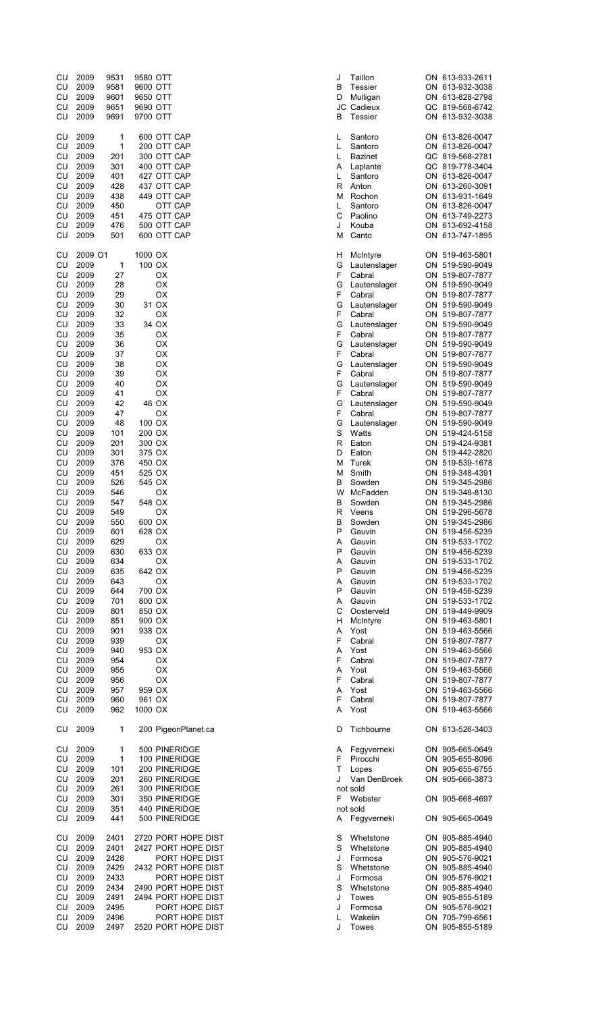| CU<br>CU<br>CU<br>CU<br>CU | 2009<br>2009<br>2009<br>2009<br>2009 | 9531<br>9581<br>9601<br>9651<br>9691 | 9580 OTT<br>9600 OTT<br>9650 OTT<br>9690 OTT<br>9700 OTT |                                            | J<br>В<br>D<br>В | Taill<br>Tes:<br>Mull<br>JC Cad<br>Tes: |
|----------------------------|--------------------------------------|--------------------------------------|----------------------------------------------------------|--------------------------------------------|------------------|-----------------------------------------|
| CU<br>CU<br>CU             | 2009<br>2009<br>2009                 | 1<br>1<br>201                        | 600 OTT CAP<br>200 OTT CAP<br>300 OTT CAP                |                                            | L<br>Г<br>L      | San<br>San<br>Baz                       |
| CU                         | 2009                                 | 301                                  | 400 OTT CAP                                              |                                            | Α                | Lapl                                    |
| CU                         | 2009                                 | 401                                  | 427 OTT CAP                                              |                                            | L                | San                                     |
| CU<br>CU                   | 2009<br>2009                         | 428<br>438                           | 437 OTT CAP<br>449 OTT CAP                               |                                            | R<br>М           | Anto<br>Roc                             |
| CU                         | 2009                                 | 450                                  |                                                          | OTT CAP                                    | L                | San                                     |
| CU                         | 2009                                 | 451                                  | 475 OTT CAP                                              |                                            | C                | Pao                                     |
| CU<br>CU                   | 2009<br>2009                         | 476<br>501                           | 500 OTT CAP<br>600 OTT CAP                               |                                            | J<br>М           | Kou<br>Can                              |
| CU<br>CU                   | 2009 O1<br>2009                      | $\mathbf{1}$                         | 1000 OX<br>100 OX                                        |                                            | н<br>G           | Mclı<br>Laut                            |
| CU                         | 2009                                 | 27                                   | OX                                                       |                                            | F                | Cab                                     |
| CU<br>CU                   | 2009<br>2009                         | 28<br>29                             | OX<br>OX                                                 |                                            | G<br>F           | Laut<br>Cab                             |
| CU                         | 2009                                 | 30                                   | 31 OX                                                    |                                            | G                | Laut                                    |
| CU                         | 2009                                 | 32                                   | ОX                                                       |                                            | F                | Cab                                     |
| CU                         | 2009                                 | 33                                   | 34 OX                                                    |                                            | G                | Laut                                    |
| CU<br>CU                   | 2009<br>2009                         | 35<br>36                             | OX<br>OX                                                 |                                            | F<br>G           | Cab<br>Laut                             |
| CU                         | 2009                                 | 37                                   | OX                                                       |                                            | F                | Cab                                     |
| CU                         | 2009                                 | 38                                   | OX                                                       |                                            | G                | Laut                                    |
| CU<br>CU                   | 2009<br>2009                         | 39<br>40                             | ОX<br>OX                                                 |                                            | F<br>G           | Cab<br>Lau                              |
| CU                         | 2009                                 | 41                                   | OX                                                       |                                            | F                | Cab                                     |
| CU                         | 2009                                 | 42                                   | 46 OX                                                    |                                            | G                | Lau                                     |
| CU<br>CU                   | 2009<br>2009                         | 47<br>48                             | OX<br>100 OX                                             |                                            | F<br>G           | Cab<br>Lau                              |
| CU                         | 2009                                 | 101                                  | 200 OX                                                   |                                            | S                | Wat                                     |
| CU                         | 2009                                 | 201                                  | 300 OX                                                   |                                            | R                | Eato                                    |
| CU<br>CU                   | 2009<br>2009                         | 301<br>376                           | 375 OX<br>450 OX                                         |                                            | D<br>М           | Eato<br>Ture                            |
| CU                         | 2009                                 | 451                                  | 525 OX                                                   |                                            | M                | Smi                                     |
| CU                         | 2009                                 | 526                                  | 545 OX                                                   |                                            | В                | Sow                                     |
| CU<br>CU                   | 2009<br>2009                         | 546<br>547                           | OX<br>548 OX                                             |                                            | W<br>В           | McF<br>Sow                              |
| CU                         | 2009                                 | 549                                  | ОX                                                       |                                            | R                | Vee                                     |
| CU                         | 2009                                 | 550                                  | 600 OX                                                   |                                            | В                | Sow                                     |
| CU<br>CU                   | 2009<br>2009                         | 601<br>629                           | 628 OX<br>ОX                                             |                                            | P<br>Α           | Gau<br>Gau                              |
| CU                         | 2009                                 | 630                                  | 633 OX                                                   |                                            | P                | Gau                                     |
| CU                         | 2009                                 | 634                                  | ОX                                                       |                                            | Α<br>P           | Gau                                     |
| CU<br>CU                   | 2009<br>2009                         | 635<br>643                           | 642 OX<br>ОX                                             |                                            | Α                | Gau<br>Gau                              |
| CU                         | 2009                                 | 644                                  | 700 OX                                                   |                                            | P                | Gau                                     |
| CU<br>CU                   | 2009<br>2009                         | 701<br>801                           | 800 OX<br>850 OX                                         |                                            | Α<br>С           | Gau<br>Oos                              |
| CU                         | 2009                                 | 851                                  | 900 OX                                                   |                                            | н                | Mcli                                    |
| CU                         | 2009                                 | 901                                  | 938 OX                                                   |                                            | Α                | Yos                                     |
| CU<br>CU                   | 2009<br>2009                         | 939<br>940                           | OX<br>953 OX                                             |                                            | F<br>Α           | Cab<br>Yos                              |
| CU                         | 2009                                 | 954                                  | OX                                                       |                                            | F                | Cab                                     |
| CU                         | 2009                                 | 955                                  | ОX                                                       |                                            | Α                | Yos                                     |
| CU<br>CU                   | 2009<br>2009                         | 956<br>957                           | OX<br>959 OX                                             |                                            | F<br>Α           | Cab<br>Yos                              |
| CU                         | 2009                                 | 960                                  | 961 OX                                                   |                                            | F                | Cab                                     |
| CU                         | 2009                                 | 962                                  | 1000 OX                                                  |                                            | A                | Yos                                     |
| CU                         | 2009                                 | 1                                    |                                                          | 200 PigeonPlanet.ca                        | D                | Tich                                    |
| CU<br>CU                   | 2009<br>2009                         | 1<br>1                               |                                                          | 500 PINERIDGE<br>100 PINERIDGE             | A<br>F.          | Feg<br>Piro                             |
| CU                         | 2009                                 | 101                                  |                                                          | 200 PINERIDGE                              | T                | Lope                                    |
| CU                         | 2009                                 | 201                                  |                                                          | 260 PINERIDGE                              | J                | Van                                     |
| CU<br>CU                   | 2009<br>2009                         | 261<br>301                           |                                                          | 300 PINERIDGE<br>350 PINERIDGE             | F                | not sold<br>Web                         |
| CU                         | 2009                                 | 351                                  |                                                          | 440 PINERIDGE                              |                  | not sold                                |
| CU                         | 2009                                 | 441                                  |                                                          | 500 PINERIDGE                              | Α                | Feg                                     |
| CU<br>CU                   | 2009<br>2009                         | 2401<br>2401                         |                                                          | 2720 PORT HOPE DIST<br>2427 PORT HOPE DIST | S<br>S           | Whe<br>Whe                              |
| CU                         | 2009                                 | 2428                                 |                                                          | PORT HOPE DIST                             | J                | Forr                                    |
| CU<br>CU                   | 2009                                 | 2429<br>2433                         |                                                          | 2432 PORT HOPE DIST<br>PORT HOPE DIST      | S<br>J           | Whe<br>Forr                             |
| CU                         | 2009<br>2009                         | 2434                                 |                                                          | 2490 PORT HOPE DIST                        | S                | Whe                                     |
| CU                         | 2009                                 | 2491                                 |                                                          | 2494 PORT HOPE DIST                        | J                | Tow                                     |
| CU<br>CU                   | 2009<br>2009                         | 2495<br>2496                         |                                                          | PORT HOPE DIST<br>PORT HOPE DIST           | J<br>Г           | Forr<br>Wal                             |
| CU                         | 2009                                 |                                      |                                                          | 2497 – 2520 PORT HOPF DIST                 | J.               | Tow                                     |

| CU | 2009    | 9531 | 9580 OTT            | Taillon<br>J        | ON 613-933-2611 |
|----|---------|------|---------------------|---------------------|-----------------|
| CU | 2009    | 9581 | 9600 OTT            | В<br><b>Tessier</b> | ON 613-932-3038 |
| CU | 2009    | 9601 | 9650 OTT            | D<br>Mulligan       | ON 613-828-2798 |
| CU | 2009    | 9651 | 9690 OTT            | JC Cadieux          | QC 819-568-6742 |
| CU | 2009    | 9691 | 9700 OTT            | в<br>Tessier        | ON 613-932-3038 |
|    |         |      |                     |                     |                 |
| CU | 2009    | 1    | 600 OTT CAP         | Santoro<br>L        | ON 613-826-0047 |
| CU | 2009    | 1    | 200 OTT CAP         | L<br>Santoro        | ON 613-826-0047 |
| CU | 2009    | 201  | 300 OTT CAP         | L<br><b>Bazinet</b> | QC 819-568-2781 |
| CU | 2009    | 301  | 400 OTT CAP         | Α<br>Laplante       | QC 819-778-3404 |
| CU | 2009    | 401  | 427 OTT CAP         | L<br>Santoro        | ON 613-826-0047 |
|    |         |      |                     | $\mathsf{R}$        |                 |
| CU | 2009    | 428  | 437 OTT CAP         | Anton               | ON 613-260-3091 |
| CU | 2009    | 438  | 449 OTT CAP         | Rochon<br>М         | ON 613-931-1649 |
| CU | 2009    | 450  | OTT CAP             | L<br>Santoro        | ON 613-826-0047 |
| CU | 2009    | 451  | 475 OTT CAP         | С<br>Paolino        | ON 613-749-2273 |
| CU | 2009    | 476  | 500 OTT CAP         | J<br>Kouba          | ON 613-692-4158 |
| CU | 2009    | 501  | 600 OTT CAP         | М<br>Canto          | ON 613-747-1895 |
|    |         |      |                     |                     |                 |
| CU | 2009 O1 |      | 1000 OX             | н<br>McIntyre       | ON 519-463-5801 |
| CU | 2009    | 1    | 100 OX              | G<br>Lautenslager   | ON 519-590-9049 |
| CU | 2009    | 27   | ОX                  | F<br>Cabral         | ON 519-807-7877 |
| CU | 2009    | 28   | ОX                  | G<br>Lautenslager   | ON 519-590-9049 |
| CU | 2009    | 29   | ОX                  | F<br>Cabral         | ON 519-807-7877 |
|    |         |      |                     |                     |                 |
| CU | 2009    | 30   | 31 OX               | G<br>Lautenslager   | ON 519-590-9049 |
| CU | 2009    | 32   | ОX                  | F<br>Cabral         | ON 519-807-7877 |
| CU | 2009    | 33   | 34 OX               | G<br>Lautenslager   | ON 519-590-9049 |
| CU | 2009    | 35   | OX                  | F<br>Cabral         | ON 519-807-7877 |
| CU | 2009    | 36   | OX                  | G<br>Lautenslager   | ON 519-590-9049 |
| CU | 2009    | 37   | OX                  | F<br>Cabral         | ON 519-807-7877 |
| CU | 2009    | 38   | ОX                  | G<br>Lautenslager   | ON 519-590-9049 |
| CU | 2009    | 39   | ОX                  | F<br>Cabral         | ON 519-807-7877 |
| CU | 2009    | 40   | ОX                  | G<br>Lautenslager   | ON 519-590-9049 |
|    |         |      |                     | F                   |                 |
| CU | 2009    | 41   | ОX                  | Cabral              | ON 519-807-7877 |
| CU | 2009    | 42   | 46 OX               | G<br>Lautenslager   | ON 519-590-9049 |
| CU | 2009    | 47   | OX                  | F<br>Cabral         | ON 519-807-7877 |
| CU | 2009    | 48   | 100 OX              | G<br>Lautenslager   | ON 519-590-9049 |
| CU | 2009    | 101  | 200 OX              | S<br>Watts          | ON 519-424-5158 |
| CU | 2009    | 201  | 300 OX              | R<br>Eaton          | ON 519-424-9381 |
| CU | 2009    | 301  | 375 OX              | D<br>Eaton          | ON 519-442-2820 |
| CU | 2009    | 376  | 450 OX              | Turek<br>М          | ON 519-539-1678 |
| CU | 2009    | 451  | 525 OX              | Smith<br>М          | ON 519-348-4391 |
| CU | 2009    | 526  | 545 OX              | в<br>Sowden         | ON 519-345-2986 |
|    |         |      |                     |                     |                 |
| CU | 2009    | 546  | OX                  | McFadden<br>W       | ON 519-348-8130 |
| CU | 2009    | 547  | 548 OX              | В<br>Sowden         | ON 519-345-2986 |
| CU | 2009    | 549  | ОX                  | R<br>Veens          | ON 519-296-5678 |
| CU | 2009    | 550  | 600 OX              | Sowden<br>B         | ON 519-345-2986 |
| CU | 2009    | 601  | 628 OX              | P<br>Gauvin         | ON 519-456-5239 |
| CU | 2009    | 629  | OX                  | A<br>Gauvin         | ON 519-533-1702 |
| CU | 2009    | 630  | 633 OX              | P<br>Gauvin         | ON 519-456-5239 |
| CU | 2009    | 634  | ОX                  | Gauvin<br>A         | ON 519-533-1702 |
| CU | 2009    | 635  | 642 OX              | P<br>Gauvin         | ON 519-456-5239 |
| CU | 2009    | 643  | OX                  | Gauvin<br>A         | ON 519-533-1702 |
| CU | 2009    | 644  | 700 OX              | P<br>Gauvin         | ON 519-456-5239 |
|    |         |      |                     |                     |                 |
| CU | 2009    | 701  | 800 OX              | Α<br>Gauvin         | ON 519-533-1702 |
| CU | 2009    | 801  | 850 OX              | С<br>Oosterveld     | ON 519-449-9909 |
| CU | 2009    | 851  | 900 OX              | н<br>McIntyre       | ON 519-463-5801 |
| CU | 2009    | 901  | 938 OX              | Yost<br>Α           | ON 519-463-5566 |
| CU | 2009    | 939  | ОX                  | F<br>Cabral         | ON 519-807-7877 |
| CU | 2009    | 940  | 953 OX              | A<br>Yost           | ON 519-463-5566 |
| CU | 2009    | 954  | ОX                  | F<br>Cabral         | ON 519-807-7877 |
| CU | 2009    | 955  | OX                  | A<br>Yost           | ON 519-463-5566 |
| CU | 2009    | 956  | OX                  | F<br>Cabral         | ON 519-807-7877 |
| CU | 2009    | 957  | 959 OX              | Α<br>Yost           | ON 519-463-5566 |
| CU | 2009    | 960  | 961 OX              | F<br>Cabral         | ON 519-807-7877 |
| CU | 2009    | 962  | 1000 OX             | Α<br>Yost           | ON 519-463-5566 |
|    |         |      |                     |                     |                 |
| CU | 2009    | 1    | 200 PigeonPlanet.ca | Tichbourne<br>D     | ON 613-526-3403 |
|    |         |      |                     |                     |                 |
| CU | 2009    | 1    | 500 PINERIDGE       | Fegyverneki<br>Α    | ON 905-665-0649 |
|    |         |      |                     |                     |                 |
| CU | 2009    | 1    | 100 PINERIDGE       | F<br>Pirocchi       | ON 905-655-8096 |
| CU | 2009    | 101  | 200 PINERIDGE       | T<br>Lopes          | ON 905-655-6755 |
| CU | 2009    | 201  | 260 PINERIDGE       | Van DenBroek<br>J   | ON 905-666-3873 |
| CU | 2009    | 261  | 300 PINERIDGE       | not sold            |                 |
| CU | 2009    | 301  | 350 PINERIDGE       | F<br>Webster        | ON 905-668-4697 |
| CU | 2009    | 351  | 440 PINERIDGE       | not sold            |                 |
| CU | 2009    | 441  | 500 PINERIDGE       | Fegyverneki<br>A    | ON 905-665-0649 |
|    |         |      |                     |                     |                 |
| CU | 2009    | 2401 | 2720 PORT HOPE DIST | S<br>Whetstone      | ON 905-885-4940 |
| CU | 2009    | 2401 | 2427 PORT HOPE DIST | S<br>Whetstone      | ON 905-885-4940 |
| CU | 2009    | 2428 | PORT HOPE DIST      | J<br>Formosa        | ON 905-576-9021 |
| CU | 2009    | 2429 | 2432 PORT HOPE DIST | S<br>Whetstone      | ON 905-885-4940 |
| CU | 2009    | 2433 | PORT HOPE DIST      | J<br>Formosa        | ON 905-576-9021 |
|    |         |      |                     |                     |                 |
| CU | 2009    | 2434 | 2490 PORT HOPE DIST | S<br>Whetstone      | ON 905-885-4940 |
| CU | 2009    | 2491 | 2494 PORT HOPE DIST | J<br><b>Towes</b>   | ON 905-855-5189 |
| CU | 2009    | 2495 | PORT HOPE DIST      | J<br>Formosa        | ON 905-576-9021 |
| CU | 2009    | 2496 | PORT HOPE DIST      | Wakelin<br>L        | ON 705-799-6561 |
| CU | 2009    | 2497 | 2520 PORT HOPE DIST | J<br>Towes          | ON 905-855-5189 |
|    |         |      |                     |                     |                 |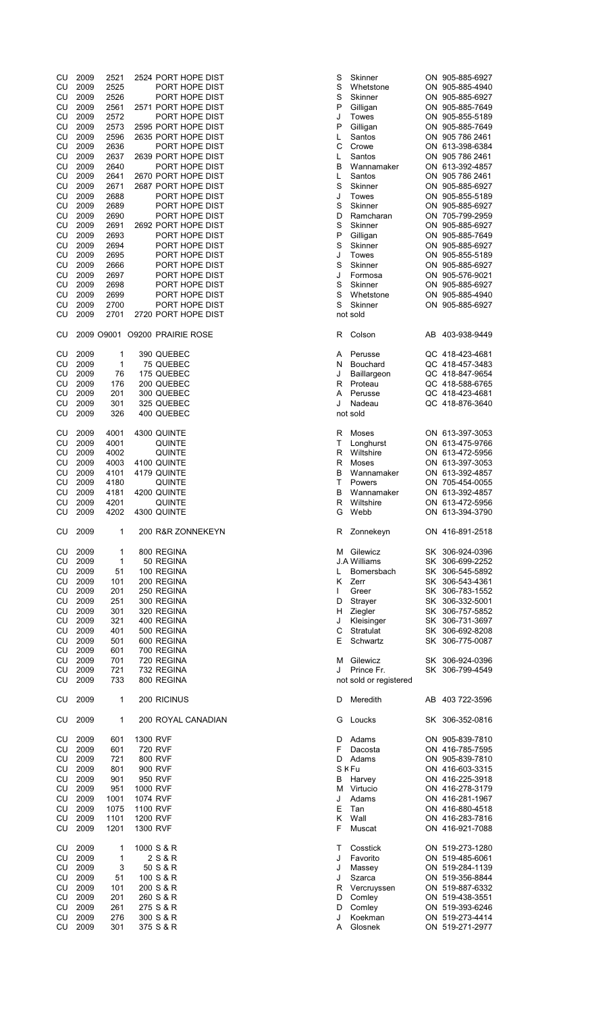| CU         | 2009         | 2521       |          | 2524 PORT HOPE DIST           | S<br>Skinner             | ON 905-885-6927                    |
|------------|--------------|------------|----------|-------------------------------|--------------------------|------------------------------------|
| CU         | 2009         | 2525       |          | PORT HOPE DIST                | S<br>Whetstone           | ON 905-885-4940                    |
| CU         | 2009         | 2526       |          | PORT HOPE DIST                | S<br>Skinner             | ON 905-885-6927                    |
|            |              |            |          |                               |                          |                                    |
| CU         | 2009         | 2561       |          | 2571 PORT HOPE DIST           | P<br>Gilligan            | ON 905-885-7649                    |
| CU         | 2009         | 2572       |          | PORT HOPE DIST                | J<br>Towes               | ON 905-855-5189                    |
| CU         | 2009         | 2573       |          | 2595 PORT HOPE DIST           | P<br>Gilligan            | ON 905-885-7649                    |
| CU         | 2009         | 2596       |          | 2635 PORT HOPE DIST           | L<br>Santos              | ON 905 786 2461                    |
| CU         | 2009         | 2636       |          | PORT HOPE DIST                | С<br>Crowe               | ON 613-398-6384                    |
|            |              |            |          |                               | Santos                   |                                    |
| CU         | 2009         | 2637       |          | 2639 PORT HOPE DIST           | L                        | ON 905 786 2461                    |
| CU         | 2009         | 2640       |          | PORT HOPE DIST                | B<br>Wannamaker          | ON 613-392-4857                    |
| CU         | 2009         | 2641       |          | 2670 PORT HOPE DIST           | Santos<br>L              | ON 905 786 2461                    |
| CU         | 2009         | 2671       |          | 2687 PORT HOPE DIST           | S<br>Skinner             | ON 905-885-6927                    |
| CU         | 2009         | 2688       |          | PORT HOPE DIST                | J<br>Towes               | ON 905-855-5189                    |
| CU         | 2009         | 2689       |          | PORT HOPE DIST                | S<br>Skinner             | ON 905-885-6927                    |
|            | 2009         |            |          |                               | D                        |                                    |
| CU         |              | 2690       |          | PORT HOPE DIST                | Ramcharan                | ON 705-799-2959                    |
| CU         | 2009         | 2691       |          | 2692 PORT HOPE DIST           | S<br>Skinner             | ON 905-885-6927                    |
| CU         | 2009         | 2693       |          | PORT HOPE DIST                | P<br>Gilligan            | ON 905-885-7649                    |
| CU         | 2009         | 2694       |          | PORT HOPE DIST                | S<br>Skinner             | ON 905-885-6927                    |
| CU         | 2009         | 2695       |          | PORT HOPE DIST                | J<br>Towes               | ON 905-855-5189                    |
| CU         | 2009         | 2666       |          | PORT HOPE DIST                | S<br>Skinner             | ON 905-885-6927                    |
| CU         | 2009         | 2697       |          | PORT HOPE DIST                | J<br>Formosa             | ON 905-576-9021                    |
|            |              |            |          |                               |                          |                                    |
| CU         | 2009         | 2698       |          | PORT HOPE DIST                | S<br>Skinner             | ON 905-885-6927                    |
| CU         | 2009         | 2699       |          | PORT HOPE DIST                | $\mathbf S$<br>Whetstone | ON 905-885-4940                    |
| CU         | 2009         | 2700       |          | PORT HOPE DIST                | S<br>Skinner             | ON 905-885-6927                    |
| CU         | 2009         | 2701       |          | 2720 PORT HOPE DIST           | not sold                 |                                    |
|            |              |            |          |                               |                          |                                    |
| CU         |              |            |          | 2009 09001 09200 PRAIRIE ROSE | R<br>Colson              | AB 403-938-9449                    |
|            |              |            |          |                               |                          |                                    |
|            |              |            |          |                               |                          |                                    |
| CU         | 2009         | 1          |          | 390 QUEBEC                    | Α<br>Perusse             | QC 418-423-4681                    |
| CU         | 2009         | 1          |          | 75 QUEBEC                     | Bouchard<br>N            | QC 418-457-3483                    |
| CU         | 2009         | 76         |          | 175 QUEBEC                    | J<br>Baillargeon         | QC 418-847-9654                    |
| CU         | 2009         | 176        |          | 200 QUEBEC                    | Proteau<br>R             | QC 418-588-6765                    |
| CU         | 2009         | 201        |          | 300 QUEBEC                    | Perusse<br>Α             | QC 418-423-4681                    |
|            |              |            |          |                               | J                        |                                    |
| CU         | 2009         | 301        |          | 325 QUEBEC                    | Nadeau                   | QC 418-876-3640                    |
| CU         | 2009         | 326        |          | 400 QUEBEC                    | not sold                 |                                    |
|            |              |            |          |                               |                          |                                    |
| CU         | 2009         | 4001       |          | 4300 QUINTE                   | R<br>Moses               | ON 613-397-3053                    |
| CU         | 2009         | 4001       |          | QUINTE                        | т<br>Longhurst           | ON 613-475-9766                    |
| CU         | 2009         | 4002       |          | <b>QUINTE</b>                 | R<br>Wiltshire           | ON 613-472-5956                    |
| CU         | 2009         | 4003       |          | 4100 QUINTE                   | R<br>Moses               | ON 613-397-3053                    |
|            |              |            |          |                               |                          |                                    |
| CU         | 2009         | 4101       |          | 4179 QUINTE                   | В<br>Wannamaker          | ON 613-392-4857                    |
| CU         | 2009         | 4180       |          | <b>QUINTE</b>                 | T<br>Powers              | ON 705-454-0055                    |
| CU         | 2009         | 4181       |          | 4200 QUINTE                   | В<br>Wannamaker          | ON 613-392-4857                    |
| CU         | 2009         | 4201       |          | <b>QUINTE</b>                 | R<br>Wiltshire           | ON 613-472-5956                    |
| CU         | 2009         | 4202       |          | 4300 QUINTE                   | Webb<br>G                | ON 613-394-3790                    |
|            |              |            |          |                               |                          |                                    |
| CU         | 2009         | 1          |          | 200 R&R ZONNEKEYN             |                          | ON 416-891-2518                    |
|            |              |            |          |                               | Zonnekeyn<br>R           |                                    |
|            |              |            |          |                               |                          |                                    |
| ${\sf CU}$ | 2009         | 1          |          | 800 REGINA                    | Gilewicz<br>м            | SK 306-924-0396                    |
| CU         | 2009         | 1          |          | 50 REGINA                     | <b>J.A Williams</b>      | SK 306-699-2252                    |
| CU         | 2009         | 51         |          | 100 REGINA                    | L<br>Bomersbach          | SK 306-545-5892                    |
| CU         | 2009         | 101        |          | 200 REGINA                    | Κ<br>Zerr                | SK 306-543-4361                    |
| CU         | 2009         | 201        |          | 250 REGINA                    | T<br>Greer               | SK 306-783-1552                    |
|            |              |            |          |                               |                          |                                    |
| CU         | 2009         | 251        |          | 300 REGINA                    | D<br>Strayer             | SK 306-332-5001                    |
| CU         | 2009         | 301        |          | 320 REGINA                    | H<br>Ziegler             | SK 306-757-5852                    |
| CU         | 2009         | 321        |          | 400 REGINA                    | J<br>Kleisinger          | SK 306-731-3697                    |
| CU         | 2009         | 401        |          | 500 REGINA                    | C<br>Stratulat           | SK 306-692-8208                    |
| CU         | 2009         | 501        |          | 600 REGINA                    | E<br>Schwartz            | SK 306-775-0087                    |
| CU         | 2009         | 601        |          | 700 REGINA                    |                          |                                    |
|            |              |            |          |                               |                          |                                    |
| CU         | 2009         | 701        |          | 720 REGINA                    | Gilewicz<br>M            | SK 306-924-0396                    |
| CU         | 2009         | 721        |          | 732 REGINA                    | Prince Fr.<br>J          | SK 306-799-4549                    |
| CU         | 2009         | 733        |          | 800 REGINA                    | not sold or registered   |                                    |
|            |              |            |          |                               |                          |                                    |
| CU         | 2009         | 1          |          | 200 RICINUS                   | D<br>Meredith            | AB 403 722-3596                    |
|            |              |            |          |                               |                          |                                    |
| CU         | 2009         | 1          |          | 200 ROYAL CANADIAN            | Loucks<br>G              | SK 306-352-0816                    |
|            |              |            |          |                               |                          |                                    |
|            |              |            |          |                               |                          |                                    |
| CU         | 2009         | 601        | 1300 RVF |                               | Adams<br>D               | ON 905-839-7810                    |
| CU         | 2009         | 601        |          | 720 RVF                       | F<br>Dacosta             | ON 416-785-7595                    |
| CU         | 2009         | 721        |          | 800 RVF                       | D<br>Adams               | ON 905-839-7810                    |
| CU         | 2009         | 801        |          | 900 RVF                       | <b>SKFu</b>              | ON 416-603-3315                    |
| CU         | 2009         | 901        |          | 950 RVF                       | В<br>Harvey              | ON 416-225-3918                    |
|            |              |            |          |                               |                          |                                    |
| CU         | 2009         | 951        | 1000 RVF |                               | М<br>Virtucio            | ON 416-278-3179                    |
| <b>CU</b>  | 2009         | 1001       | 1074 RVF |                               | J<br>Adams               | ON 416-281-1967                    |
| CU         | 2009         | 1075       | 1100 RVF |                               | Е<br>Tan                 | ON 416-880-4518                    |
| CU         | 2009         | 1101       | 1200 RVF |                               | Κ<br>Wall                | ON 416-283-7816                    |
| CU         | 2009         | 1201       | 1300 RVF |                               | F<br>Muscat              | ON 416-921-7088                    |
|            |              |            |          |                               |                          |                                    |
|            |              |            |          |                               |                          |                                    |
| CU         | 2009         | 1          |          | 1000 S & R                    | т<br>Cosstick            | ON 519-273-1280                    |
| CU         | 2009         | 1          |          | 2 S & R                       | J<br>Favorito            | ON 519-485-6061                    |
| CU         | 2009         | 3          |          | 50 S & R                      | J<br>Massey              | ON 519-284-1139                    |
| CU         | 2009         | 51         |          | 100 S & R                     | J<br>Szarca              | ON 519-356-8844                    |
| CU         | 2009         | 101        |          | 200 S & R                     | R<br>Vercruyssen         | ON 519-887-6332                    |
| CU         | 2009         | 201        |          | 260 S & R                     | D<br>Comley              | ON 519-438-3551                    |
|            |              |            |          |                               |                          |                                    |
| CU         | 2009         | 261        |          | 275 S & R                     | D<br>Comley              | ON 519-393-6246                    |
|            |              |            |          | 300 S & R                     | J<br>Koekman             |                                    |
| CU<br>CU   | 2009<br>2009 | 276<br>301 |          | 375 S & R                     | Glosnek<br>A             | ON 519-273-4414<br>ON 519-271-2977 |

| ;                    | Skinner               | ON | 905-885-6927    |
|----------------------|-----------------------|----|-----------------|
|                      | Whetstone             | ON | 905-885-4940    |
|                      | Skinner               | ON | 905-885-6927    |
|                      | Gilligan              | ON | 905-885-7649    |
|                      | Towes                 | ON | 905-855-5189    |
| þ                    |                       |    |                 |
|                      | Gilligan              | ON | 905-885-7649    |
|                      | Santos                | ON | 905 786 2461    |
|                      | Crowe                 | ON | 613-398-6384    |
|                      | Santos                | ON | 905 786 2461    |
|                      | Wannamaker            | ON | 613-392-4857    |
|                      | Santos                | ON | 905 786 2461    |
|                      | Skinner               | ON | 905-885-6927    |
|                      | <b>Towes</b>          | ON | 905-855-5189    |
|                      | Skinner               | ON | 905-885-6927    |
| )                    | Ramcharan             | ON | 705-799-2959    |
|                      | Skinner               | ON | 905-885-6927    |
| þ                    | Gilligan              | ON | 905-885-7649    |
|                      | Skinner               | ON | 905-885-6927    |
|                      |                       | ON |                 |
|                      | Towes                 |    | 905-855-5189    |
|                      | Skinner               | ON | 905-885-6927    |
|                      | Formosa               | ON | 905-576-9021    |
|                      | Skinner               | ON | 905-885-6927    |
|                      | Whetstone             | ON | 905-885-4940    |
|                      | Skinner               | ON | 905-885-6927    |
|                      | ot sold               |    |                 |
|                      |                       |    |                 |
| ι                    | Colson                | AB | 403-938-9449    |
|                      |                       |    |                 |
| l                    | Perusse               |    | QC 418-423-4681 |
| I                    | Bouchard              |    | QC 418-457-3483 |
|                      | Baillargeon           |    | QC 418-847-9654 |
| ເ                    | Proteau               |    | QC 418-588-6765 |
| l                    | Perusse               |    | QC 418-423-4681 |
|                      | Nadeau                | QC | 418-876-3640    |
|                      | ot sold               |    |                 |
|                      |                       |    |                 |
| ι                    | Moses                 | ON | 613-397-3053    |
|                      | Longhurst             | ON | 613-475-9766    |
| ໃ                    | Wiltshire             | ON | 613-472-5956    |
| ί                    | Moses                 | ON | 613-397-3053    |
|                      |                       | ON | 613-392-4857    |
|                      | Wannamaker            |    |                 |
|                      | Powers                | ON | 705-454-0055    |
|                      | Wannamaker            | ON | 613-392-4857    |
| ່ເ                   | Wiltshire             | ON | 613-472-5956    |
| ì                    | Webb                  | ON | 613-394-3790    |
| ι                    | Zonnekeyn             |    | ON 416-891-2518 |
|                      |                       |    |                 |
| 1                    | Gilewicz              | SK | 306-924-0396    |
|                      | .A Williams           | SK | 306-699-2252    |
|                      | Bomersbach            | SK | 306-545-5892    |
| ĺ                    | Zerr                  | SK | 306-543-4361    |
|                      | Greer                 | SK | 306-783-1552    |
|                      | Strayer               | SK | 306-332-5001    |
| )                    |                       |    |                 |
| I                    | Ziegler               | SK | 306-757-5852    |
|                      | Kleisinger            | SK | 306-731-3697    |
| $\vdots$             | Stratulat             | SK | 306-692-8208    |
|                      | Schwartz              | SK | 306-775-0087    |
|                      |                       |    |                 |
| 1                    | Gilewicz              | SK | 306-924-0396    |
|                      | Prince Fr.            | SK | 306-799-4549    |
|                      | ot sold or registered |    |                 |
| )                    | Meredith              | AB | 403 722-3596    |
|                      |                       |    |                 |
| ì                    | Loucks                | SK | 306-352-0816    |
|                      |                       |    |                 |
| )                    | Adams                 |    | ON 905-839-7810 |
|                      | Dacosta               | ON | 416-785-7595    |
| )                    | Adams                 | ON | 905-839-7810    |
|                      | K Fu                  |    | ON 416-603-3315 |
|                      | Harvey                |    | ON 416-225-3918 |
| 1                    | Virtucio              |    | ON 416-278-3179 |
|                      | Adams                 |    | ON 416-281-1967 |
|                      | Tan                   |    | ON 416-880-4518 |
| $\ddot{\phantom{0}}$ | Wall                  |    | ON 416-283-7816 |
|                      | Muscat                |    | ON 416-921-7088 |
|                      |                       |    |                 |
| 1                    | Cosstick              |    | ON 519-273-1280 |
|                      | Favorito              | ON | 519-485-6061    |
|                      | Massey                | ON | 519-284-1139    |
|                      | Szarca                |    | ON 519-356-8844 |
| ເ                    | Vercruyssen           | ON | 519-887-6332    |
| )                    | Comley                | ON | 519-438-3551    |
| )                    | Comley                |    | ON 519-393-6246 |
|                      | Koekman               |    | ON 519-273-4414 |
|                      |                       |    |                 |
| l                    | Glosnek               | ON | 519-271-2977    |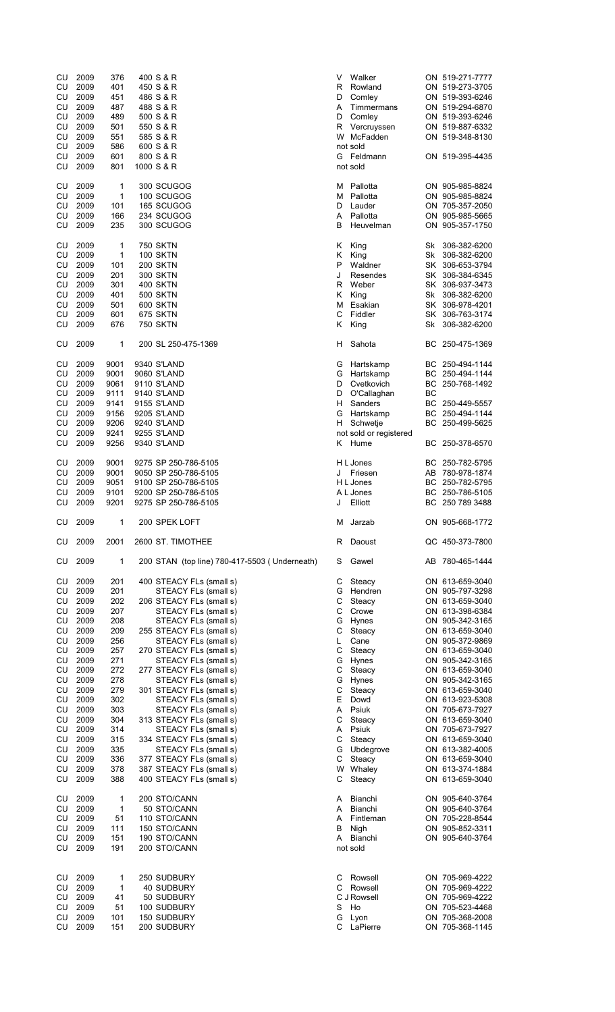| CU<br>CU<br>CU<br>CU<br>CU<br>CU<br>CU<br>CU | 2009<br>2009<br>2009<br>2009<br>2009<br>2009<br>2009<br>2009 | 376<br>401<br>451<br>487<br>489<br>501<br>551<br>586 | 400 S & R<br>450 S & R<br>486 S & R<br>488 S & R<br>500 S & R<br>550 S & R<br>585 S & R<br>600 S & R | V<br>R<br>D<br>Α<br>D<br>R | Walker<br>Rowland<br>Comley<br>Timmermans<br>Comley<br>Vercruyssen<br>W McFadden<br>not sold |           | ON 519-271-7777<br>ON 519-273-3705<br>ON 519-393-6246<br>ON 519-294-6870<br>ON 519-393-6246<br>ON 519-887-6332<br>ON 519-348-8130 |
|----------------------------------------------|--------------------------------------------------------------|------------------------------------------------------|------------------------------------------------------------------------------------------------------|----------------------------|----------------------------------------------------------------------------------------------|-----------|-----------------------------------------------------------------------------------------------------------------------------------|
| CU<br>CU                                     | 2009<br>2009                                                 | 601<br>801                                           | 800 S & R<br>1000 S & R                                                                              |                            | G Feldmann<br>not sold                                                                       |           | ON 519-395-4435                                                                                                                   |
| CU<br>CU                                     | 2009<br>2009                                                 | 1<br>1                                               | 300 SCUGOG<br>100 SCUGOG                                                                             | м<br>м                     | Pallotta<br>Pallotta                                                                         |           | ON 905-985-8824                                                                                                                   |
| CU                                           | 2009                                                         | 101                                                  | 165 SCUGOG                                                                                           | D                          | Lauder                                                                                       |           | ON 905-985-8824<br>ON 705-357-2050                                                                                                |
| CU<br>CU                                     | 2009<br>2009                                                 | 166<br>235                                           | 234 SCUGOG<br>300 SCUGOG                                                                             | A<br>B                     | Pallotta<br>Heuvelman                                                                        |           | ON 905-985-5665<br>ON 905-357-1750                                                                                                |
| CU                                           | 2009                                                         | 1                                                    | <b>750 SKTN</b>                                                                                      | Κ                          | King                                                                                         | Sk        | 306-382-6200                                                                                                                      |
| CU<br>CU                                     | 2009<br>2009                                                 | 1<br>101                                             | <b>100 SKTN</b><br><b>200 SKTN</b>                                                                   | Κ<br>P                     | King<br>Waldner                                                                              | Sk        | 306-382-6200<br>SK 306-653-3794                                                                                                   |
| CU                                           | 2009                                                         | 201                                                  | <b>300 SKTN</b>                                                                                      | J                          | Resendes                                                                                     |           | SK 306-384-6345                                                                                                                   |
| CU                                           | 2009                                                         | 301                                                  | <b>400 SKTN</b>                                                                                      | R                          | Weber                                                                                        |           | SK 306-937-3473                                                                                                                   |
| CU                                           | 2009                                                         | 401                                                  | <b>500 SKTN</b>                                                                                      | Κ                          | King                                                                                         |           | Sk 306-382-6200                                                                                                                   |
| CU                                           | 2009                                                         | 501                                                  | 600 SKTN                                                                                             | М                          | Esakian                                                                                      |           | SK 306-978-4201                                                                                                                   |
| CU<br>CU                                     | 2009<br>2009                                                 | 601<br>676                                           | 675 SKTN<br>750 SKTN                                                                                 | С<br>Κ                     | Fiddler<br>King                                                                              | Sk        | SK 306-763-3174<br>306-382-6200                                                                                                   |
| CU                                           | 2009                                                         | 1                                                    | 200 SL 250-475-1369                                                                                  | H.                         | Sahota                                                                                       | BС        | 250-475-1369                                                                                                                      |
| CU                                           | 2009                                                         | 9001                                                 | 9340 S'LAND                                                                                          | G                          | Hartskamp                                                                                    |           | BC 250-494-1144                                                                                                                   |
| CU                                           | 2009                                                         | 9001                                                 | 9060 S'LAND                                                                                          | G                          | Hartskamp                                                                                    | BС        | 250-494-1144                                                                                                                      |
| CU                                           | 2009                                                         | 9061                                                 | 9110 S'LAND                                                                                          | D                          | Cvetkovich                                                                                   | BС        | 250-768-1492                                                                                                                      |
| CU<br>CU                                     | 2009<br>2009                                                 | 9111<br>9141                                         | 9140 S'LAND<br>9155 S'LAND                                                                           | D<br>н                     | O'Callaghan<br>Sanders                                                                       | <b>BC</b> | BC 250-449-5557                                                                                                                   |
| CU                                           | 2009                                                         | 9156                                                 | 9205 S'LAND                                                                                          | G                          | Hartskamp                                                                                    | BС        | 250-494-1144                                                                                                                      |
| CU                                           | 2009                                                         | 9206                                                 | 9240 S'LAND                                                                                          | н                          | Schwetje                                                                                     | BС        | 250-499-5625                                                                                                                      |
| CU<br>CU                                     | 2009<br>2009                                                 | 9241<br>9256                                         | 9255 S'LAND<br>9340 S'LAND                                                                           | ĸ                          | not sold or registered<br>Hume                                                               |           | BC 250-378-6570                                                                                                                   |
| CU                                           | 2009                                                         | 9001                                                 | 9275 SP 250-786-5105                                                                                 |                            | H L Jones                                                                                    |           | BC 250-782-5795                                                                                                                   |
| CU<br>CU                                     | 2009<br>2009                                                 | 9001<br>9051                                         | 9050 SP 250-786-5105<br>9100 SP 250-786-5105                                                         | J                          | Friesen<br>H L Jones                                                                         | BС        | AB 780-978-1874<br>250-782-5795                                                                                                   |
| CU                                           | 2009                                                         | 9101                                                 | 9200 SP 250-786-5105                                                                                 |                            | A L Jones                                                                                    | ВC        | 250-786-5105                                                                                                                      |
| CU                                           | 2009                                                         | 9201                                                 | 9275 SP 250-786-5105                                                                                 | J                          | Elliott                                                                                      |           | BC 250 789 3488                                                                                                                   |
| CU                                           | 2009                                                         | 1                                                    | 200 SPEK LOFT                                                                                        | м                          | Jarzab                                                                                       |           | ON 905-668-1772                                                                                                                   |
| CU                                           | 2009                                                         | 2001                                                 | 2600 ST. TIMOTHEE                                                                                    | R                          | Daoust                                                                                       |           | QC 450-373-7800                                                                                                                   |
| CU                                           | 2009                                                         | 1                                                    | 200 STAN (top line) 780-417-5503 (Underneath)                                                        | S                          | Gawel                                                                                        | AB        | 780-465-1444                                                                                                                      |
| CU<br>CU                                     | 2009<br>2009                                                 | 201<br>201                                           | 400 STEACY FLs (small s)<br>STEACY FLs (small s)                                                     | С<br>G                     | Steacy<br>Hendren                                                                            |           | ON 613-659-3040<br>ON 905-797-3298                                                                                                |
| CU                                           | 2009                                                         | 202                                                  | 206 STEACY FLs (small s)                                                                             | С                          | Steacy                                                                                       |           | ON 613-659-3040                                                                                                                   |
| CU                                           | 2009                                                         | 207                                                  | STEACY FLs (small s)                                                                                 | С                          | Crowe                                                                                        |           | ON 613-398-6384                                                                                                                   |
| CU                                           | 2009                                                         | 208                                                  | STEACY FLs (small s)                                                                                 | G                          | Hynes                                                                                        |           | ON 905-342-3165                                                                                                                   |
| CU<br>CU                                     | 2009<br>2009                                                 | 209<br>256                                           | 255 STEACY FLs (small s)<br>STEACY FLs (small s)                                                     | С<br>L                     | Steacy<br>Cane                                                                               |           | ON 613-659-3040<br>ON 905-372-9869                                                                                                |
| CU                                           | 2009                                                         | 257                                                  | 270 STEACY FLs (small s)                                                                             | С                          | Steacy                                                                                       |           | ON 613-659-3040                                                                                                                   |
| CU                                           | 2009                                                         | 271                                                  | STEACY FLs (small s)                                                                                 | G                          | Hynes                                                                                        |           | ON 905-342-3165                                                                                                                   |
| CU                                           | 2009                                                         | 272                                                  | 277 STEACY FLs (small s)                                                                             | С                          | Steacy                                                                                       |           | ON 613-659-3040                                                                                                                   |
| CU                                           | 2009                                                         | 278<br>279                                           | STEACY FLs (small s)                                                                                 | G                          | Hynes                                                                                        |           | ON 905-342-3165                                                                                                                   |
| CU<br>CU                                     | 2009<br>2009                                                 | 302                                                  | 301 STEACY FLs (small s)<br>STEACY FLs (small s)                                                     | С<br>E                     | Steacy<br>Dowd                                                                               |           | ON 613-659-3040<br>ON 613-923-5308                                                                                                |
| CU                                           | 2009                                                         | 303                                                  | STEACY FLs (small s)                                                                                 | A                          | Psiuk                                                                                        |           | ON 705-673-7927                                                                                                                   |
| CU                                           | 2009                                                         | 304                                                  | 313 STEACY FLs (small s)                                                                             | C                          | Steacy                                                                                       |           | ON 613-659-3040                                                                                                                   |
| CU                                           | 2009                                                         | 314                                                  | STEACY FLs (small s)                                                                                 | A                          | Psiuk                                                                                        |           | ON 705-673-7927                                                                                                                   |
| CU<br>CU                                     | 2009<br>2009                                                 | 315<br>335                                           | 334 STEACY FLs (small s)<br>STEACY FLs (small s)                                                     | С<br>G                     | Steacy<br>Ubdegrove                                                                          |           | ON 613-659-3040<br>ON 613-382-4005                                                                                                |
| CU                                           | 2009                                                         | 336                                                  | 377 STEACY FLs (small s)                                                                             | C                          | Steacy                                                                                       |           | ON 613-659-3040                                                                                                                   |
| CU                                           | 2009                                                         | 378                                                  | 387 STEACY FLs (small s)                                                                             | W                          | Whaley                                                                                       |           | ON 613-374-1884                                                                                                                   |
| CU                                           | 2009                                                         | 388                                                  | 400 STEACY FLs (small s)                                                                             | С                          | Steacy                                                                                       |           | ON 613-659-3040                                                                                                                   |
| CU                                           | 2009                                                         | 1                                                    | 200 STO/CANN                                                                                         | A                          | Bianchi                                                                                      |           | ON 905-640-3764                                                                                                                   |
| CU<br>CU                                     | 2009<br>2009                                                 | 1<br>51                                              | 50 STO/CANN<br>110 STO/CANN                                                                          | A<br>A                     | Bianchi<br>Fintleman                                                                         |           | ON 905-640-3764<br>ON 705-228-8544                                                                                                |
| CU                                           | 2009                                                         | 111                                                  | 150 STO/CANN                                                                                         | В                          | Nigh                                                                                         |           | ON 905-852-3311                                                                                                                   |
| CU                                           | 2009                                                         | 151                                                  | 190 STO/CANN                                                                                         | A                          | Bianchi                                                                                      |           | ON 905-640-3764                                                                                                                   |
| CU                                           | 2009                                                         | 191                                                  | 200 STO/CANN                                                                                         |                            | not sold                                                                                     |           |                                                                                                                                   |
| CU                                           | 2009                                                         | 1                                                    | 250 SUDBURY                                                                                          | С                          | Rowsell                                                                                      |           | ON 705-969-4222                                                                                                                   |
| CU                                           | 2009<br>2009                                                 | $\mathbf{1}$                                         | <b>40 SUDBURY</b>                                                                                    | C                          | Rowsell                                                                                      |           | ON 705-969-4222                                                                                                                   |
| CU<br>CU                                     | 2009                                                         | 41<br>51                                             | 50 SUDBURY<br>100 SUDBURY                                                                            | S                          | C J Rowsell<br>Ho                                                                            |           | ON 705-969-4222<br>ON 705-523-4468                                                                                                |
| CU                                           | 2009                                                         | 101                                                  | 150 SUDBURY                                                                                          | G                          | Lyon                                                                                         |           | ON 705-368-2008                                                                                                                   |
| CU                                           | 2009                                                         | 151                                                  | 200 SUDBURY                                                                                          | C                          | LaPierre                                                                                     |           | ON 705-368-1145                                                                                                                   |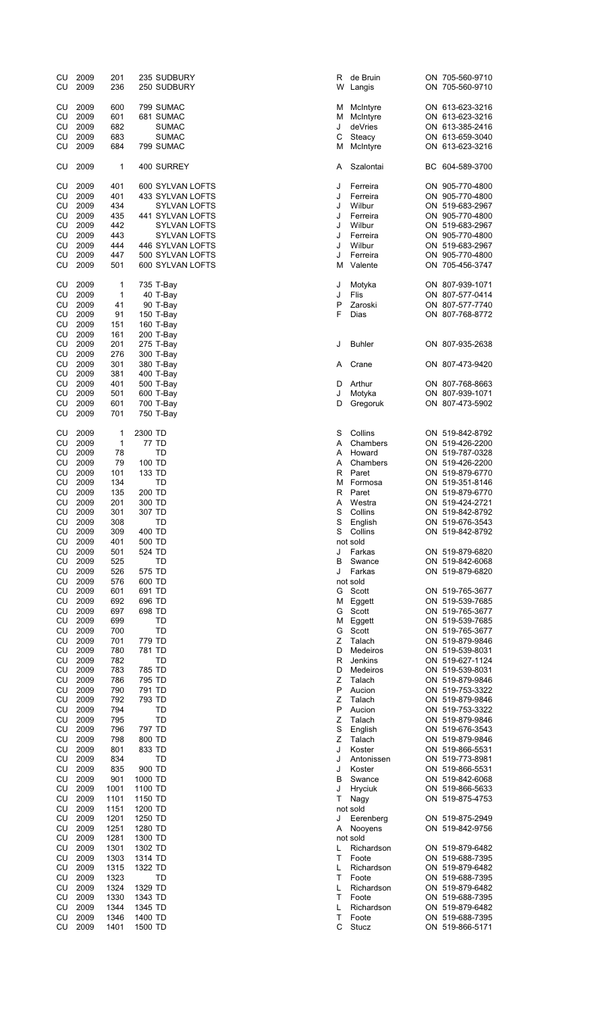| CU<br>CU        | 2009<br>2009 | 201<br>236   |                    | 235 SUDBURY<br>250 SUDBURY           | R<br>W | de E<br>Lan      |
|-----------------|--------------|--------------|--------------------|--------------------------------------|--------|------------------|
| CU              | 2009         | 600          |                    | 799 SUMAC                            | М      | Mcli             |
| CU<br><b>CU</b> | 2009<br>2009 | 601<br>682   |                    | 681 SUMAC<br><b>SUMAC</b>            | М<br>J | Mcli<br>deV      |
| CU              | 2009         | 683          |                    | SUMAC                                | С      | Stea             |
| CU              | 2009         | 684          |                    | 799 SUMAC                            | М      | Mcli             |
| CU              | 2009         | 1            |                    | 400 SURREY                           | Α      | Sza              |
| CU<br>CU        | 2009<br>2009 | 401<br>401   |                    | 600 SYLVAN LOFTS<br>433 SYLVAN LOFTS | J<br>J | Ferr<br>Ferr     |
| <b>CU</b>       | 2009         | 434          |                    | SYLVAN LOFTS                         | J      | Will             |
| CU              | 2009         | 435          |                    | 441 SYLVAN LOFTS                     | J      | Ferr             |
| CU<br>CU        | 2009<br>2009 | 442<br>443   |                    | SYLVAN LOFTS<br><b>SYLVAN LOFTS</b>  | J<br>J | Wilk<br>Ferr     |
| CU              | 2009         | 444          |                    | 446 SYLVAN LOFTS                     | J      | Will             |
| CU<br>CU        | 2009<br>2009 | 447<br>501   |                    | 500 SYLVAN LOFTS<br>600 SYLVAN LOFTS | J<br>М | Ferr<br>Vale     |
| CU              | 2009         | 1            |                    | 735 T-Bay                            | J      | Mot              |
| CU              | 2009         | 1            |                    | 40 T-Bay                             | J      | Flis             |
| CU<br><b>CU</b> | 2009<br>2009 | 41<br>91     |                    | 90 T-Bay<br>150 T-Bay                | P<br>F | Zaro<br>Dias     |
| CU              | 2009         | 151          |                    | 160 T-Bay                            |        |                  |
| CU              | 2009         | 161          |                    | 200 T-Bay                            |        |                  |
| CU<br>CU        | 2009<br>2009 | 201<br>276   |                    | 275 T-Bay<br>300 T-Bay               | J      | Buh              |
| <b>CU</b>       | 2009         | 301          |                    | 380 T-Bay                            | Α      | Cra              |
| CU<br>CU        | 2009<br>2009 | 381<br>401   |                    | 400 T-Bay<br>500 T-Bay               | D      | Arth             |
| CU              | 2009         | 501          |                    | 600 T-Bay                            | J      | Mot              |
| CU<br>CU        | 2009<br>2009 | 601<br>701   |                    | 700 T-Bay<br>750 T-Bay               | D      | Gre              |
| CU              | 2009         | 1            | 2300 TD            |                                      | S      | Coll             |
| CU              | 2009         | 1            |                    | 77 TD                                | Α      | Cha              |
| <b>CU</b>       | 2009         | 78           |                    | <b>TD</b>                            | Α      | How              |
| CU<br>CU        | 2009<br>2009 | 79<br>101    | 100 TD<br>133 TD   |                                      | Α<br>R | Cha<br>Pare      |
| CU              | 2009         | 134          |                    | <b>TD</b>                            | М      | Forr             |
| CU<br>CU        | 2009<br>2009 | 135<br>201   | 200 TD<br>300 TD   |                                      | R<br>Α | Pare<br>Wes      |
| CU              | 2009         | 301          | 307 TD             |                                      | S      | Coll             |
| CU              | 2009         | 308          |                    | TD                                   | S      | Eng              |
| CU<br>CU        | 2009<br>2009 | 309<br>401   | 400 TD<br>500 TD   |                                      | S      | Coll<br>not sold |
| CU              | 2009         | 501          | 524 TD             |                                      | J      | Fark             |
| <b>CU</b>       | 2009         | 525          |                    | <b>TD</b>                            | В      | Swa              |
| CU<br>CU        | 2009<br>2009 | 526<br>576   | 575 TD<br>600 TD   |                                      | J      | Fark<br>not sold |
| CU              | 2009         | 601          | 691 TD             |                                      | G      | Sco              |
| CU<br>CU        | 2009<br>2009 | 692          | 696 TD             |                                      | M      | Egg              |
| CU              | 2009         | 697<br>699   | 698 TD             | <b>TD</b>                            | G<br>М | Sco<br>Egg       |
| CU              | 2009         | 700          |                    | TD                                   | G      | Sco              |
| CU<br>CU        | 2009<br>2009 | 701<br>780   | 779 TD<br>781 TD   |                                      | Ζ<br>D | Tala<br>Mec      |
| CU              | 2009         | 782          |                    | TD                                   | R      | Jenl             |
| CU              | 2009         | 783          | 785 TD             |                                      | D      | Mec              |
| CU<br>CU        | 2009<br>2009 | 786<br>790   | 795 TD<br>791 TD   |                                      | Ζ<br>Ρ | Tala<br>Auc      |
| CU              | 2009         | 792          | 793 TD             |                                      | Z      | Tala             |
| CU              | 2009         | 794          |                    | TD                                   | P      | Auc              |
| CU<br>CU        | 2009<br>2009 | 795<br>796   | 797 TD             | TD                                   | Ζ<br>S | Tala<br>Eng      |
| CU              | 2009         | 798          | 800 TD             |                                      | Ζ      | Tala             |
| CU<br>CU        | 2009<br>2009 | 801<br>834   | 833 TD             | TD                                   | J<br>J | Kos<br>Anto      |
| CU              | 2009         | 835          | 900 TD             |                                      | J      | Kos              |
| CU              | 2009         | 901          | 1000 TD            |                                      | В      | Swa              |
| CU<br>CU        | 2009<br>2009 | 1001<br>1101 | 1100 TD<br>1150 TD |                                      | J<br>Τ | Hryd<br>Nag      |
| CU              | 2009         | 1151         | 1200 TD            |                                      |        | not sold         |
| CU              | 2009         | 1201         | 1250 TD            |                                      | J      | Eere             |
| CU<br><b>CU</b> | 2009<br>2009 | 1251<br>1281 | 1280 TD<br>1300 TD |                                      | Α      | Noo<br>not sold  |
| CU              | 2009         | 1301         | 1302 TD            |                                      | L      | Rich             |
| CU<br>CU        | 2009<br>2009 | 1303<br>1315 | 1314 TD<br>1322 TD |                                      | Τ<br>L | Foo<br>Rich      |
| CU              | 2009         | 1323         |                    | TD                                   | T      | Foo              |
| CU              | 2009         | 1324         | 1329 TD            |                                      | L      | Rich             |
| CU<br>CU        | 2009<br>2009 | 1330<br>1344 | 1343 TD<br>1345 TD |                                      | Τ<br>Г | Foo<br>Rich      |
| CU              | 2009         | 1346         | 1400 TD            |                                      | T      | Foo              |
| CU              | 2009         | 1401         | 1500 TD            |                                      | C      | Stud             |

| CU       | 2009         | 201        | 235 SUDBURY               | R      | de Bruin             | ON 705-560-9710                    |
|----------|--------------|------------|---------------------------|--------|----------------------|------------------------------------|
| CU       | 2009         | 236        | 250 SUDBURY               | W      | Langis               | ON 705-560-9710                    |
|          |              |            |                           |        |                      |                                    |
| CU       | 2009<br>2009 | 600<br>601 | 799 SUMAC                 | М      | McIntyre<br>McIntyre | ON 613-623-3216<br>ON 613-623-3216 |
| CU<br>CU | 2009         | 682        | 681 SUMAC<br><b>SUMAC</b> | M<br>J | deVries              | ON 613-385-2416                    |
| CU       | 2009         | 683        | SUMAC                     | С      | Steacy               | ON 613-659-3040                    |
| CU       | 2009         | 684        | 799 SUMAC                 | М      | McIntyre             | ON 613-623-3216                    |
| CU       | 2009         | 1          | 400 SURREY                | A      | Szalontai            | BC 604-589-3700                    |
| CU       | 2009         | 401        | 600 SYLVAN LOFTS          | J      | Ferreira             | ON 905-770-4800                    |
| CU       | 2009         | 401        | 433 SYLVAN LOFTS          | J      | Ferreira             | ON 905-770-4800                    |
| CU       | 2009         | 434        | SYLVAN LOFTS              | J      | Wilbur               | ON 519-683-2967                    |
| CU       | 2009         | 435        | 441 SYLVAN LOFTS          | J      | Ferreira             | ON 905-770-4800                    |
| CU       | 2009         | 442        | SYLVAN LOFTS              | J      | Wilbur               | ON 519-683-2967                    |
| CU       | 2009         | 443        | SYLVAN LOFTS              | J      | Ferreira             | ON 905-770-4800                    |
| CU       | 2009         | 444        | 446 SYLVAN LOFTS          | J      | Wilbur               | ON 519-683-2967                    |
| CU       | 2009         | 447        | 500 SYLVAN LOFTS          | J      | Ferreira             | ON 905-770-4800                    |
| CU       | 2009         | 501        | 600 SYLVAN LOFTS          | М      | Valente              | ON 705-456-3747                    |
| CU       | 2009         | 1          | 735 T-Bay                 | J      | Motyka               | ON 807-939-1071                    |
| CU       | 2009         | 1          | 40 T-Bay                  | J      | Flis                 | ON 807-577-0414                    |
| CU       | 2009         | 41         | 90 T-Bay                  | P      | Zaroski              | ON 807-577-7740                    |
| CU       | 2009         | 91         | 150 T-Bay                 | F      | Dias                 | ON 807-768-8772                    |
| CU       | 2009         | 151        | 160 T-Bay                 |        |                      |                                    |
| CU       | 2009         | 161        | 200 T-Bay                 |        |                      |                                    |
| CU       | 2009         | 201        | 275 T-Bay                 | J      | <b>Buhler</b>        | ON 807-935-2638                    |
| CU       | 2009         | 276        | 300 T-Bay                 |        |                      |                                    |
| CU       | 2009         | 301        | 380 T-Bay                 | A      | Crane                | ON 807-473-9420                    |
| CU       | 2009         | 381        | 400 T-Bay                 |        |                      |                                    |
| CU<br>CU | 2009<br>2009 | 401<br>501 | 500 T-Bay                 | D<br>J | Arthur               | ON 807-768-8663<br>ON 807-939-1071 |
| CU       | 2009         | 601        | 600 T-Bay<br>700 T-Bay    | D      | Motyka<br>Gregoruk   | ON 807-473-5902                    |
| CU       | 2009         | 701        | 750 T-Bay                 |        |                      |                                    |
|          |              |            |                           |        |                      |                                    |
| CU<br>CU | 2009<br>2009 | 1<br>1     | 2300 TD<br>77 TD          | S<br>Α | Collins              | ON 519-842-8792                    |
| CU       | 2009         | 78         | TD                        | A      | Chambers<br>Howard   | ON 519-426-2200<br>ON 519-787-0328 |
| CU       | 2009         | 79         | 100 TD                    | Α      | Chambers             | ON 519-426-2200                    |
| CU       | 2009         | 101        | 133 TD                    | R      | Paret                | ON 519-879-6770                    |
| CU       | 2009         | 134        | TD                        | М      | Formosa              | ON 519-351-8146                    |
| CU       | 2009         | 135        | 200 TD                    | R      | Paret                | ON 519-879-6770                    |
| CU       | 2009         | 201        | 300 TD                    | Α      | Westra               | ON 519-424-2721                    |
| CU       | 2009         | 301        | 307 TD                    | S      | Collins              | ON 519-842-8792                    |
| CU       | 2009         | 308        | TD                        | S      | English              | ON 519-676-3543                    |
| CU       | 2009         | 309        | 400 TD                    | S      | Collins              | ON 519-842-8792                    |
| CU       | 2009         | 401        | 500 TD                    |        | not sold             |                                    |
| CU       | 2009         | 501        | 524 TD                    | J      | Farkas               | ON 519-879-6820                    |
| CU       | 2009         | 525        | TD                        | в      | Swance               | ON 519-842-6068                    |
| CU       | 2009         | 526        | 575 TD                    | J      | Farkas               | ON 519-879-6820                    |
| CU       | 2009         | 576        | 600 TD                    |        | not sold             |                                    |
| CU       | 2009         | 601        | 691 TD                    | G      | Scott                | ON 519-765-3677                    |
| CU       | 2009         | 692        | 696 TD                    | М      | Eggett               | ON 519-539-7685                    |
| CU<br>CU | 2009<br>2009 | 697<br>699 | 698 TD<br>TD              | G<br>м | Scott<br>Eggett      | ON 519-765-3677<br>ON 519-539-7685 |
| CU       | 2009         | 700        | TD                        | G      | Scott                | ON 519-765-3677                    |
| CU       | 2009         | 701        | 779 TD                    | Ζ      | Talach               | ON 519-879-9846                    |
| CU       | 2009         | 780        | 781 TD                    | D      | Medeiros             | ON 519-539-8031                    |
| CU       | 2009         | 782        | TD                        | R      | Jenkins              | ON 519-627-1124                    |
| CU       | 2009         | 783        | 785 TD                    | D      | Medeiros             | ON 519-539-8031                    |
| CU       | 2009         | 786        | 795 TD                    | Ζ      | Talach               | ON 519-879-9846                    |
| CU       | 2009         | 790        | 791 TD                    | P      | Aucion               | ON 519-753-3322                    |
| CU       | 2009         | 792        | 793 TD                    | Z      | Talach               | ON 519-879-9846                    |
| CU       | 2009         | 794        | TD                        | P      | Aucion               | ON 519-753-3322                    |
| CU       | 2009         | 795        | TD                        | Z      | Talach               | ON 519-879-9846                    |
| CU       | 2009         | 796        | 797 TD                    | S      | English              | ON 519-676-3543                    |
| CU       | 2009         | 798        | 800 TD                    | Ζ      | Talach               | ON 519-879-9846                    |
| CU       | 2009         | 801        | 833 TD                    | J      | Koster               | ON 519-866-5531                    |
| CU       | 2009         | 834        | TD                        | J      | Antonissen           | ON 519-773-8981                    |
| CU<br>CU | 2009<br>2009 | 835<br>901 | 900 TD<br>1000 TD         | J<br>в | Koster<br>Swance     | ON 519-866-5531<br>ON 519-842-6068 |
| CU       | 2009         | 1001       | 1100 TD                   | J      | Hryciuk              | ON 519-866-5633                    |
| CU       | 2009         | 1101       | 1150 TD                   | т      | Nagy                 | ON 519-875-4753                    |
| CU       | 2009         | 1151       | 1200 TD                   |        | not sold             |                                    |
| CU       | 2009         | 1201       | 1250 TD                   | J      | Eerenberg            | ON 519-875-2949                    |
| CU       | 2009         | 1251       | 1280 TD                   | A      | Nooyens              | ON 519-842-9756                    |
| CU       | 2009         | 1281       | 1300 TD                   |        | not sold             |                                    |
| CU       | 2009         | 1301       | 1302 TD                   | L      | Richardson           | ON 519-879-6482                    |
| CU       | 2009         | 1303       | 1314 TD                   | т      | Foote                | ON 519-688-7395                    |
| CU       | 2009         | 1315       | 1322 TD                   | L      | Richardson           | ON 519-879-6482                    |
| CU       | 2009         | 1323       | TD                        | т      | Foote                | ON 519-688-7395                    |
| CU       | 2009         | 1324       | 1329 TD                   | L      | Richardson           | ON 519-879-6482                    |
| CU       | 2009         | 1330       | 1343 TD                   | т      | Foote                | ON 519-688-7395                    |
| CU       | 2009         | 1344       | 1345 TD                   | L      | Richardson           | ON 519-879-6482                    |
| CU       | 2009         | 1346       | 1400 TD                   | т      | Foote                | ON 519-688-7395                    |
| CU       | 2009         | 1401       | 1500 TD                   | С      | Stucz                | ON 519-866-5171                    |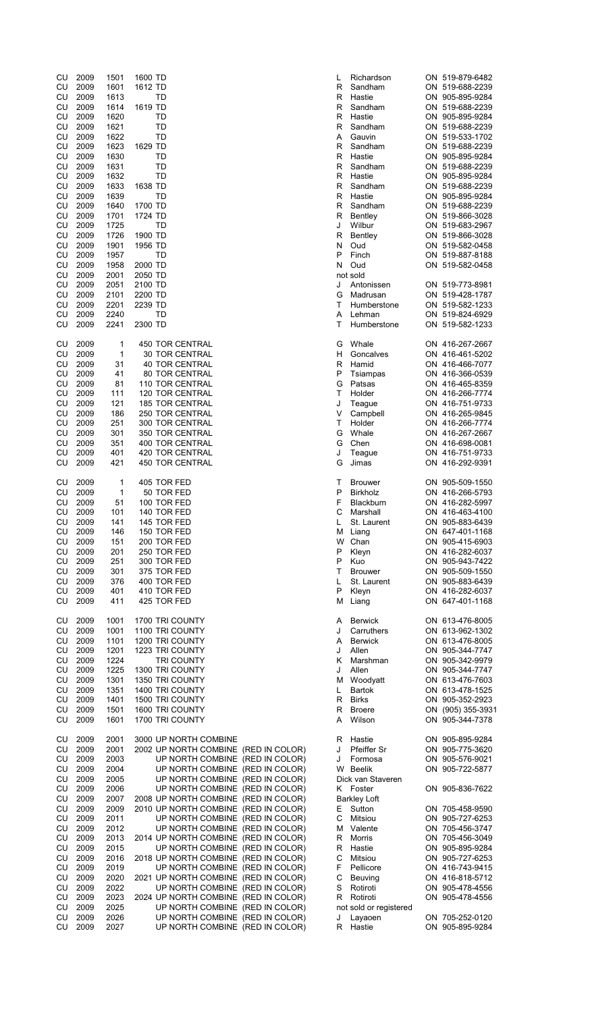| CU<br>CU<br>CU         | 2009<br>2009<br>2009 | 1501<br>1601<br>1613 | 1600 TD<br>1612 TD<br>TD                                                | L<br>R<br>R | Richardson<br>Sandham<br>Hastie | ON 519-879-6482<br>ON 519-688-2239<br>ON 905-895-9284 |
|------------------------|----------------------|----------------------|-------------------------------------------------------------------------|-------------|---------------------------------|-------------------------------------------------------|
| CU<br>CU               | 2009<br>2009         | 1614<br>1620         | 1619 TD<br>TD                                                           | R<br>R      | Sandham<br>Hastie               | ON 519-688-2239<br>ON 905-895-9284                    |
| CU                     | 2009                 | 1621                 | TD                                                                      | R           | Sandham                         | ON 519-688-2239                                       |
| CU                     | 2009                 | 1622                 | TD                                                                      | A           | Gauvin                          | ON 519-533-1702                                       |
| CU                     | 2009                 | 1623                 | 1629 TD                                                                 | R           | Sandham                         | ON 519-688-2239                                       |
| CU<br>CU               | 2009<br>2009         | 1630<br>1631         | TD<br>TD                                                                | R<br>R      | Hastie<br>Sandham               | ON 905-895-9284<br>ON 519-688-2239                    |
| CU                     | 2009                 | 1632                 | TD                                                                      | R           | Hastie                          | ON 905-895-9284                                       |
| CU                     | 2009                 | 1633                 | 1638 TD                                                                 | R           | Sandham                         | ON 519-688-2239                                       |
| CU<br>CU               | 2009<br>2009         | 1639<br>1640         | TD<br>1700 TD                                                           | R<br>R      | Hastie<br>Sandham               | ON 905-895-9284<br>ON 519-688-2239                    |
| CU                     | 2009                 | 1701                 | 1724 TD                                                                 | R           | Bentley                         | ON 519-866-3028                                       |
| CU                     | 2009                 | 1725                 | TD                                                                      | J           | Wilbur                          | ON 519-683-2967                                       |
| CU<br>CU               | 2009<br>2009         | 1726<br>1901         | 1900 TD<br>1956 TD                                                      | R<br>N      | Bentley<br>Oud                  | ON 519-866-3028<br>ON 519-582-0458                    |
| CU                     | 2009                 | 1957                 | <b>TD</b>                                                               | P           | Finch                           | ON 519-887-8188                                       |
| CU                     | 2009                 | 1958                 | 2000 TD                                                                 | N           | Oud                             | ON 519-582-0458                                       |
| <b>CU</b><br>CU        | 2009                 | 2001                 | 2050 TD                                                                 |             | not sold<br>Antonissen          |                                                       |
| CU                     | 2009<br>2009         | 2051<br>2101         | 2100 TD<br>2200 TD                                                      | J<br>G      | Madrusan                        | ON 519-773-8981<br>ON 519-428-1787                    |
| CU                     | 2009                 | 2201                 | 2239 TD                                                                 | T           | Humberstone                     | ON 519-582-1233                                       |
| CU                     | 2009                 | 2240                 | TD                                                                      | Α           | Lehman                          | ON 519-824-6929                                       |
| CU                     | 2009                 | 2241                 | 2300 TD                                                                 | Т           | Humberstone                     | ON 519-582-1233                                       |
| CU                     | 2009                 | 1                    | <b>450 TOR CENTRAL</b>                                                  | G           | Whale                           | ON 416-267-2667                                       |
| CU                     | 2009                 | 1                    | <b>30 TOR CENTRAL</b>                                                   | н           | Goncalves                       | ON 416-461-5202                                       |
| CU                     | 2009                 | 31                   | 40 TOR CENTRAL                                                          | R           | Hamid                           | ON 416-466-7077                                       |
| CU<br>CU               | 2009<br>2009         | 41<br>81             | 80 TOR CENTRAL<br>110 TOR CENTRAL                                       | Ρ<br>G      | Tsiampas<br>Patsas              | ON 416-366-0539<br>ON 416-465-8359                    |
| CU                     | 2009                 | 111                  | 120 TOR CENTRAL                                                         | т           | Holder                          | ON 416-266-7774                                       |
| CU                     | 2009                 | 121                  | 185 TOR CENTRAL                                                         | J           | Teague                          | ON 416-751-9733                                       |
| CU<br>CU               | 2009<br>2009         | 186<br>251           | 250 TOR CENTRAL<br>300 TOR CENTRAL                                      | V<br>T      | Campbell<br>Holder              | ON 416-265-9845<br>ON 416-266-7774                    |
| CU                     | 2009                 | 301                  | 350 TOR CENTRAL                                                         | G           | Whale                           | ON 416-267-2667                                       |
| CU                     | 2009                 | 351                  | 400 TOR CENTRAL                                                         | G           | Chen                            | ON 416-698-0081                                       |
| CU<br>CU               | 2009<br>2009         | 401<br>421           | 420 TOR CENTRAL<br>450 TOR CENTRAL                                      | J<br>G      | Teague                          | ON 416-751-9733<br>ON 416-292-9391                    |
|                        |                      |                      |                                                                         |             | Jimas                           |                                                       |
| CU                     | 2009                 | 1                    | 405 TOR FED                                                             | т           | <b>Brouwer</b>                  | ON 905-509-1550                                       |
| CU                     | 2009                 | 1                    | 50 TOR FED                                                              | P           | <b>Birkholz</b>                 | ON 416-266-5793                                       |
| CU<br><b>CU</b>        | 2009<br>2009         | 51<br>101            | 100 TOR FED<br>140 TOR FED                                              | F<br>C      | <b>Blackburn</b><br>Marshall    | ON 416-282-5997<br>ON 416-463-4100                    |
|                        | CU 2009              | 141                  | 145 TOR FED                                                             |             | St. Laurent                     | ON 905-883-6439                                       |
| CU                     | 2009                 | 146                  | 150 TOR FED                                                             |             | M Liang                         | ON 647-401-1168                                       |
|                        | CU 2009              | 151                  | 200 TOR FED                                                             |             | W Chan                          | ON 905-415-6903                                       |
| <b>CU</b><br>CU        | 2009<br>2009         | 201<br>251           | 250 TOR FED<br>300 TOR FED                                              | Ρ<br>P      | Kleyn<br>Kuo                    | ON 416-282-6037<br>ON 905-943-7422                    |
| CU                     | 2009                 | 301                  | 375 TOR FED                                                             | т           | <b>Brouwer</b>                  | ON 905-509-1550                                       |
| <b>CU</b>              | 2009                 | 376                  | 400 TOR FED                                                             | L           | St. Laurent                     | ON 905-883-6439                                       |
| CU<br>CU               | 2009<br>2009         | 401                  | 410 TOR FED                                                             | P           | Kleyn                           | ON 416-282-6037                                       |
|                        |                      | 411                  | 425 TOR FED                                                             | М           | Liang                           | ON 647-401-1168                                       |
| CU                     | 2009                 | 1001                 | 1700 TRI COUNTY                                                         | Α           | <b>Berwick</b>                  | ON 613-476-8005                                       |
| CU                     | 2009                 | 1001                 | 1100 TRI COUNTY                                                         | J           | Carruthers                      | ON 613-962-1302                                       |
| <b>CU</b><br>CU        | 2009<br>2009         | 1101<br>1201         | 1200 TRI COUNTY<br>1223 TRI COUNTY                                      | A<br>J      | <b>Berwick</b><br>Allen         | ON 613-476-8005<br>ON 905-344-7747                    |
| CU                     | 2009                 | 1224                 | TRI COUNTY                                                              | ĸ           | Marshman                        | ON 905-342-9979                                       |
| CU                     | 2009                 | 1225                 | 1300 TRI COUNTY                                                         | J           | Allen                           | ON 905-344-7747                                       |
| CU                     | 2009                 | 1301                 | 1350 TRI COUNTY                                                         | м           | Woodyatt                        | ON 613-476-7603                                       |
| <b>CU</b><br>CU        | 2009<br>2009         | 1351<br>1401         | 1400 TRI COUNTY<br>1500 TRI COUNTY                                      | L           | Bartok<br>R Birks               | ON 613-478-1525<br>ON 905-352-2923                    |
| <b>CU</b>              | 2009                 | 1501                 | 1600 TRI COUNTY                                                         | R           | <b>Broere</b>                   | ON (905) 355-3931                                     |
| <b>CU</b>              | 2009                 | 1601                 | 1700 TRI COUNTY                                                         | A           | Wilson                          | ON 905-344-7378                                       |
| CU                     | 2009                 |                      | 3000 UP NORTH COMBINE                                                   |             |                                 | ON 905-895-9284                                       |
| CU                     | 2009                 | 2001<br>2001         | 2002 UP NORTH COMBINE (RED IN COLOR)                                    | R<br>J      | Hastie<br><b>Pfeiffer Sr</b>    | ON 905-775-3620                                       |
| <b>CU</b>              | 2009                 | 2003                 | UP NORTH COMBINE (RED IN COLOR)                                         | J           | Formosa                         | ON 905-576-9021                                       |
| CU                     | 2009                 | 2004                 | UP NORTH COMBINE (RED IN COLOR)                                         |             | W Beelik                        | ON 905-722-5877                                       |
| <b>CU</b><br><b>CU</b> | 2009<br>2009         | 2005<br>2006         | UP NORTH COMBINE (RED IN COLOR)<br>UP NORTH COMBINE (RED IN COLOR)      |             | Dick van Staveren<br>K Foster   | ON 905-836-7622                                       |
| <b>CU</b>              | 2009                 | 2007                 | 2008 UP NORTH COMBINE (RED IN COLOR)                                    |             | <b>Barkley Loft</b>             |                                                       |
| CU                     | 2009                 | 2009                 | 2010 UP NORTH COMBINE (RED IN COLOR)                                    | Е           | Sutton                          | ON 705-458-9590                                       |
| CU                     | 2009                 | 2011                 | UP NORTH COMBINE (RED IN COLOR)                                         | С           | Mitsiou                         | ON 905-727-6253                                       |
| CU<br>CU               | 2009<br>2009         | 2012<br>2013         | UP NORTH COMBINE (RED IN COLOR)<br>2014 UP NORTH COMBINE (RED IN COLOR) | R           | M Valente<br>Morris             | ON 705-456-3747<br>ON 705-456-3049                    |
| <b>CU</b>              | 2009                 | 2015                 | UP NORTH COMBINE (RED IN COLOR)                                         | R           | Hastie                          | ON 905-895-9284                                       |
| <b>CU</b>              | 2009                 | 2016                 | 2018 UP NORTH COMBINE (RED IN COLOR)                                    | С           | Mitsiou                         | ON 905-727-6253                                       |
| <b>CU</b>              | 2009                 | 2019                 | UP NORTH COMBINE (RED IN COLOR)                                         | F           | Pellicore                       | ON 416-743-9415                                       |
| CU<br><b>CU</b>        | 2009<br>2009         | 2020<br>2022         | 2021 UP NORTH COMBINE (RED IN COLOR)<br>UP NORTH COMBINE (RED IN COLOR) | С<br>S      | Beuving<br>Rotiroti             | ON 416-818-5712<br>ON 905-478-4556                    |
| <b>CU</b>              | 2009                 | 2023                 | 2024 UP NORTH COMBINE (RED IN COLOR)                                    | R           | Rotiroti                        | ON 905-478-4556                                       |
| CU                     | 2009                 | 2025                 | UP NORTH COMBINE (RED IN COLOR)                                         |             | not sold or registered          |                                                       |
| CU<br>CU               | 2009                 | 2026                 | UP NORTH COMBINE (RED IN COLOR)                                         | J           | Layaoen                         | ON 705-252-0120                                       |
|                        | 2009                 | 2027                 | UP NORTH COMBINE (RED IN COLOR)                                         | R           | Hastie                          | ON 905-895-9284                                       |

| Richardson                   | ON 519-879-6482                    |
|------------------------------|------------------------------------|
| Sandham                      | ON 519-688-2239                    |
| Hastie                       | ON 905-895-9284                    |
| Sandham                      | ON 519-688-2239                    |
| Hastie                       | ON 905-895-9284                    |
| Sandham                      | ON 519-688-2239                    |
| Gauvin                       | ON 519-533-1702                    |
| Sandham                      | ON 519-688-2239                    |
| Hastie                       | ON 905-895-9284                    |
| Sandham                      | ON 519-688-2239                    |
| Hastie                       | ON 905-895-9284                    |
| Sandham                      | ON 519-688-2239                    |
| Hastie                       | ON 905-895-9284                    |
| Sandham                      | ON 519-688-2239                    |
| Bentley                      | ON 519-866-3028                    |
| Wilbur                       | ON 519-683-2967                    |
| Bentley                      | ON 519-866-3028<br>ON 519-582-0458 |
| Oud                          |                                    |
| Finch<br>Oud                 | ON 519-887-8188<br>ON 519-582-0458 |
| t sold                       |                                    |
| Antonissen                   | ON 519-773-8981                    |
| Madrusan                     | ON 519-428-1787                    |
| Humberstone                  | ON 519-582-1233                    |
| Lehman                       | ON 519-824-6929                    |
| Humberstone                  | ON<br>519-582-1233                 |
|                              |                                    |
| Whale                        | ON 416-267-2667                    |
| Goncalves                    | ON 416-461-5202                    |
| Hamid                        | ON 416-466-7077                    |
| Tsiampas                     | ON 416-366-0539                    |
| Patsas                       | ON 416-465-8359                    |
| Holder                       | ON 416-266-7774                    |
| Teague                       | ON 416-751-9733                    |
| Campbell                     | ON 416-265-9845                    |
| Holder                       | ON 416-266-7774                    |
| Whale                        | ON 416-267-2667                    |
| Chen                         | ON 416-698-0081                    |
| Teague                       | ON 416-751-9733                    |
| Jimas                        | ON 416-292-9391                    |
|                              |                                    |
| <b>Brouwer</b>               | ON 905-509-1550                    |
| <b>Birkholz</b>              | ON 416-266-5793                    |
| Blackburn                    | ON 416-282-5997                    |
| Marshall                     | ON 416-463-4100                    |
| St. Laurent                  | ON 905-883-6439                    |
| Liang                        | ON 647-401-1168                    |
| Chan                         | ON 905-415-6903                    |
| Kleyn                        | ON 416-282-6037                    |
| Kuo                          | ON 905-943-7422                    |
| <b>Brouwer</b>               | ON 905-509-1550                    |
| St. Laurent                  | ON 905-883-6439                    |
| Kleyn                        | ON 416-282-6037                    |
| Liang                        | ON 647-401-1168                    |
|                              |                                    |
| <b>Berwick</b><br>Carruthers | ON 613-476-8005<br>ON 613-962-1302 |
|                              | ON 613-476-8005                    |
| <b>Berwick</b><br>Allen      | ON 905-344-7747                    |
| Marshman                     | ON<br>905-342-9979                 |
| Allen                        | ON 905-344-7747                    |
| Woodyatt                     | ON 613-476-7603                    |
| <b>Bartok</b>                | ON 613-478-1525                    |
| <b>Birks</b>                 | ON 905-352-2923                    |
| <b>Broere</b>                | ON (905) 355-393                   |
| Wilson                       | ON<br>905-344-7378                 |
|                              |                                    |
| Hastie                       | ON 905-895-9284                    |
| Pfeiffer Sr                  | ON 905-775-3620                    |
| Formosa                      | ON 905-576-9021                    |
| <b>Beelik</b>                | ON<br>905-722-5877                 |
| ck van Staveren              |                                    |
| Foster                       | ON 905-836-7622                    |
| <b>irkley Loft</b>           |                                    |
| Sutton                       | ON<br>705-458-9590                 |
| Mitsiou                      | ON 905-727-6253                    |
| Valente                      | ON 705-456-3747                    |
| Morris                       | ON<br>705-456-3049                 |
| Hastie                       | ON 905-895-9284                    |
| Mitsiou                      | ON 905-727-6253                    |
| Pellicore                    | ON 416-743-9415                    |
| Beuving                      | ON 416-818-5712                    |
| Rotiroti                     | ON 905-478-4556                    |
| Rotiroti                     | ON 905-478-4556                    |
| t sold or registered         |                                    |
| Layaoen                      | ON 705-252-0120                    |
| Hastie                       | ON<br>905-895-9284                 |
|                              |                                    |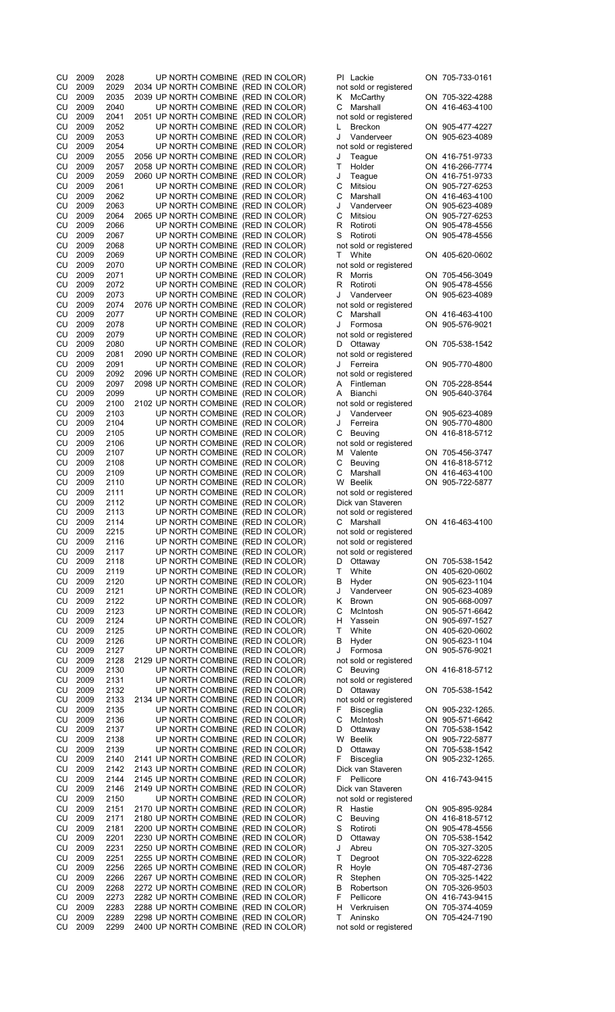| CU       | 2009         | 2028         | UP NORTH COMBINE (RED IN COLOR)                                              |  |   | PI Lackie                         | ON 705-733-0161  |
|----------|--------------|--------------|------------------------------------------------------------------------------|--|---|-----------------------------------|------------------|
| CU       | 2009         | 2029         | 2034 UP NORTH COMBINE (RED IN COLOR)                                         |  |   | not sold or registered            |                  |
| CU       | 2009         | 2035         | 2039 UP NORTH COMBINE (RED IN COLOR)                                         |  | K | McCarthy                          | ON 705-322-4288  |
| CU       | 2009         | 2040         | UP NORTH COMBINE (RED IN COLOR)                                              |  | С | Marshall                          | ON 416-463-4100  |
| CU       | 2009         | 2041         | 2051 UP NORTH COMBINE (RED IN COLOR)                                         |  |   | not sold or registered            |                  |
| CU       | 2009         | 2052         | UP NORTH COMBINE (RED IN COLOR)                                              |  | L | <b>Breckon</b>                    | ON 905-477-4227  |
| CU       | 2009         | 2053         | UP NORTH COMBINE (RED IN COLOR)                                              |  | J | Vanderveer                        | ON 905-623-4089  |
| CU       | 2009         | 2054         | UP NORTH COMBINE (RED IN COLOR)                                              |  |   | not sold or registered            |                  |
| CU       | 2009         | 2055         | 2056 UP NORTH COMBINE (RED IN COLOR)                                         |  | J | Teague                            | ON 416-751-9733  |
| CU       | 2009         | 2057         | 2058 UP NORTH COMBINE (RED IN COLOR)                                         |  | Т | Holder                            | ON 416-266-7774  |
| CU       | 2009         | 2059         | 2060 UP NORTH COMBINE (RED IN COLOR)                                         |  | J | Teague                            | ON 416-751-9733  |
| CU       | 2009         | 2061         | UP NORTH COMBINE (RED IN COLOR)                                              |  | С | Mitsiou                           | ON 905-727-6253  |
| CU       | 2009         | 2062         | UP NORTH COMBINE (RED IN COLOR)                                              |  | С | Marshall                          | ON 416-463-4100  |
| CU       | 2009         | 2063         | UP NORTH COMBINE (RED IN COLOR)                                              |  | J | Vanderveer                        | ON 905-623-4089  |
| CU       | 2009         | 2064         | 2065 UP NORTH COMBINE (RED IN COLOR)                                         |  | С | Mitsiou                           | ON 905-727-6253  |
| CU       | 2009         | 2066         | UP NORTH COMBINE (RED IN COLOR)                                              |  | R | Rotiroti                          | ON 905-478-4556  |
| CU       | 2009         | 2067         | UP NORTH COMBINE (RED IN COLOR)                                              |  | S | Rotiroti                          | ON 905-478-4556  |
| CU       | 2009         | 2068         | UP NORTH COMBINE (RED IN COLOR)                                              |  |   | not sold or registered            |                  |
| CU       | 2009         | 2069         | UP NORTH COMBINE (RED IN COLOR)                                              |  | т | White                             | ON 405-620-0602  |
| CU       | 2009         | 2070         | UP NORTH COMBINE (RED IN COLOR)                                              |  |   | not sold or registered            |                  |
| CU       | 2009         | 2071         | UP NORTH COMBINE (RED IN COLOR)                                              |  | R | Morris                            | ON 705-456-3049  |
| CU       | 2009         | 2072         | UP NORTH COMBINE (RED IN COLOR)                                              |  | R | Rotiroti                          | ON 905-478-4556  |
| CU       | 2009         | 2073         | UP NORTH COMBINE (RED IN COLOR)                                              |  | J | Vanderveer                        | ON 905-623-4089  |
| CU       | 2009         | 2074         | 2076 UP NORTH COMBINE (RED IN COLOR)                                         |  |   | not sold or registered            |                  |
| CU       | 2009         | 2077         | UP NORTH COMBINE (RED IN COLOR)                                              |  | С | Marshall                          | ON 416-463-4100  |
| CU       | 2009         | 2078         | UP NORTH COMBINE (RED IN COLOR)                                              |  | J | Formosa                           | ON 905-576-9021  |
| CU       | 2009         | 2079         | UP NORTH COMBINE (RED IN COLOR)                                              |  |   | not sold or registered            |                  |
| CU       | 2009         | 2080         | UP NORTH COMBINE (RED IN COLOR)                                              |  | D | Ottaway                           | ON 705-538-1542  |
| CU       | 2009         | 2081         | 2090 UP NORTH COMBINE (RED IN COLOR)                                         |  |   | not sold or registered            |                  |
| CU       | 2009         | 2091         | UP NORTH COMBINE (RED IN COLOR)                                              |  | J | Ferreira                          | ON 905-770-4800  |
| CU       | 2009         | 2092         | 2096 UP NORTH COMBINE (RED IN COLOR)                                         |  |   | not sold or registered            |                  |
| CU       | 2009         | 2097         | 2098 UP NORTH COMBINE (RED IN COLOR)                                         |  | A | Fintleman                         | ON 705-228-8544  |
| CU       | 2009         | 2099         | UP NORTH COMBINE (RED IN COLOR)                                              |  | A | Bianchi                           | ON 905-640-3764  |
| CU       | 2009         | 2100         | 2102 UP NORTH COMBINE (RED IN COLOR)                                         |  |   | not sold or registered            |                  |
| CU       | 2009         | 2103         | UP NORTH COMBINE (RED IN COLOR)                                              |  | J | Vanderveer                        | ON 905-623-4089  |
| CU       | 2009         | 2104         | UP NORTH COMBINE (RED IN COLOR)                                              |  | J | Ferreira                          | ON 905-770-4800  |
| CU       | 2009         | 2105         | UP NORTH COMBINE (RED IN COLOR)                                              |  | С | Beuving                           | ON 416-818-5712  |
| CU       | 2009         | 2106         | UP NORTH COMBINE (RED IN COLOR)                                              |  |   | not sold or registered            |                  |
| CU       | 2009         | 2107         | UP NORTH COMBINE (RED IN COLOR)                                              |  | М | Valente                           | ON 705-456-3747  |
| CU       | 2009         | 2108         | UP NORTH COMBINE (RED IN COLOR)                                              |  | С | Beuving                           | ON 416-818-5712  |
| CU       | 2009         | 2109         | UP NORTH COMBINE (RED IN COLOR)                                              |  | С | Marshall                          | ON 416-463-4100  |
| CU       | 2009         | 2110         | UP NORTH COMBINE (RED IN COLOR)                                              |  |   | W Beelik                          | ON 905-722-5877  |
| CU       | 2009         | 2111         | UP NORTH COMBINE (RED IN COLOR)                                              |  |   | not sold or registered            |                  |
|          |              |              |                                                                              |  |   |                                   |                  |
|          |              |              |                                                                              |  |   |                                   |                  |
| CU       | 2009         | 2112         | UP NORTH COMBINE (RED IN COLOR)                                              |  |   | Dick van Staveren                 |                  |
| CU       | 2009         | 2113         | UP NORTH COMBINE (RED IN COLOR)                                              |  |   | not sold or registered            |                  |
| CU       | 2009         | 2114         | UP NORTH COMBINE (RED IN COLOR)                                              |  |   | C Marshall                        | ON 416-463-4100  |
| CU       | 2009         | 2215         | UP NORTH COMBINE (RED IN COLOR)                                              |  |   | not sold or registered            |                  |
| CU       | 2009         | 2116         | UP NORTH COMBINE (RED IN COLOR)                                              |  |   | not sold or registered            |                  |
| CU       | 2009         | 2117         | UP NORTH COMBINE (RED IN COLOR)                                              |  |   | not sold or registered            |                  |
| CU       | 2009         | 2118         | UP NORTH COMBINE (RED IN COLOR)                                              |  | D | Ottaway                           | ON 705-538-1542  |
| CU       | 2009         | 2119         | UP NORTH COMBINE (RED IN COLOR)                                              |  | т | White                             | ON 405-620-0602  |
| CU       | 2009         | 2120         | UP NORTH COMBINE (RED IN COLOR)                                              |  | В | Hyder                             | ON 905-623-1104  |
| CU       | 2009         | 2121         | UP NORTH COMBINE (RED IN COLOR)                                              |  | J | Vanderveer                        | ON 905-623-4089  |
| CU       | 2009         | 2122         | UP NORTH COMBINE (RED IN COLOR)                                              |  | Κ | <b>Brown</b>                      | ON 905-668-0097  |
| CU       | 2009         | 2123         | UP NORTH COMBINE (RED IN COLOR)                                              |  | С | McIntosh                          | ON 905-571-6642  |
| CU       | 2009         | 2124         | UP NORTH COMBINE (RED IN COLOR)                                              |  | н | Yassein                           | ON 905-697-1527  |
| CU       | 2009         | 2125         | UP NORTH COMBINE (RED IN COLOR)                                              |  | Τ | White                             | ON 405-620-0602  |
| CU       | 2009         | 2126         | UP NORTH COMBINE (RED IN COLOR)                                              |  | В | Hyder                             | ON 905-623-1104  |
| CU       | 2009         | 2127         | UP NORTH COMBINE (RED IN COLOR)                                              |  | J | Formosa                           | ON 905-576-9021  |
| CU       | 2009         | 2128         | 2129 UP NORTH COMBINE (RED IN COLOR)                                         |  |   | not sold or registered            |                  |
| CU       | 2009         | 2130         | UP NORTH COMBINE (RED IN COLOR)                                              |  | С | Beuving                           | ON 416-818-5712  |
| CU       | 2009         | 2131         | UP NORTH COMBINE (RED IN COLOR)                                              |  |   | not sold or registered            |                  |
| CU       | 2009         | 2132         | UP NORTH COMBINE (RED IN COLOR)                                              |  | D | Ottaway                           | ON 705-538-1542  |
| CU       | 2009         | 2133         | 2134 UP NORTH COMBINE (RED IN COLOR)                                         |  |   | not sold or registered            |                  |
| CU       | 2009         | 2135         | UP NORTH COMBINE (RED IN COLOR)                                              |  | F | <b>Bisceglia</b>                  | ON 905-232-1265. |
| CU       | 2009         | 2136         | UP NORTH COMBINE (RED IN COLOR)                                              |  | С | McIntosh                          | ON 905-571-6642  |
| CU       | 2009         | 2137         | UP NORTH COMBINE (RED IN COLOR)                                              |  | D | Ottaway                           | ON 705-538-1542  |
| CU       | 2009         | 2138         | UP NORTH COMBINE (RED IN COLOR)                                              |  | W | Beelik                            | ON 905-722-5877  |
| CU       | 2009         | 2139         | UP NORTH COMBINE (RED IN COLOR)                                              |  | D | Ottaway                           | ON 705-538-1542  |
| CU       | 2009         | 2140         | 2141 UP NORTH COMBINE (RED IN COLOR)                                         |  | F | <b>Bisceglia</b>                  | ON 905-232-1265. |
| CU       | 2009         | 2142         | 2143 UP NORTH COMBINE (RED IN COLOR)                                         |  |   | Dick van Staveren                 |                  |
| CU       | 2009         | 2144         | 2145 UP NORTH COMBINE (RED IN COLOR)                                         |  | F | Pellicore                         | ON 416-743-9415  |
| CU       | 2009         | 2146         | 2149 UP NORTH COMBINE (RED IN COLOR)                                         |  |   | Dick van Staveren                 |                  |
| CU       | 2009         | 2150         | UP NORTH COMBINE (RED IN COLOR)                                              |  |   | not sold or registered            |                  |
| CU       | 2009         | 2151         | 2170 UP NORTH COMBINE (RED IN COLOR)                                         |  | R | Hastie                            | ON 905-895-9284  |
| CU       | 2009         | 2171         | 2180 UP NORTH COMBINE (RED IN COLOR)                                         |  | С | Beuving                           | ON 416-818-5712  |
| CU       | 2009         | 2181         | 2200 UP NORTH COMBINE (RED IN COLOR)                                         |  | S | Rotiroti                          | ON 905-478-4556  |
| CU       | 2009         | 2201         | 2230 UP NORTH COMBINE (RED IN COLOR)                                         |  | D | Ottaway                           | ON 705-538-1542  |
| CU       | 2009         | 2231         | 2250 UP NORTH COMBINE (RED IN COLOR)                                         |  | J | Abreu                             | ON 705-327-3205  |
| CU       | 2009         | 2251         | 2255 UP NORTH COMBINE (RED IN COLOR)                                         |  | т | Degroot                           | ON 705-322-6228  |
| CU       | 2009         | 2256         | 2265 UP NORTH COMBINE (RED IN COLOR)                                         |  | R | Hoyle                             | ON 705-487-2736  |
| CU       | 2009         | 2266         | 2267 UP NORTH COMBINE (RED IN COLOR)                                         |  | R | Stephen                           | ON 705-325-1422  |
| CU       | 2009         | 2268         | 2272 UP NORTH COMBINE (RED IN COLOR)                                         |  | В | Robertson                         | ON 705-326-9503  |
| CU       | 2009         | 2273         | 2282 UP NORTH COMBINE (RED IN COLOR)                                         |  | F | Pellicore                         | ON 416-743-9415  |
| CU       | 2009         | 2283         | 2288 UP NORTH COMBINE (RED IN COLOR)                                         |  | н | Verkruisen                        | ON 705-374-4059  |
| CU<br>CU | 2009<br>2009 | 2289<br>2299 | 2298 UP NORTH COMBINE (RED IN COLOR)<br>2400 UP NORTH COMBINE (RED IN COLOR) |  | т | Aninsko<br>not sold or registered | ON 705-424-7190  |

| Lackie                                 |          | ON 705-733-0161                    |
|----------------------------------------|----------|------------------------------------|
| sold or registered<br>McCarthy         |          | ON 705-322-4288                    |
| Marshall                               |          | ON 416-463-4100                    |
| sold or registered                     |          |                                    |
| <b>Breckon</b>                         |          | ON 905-477-4227                    |
| Vanderveer<br>sold or registered       |          | ON 905-623-4089                    |
| Teague                                 |          | ON 416-751-9733                    |
| Holder                                 |          | ON 416-266-7774                    |
| Teague<br>Mitsiou                      |          | ON 416-751-9733<br>ON 905-727-6253 |
| Marshall                               |          | ON 416-463-4100                    |
| Vanderveer                             |          | ON 905-623-4089                    |
| Mitsiou                                |          | ON 905-727-6253                    |
| Rotiroti<br>Rotiroti                   | ON       | ON 905-478-4556<br>905-478-4556    |
| sold or registered                     |          |                                    |
| White                                  |          | ON 405-620-0602                    |
| sold or registered<br><b>Morris</b>    |          | ON 705-456-3049                    |
| Rotiroti                               |          | ON 905-478-4556                    |
| Vanderveer                             | ON       | 905-623-4089                       |
| sold or registered                     |          |                                    |
| Marshall<br>Formosa                    |          | ON 416-463-4100<br>ON 905-576-9021 |
| sold or registered                     |          |                                    |
| Ottaway                                |          | ON 705-538-1542                    |
| sold or registered                     |          |                                    |
| Ferreira<br>sold or registered         |          | ON 905-770-4800                    |
| Fintleman                              |          | ON 705-228-8544                    |
| <b>Bianchi</b>                         | ON       | 905-640-3764                       |
| sold or registered                     |          |                                    |
| Vanderveer<br>Ferreira                 |          | ON 905-623-4089<br>ON 905-770-4800 |
| Beuving                                |          | ON 416-818-5712                    |
| sold or registered                     |          |                                    |
| Valente                                |          | ON 705-456-3747                    |
| Beuving<br>Marshall                    |          | ON 416-818-5712<br>ON 416-463-4100 |
| <b>Beelik</b>                          |          | ON 905-722-5877                    |
| sold or registered                     |          |                                    |
| ck van Staveren                        |          |                                    |
| sold or registered<br>Marshall         |          | ON 416-463-4100                    |
| sold or registered                     |          |                                    |
| sold or registered                     |          |                                    |
| sold or registered                     |          |                                    |
| Ottaway<br>White                       |          | ON 705-538-1542<br>ON 405-620-0602 |
| Hyder                                  |          | ON 905-623-1104                    |
| Vanderveer                             | ON       | 905-623-4089                       |
| <b>Brown</b>                           | ON       | 905-668-0097                       |
| McIntosh<br>Yassein                    | ON<br>ON | 905-571-6642<br>905-697-1527       |
| White                                  |          | ON 405-620-0602                    |
| Hyder                                  | ON       | 905-623-1104                       |
| Formosa                                | ON       | 905-576-9021                       |
| sold or registered<br>Beuving          |          | ON 416-818-5712                    |
| sold or registered                     |          |                                    |
| Ottaway                                |          | ON 705-538-1542                    |
| sold or registered<br><b>Bisceglia</b> | ON       | 905-232-1265                       |
| McIntosh                               |          | ON 905-571-6642                    |
| Ottaway                                | ON       | 705-538-1542                       |
| <b>Beelik</b>                          |          | ON 905-722-5877                    |
| Ottaway<br><b>Bisceglia</b>            | ON<br>ON | 705-538-1542<br>905-232-1265       |
| k van Staveren                         |          |                                    |
| Pellicore                              |          | ON 416-743-9415                    |
| ck van Staveren                        |          |                                    |
| sold or registered<br>Hastie           | ON       | 905-895-9284                       |
| Beuving                                | ON       | 416-818-5712                       |
| Rotiroti                               | ON       | 905-478-4556                       |
| Ottaway                                | ON       | 705-538-1542                       |
| Abreu<br>Degroot                       | ON<br>ON | 705-327-3205<br>705-322-6228       |
| Hoyle                                  | ON       | 705-487-2736                       |
| Stephen                                |          | ON 705-325-1422                    |
| Robertson                              | ON       | 705-326-9503                       |
| Pellicore<br>Verkruisen                |          | ON 416-743-9415<br>ON 705-374-4059 |
|                                        |          |                                    |
| Aninsko                                | ON       | 705-424-7190                       |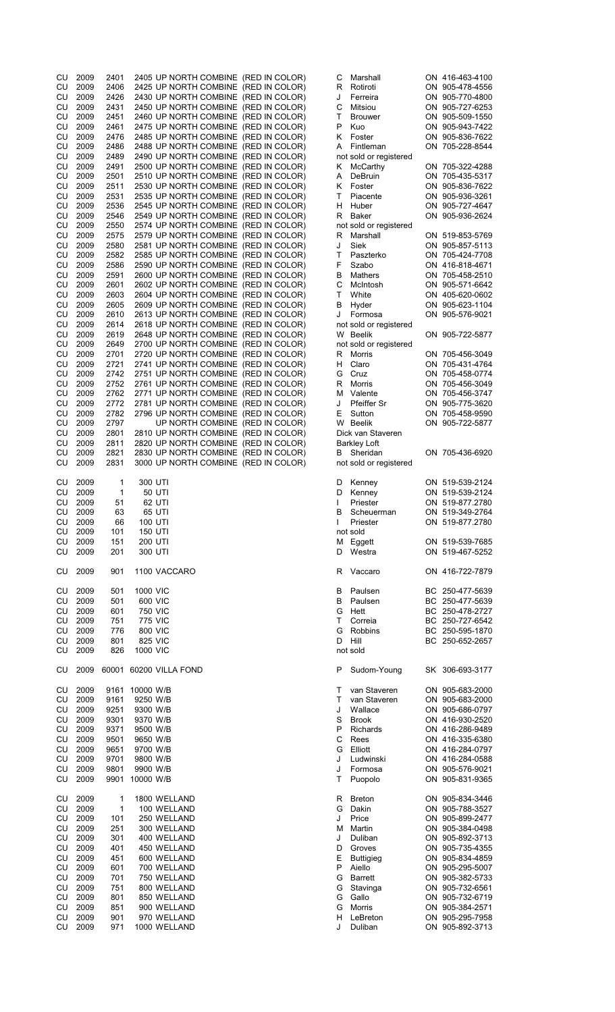| CU        | 2009         | 2401       | 2405 UP NORTH COMBINE (RED IN COLOR) |                                      | С      | Marshall               | ON 416-463-4100                    |
|-----------|--------------|------------|--------------------------------------|--------------------------------------|--------|------------------------|------------------------------------|
|           |              |            |                                      |                                      |        |                        |                                    |
| CU        | 2009         | 2406       | 2425 UP NORTH COMBINE (RED IN COLOR) |                                      | R      | Rotiroti               | ON 905-478-4556                    |
| CU        | 2009         | 2426       | 2430 UP NORTH COMBINE (RED IN COLOR) |                                      | J      | Ferreira               | ON 905-770-4800                    |
| CU        | 2009         | 2431       | 2450 UP NORTH COMBINE (RED IN COLOR) |                                      | С      | Mitsiou                | ON 905-727-6253                    |
|           |              |            |                                      |                                      |        |                        |                                    |
| <b>CU</b> | 2009         | 2451       | 2460 UP NORTH COMBINE (RED IN COLOR) |                                      | Τ      | <b>Brouwer</b>         | ON 905-509-1550                    |
| CU        | 2009         | 2461       | 2475 UP NORTH COMBINE (RED IN COLOR) |                                      | P      | Kuo                    | ON 905-943-7422                    |
| CU        | 2009         | 2476       | 2485 UP NORTH COMBINE (RED IN COLOR) |                                      | Κ      | Foster                 | ON 905-836-7622                    |
|           |              |            |                                      |                                      |        |                        |                                    |
| <b>CU</b> | 2009         | 2486       | 2488 UP NORTH COMBINE (RED IN COLOR) |                                      | Α      | Fintleman              | ON 705-228-8544                    |
| <b>CU</b> | 2009         | 2489       | 2490 UP NORTH COMBINE (RED IN COLOR) |                                      |        | not sold or registered |                                    |
|           |              |            |                                      |                                      |        |                        |                                    |
| CU        | 2009         | 2491       | 2500 UP NORTH COMBINE (RED IN COLOR) |                                      | Κ      | McCarthy               | ON 705-322-4288                    |
| CU        | 2009         | 2501       | 2510 UP NORTH COMBINE (RED IN COLOR) |                                      | Α      | DeBruin                | ON 705-435-5317                    |
| CU        | 2009         | 2511       | 2530 UP NORTH COMBINE (RED IN COLOR) |                                      | Κ      | Foster                 | ON 905-836-7622                    |
|           |              |            |                                      |                                      |        |                        |                                    |
| CU        | 2009         | 2531       | 2535 UP NORTH COMBINE (RED IN COLOR) |                                      | Т      | Piacente               | ON 905-936-3261                    |
| CU        | 2009         | 2536       | 2545 UP NORTH COMBINE (RED IN COLOR) |                                      | H      | Huber                  | ON 905-727-4647                    |
| CU        | 2009         | 2546       |                                      |                                      | R      | Baker                  |                                    |
|           |              |            | 2549 UP NORTH COMBINE (RED IN COLOR) |                                      |        |                        | ON 905-936-2624                    |
| <b>CU</b> | 2009         | 2550       | 2574 UP NORTH COMBINE (RED IN COLOR) |                                      |        | not sold or registered |                                    |
| CU        | 2009         | 2575       | 2579 UP NORTH COMBINE (RED IN COLOR) |                                      | R      | Marshall               | ON 519-853-5769                    |
|           |              |            |                                      |                                      |        |                        |                                    |
| CU        | 2009         | 2580       | 2581 UP NORTH COMBINE (RED IN COLOR) |                                      | J      | Siek                   | ON 905-857-5113                    |
| CU        | 2009         | 2582       | 2585 UP NORTH COMBINE (RED IN COLOR) |                                      | Τ      | Paszterko              | ON 705-424-7708                    |
| CU        | 2009         | 2586       | 2590 UP NORTH COMBINE (RED IN COLOR) |                                      | F      | Szabo                  | ON 416-818-4671                    |
|           |              |            |                                      |                                      |        |                        |                                    |
| CU        | 2009         | 2591       | 2600 UP NORTH COMBINE (RED IN COLOR) |                                      | В      | Mathers                | ON 705-458-2510                    |
| <b>CU</b> | 2009         | 2601       | 2602 UP NORTH COMBINE (RED IN COLOR) |                                      | C      | McIntosh               | ON 905-571-6642                    |
| CU        | 2009         | 2603       | 2604 UP NORTH COMBINE (RED IN COLOR) |                                      | т      | White                  | ON 405-620-0602                    |
|           |              |            |                                      |                                      |        |                        |                                    |
| CU        | 2009         | 2605       | 2609 UP NORTH COMBINE (RED IN COLOR) |                                      | в      | Hyder                  | ON 905-623-1104                    |
| CU        | 2009         | 2610       | 2613 UP NORTH COMBINE (RED IN COLOR) |                                      | J      | Formosa                | ON 905-576-9021                    |
|           |              |            |                                      |                                      |        |                        |                                    |
| CU        | 2009         | 2614       | 2618 UP NORTH COMBINE (RED IN COLOR) |                                      |        | not sold or registered |                                    |
| CU        | 2009         | 2619       | 2648 UP NORTH COMBINE (RED IN COLOR) |                                      | W      | Beelik                 | ON 905-722-5877                    |
| CU        | 2009         | 2649       | 2700 UP NORTH COMBINE (RED IN COLOR) |                                      |        | not sold or registered |                                    |
|           |              |            |                                      |                                      |        |                        |                                    |
| <b>CU</b> | 2009         | 2701       | 2720 UP NORTH COMBINE (RED IN COLOR) |                                      | R      | Morris                 | ON 705-456-3049                    |
| CU        | 2009         | 2721       | 2741 UP NORTH COMBINE (RED IN COLOR) |                                      | н      | Claro                  | ON 705-431-4764                    |
| CU        | 2009         | 2742       | 2751 UP NORTH COMBINE (RED IN COLOR) |                                      | G      | Cruz                   | ON 705-458-0774                    |
|           |              |            |                                      |                                      |        |                        |                                    |
| CU        | 2009         | 2752       | 2761 UP NORTH COMBINE (RED IN COLOR) |                                      | R      | Morris                 | ON 705-456-3049                    |
| CU        | 2009         | 2762       | 2771 UP NORTH COMBINE (RED IN COLOR) |                                      |        | M Valente              | ON 705-456-3747                    |
|           |              |            |                                      |                                      |        |                        |                                    |
| <b>CU</b> | 2009         | 2772       | 2781 UP NORTH COMBINE (RED IN COLOR) |                                      | J      | <b>Pfeiffer Sr</b>     | ON 905-775-3620                    |
| CU        | 2009         | 2782       | 2796 UP NORTH COMBINE (RED IN COLOR) |                                      | Ε      | Sutton                 | ON 705-458-9590                    |
| CU        | 2009         | 2797       |                                      | UP NORTH COMBINE (RED IN COLOR)      |        | W Beelik               | ON 905-722-5877                    |
|           |              |            |                                      |                                      |        |                        |                                    |
| CU        | 2009         | 2801       | 2810 UP NORTH COMBINE (RED IN COLOR) |                                      |        | Dick van Staveren      |                                    |
| CU        | 2009         | 2811       | 2820 UP NORTH COMBINE (RED IN COLOR) |                                      |        | <b>Barkley Loft</b>    |                                    |
|           |              |            |                                      |                                      |        |                        |                                    |
|           | 2009         | 2821       | 2830 UP NORTH COMBINE (RED IN COLOR) |                                      | В      | Sheridan               | ON 705-436-6920                    |
| CU        | 2009         | 2831       |                                      |                                      |        | not sold or registered |                                    |
| CU        |              |            |                                      |                                      |        |                        |                                    |
|           |              |            |                                      | 3000 UP NORTH COMBINE (RED IN COLOR) |        |                        |                                    |
|           |              |            |                                      |                                      |        |                        |                                    |
| CU        | 2009         | 1          | 300 UTI                              |                                      | D      | Kenney                 | ON 519-539-2124                    |
|           |              |            |                                      |                                      |        |                        |                                    |
| CU        | 2009         | 1          | 50 UTI                               |                                      | D      | Kenney                 | ON 519-539-2124                    |
| CU        | 2009         | 51         | 62 UTI                               |                                      | I      | Priester               | ON 519-877.2780                    |
| CU        | 2009         | 63         | 65 UTI                               |                                      | в      | Scheuerman             | ON 519-349-2764                    |
|           |              |            |                                      |                                      |        |                        |                                    |
| CU        | 2009         | 66         | 100 UTI                              |                                      |        | Priester               | ON 519-877.2780                    |
| CU        | 2009         | 101        | <b>150 UTI</b>                       |                                      |        | not sold               |                                    |
| CU        |              | 151        |                                      |                                      |        |                        |                                    |
|           | 2009         |            | 200 UTI                              |                                      |        | M Eggett               | ON 519-539-7685                    |
| CU        | 2009         | 201        | 300 UTI                              |                                      | D      | Westra                 | ON 519-467-5252                    |
|           |              |            |                                      |                                      |        |                        |                                    |
| CU        | 2009         | 901        | 1100 VACCARO                         |                                      |        | R Vaccaro              | ON 416-722-7879                    |
|           |              |            |                                      |                                      |        |                        |                                    |
|           |              |            |                                      |                                      |        |                        |                                    |
| CU        | 2009         | 501        | 1000 VIC                             |                                      | В      | Paulsen                | BC 250-477-5639                    |
|           | 2009         |            | 600 VIC                              |                                      |        | Paulsen                |                                    |
| CU        |              | 501        |                                      |                                      | В      |                        | BC 250-477-5639                    |
| CU        | 2009         | 601        | <b>750 VIC</b>                       |                                      |        | G Hett                 | BC 250-478-2727                    |
| CU        | 2009         | 751        | <b>775 VIC</b>                       |                                      | T.     | Correia                | BC 250-727-6542                    |
|           |              |            |                                      |                                      |        |                        |                                    |
| CU        | 2009         | 776        | 800 VIC                              |                                      | G      | <b>Robbins</b>         | BC 250-595-1870                    |
| CU        | 2009         | 801        | 825 VIC                              |                                      | D      | Hill                   | BC 250-652-2657                    |
| CU        | 2009         | 826        | 1000 VIC                             |                                      |        | not sold               |                                    |
|           |              |            |                                      |                                      |        |                        |                                    |
|           |              |            |                                      |                                      |        |                        |                                    |
| CU        | 2009         |            | 60001 60200 VILLA FOND               |                                      | P      | Sudom-Young            | SK 306-693-3177                    |
|           |              |            |                                      |                                      |        |                        |                                    |
|           |              |            |                                      |                                      |        |                        |                                    |
| CU        | 2009         |            | 9161 10000 W/B                       |                                      | Т      | van Staveren           | ON 905-683-2000                    |
| CU        | 2009         | 9161       | 9250 W/B                             |                                      | т      | van Staveren           | ON 905-683-2000                    |
| CU        | 2009         | 9251       | 9300 W/B                             |                                      | J      | Wallace                | ON 905-686-0797                    |
|           |              |            |                                      |                                      |        |                        |                                    |
| CU        | 2009         | 9301       | 9370 W/B                             |                                      | S      | <b>Brook</b>           | ON 416-930-2520                    |
| CU        | 2009         | 9371       | 9500 W/B                             |                                      | P      | Richards               | ON 416-286-9489                    |
|           |              |            |                                      |                                      |        |                        |                                    |
| <b>CU</b> | 2009         | 9501       | 9650 W/B                             |                                      | С      | Rees                   | ON 416-335-6380                    |
| CU        | 2009         | 9651       | 9700 W/B                             |                                      | G      | Elliott                | ON 416-284-0797                    |
| CU        | 2009         | 9701       | 9800 W/B                             |                                      | J      | Ludwinski              | ON 416-284-0588                    |
|           |              |            |                                      |                                      |        |                        |                                    |
| CU        | 2009         | 9801       | 9900 W/B                             |                                      | J      | Formosa                | ON 905-576-9021                    |
| <b>CU</b> | 2009         | 9901       | 10000 W/B                            |                                      | т      | Puopolo                | ON 905-831-9365                    |
|           |              |            |                                      |                                      |        |                        |                                    |
|           |              |            |                                      |                                      |        |                        |                                    |
| CU        | 2009         | 1          | 1800 WELLAND                         |                                      | R      | <b>Breton</b>          | ON 905-834-3446                    |
| CU        | 2009         | 1          | 100 WELLAND                          |                                      | G      | Dakin                  | ON 905-788-3527                    |
| CU        | 2009         | 101        | 250 WELLAND                          |                                      | J      | Price                  | ON 905-899-2477                    |
|           |              |            |                                      |                                      |        |                        |                                    |
| CU        | 2009         | 251        | 300 WELLAND                          |                                      | м      | Martin                 | ON 905-384-0498                    |
| CU        | 2009         | 301        | 400 WELLAND                          |                                      | J      | Duliban                | ON 905-892-3713                    |
| CU        | 2009         | 401        | 450 WELLAND                          |                                      | D      | Groves                 | ON 905-735-4355                    |
|           |              |            |                                      |                                      |        |                        |                                    |
| CU        | 2009         | 451        | 600 WELLAND                          |                                      | Е      | <b>Buttigieg</b>       | ON 905-834-4859                    |
| CU        | 2009         | 601        | 700 WELLAND                          |                                      | P      | Aiello                 | ON 905-295-5007                    |
|           |              |            |                                      |                                      |        |                        |                                    |
| CU        | 2009         | 701        | 750 WELLAND                          |                                      | G      | <b>Barrett</b>         | ON 905-382-5733                    |
| CU        | 2009         | 751        | 800 WELLAND                          |                                      | G      | Stavinga               | ON 905-732-6561                    |
| CU        | 2009         | 801        | 850 WELLAND                          |                                      | G      | Gallo                  | ON 905-732-6719                    |
|           |              |            |                                      |                                      |        |                        |                                    |
| CU        | 2009         | 851        | 900 WELLAND                          |                                      | G      | Morris                 | ON 905-384-2571                    |
| CU<br>CU  | 2009<br>2009 | 901<br>971 | 970 WELLAND<br>1000 WELLAND          |                                      | н<br>J | LeBreton<br>Duliban    | ON 905-295-7958<br>ON 905-892-3713 |

| С      | Marshall               | ON        | 416-463-4100                 |
|--------|------------------------|-----------|------------------------------|
| R      | Rotiroti               | ON        | 905-478-4556                 |
| J      | Ferreira               | ON        | 905-770-4800                 |
| С      | Mitsiou                | ON.       | 905-727-6253                 |
| T      | <b>Brouwer</b>         | ON        | 905-509-1550                 |
| P      | Kuo                    | ON        | 905-943-7422                 |
| Κ      | Foster                 | ON        | 905-836-7622                 |
| A      | Fintleman              | ON        | 705-228-8544                 |
|        | not sold or registered |           |                              |
| Κ      | <b>McCarthy</b>        | ON        | 705-322-4288                 |
| Ą      | DeBruin                | ON        | 705-435-5317                 |
| Κ      | Foster                 | ON        | 905-836-7622                 |
| Ĩ.     | Piacente               | ON        | 905-936-3261                 |
| Н      | Huber                  | ON        | 905-727-4647                 |
| R      | Baker                  | ON.       | 905-936-2624                 |
|        | not sold or registered |           |                              |
| R      | Marshall               | ON        | 519-853-5769                 |
| J      | Siek                   | ON        | 905-857-5113                 |
| T      | Paszterko              | ON        | 705-424-7708                 |
| F      | Szabo                  | ON        | 416-818-4671                 |
| B      | <b>Mathers</b>         | ON        | 705-458-2510                 |
| С      | McIntosh               | ON        | 905-571-6642                 |
| T      | White                  | ON        | 405-620-0602                 |
| В      | Hyder                  | ON        | 905-623-1104                 |
| J      | Formosa                | ON        | 905-576-9021                 |
|        | not sold or registered |           |                              |
| W      | <b>Beelik</b>          | ON        | 905-722-5877                 |
|        | not sold or registered |           |                              |
|        |                        |           |                              |
| R<br>H | <b>Morris</b>          | ON<br>ON  | 705-456-3049<br>705-431-4764 |
|        | Claro                  |           |                              |
| G      | Cruz                   | ON        | 705-458-0774                 |
| R      | Morris                 | ON        | 705-456-3049                 |
| Μ      | Valente                | ON        | 705-456-3747                 |
| J      | Pfeiffer Sr            | ON        | 905-775-3620                 |
| E      | Sutton                 | ON.       | 705-458-9590                 |
|        | W Beelik               | ON        | 905-722-5877                 |
|        | Dick van Staveren      |           |                              |
|        | <b>Barkley Loft</b>    |           |                              |
| B      | Sheridan               |           | ON 705-436-6920              |
|        | not sold or registered |           |                              |
|        |                        |           |                              |
| D      | Kenney                 |           | ON 519-539-2124              |
| D      | Kenney                 | ON        | 519-539-2124                 |
| I      | Priester               | ON        | 519-877.2780                 |
| B      | Scheuerman             | ON        | 519-349-2764                 |
|        | Priester               |           | ON 519-877.2780              |
|        | not sold               |           |                              |
| M      | Eggett                 | ON        | 519-539-7685                 |
| D      | Westra                 | ON        | 519-467-5252                 |
|        |                        |           |                              |
| R      | Vaccaro                |           | ON 416-722-7879              |
|        |                        |           |                              |
| B      | Paulsen                | BС        | 250-477-5639                 |
| В      | Paulsen                | <b>BC</b> | 250-477-5639                 |
| G      | Hett                   | <b>BC</b> | 250-478-2727                 |
| T      | Correia                | ВC        | 250-727-6542                 |
| G      | Robbins                | BC        | 250-595-1870                 |
| D      | Hill                   | ВC        | 250-652-2657                 |
|        | not sold               |           |                              |
|        |                        |           |                              |
| Ρ      | Sudom-Young            | SK        | 306-693-3177                 |
|        |                        |           |                              |
| T      | van Staveren           | ON        | 905-683-2000                 |
| T      | van Staveren           | ON        | 905-683-2000                 |
| J      | Wallace                | ON        | 905-686-0797                 |
| S      | <b>Brook</b>           | ON        | 416-930-2520                 |
| Ρ      | Richards               | ON        | 416-286-9489                 |
| C      | Rees                   | ON        | 416-335-6380                 |
| G      | Elliott                | ON        | 416-284-0797                 |
| J      |                        |           |                              |
| J      |                        |           |                              |
| T      | Ludwinski              | ON        | 416-284-0588                 |
|        | Formosa                | ON        | 905-576-9021                 |
|        | Puopolo                | ON        | 905-831-9365                 |
|        |                        |           |                              |
| R      | <b>Breton</b>          | ON        | 905-834-3446                 |
| G      | Dakin                  | ON        | 905-788-3527                 |
| J      | Price                  | ON        | 905-899-2477                 |
| M      | Martin                 | ON        | 905-384-0498                 |
| J      | Duliban                | ON        | 905-892-3713                 |
| D      | Groves                 | ON        | 905-735-4355                 |
| E      | <b>Buttigieg</b>       | ON        | 905-834-4859                 |
| Ρ      | Aiello                 | ON        | 905-295-5007                 |
| G      | <b>Barrett</b>         | ON        | 905-382-5733                 |
| G      | Stavinga               | ON        | 905-732-6561                 |
| G      | Gallo                  | ON        | 905-732-6719                 |
| G      | <b>Morris</b>          | ON        | 905-384-2571                 |
| н<br>J | LeBreton<br>Duliban    | ON<br>ON  | 905-295-7958<br>905-892-3713 |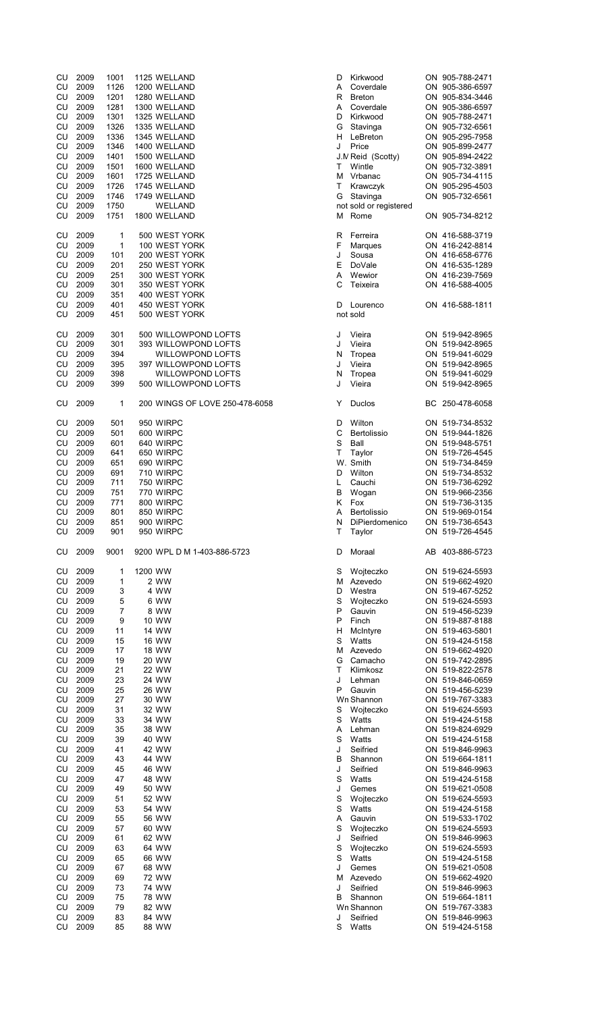| CU         | 2009 | 1001           | 1125 WELLAND                   | Kirkwood<br>D          | ON 905-788-2471 |
|------------|------|----------------|--------------------------------|------------------------|-----------------|
| CU         | 2009 | 1126           | 1200 WELLAND                   | A<br>Coverdale         | ON 905-386-6597 |
| CU         | 2009 | 1201           | 1280 WELLAND                   | R<br><b>Breton</b>     | ON 905-834-3446 |
| CU         | 2009 | 1281           | 1300 WELLAND                   | Α<br>Coverdale         | ON 905-386-6597 |
| CU         | 2009 | 1301           | 1325 WELLAND                   | Kirkwood<br>D          | ON 905-788-2471 |
| CU         | 2009 | 1326           | 1335 WELLAND                   | G<br>Stavinga          | ON 905-732-6561 |
| CU         | 2009 | 1336           | 1345 WELLAND                   | LeBreton<br>H.         | ON 905-295-7958 |
| CU         | 2009 | 1346           | 1400 WELLAND                   | J<br>Price             | ON 905-899-2477 |
| CU         | 2009 | 1401           | 1500 WELLAND                   | J.M Reid (Scotty)      | ON 905-894-2422 |
| CU         | 2009 | 1501           | 1600 WELLAND                   | Wintle<br>т            | ON 905-732-3891 |
| CU         | 2009 | 1601           | 1725 WELLAND                   | м<br>Vrbanac           | ON 905-734-4115 |
| CU         | 2009 | 1726           | 1745 WELLAND                   | Τ<br>Krawczyk          | ON 905-295-4503 |
| CU         | 2009 | 1746           | 1749 WELLAND                   | G<br>Stavinga          | ON 905-732-6561 |
| CU         | 2009 | 1750           | WELLAND                        | not sold or registered |                 |
| CU         | 2009 | 1751           | 1800 WELLAND                   | M Rome                 | ON 905-734-8212 |
| CU         | 2009 | 1              | 500 WEST YORK                  | R<br>Ferreira          | ON 416-588-3719 |
| CU         | 2009 | 1              | 100 WEST YORK                  | F<br>Marques           | ON 416-242-8814 |
| CU         | 2009 | 101            | 200 WEST YORK                  | J<br>Sousa             | ON 416-658-6776 |
| CU         | 2009 | 201            | 250 WEST YORK                  | Е<br>DoVale            | ON 416-535-1289 |
| CU         | 2009 | 251            | 300 WEST YORK                  | Wewior<br>Α            | ON 416-239-7569 |
| CU         | 2009 | 301            | 350 WEST YORK                  | C<br>Teixeira          | ON 416-588-4005 |
| CU         | 2009 | 351            | 400 WEST YORK                  |                        |                 |
| CU         | 2009 | 401            | 450 WEST YORK                  | D<br>Lourenco          | ON 416-588-1811 |
| CU         | 2009 | 451            | 500 WEST YORK                  | not sold               |                 |
| CU         | 2009 | 301            | 500 WILLOWPOND LOFTS           | J<br>Vieira            | ON 519-942-8965 |
| CU         | 2009 | 301            | 393 WILLOWPOND LOFTS           | J<br>Vieira            | ON 519-942-8965 |
| CU         | 2009 | 394            | <b>WILLOWPOND LOFTS</b>        | N<br>Tropea            | ON 519-941-6029 |
| CU         | 2009 | 395            | 397 WILLOWPOND LOFTS           | J<br>Vieira            | ON 519-942-8965 |
| CU         | 2009 | 398            | WILLOWPOND LOFTS               | N<br>Tropea            | ON 519-941-6029 |
| CU         | 2009 | 399            | 500 WILLOWPOND LOFTS           | J<br>Vieira            | ON 519-942-8965 |
| CU         | 2009 | 1              | 200 WINGS OF LOVE 250-478-6058 | Duclos<br>Y            | BC 250-478-6058 |
|            |      |                |                                |                        |                 |
| CU         | 2009 | 501            | 950 WIRPC                      | Wilton<br>D            | ON 519-734-8532 |
| CU         | 2009 | 501            | 600 WIRPC                      | С<br>Bertolissio       | ON 519-944-1826 |
| CU         | 2009 | 601            | 640 WIRPC                      | S<br>Ball              | ON 519-948-5751 |
| CU         | 2009 | 641            | 650 WIRPC                      | T<br>Taylor            | ON 519-726-4545 |
| CU         | 2009 | 651            | 690 WIRPC                      | W. Smith               | ON 519-734-8459 |
| CU         | 2009 | 691            | 710 WIRPC                      | Wilton<br>D            | ON 519-734-8532 |
| CU         | 2009 | 711            | 750 WIRPC                      | L<br>Cauchi            | ON 519-736-6292 |
| CU         | 2009 | 751            | 770 WIRPC                      | в<br>Wogan             | ON 519-966-2356 |
| CU         | 2009 | 771            | 800 WIRPC                      | Κ<br>Fox               | ON 519-736-3135 |
| CU         | 2009 | 801            | 850 WIRPC                      | Α<br>Bertolissio       | ON 519-969-0154 |
| CU         | 2009 | 851            | 900 WIRPC                      | N<br>DiPierdomenico    | ON 519-736-6543 |
| CU         | 2009 | 901            | 950 WIRPC                      | т<br>Taylor            | ON 519-726-4545 |
| CU         | 2009 | 9001           | 9200 WPL D M 1-403-886-5723    | Moraal<br>D            | AB 403-886-5723 |
| CU         | 2009 | 1              | 1200 WW                        | S<br>Wojteczko         | ON 519-624-5593 |
| CU         | 2009 | 1              | 2 WW                           | М<br>Azevedo           | ON 519-662-4920 |
| CU         | 2009 | 3              | 4 WW                           | Westra<br>D            | ON 519-467-5252 |
| CU         | 2009 | $\,$ 5 $\,$    | 6 WW                           | S<br>Wojteczko         | ON 519-624-5593 |
| CU         | 2009 | $\overline{7}$ | 8 WW                           | P<br>Gauvin            | ON 519-456-5239 |
| <b>CU</b>  | 2009 | 9              | 10 WW                          | P<br>Finch             | ON 519-887-8188 |
| CU         | 2009 | 11             | 14 WW                          | н<br>McIntyre          | ON 519-463-5801 |
| ${\sf CU}$ | 2009 | 15             | <b>16 WW</b>                   | S<br>Watts             | ON 519-424-5158 |
| CU         | 2009 | 17             | <b>18 WW</b>                   | M Azevedo              | ON 519-662-4920 |
| CU         | 2009 | 19             | 20 WW                          | G<br>Camacho           | ON 519-742-2895 |
| CU         | 2009 | 21             | 22 WW                          | T.<br>Klimkosz         | ON 519-822-2578 |
| CU         | 2009 | 23             | 24 WW                          | J<br>Lehman            | ON 519-846-0659 |
| CU         | 2009 | 25             | 26 WW                          | P<br>Gauvin            | ON 519-456-5239 |
| CU         | 2009 | 27             | 30 WW                          | Wn Shannon             | ON 519-767-3383 |
|            |      |                |                                |                        |                 |
| CU         | 2009 | 31             | 32 WW                          | S<br>Wojteczko         | ON 519-624-5593 |
| CU         | 2009 | 33             | 34 WW                          | S<br>Watts             | ON 519-424-5158 |
| CU         | 2009 | 35             | 38 WW                          | Α<br>Lehman            | ON 519-824-6929 |
| CU         | 2009 | 39             | 40 WW                          | S<br>Watts             | ON 519-424-5158 |
| ${\sf CU}$ | 2009 | 41             | 42 WW                          | J<br>Seifried          | ON 519-846-9963 |
| <b>CU</b>  | 2009 | 43             | 44 WW                          | В<br>Shannon           | ON 519-664-1811 |
| CU         | 2009 | 45             | 46 WW                          | J<br>Seifried          | ON 519-846-9963 |
| CU         | 2009 | 47             | 48 WW                          | S<br>Watts             | ON 519-424-5158 |
| CU         | 2009 | 49             | 50 WW                          | J<br>Gemes             | ON 519-621-0508 |
| CU         | 2009 | 51             | 52 WW                          | S<br>Wojteczko         | ON 519-624-5593 |
| CU         | 2009 | 53             | 54 WW                          | S<br>Watts             | ON 519-424-5158 |
| CU         | 2009 | 55             | 56 WW                          | Gauvin<br>Α            | ON 519-533-1702 |
| CU         | 2009 | 57             | 60 WW                          | S<br>Wojteczko         | ON 519-624-5593 |
| CU         | 2009 | 61             | 62 WW                          | J<br>Seifried          | ON 519-846-9963 |
| CU         | 2009 | 63             | 64 WW                          | S<br>Wojteczko         | ON 519-624-5593 |
| CU         | 2009 | 65             | 66 WW                          | S<br>Watts             | ON 519-424-5158 |
| <b>CU</b>  | 2009 | 67             | 68 WW                          | J<br>Gemes             | ON 519-621-0508 |
| CU         | 2009 | 69             | <b>72 WW</b>                   | M Azevedo              | ON 519-662-4920 |
| ${\sf CU}$ | 2009 | 73             | 74 WW                          | J<br>Seifried          | ON 519-846-9963 |
| CU         | 2009 | 75             | 78 WW                          | B<br>Shannon           | ON 519-664-1811 |
| CU         | 2009 | 79             | 82 WW                          | Wn Shannon             | ON 519-767-3383 |
| CU         |      | 83             | 84 WW                          | J<br>Seifried          | ON 519-846-9963 |
|            | 2009 |                |                                |                        |                 |
| CU         | 2009 | 85             | 88 WW                          | S<br>Watts             | ON 519-424-5158 |

| I                        | Kirkwood              | ON 905-788-2471                    |
|--------------------------|-----------------------|------------------------------------|
|                          | Coverdale             | ON 905-386-6597                    |
|                          | <b>Breton</b>         | ON 905-834-3446                    |
|                          | Coverdale             | ON 905-386-6597                    |
|                          | Kirkwood              | ON 905-788-2471                    |
|                          | Stavinga              | ON 905-732-6561                    |
|                          | LeBreton              | ON 905-295-7958                    |
|                          | Price                 | ON 905-899-2477                    |
|                          | M Reid (Scotty)       | ON 905-894-2422                    |
|                          | Wintle                | ON 905-732-3891                    |
| ۱                        | Vrbanac               | ON 905-734-4115                    |
|                          | Krawczyk              | ON 905-295-4503                    |
| ì                        | Stavinga              | ON 905-732-6561                    |
|                          | ot sold or registered |                                    |
| ۱                        | Rome                  | ON 905-734-8212                    |
|                          |                       |                                    |
| $\overline{\phantom{a}}$ | Ferreira              | ON 416-588-3719                    |
|                          | Marques               | ON 416-242-8814                    |
|                          | Sousa                 | ON 416-658-6776                    |
|                          | DoVale                | ON 416-535-1289                    |
|                          | Wewior                | ON 416-239-7569                    |
|                          | Teixeira              | ON 416-588-4005                    |
|                          |                       |                                    |
|                          | Lourenco              | ON 416-588-1811                    |
|                          | ot sold               |                                    |
|                          |                       |                                    |
|                          | Vieira                | ON 519-942-8965                    |
|                          | Vieira                | ON 519-942-8965                    |
|                          | Tropea                | ON 519-941-6029                    |
|                          | Vieira                | ON 519-942-8965                    |
| $\overline{\phantom{a}}$ | Tropea                | ON 519-941-6029                    |
|                          | Vieira                | ON 519-942-8965                    |
|                          |                       |                                    |
| í                        |                       | BC 250-478-6058                    |
|                          | Duclos                |                                    |
| I                        | Wilton                | ON 519-734-8532                    |
|                          |                       | ON 519-944-1826                    |
|                          | Bertolissio<br>Ball   | ON 519-948-5751                    |
|                          | Taylor                | ON 519-726-4545                    |
|                          | V. Smith              | ON 519-734-8459                    |
|                          |                       |                                    |
|                          | Wilton                | ON 519-734-8532                    |
|                          | Cauchi<br>Wogan       | ON 519-736-6292<br>ON 519-966-2356 |
|                          |                       |                                    |
|                          |                       |                                    |
|                          | Fox                   | ON 519-736-3135                    |
|                          | Bertolissio           | ON 519-969-0154                    |
|                          | DiPierdomenico        | ON 519-736-6543                    |
|                          | Taylor                | ON 519-726-4545                    |
|                          |                       |                                    |
|                          | Moraal                | AB 403-886-5723                    |
|                          |                       |                                    |
| i                        | Wojteczko             | ON 519-624-5593                    |
| ۱                        | Azevedo               | ON 519-662-4920                    |
|                          | Westra                | ON 519-467-5252                    |
| $\overline{a}$           | Wojteczko             | ON 519-624-5593                    |
|                          | Gauvin                | ON 519-456-5239                    |
|                          | Finch                 | ON 519-887-8188                    |
|                          | McIntyre              | ON 519-463-5801                    |
|                          | Watts                 | ON 519-424-5158                    |
| ۱                        | Azevedo               | ON 519-662-4920                    |
| ì                        | Camacho               | ON 519-742-2895                    |
|                          | Klimkosz              | ON 519-822-2578                    |
|                          | Lehman                | ON 519-846-0659                    |
|                          | Gauvin                | ON 519-456-5239                    |
|                          | √n Shannon            | ON 519-767-3383                    |
|                          | Wojteczko             | ON 519-624-5593                    |
| i.                       | Watts                 | ON 519-424-5158                    |
|                          | Lehman                | ON 519-824-6929                    |
|                          | Watts                 | ON 519-424-5158                    |
|                          | Seifried              | ON 519-846-9963                    |
| ĺ                        | Shannon               | ON 519-664-1811                    |
|                          | Seifried              | ON 519-846-9963                    |
| í                        | Watts                 | ON 519-424-5158                    |
|                          | Gemes                 | ON 519-621-0508                    |
| í                        | Wojteczko             | ON 519-624-5593                    |
|                          | Watts                 | ON 519-424-5158                    |
|                          | Gauvin                | ON 519-533-1702                    |
|                          | Wojteczko             | ON 519-624-5593                    |
|                          | Seifried              | ON 519-846-9963                    |
| í                        | Wojteczko             | ON 519-624-5593                    |
|                          | Watts                 | ON 519-424-5158                    |
|                          | Gemes                 | ON 519-621-0508                    |
| ۱                        | Azevedo               | ON 519-662-4920                    |
|                          | Seifried              | ON 519-846-9963                    |
|                          | Shannon               | ON 519-664-1811                    |
|                          | √n Shannon            | ON 519-767-3383                    |
| i                        | Seifried<br>Watts     | ON 519-846-9963<br>ON 519-424-5158 |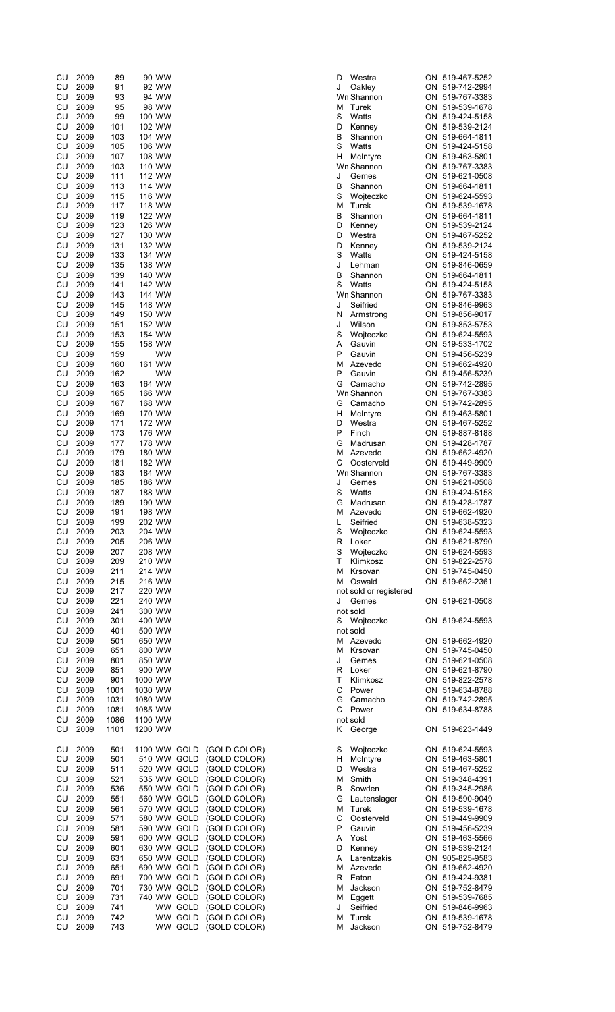| CU        | 2009 | 89   | 90 WW     |                           | D  | Westra                 | ON 519-467-5252 |
|-----------|------|------|-----------|---------------------------|----|------------------------|-----------------|
| CU        | 2009 | 91   | 92 WW     |                           | J  | Oakley                 | ON 519-742-2994 |
| CU        | 2009 | 93   | 94 WW     |                           |    | Wn Shannon             | ON 519-767-3383 |
| CU        | 2009 | 95   | 98 WW     |                           | М  | Turek                  | ON 519-539-1678 |
| CU        | 2009 | 99   | 100 WW    |                           | S  | Watts                  | ON 519-424-5158 |
| CU        | 2009 | 101  | 102 WW    |                           | D  | Kenney                 | ON 519-539-2124 |
| CU        | 2009 | 103  | 104 WW    |                           | В  | Shannon                | ON 519-664-1811 |
| CU        | 2009 | 105  | 106 WW    |                           | S  | Watts                  | ON 519-424-5158 |
|           |      |      |           |                           |    |                        |                 |
| CU        | 2009 | 107  | 108 WW    |                           | H. | McIntyre               | ON 519-463-5801 |
| CU        | 2009 | 103  | 110 WW    |                           |    | Wn Shannon             | ON 519-767-3383 |
| CU        | 2009 | 111  | 112 WW    |                           | J  | Gemes                  | ON 519-621-0508 |
| CU        | 2009 | 113  | 114 WW    |                           | B  | Shannon                | ON 519-664-1811 |
| CU        | 2009 | 115  | 116 WW    |                           | S  | Wojteczko              | ON 519-624-5593 |
| CU        | 2009 | 117  | 118 WW    |                           | м  | Turek                  | ON 519-539-1678 |
| CU        | 2009 | 119  | 122 WW    |                           | в  | Shannon                | ON 519-664-1811 |
| CU        | 2009 | 123  | 126 WW    |                           | D  | Kenney                 | ON 519-539-2124 |
| CU        | 2009 | 127  | 130 WW    |                           | D  | Westra                 | ON 519-467-5252 |
| CU        | 2009 | 131  | 132 WW    |                           | D  | Kenney                 | ON 519-539-2124 |
| CU        | 2009 | 133  | 134 WW    |                           | S  | Watts                  | ON 519-424-5158 |
| CU        | 2009 | 135  | 138 WW    |                           | J  | Lehman                 | ON 519-846-0659 |
| CU        | 2009 | 139  | 140 WW    |                           | В  | Shannon                | ON 519-664-1811 |
| CU        | 2009 | 141  | 142 WW    |                           | S  | Watts                  | ON 519-424-5158 |
| CU        | 2009 | 143  | 144 WW    |                           |    | Wn Shannon             | ON 519-767-3383 |
|           |      |      |           |                           |    |                        |                 |
| CU        | 2009 | 145  | 148 WW    |                           | J  | Seifried               | ON 519-846-9963 |
| CU        | 2009 | 149  | 150 WW    |                           | N  | Armstrong              | ON 519-856-9017 |
| CU        | 2009 | 151  | 152 WW    |                           | J  | Wilson                 | ON 519-853-5753 |
| CU        | 2009 | 153  | 154 WW    |                           | S  | Wojteczko              | ON 519-624-5593 |
| CU        | 2009 | 155  | 158 WW    |                           | Α  | Gauvin                 | ON 519-533-1702 |
| CU        | 2009 | 159  | WW        |                           | P  | Gauvin                 | ON 519-456-5239 |
| CU        | 2009 | 160  | 161 WW    |                           | м  | Azevedo                | ON 519-662-4920 |
| CU        | 2009 | 162  | <b>WW</b> |                           | P  | Gauvin                 | ON 519-456-5239 |
| CU        | 2009 | 163  | 164 WW    |                           | G  | Camacho                | ON 519-742-2895 |
| CU        | 2009 | 165  | 166 WW    |                           |    | Wn Shannon             | ON 519-767-3383 |
| CU        | 2009 | 167  | 168 WW    |                           | G  | Camacho                | ON 519-742-2895 |
| CU        | 2009 | 169  | 170 WW    |                           | н  | McIntyre               | ON 519-463-5801 |
| CU        | 2009 | 171  | 172 WW    |                           | D  | Westra                 | ON 519-467-5252 |
| CU        |      |      |           |                           | P  |                        |                 |
|           | 2009 | 173  | 176 WW    |                           |    | Finch                  | ON 519-887-8188 |
| CU        | 2009 | 177  | 178 WW    |                           | G  | Madrusan               | ON 519-428-1787 |
| CU        | 2009 | 179  | 180 WW    |                           | м  | Azevedo                | ON 519-662-4920 |
| CU        | 2009 | 181  | 182 WW    |                           | С  | Oosterveld             | ON 519-449-9909 |
| CU        | 2009 | 183  | 184 WW    |                           |    | Wn Shannon             | ON 519-767-3383 |
| CU        | 2009 | 185  | 186 WW    |                           | J  | Gemes                  | ON 519-621-0508 |
| CU        | 2009 | 187  | 188 WW    |                           | S  | Watts                  | ON 519-424-5158 |
| CU        | 2009 | 189  | 190 WW    |                           | G  | Madrusan               | ON 519-428-1787 |
| CU        | 2009 | 191  | 198 WW    |                           | М  | Azevedo                | ON 519-662-4920 |
| CU        | 2009 | 199  | 202 WW    |                           | L  | Seifried               | ON 519-638-5323 |
| CU        | 2009 | 203  | 204 WW    |                           | S  | Wojteczko              | ON 519-624-5593 |
| CU        | 2009 | 205  | 206 WW    |                           |    | R Loker                | ON 519-621-8790 |
| CU        | 2009 | 207  | 208 WW    |                           | S  | Wojteczko              | ON 519-624-5593 |
| CU        | 2009 | 209  | 210 WW    |                           | T. | Klimkosz               | ON 519-822-2578 |
| CU        | 2009 | 211  | 214 WW    |                           |    | M Krsovan              | ON 519-745-0450 |
|           |      |      |           |                           |    |                        |                 |
| CU        | 2009 | 215  | 216 WW    |                           |    | M Oswald               | ON 519-662-2361 |
| CU        | 2009 | 217  | 220 WW    |                           |    | not sold or registered |                 |
| CU        | 2009 | 221  | 240 WW    |                           | J  | Gemes                  | ON 519-621-0508 |
| CU        | 2009 | 241  | 300 WW    |                           |    | not sold               |                 |
| CU        | 2009 | 301  | 400 WW    |                           |    | S Wojteczko            | ON 519-624-5593 |
| CU        | 2009 | 401  | 500 WW    |                           |    | not sold               |                 |
| CU        | 2009 | 501  | 650 WW    |                           |    | M Azevedo              | ON 519-662-4920 |
| CU        | 2009 | 651  | 800 WW    |                           |    | M Krsovan              | ON 519-745-0450 |
| CU        | 2009 | 801  | 850 WW    |                           | J  | Gemes                  | ON 519-621-0508 |
| CU        | 2009 | 851  | 900 WW    |                           |    | R Loker                | ON 519-621-8790 |
| <b>CU</b> | 2009 | 901  | 1000 WW   |                           | T. | Klimkosz               | ON 519-822-2578 |
| CU        | 2009 | 1001 | 1030 WW   |                           | С  | Power                  | ON 519-634-8788 |
| CU        | 2009 | 1031 | 1080 WW   |                           |    | G Camacho              | ON 519-742-2895 |
| CU        | 2009 | 1081 | 1085 WW   |                           | C. | Power                  | ON 519-634-8788 |
|           |      |      |           |                           |    |                        |                 |
| CU        | 2009 | 1086 | 1100 WW   |                           |    | not sold               |                 |
| CU        | 2009 | 1101 | 1200 WW   |                           | K. | George                 | ON 519-623-1449 |
|           |      |      |           |                           |    |                        |                 |
| CU        | 2009 | 501  |           | 1100 WW GOLD (GOLD COLOR) | S  | Wojteczko              | ON 519-624-5593 |
| CU        | 2009 | 501  |           | 510 WW GOLD (GOLD COLOR)  | H. | McIntyre               | ON 519-463-5801 |
| <b>CU</b> | 2009 | 511  |           | 520 WW GOLD (GOLD COLOR)  | D  | Westra                 | ON 519-467-5252 |
| CU        | 2009 | 521  |           | 535 WW GOLD (GOLD COLOR)  | м  | Smith                  | ON 519-348-4391 |
| CU        | 2009 | 536  |           | 550 WW GOLD (GOLD COLOR)  | В  | Sowden                 | ON 519-345-2986 |
| CU        | 2009 | 551  |           | 560 WW GOLD (GOLD COLOR)  | G  | Lautenslager           | ON 519-590-9049 |
| CU        | 2009 | 561  |           | 570 WW GOLD (GOLD COLOR)  | м  | Turek                  | ON 519-539-1678 |
| CU        | 2009 | 571  |           | 580 WW GOLD (GOLD COLOR)  | С  | Oosterveld             | ON 519-449-9909 |
| CU        | 2009 | 581  |           | 590 WW GOLD (GOLD COLOR)  | P  | Gauvin                 | ON 519-456-5239 |
| CU        | 2009 | 591  |           | 600 WW GOLD (GOLD COLOR)  |    | Yost                   | ON 519-463-5566 |
|           |      |      |           |                           | A  |                        |                 |
| CU        | 2009 | 601  |           | 630 WW GOLD (GOLD COLOR)  | D  | Kenney                 | ON 519-539-2124 |
| CU        | 2009 | 631  |           | 650 WW GOLD (GOLD COLOR)  | A  | Larentzakis            | ON 905-825-9583 |
| CU        | 2009 | 651  |           | 690 WW GOLD (GOLD COLOR)  |    | M Azevedo              | ON 519-662-4920 |
| CU        | 2009 | 691  |           | 700 WW GOLD (GOLD COLOR)  | R  | Eaton                  | ON 519-424-9381 |
| CU        | 2009 | 701  |           | 730 WW GOLD (GOLD COLOR)  | м  | Jackson                | ON 519-752-8479 |
| CU        | 2009 | 731  |           | 740 WW GOLD (GOLD COLOR)  |    | M Eggett               | ON 519-539-7685 |
| CU        | 2009 | 741  |           | WW GOLD (GOLD COLOR)      | J  | Seifried               | ON 519-846-9963 |
| CU        | 2009 | 742  |           | WW GOLD (GOLD COLOR)      | м  | Turek                  | ON 519-539-1678 |
| CU        | 2009 | 743  |           | WW GOLD (GOLD COLOR)      |    | M Jackson              | ON 519-752-8479 |
|           |      |      |           |                           |    |                        |                 |

| )                        | Westra                   |    | ON 519-467-5                 |
|--------------------------|--------------------------|----|------------------------------|
|                          | Oakley                   |    | ON 519-742-2                 |
|                          | Vn Shannon               |    | ON 519-767-3                 |
| 1                        | Turek                    |    | ON 519-539-1                 |
| ;                        | Watts                    |    | ON 519-424-5                 |
| i                        | Kenney<br>Shannon        |    | ON 519-539-2<br>ON 519-664-1 |
| ;                        | Watts                    |    | ON 519-424-5                 |
| L                        | McIntyre                 |    | ON 519-463-5                 |
|                          | Vn Shannon               |    | ON 519-767-3                 |
|                          | Gemes                    |    | ON 519-621-0                 |
| ļ.                       | Shannon                  |    | ON 519-664-1                 |
| ;                        | Wojteczko                |    | ON 519-624-5                 |
|                          | 1 Turek                  |    | ON 519-539-1                 |
| ļ.                       | Shannon                  |    | ON 519-664-1                 |
| )<br>)                   | Kenney<br>Westra         |    | ON 519-539-2                 |
| $\overline{ }$           | Kenney                   |    | ON 519-467-5<br>ON 519-539-2 |
| ï                        | Watts                    |    | ON 519-424-5                 |
|                          | Lehman                   |    | ON 519-846-0                 |
| i                        | Shannon                  |    | ON 519-664-1                 |
| ;                        | Watts                    |    | ON 519-424-5                 |
|                          | Vn Shannon               |    | ON 519-767-3                 |
|                          | Seifried                 |    | ON 519-846-9                 |
| L                        | Armstrong                |    | ON 519-856-9                 |
|                          | Wilson                   |    | ON 519-853-5                 |
| ;                        | Wojteczko                |    | ON 519-624-5                 |
| l<br>J                   | Gauvin<br>Gauvin         |    | ON 519-533-1<br>ON 519-456-5 |
|                          | 1 Azevedo                |    | ON 519-662-4                 |
| $\overline{a}$           | Gauvin                   |    | ON 519-456-5                 |
| ì                        | Camacho                  |    | ON 519-742-2                 |
|                          | Vn Shannon               |    | ON 519-767-3                 |
| $\frac{1}{2}$            | Camacho                  |    | ON 519-742-2                 |
| L                        | McIntyre                 |    | ON 519-463-5                 |
| $\overline{a}$           | Westra                   |    | ON 519-467-5                 |
| I                        | Finch                    |    | ON 519-887-8                 |
| ì                        | Madrusan                 |    | ON 519-428-1                 |
|                          | 1 Azevedo                |    | ON 519-662-4                 |
|                          | Oosterveld               |    | ON 519-449-9                 |
|                          | Vn Shannon               |    | ON 519-767-3                 |
|                          | Gemes                    |    | ON 519-621-0                 |
| ;                        | Watts<br>,<br>; Madrusan |    | ON 519-424-5<br>ON 519-428-1 |
| 1                        | Azevedo                  | ON | 519-662-4                    |
|                          | Seifried                 |    | ON 519-638-5                 |
| $\vdots$                 | Wojteczko                |    | ON 519-624-5                 |
| ί                        | Loker                    |    | ON 519-621-8                 |
| ;                        | Wojteczko                |    | ON 519-624-5                 |
| $\ddot{\phantom{0}}$     | Klimkosz                 |    | ON 519-822-2                 |
| 1                        | Krsovan                  |    | ON 519-745-0                 |
| 1                        | Oswald                   | ON | 519-662-2                    |
|                          | ot sold or registered    |    |                              |
|                          | Gemes<br>ot sold         |    | ON 519-621-0                 |
|                          | Wojteczko                |    | ON 519-624-5                 |
|                          | ot sold                  |    |                              |
|                          | 1 Azevedo                |    | ON 519-662-4                 |
| 1.                       | Krsovan                  |    | ON 519-745-0                 |
|                          | Gemes                    |    | ON 519-621-0                 |
| ι                        | Loker                    |    | ON 519-621-8                 |
|                          | Klimkosz                 |    | ON 519-822-2                 |
| $\vdots$                 | Power                    |    | ON 519-634-8                 |
|                          | Camacho                  |    | ON 519-742-2                 |
| $\ddot{\phantom{0}}$     | Power                    | ON | 519-634-8                    |
|                          | ot sold                  |    |                              |
| ί                        | George                   |    | ON 519-623-1                 |
| ;                        | Wojteczko                |    | ON 519-624-5                 |
| I                        | McIntyre                 |    | ON 519-463-5                 |
| )                        | Westra                   |    | ON 519-467-5                 |
| 1                        | Smith                    |    | ON 519-348-4                 |
| ļ,                       | Sowden                   |    | ON 519-345-2                 |
| ì                        | Lautenslager             |    | ON 519-590-9                 |
| 1                        | Turek                    |    | ON 519-539-1                 |
| ;                        | Oosterveld               | ON | 519-449-9                    |
|                          | Gauvin                   | ON | 519-456-5                    |
| l                        | Yost                     |    | ON 519-463-5                 |
| )                        | Kenney                   | ON | 519-539-2                    |
| $\overline{\phantom{0}}$ | Larentzakis              |    | ON 905-825-9                 |
| 1<br>ι                   | Azevedo<br>Eaton         |    | ON 519-662-4<br>ON 519-424-9 |
| 1                        | Jackson                  |    | ON 519-752-8                 |
| 1                        | Eggett                   |    | ON 519-539-7                 |
|                          | Seifried                 |    | ON 519-846-9                 |
| 1                        | Turek                    |    | ON 519-539-1                 |
| 1                        | Jackson                  |    | ON 519-752-8                 |